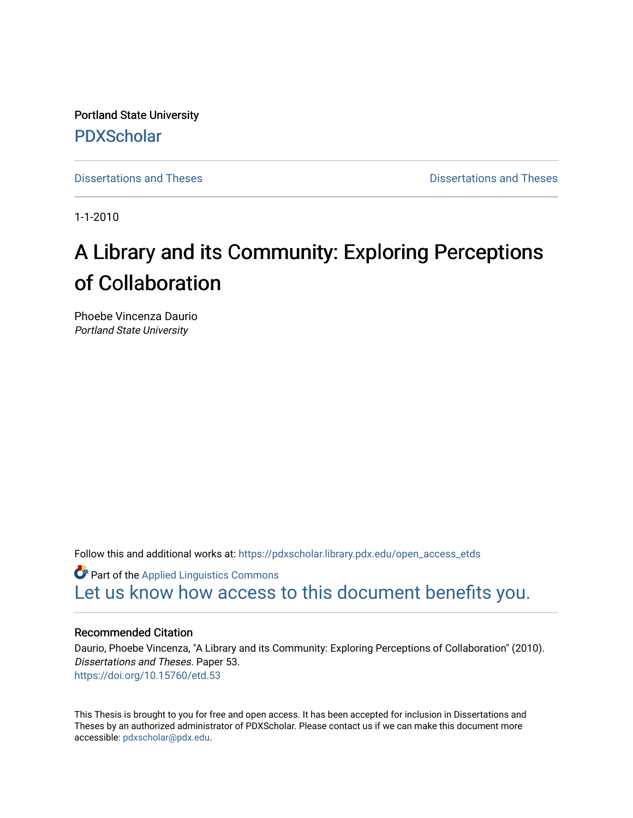Portland State University [PDXScholar](https://pdxscholar.library.pdx.edu/)

[Dissertations and Theses](https://pdxscholar.library.pdx.edu/open_access_etds) **Dissertations and Theses** Dissertations and Theses

1-1-2010

# A Library and its Community: Exploring Perceptions of Collaboration

Phoebe Vincenza Daurio Portland State University

Follow this and additional works at: [https://pdxscholar.library.pdx.edu/open\\_access\\_etds](https://pdxscholar.library.pdx.edu/open_access_etds?utm_source=pdxscholar.library.pdx.edu%2Fopen_access_etds%2F53&utm_medium=PDF&utm_campaign=PDFCoverPages)

**Part of the Applied Linguistics Commons** [Let us know how access to this document benefits you.](http://library.pdx.edu/services/pdxscholar-services/pdxscholar-feedback/) 

# Recommended Citation

Daurio, Phoebe Vincenza, "A Library and its Community: Exploring Perceptions of Collaboration" (2010). Dissertations and Theses. Paper 53. <https://doi.org/10.15760/etd.53>

This Thesis is brought to you for free and open access. It has been accepted for inclusion in Dissertations and Theses by an authorized administrator of PDXScholar. Please contact us if we can make this document more accessible: [pdxscholar@pdx.edu.](mailto:pdxscholar@pdx.edu)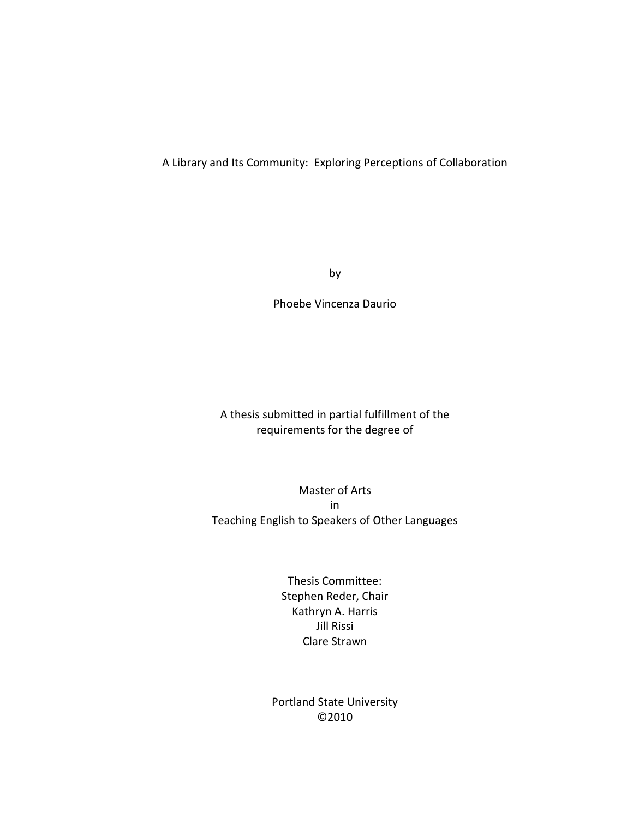# A Library and Its Community: Exploring Perceptions of Collaboration

by

Phoebe Vincenza Daurio

A thesis submitted in partial fulfillment of the requirements for the degree of

Master of Arts in Teaching English to Speakers of Other Languages

> Thesis Committee: Stephen Reder, Chair Kathryn A. Harris Jill Rissi Clare Strawn

Portland State University ©2010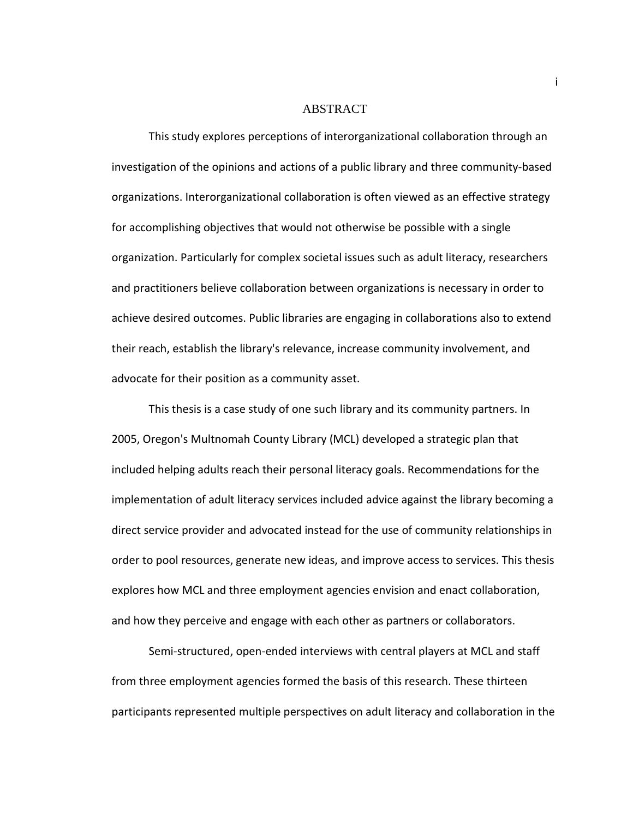## ABSTRACT

This study explores perceptions of interorganizational collaboration through an investigation of the opinions and actions of a public library and three community-based organizations. Interorganizational collaboration is often viewed as an effective strategy for accomplishing objectives that would not otherwise be possible with a single organization. Particularly for complex societal issues such as adult literacy, researchers and practitioners believe collaboration between organizations is necessary in order to achieve desired outcomes. Public libraries are engaging in collaborations also to extend their reach, establish the library's relevance, increase community involvement, and advocate for their position as a community asset.

This thesis is a case study of one such library and its community partners. In 2005, Oregon's Multnomah County Library (MCL) developed a strategic plan that included helping adults reach their personal literacy goals. Recommendations for the implementation of adult literacy services included advice against the library becoming a direct service provider and advocated instead for the use of community relationships in order to pool resources, generate new ideas, and improve access to services. This thesis explores how MCL and three employment agencies envision and enact collaboration, and how they perceive and engage with each other as partners or collaborators.

Semi-structured, open-ended interviews with central players at MCL and staff from three employment agencies formed the basis of this research. These thirteen participants represented multiple perspectives on adult literacy and collaboration in the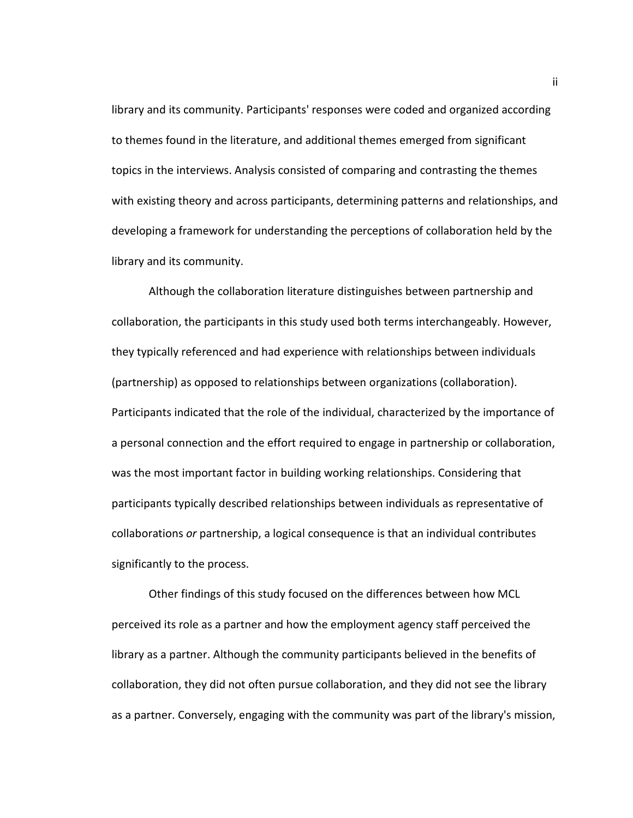library and its community. Participants' responses were coded and organized according to themes found in the literature, and additional themes emerged from significant topics in the interviews. Analysis consisted of comparing and contrasting the themes with existing theory and across participants, determining patterns and relationships, and developing a framework for understanding the perceptions of collaboration held by the library and its community.

Although the collaboration literature distinguishes between partnership and collaboration, the participants in this study used both terms interchangeably. However, they typically referenced and had experience with relationships between individuals (partnership) as opposed to relationships between organizations (collaboration). Participants indicated that the role of the individual, characterized by the importance of a personal connection and the effort required to engage in partnership or collaboration, was the most important factor in building working relationships. Considering that participants typically described relationships between individuals as representative of collaborations or partnership, a logical consequence is that an individual contributes significantly to the process.

Other findings of this study focused on the differences between how MCL perceived its role as a partner and how the employment agency staff perceived the library as a partner. Although the community participants believed in the benefits of collaboration, they did not often pursue collaboration, and they did not see the library as a partner. Conversely, engaging with the community was part of the library's mission,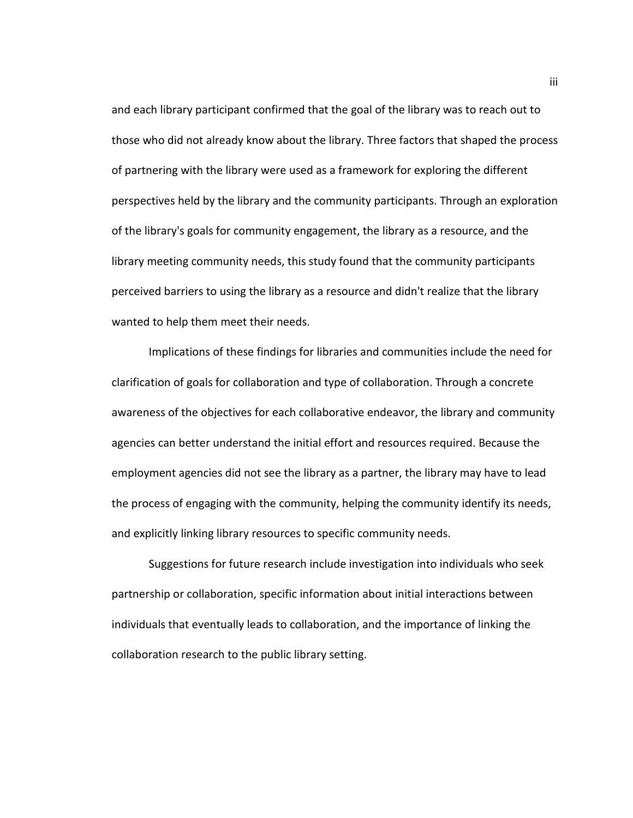and each library participant confirmed that the goal of the library was to reach out to those who did not already know about the library. Three factors that shaped the process of partnering with the library were used as a framework for exploring the different perspectives held by the library and the community participants. Through an exploration of the library's goals for community engagement, the library as a resource, and the library meeting community needs, this study found that the community participants perceived barriers to using the library as a resource and didn't realize that the library wanted to help them meet their needs.

Implications of these findings for libraries and communities include the need for clarification of goals for collaboration and type of collaboration. Through a concrete awareness of the objectives for each collaborative endeavor, the library and community agencies can better understand the initial effort and resources required. Because the employment agencies did not see the library as a partner, the library may have to lead the process of engaging with the community, helping the community identify its needs, and explicitly linking library resources to specific community needs.

Suggestions for future research include investigation into individuals who seek partnership or collaboration, specific information about initial interactions between individuals that eventually leads to collaboration, and the importance of linking the collaboration research to the public library setting.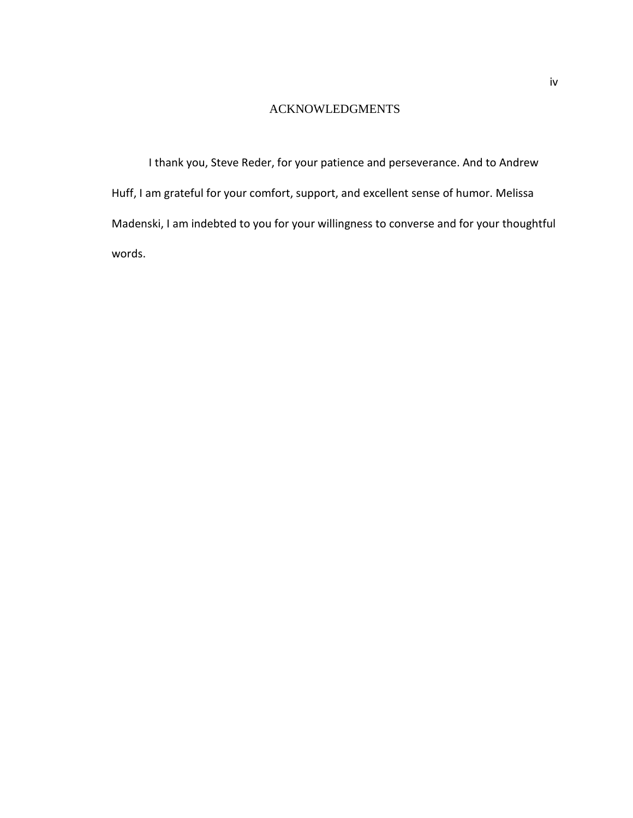# ACKNOWLEDGMENTS

I thank you, Steve Reder, for your patience and perseverance. And to Andrew Huff, I am grateful for your comfort, support, and excellent sense of humor. Melissa Madenski, I am indebted to you for your willingness to converse and for your thoughtful words.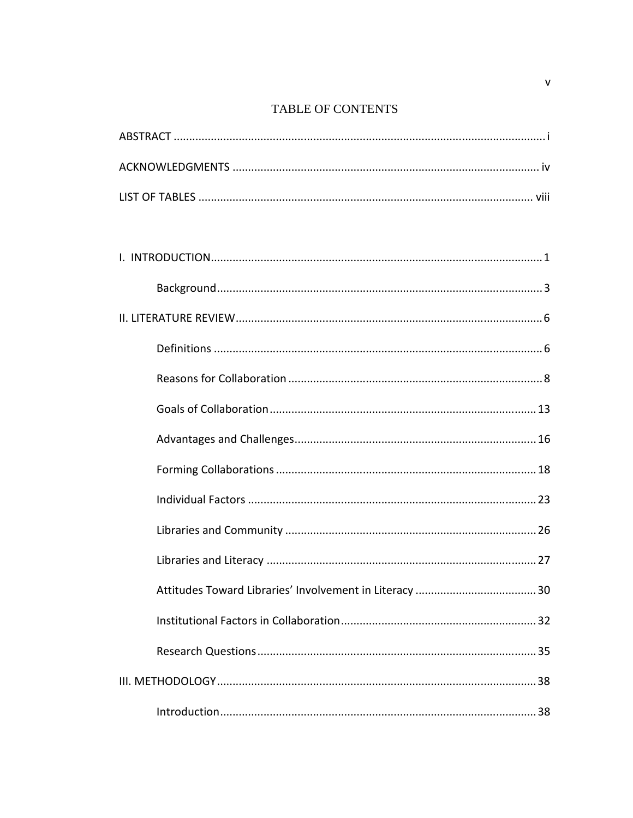# TABLE OF CONTENTS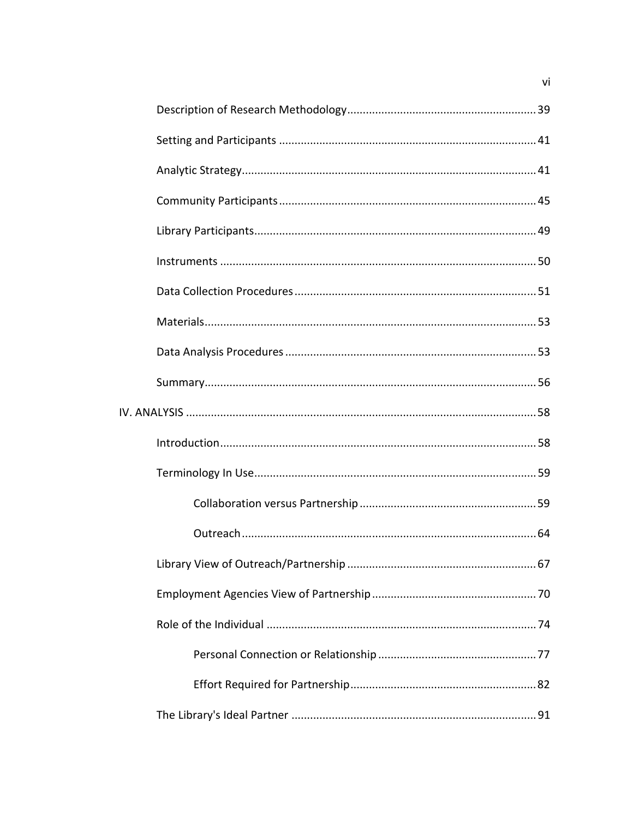$\mathsf{vi}$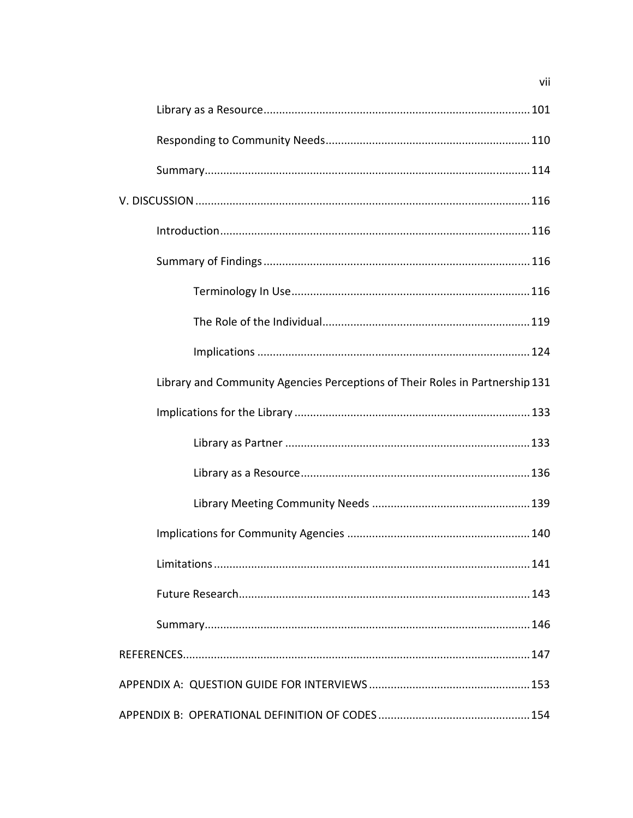| Library and Community Agencies Perceptions of Their Roles in Partnership 131 |
|------------------------------------------------------------------------------|
|                                                                              |
|                                                                              |
|                                                                              |
|                                                                              |
|                                                                              |
|                                                                              |
|                                                                              |
|                                                                              |
|                                                                              |
|                                                                              |
|                                                                              |

vii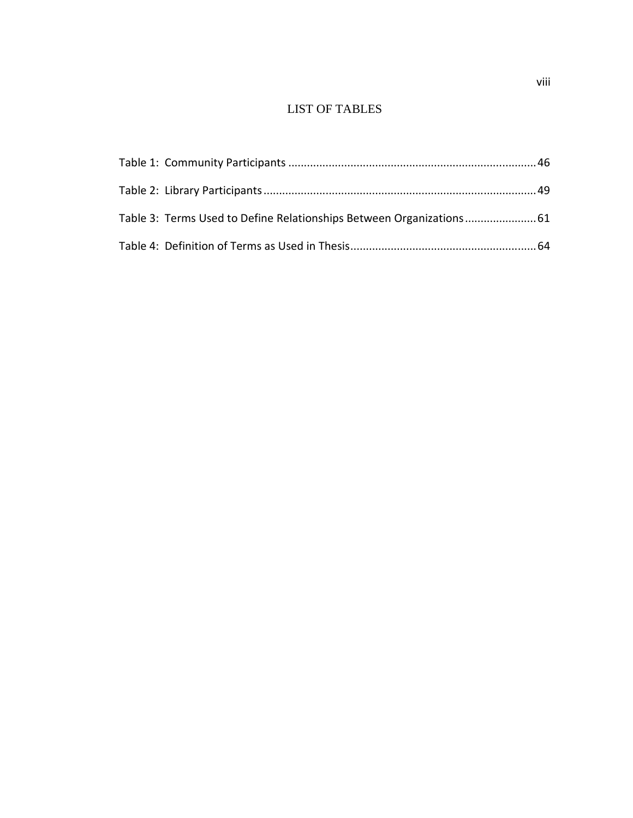# LIST OF TABLES

| Table 3: Terms Used to Define Relationships Between Organizations 61 |  |
|----------------------------------------------------------------------|--|
|                                                                      |  |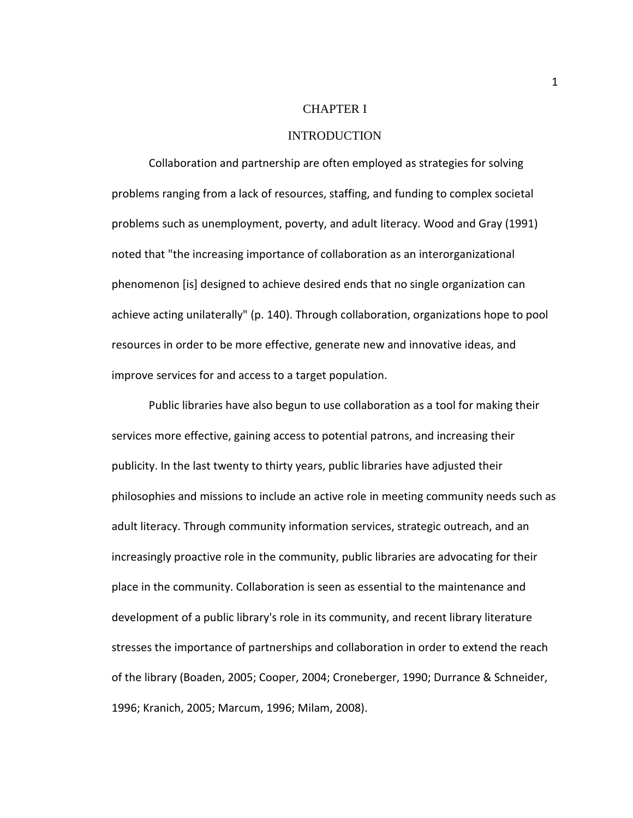## CHAPTER I

## **INTRODUCTION**

Collaboration and partnership are often employed as strategies for solving problems ranging from a lack of resources, staffing, and funding to complex societal problems such as unemployment, poverty, and adult literacy. Wood and Gray (1991) noted that "the increasing importance of collaboration as an interorganizational phenomenon [is] designed to achieve desired ends that no single organization can achieve acting unilaterally" (p. 140). Through collaboration, organizations hope to pool resources in order to be more effective, generate new and innovative ideas, and improve services for and access to a target population.

Public libraries have also begun to use collaboration as a tool for making their services more effective, gaining access to potential patrons, and increasing their publicity. In the last twenty to thirty years, public libraries have adjusted their philosophies and missions to include an active role in meeting community needs such as adult literacy. Through community information services, strategic outreach, and an increasingly proactive role in the community, public libraries are advocating for their place in the community. Collaboration is seen as essential to the maintenance and development of a public library's role in its community, and recent library literature stresses the importance of partnerships and collaboration in order to extend the reach of the library (Boaden, 2005; Cooper, 2004; Croneberger, 1990; Durrance & Schneider, 1996; Kranich, 2005; Marcum, 1996; Milam, 2008).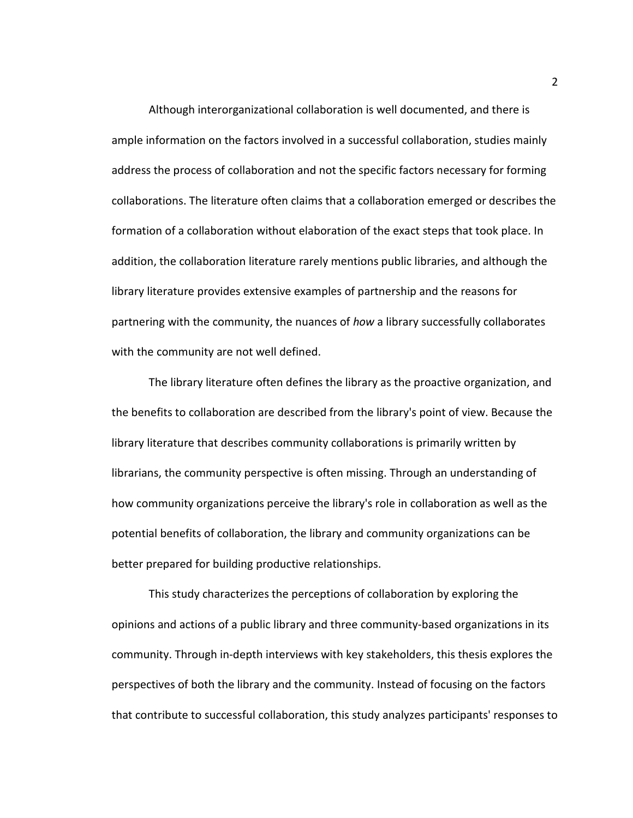Although interorganizational collaboration is well documented, and there is ample information on the factors involved in a successful collaboration, studies mainly address the process of collaboration and not the specific factors necessary for forming collaborations. The literature often claims that a collaboration emerged or describes the formation of a collaboration without elaboration of the exact steps that took place. In addition, the collaboration literature rarely mentions public libraries, and although the library literature provides extensive examples of partnership and the reasons for partnering with the community, the nuances of how a library successfully collaborates with the community are not well defined.

The library literature often defines the library as the proactive organization, and the benefits to collaboration are described from the library's point of view. Because the library literature that describes community collaborations is primarily written by librarians, the community perspective is often missing. Through an understanding of how community organizations perceive the library's role in collaboration as well as the potential benefits of collaboration, the library and community organizations can be better prepared for building productive relationships.

This study characterizes the perceptions of collaboration by exploring the opinions and actions of a public library and three community-based organizations in its community. Through in-depth interviews with key stakeholders, this thesis explores the perspectives of both the library and the community. Instead of focusing on the factors that contribute to successful collaboration, this study analyzes participants' responses to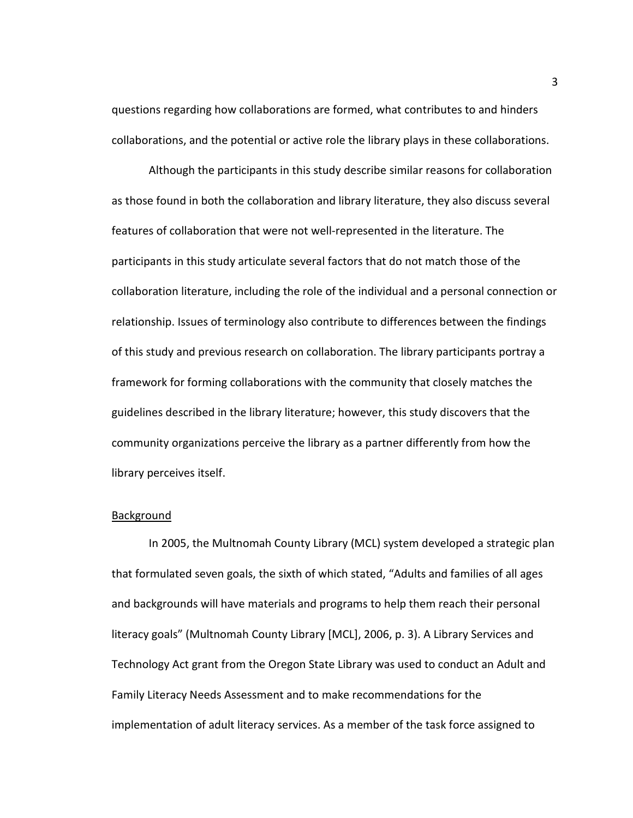questions regarding how collaborations are formed, what contributes to and hinders collaborations, and the potential or active role the library plays in these collaborations.

Although the participants in this study describe similar reasons for collaboration as those found in both the collaboration and library literature, they also discuss several features of collaboration that were not well-represented in the literature. The participants in this study articulate several factors that do not match those of the collaboration literature, including the role of the individual and a personal connection or relationship. Issues of terminology also contribute to differences between the findings of this study and previous research on collaboration. The library participants portray a framework for forming collaborations with the community that closely matches the guidelines described in the library literature; however, this study discovers that the community organizations perceive the library as a partner differently from how the library perceives itself.

#### Background

In 2005, the Multnomah County Library (MCL) system developed a strategic plan that formulated seven goals, the sixth of which stated, "Adults and families of all ages and backgrounds will have materials and programs to help them reach their personal literacy goals" (Multnomah County Library [MCL], 2006, p. 3). A Library Services and Technology Act grant from the Oregon State Library was used to conduct an Adult and Family Literacy Needs Assessment and to make recommendations for the implementation of adult literacy services. As a member of the task force assigned to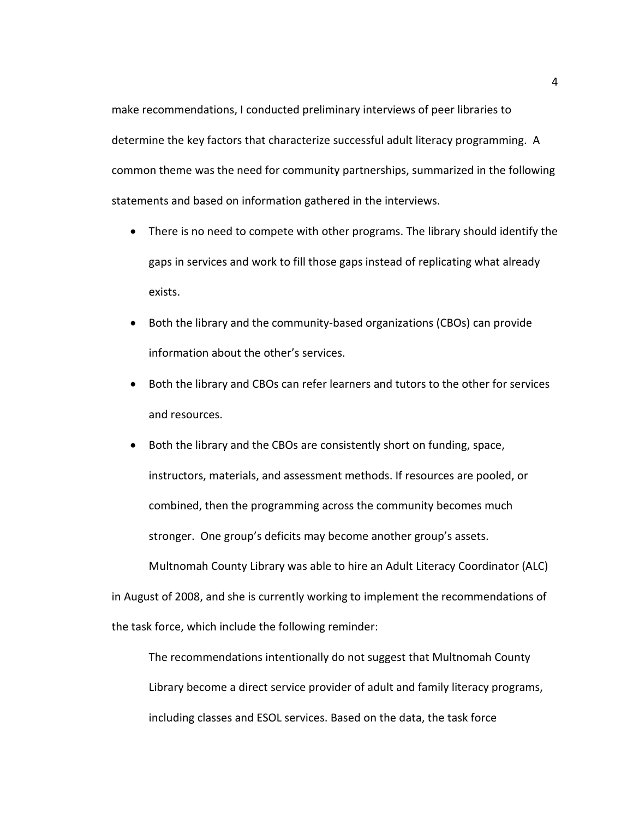make recommendations, I conducted preliminary interviews of peer libraries to determine the key factors that characterize successful adult literacy programming. A common theme was the need for community partnerships, summarized in the following statements and based on information gathered in the interviews.

- There is no need to compete with other programs. The library should identify the gaps in services and work to fill those gaps instead of replicating what already exists.
- Both the library and the community-based organizations (CBOs) can provide information about the other's services.
- Both the library and CBOs can refer learners and tutors to the other for services and resources.
- Both the library and the CBOs are consistently short on funding, space, instructors, materials, and assessment methods. If resources are pooled, or combined, then the programming across the community becomes much stronger. One group's deficits may become another group's assets.

Multnomah County Library was able to hire an Adult Literacy Coordinator (ALC) in August of 2008, and she is currently working to implement the recommendations of the task force, which include the following reminder:

The recommendations intentionally do not suggest that Multnomah County Library become a direct service provider of adult and family literacy programs, including classes and ESOL services. Based on the data, the task force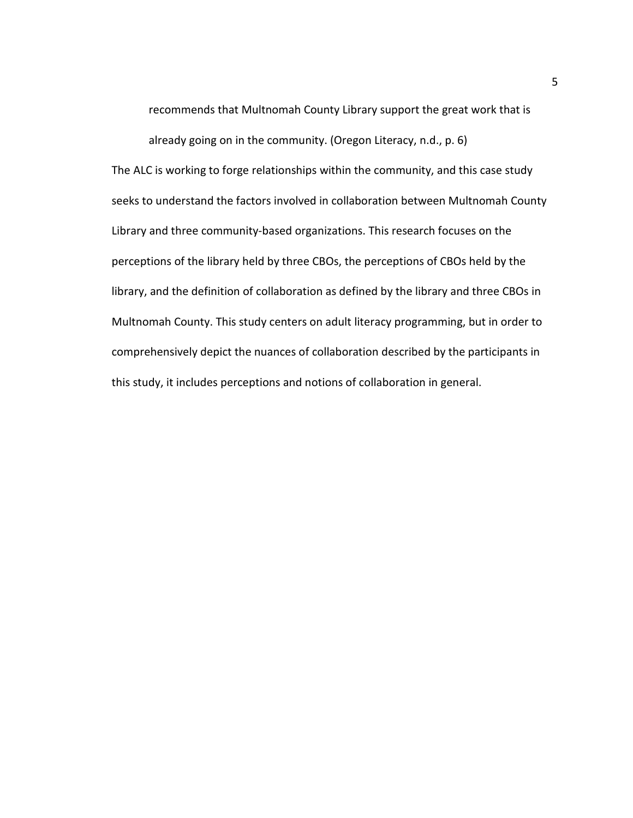recommends that Multnomah County Library support the great work that is already going on in the community. (Oregon Literacy, n.d., p. 6)

The ALC is working to forge relationships within the community, and this case study seeks to understand the factors involved in collaboration between Multnomah County Library and three community-based organizations. This research focuses on the perceptions of the library held by three CBOs, the perceptions of CBOs held by the library, and the definition of collaboration as defined by the library and three CBOs in Multnomah County. This study centers on adult literacy programming, but in order to comprehensively depict the nuances of collaboration described by the participants in this study, it includes perceptions and notions of collaboration in general.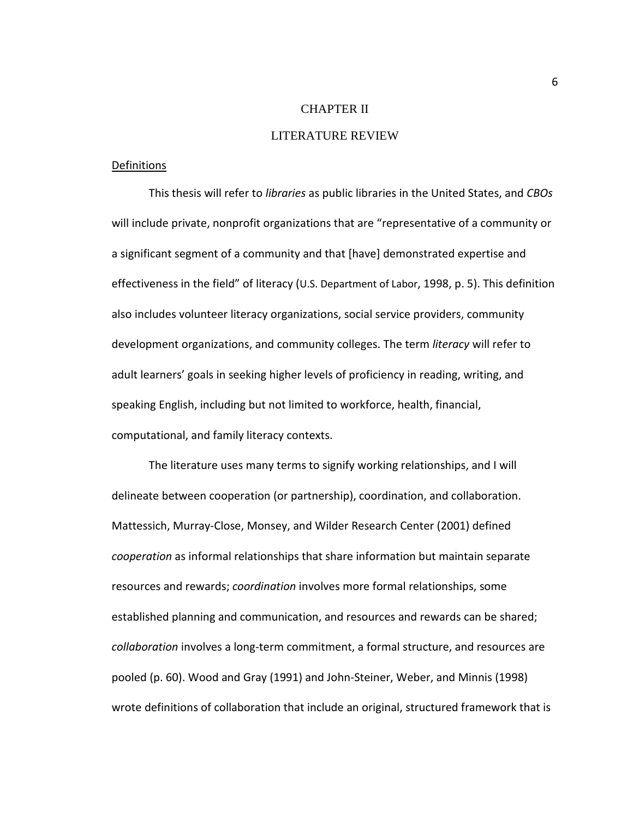## CHAPTER II

# LITERATURE REVIEW

#### **Definitions**

This thesis will refer to *libraries* as public libraries in the United States, and CBOs will include private, nonprofit organizations that are "representative of a community or a significant segment of a community and that [have] demonstrated expertise and effectiveness in the field" of literacy (U.S. Department of Labor, 1998, p. 5). This definition also includes volunteer literacy organizations, social service providers, community development organizations, and community colleges. The term *literacy* will refer to adult learners' goals in seeking higher levels of proficiency in reading, writing, and speaking English, including but not limited to workforce, health, financial, computational, and family literacy contexts.

The literature uses many terms to signify working relationships, and I will delineate between cooperation (or partnership), coordination, and collaboration. Mattessich, Murray-Close, Monsey, and Wilder Research Center (2001) defined cooperation as informal relationships that share information but maintain separate resources and rewards; coordination involves more formal relationships, some established planning and communication, and resources and rewards can be shared; collaboration involves a long-term commitment, a formal structure, and resources are pooled (p. 60). Wood and Gray (1991) and John-Steiner, Weber, and Minnis (1998) wrote definitions of collaboration that include an original, structured framework that is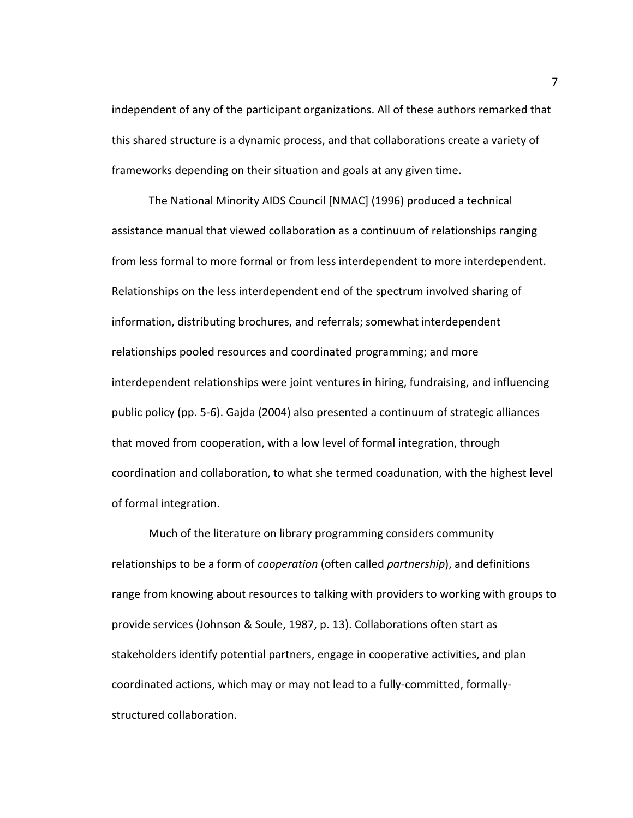independent of any of the participant organizations. All of these authors remarked that this shared structure is a dynamic process, and that collaborations create a variety of frameworks depending on their situation and goals at any given time.

The National Minority AIDS Council [NMAC] (1996) produced a technical assistance manual that viewed collaboration as a continuum of relationships ranging from less formal to more formal or from less interdependent to more interdependent. Relationships on the less interdependent end of the spectrum involved sharing of information, distributing brochures, and referrals; somewhat interdependent relationships pooled resources and coordinated programming; and more interdependent relationships were joint ventures in hiring, fundraising, and influencing public policy (pp. 5-6). Gajda (2004) also presented a continuum of strategic alliances that moved from cooperation, with a low level of formal integration, through coordination and collaboration, to what she termed coadunation, with the highest level of formal integration.

Much of the literature on library programming considers community relationships to be a form of *cooperation* (often called *partnership*), and definitions range from knowing about resources to talking with providers to working with groups to provide services (Johnson & Soule, 1987, p. 13). Collaborations often start as stakeholders identify potential partners, engage in cooperative activities, and plan coordinated actions, which may or may not lead to a fully-committed, formallystructured collaboration.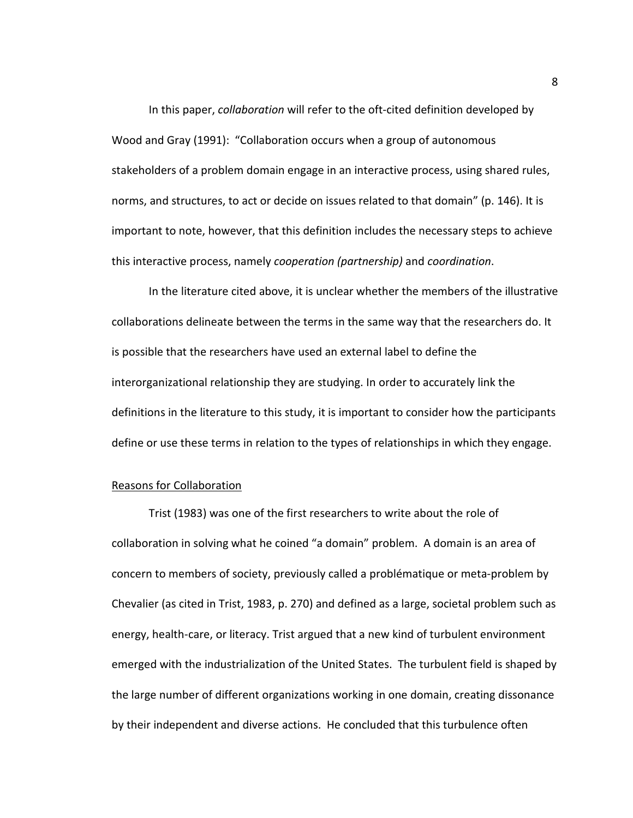In this paper, collaboration will refer to the oft-cited definition developed by Wood and Gray (1991): "Collaboration occurs when a group of autonomous stakeholders of a problem domain engage in an interactive process, using shared rules, norms, and structures, to act or decide on issues related to that domain" (p. 146). It is important to note, however, that this definition includes the necessary steps to achieve this interactive process, namely cooperation (partnership) and coordination.

In the literature cited above, it is unclear whether the members of the illustrative collaborations delineate between the terms in the same way that the researchers do. It is possible that the researchers have used an external label to define the interorganizational relationship they are studying. In order to accurately link the definitions in the literature to this study, it is important to consider how the participants define or use these terms in relation to the types of relationships in which they engage.

### Reasons for Collaboration

 Trist (1983) was one of the first researchers to write about the role of collaboration in solving what he coined "a domain" problem. A domain is an area of concern to members of society, previously called a problématique or meta-problem by Chevalier (as cited in Trist, 1983, p. 270) and defined as a large, societal problem such as energy, health-care, or literacy. Trist argued that a new kind of turbulent environment emerged with the industrialization of the United States. The turbulent field is shaped by the large number of different organizations working in one domain, creating dissonance by their independent and diverse actions. He concluded that this turbulence often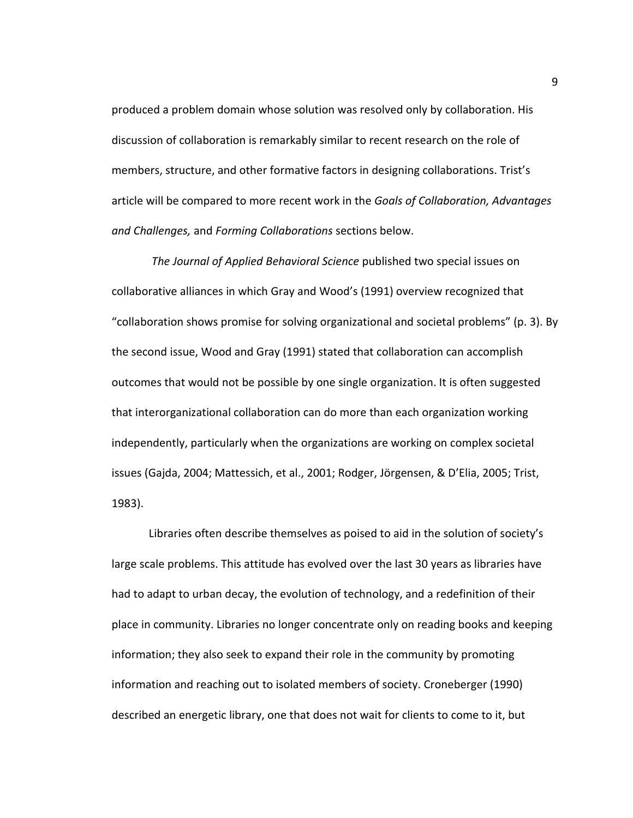produced a problem domain whose solution was resolved only by collaboration. His discussion of collaboration is remarkably similar to recent research on the role of members, structure, and other formative factors in designing collaborations. Trist's article will be compared to more recent work in the Goals of Collaboration, Advantages and Challenges, and Forming Collaborations sections below.

 The Journal of Applied Behavioral Science published two special issues on collaborative alliances in which Gray and Wood's (1991) overview recognized that "collaboration shows promise for solving organizational and societal problems" (p. 3). By the second issue, Wood and Gray (1991) stated that collaboration can accomplish outcomes that would not be possible by one single organization. It is often suggested that interorganizational collaboration can do more than each organization working independently, particularly when the organizations are working on complex societal issues (Gajda, 2004; Mattessich, et al., 2001; Rodger, Jörgensen, & D'Elia, 2005; Trist, 1983).

 Libraries often describe themselves as poised to aid in the solution of society's large scale problems. This attitude has evolved over the last 30 years as libraries have had to adapt to urban decay, the evolution of technology, and a redefinition of their place in community. Libraries no longer concentrate only on reading books and keeping information; they also seek to expand their role in the community by promoting information and reaching out to isolated members of society. Croneberger (1990) described an energetic library, one that does not wait for clients to come to it, but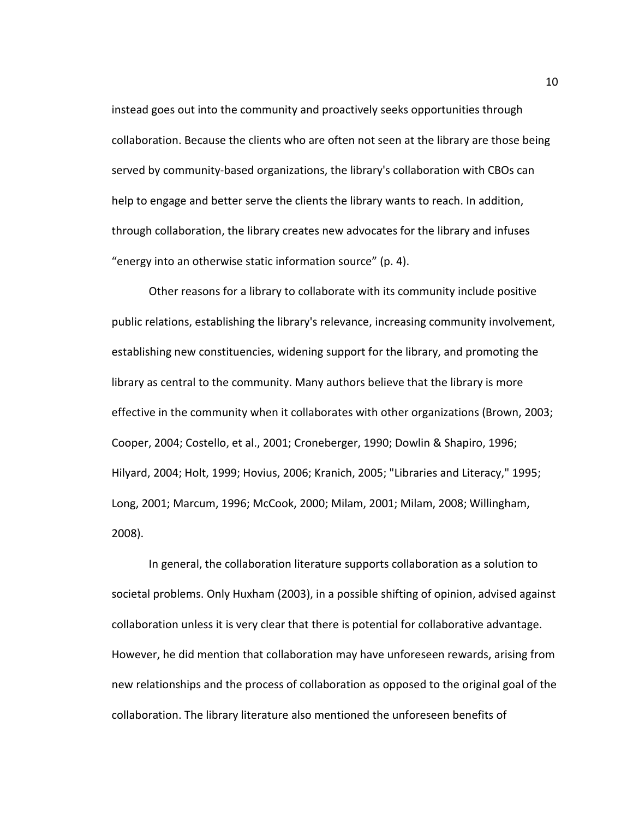instead goes out into the community and proactively seeks opportunities through collaboration. Because the clients who are often not seen at the library are those being served by community-based organizations, the library's collaboration with CBOs can help to engage and better serve the clients the library wants to reach. In addition, through collaboration, the library creates new advocates for the library and infuses "energy into an otherwise static information source" (p. 4).

Other reasons for a library to collaborate with its community include positive public relations, establishing the library's relevance, increasing community involvement, establishing new constituencies, widening support for the library, and promoting the library as central to the community. Many authors believe that the library is more effective in the community when it collaborates with other organizations (Brown, 2003; Cooper, 2004; Costello, et al., 2001; Croneberger, 1990; Dowlin & Shapiro, 1996; Hilyard, 2004; Holt, 1999; Hovius, 2006; Kranich, 2005; "Libraries and Literacy," 1995; Long, 2001; Marcum, 1996; McCook, 2000; Milam, 2001; Milam, 2008; Willingham, 2008).

 In general, the collaboration literature supports collaboration as a solution to societal problems. Only Huxham (2003), in a possible shifting of opinion, advised against collaboration unless it is very clear that there is potential for collaborative advantage. However, he did mention that collaboration may have unforeseen rewards, arising from new relationships and the process of collaboration as opposed to the original goal of the collaboration. The library literature also mentioned the unforeseen benefits of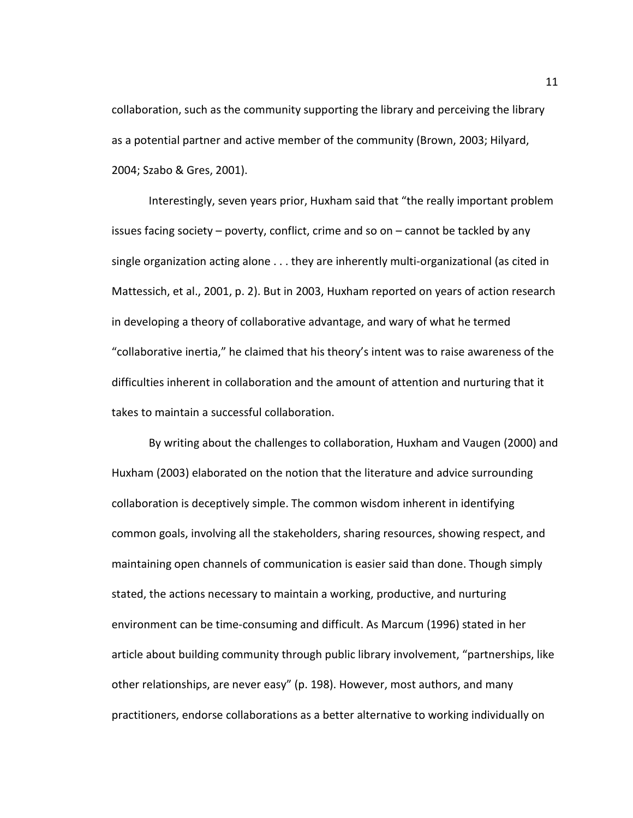collaboration, such as the community supporting the library and perceiving the library as a potential partner and active member of the community (Brown, 2003; Hilyard, 2004; Szabo & Gres, 2001).

Interestingly, seven years prior, Huxham said that "the really important problem issues facing society – poverty, conflict, crime and so on – cannot be tackled by any single organization acting alone . . . they are inherently multi-organizational (as cited in Mattessich, et al., 2001, p. 2). But in 2003, Huxham reported on years of action research in developing a theory of collaborative advantage, and wary of what he termed "collaborative inertia," he claimed that his theory's intent was to raise awareness of the difficulties inherent in collaboration and the amount of attention and nurturing that it takes to maintain a successful collaboration.

 By writing about the challenges to collaboration, Huxham and Vaugen (2000) and Huxham (2003) elaborated on the notion that the literature and advice surrounding collaboration is deceptively simple. The common wisdom inherent in identifying common goals, involving all the stakeholders, sharing resources, showing respect, and maintaining open channels of communication is easier said than done. Though simply stated, the actions necessary to maintain a working, productive, and nurturing environment can be time-consuming and difficult. As Marcum (1996) stated in her article about building community through public library involvement, "partnerships, like other relationships, are never easy" (p. 198). However, most authors, and many practitioners, endorse collaborations as a better alternative to working individually on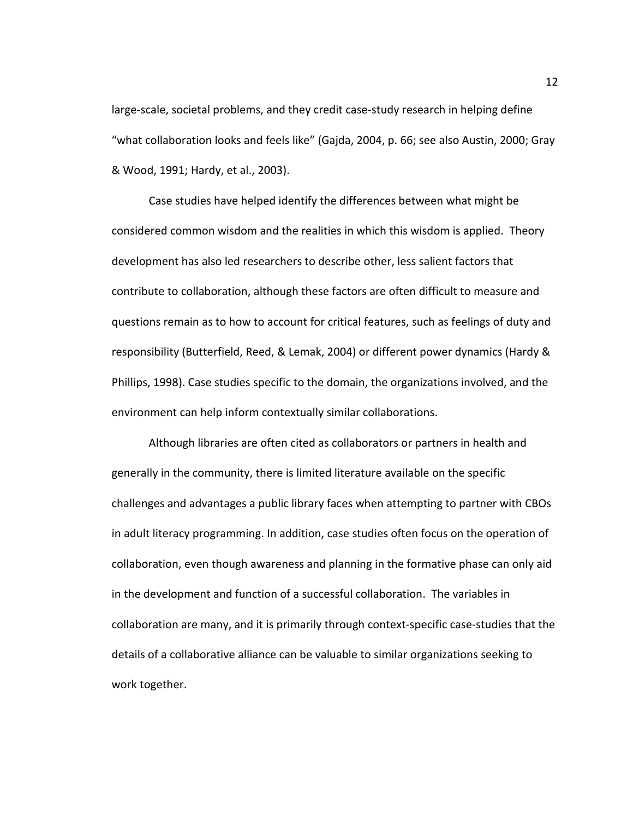large-scale, societal problems, and they credit case-study research in helping define "what collaboration looks and feels like" (Gajda, 2004, p. 66; see also Austin, 2000; Gray & Wood, 1991; Hardy, et al., 2003).

 Case studies have helped identify the differences between what might be considered common wisdom and the realities in which this wisdom is applied. Theory development has also led researchers to describe other, less salient factors that contribute to collaboration, although these factors are often difficult to measure and questions remain as to how to account for critical features, such as feelings of duty and responsibility (Butterfield, Reed, & Lemak, 2004) or different power dynamics (Hardy & Phillips, 1998). Case studies specific to the domain, the organizations involved, and the environment can help inform contextually similar collaborations.

Although libraries are often cited as collaborators or partners in health and generally in the community, there is limited literature available on the specific challenges and advantages a public library faces when attempting to partner with CBOs in adult literacy programming. In addition, case studies often focus on the operation of collaboration, even though awareness and planning in the formative phase can only aid in the development and function of a successful collaboration. The variables in collaboration are many, and it is primarily through context-specific case-studies that the details of a collaborative alliance can be valuable to similar organizations seeking to work together.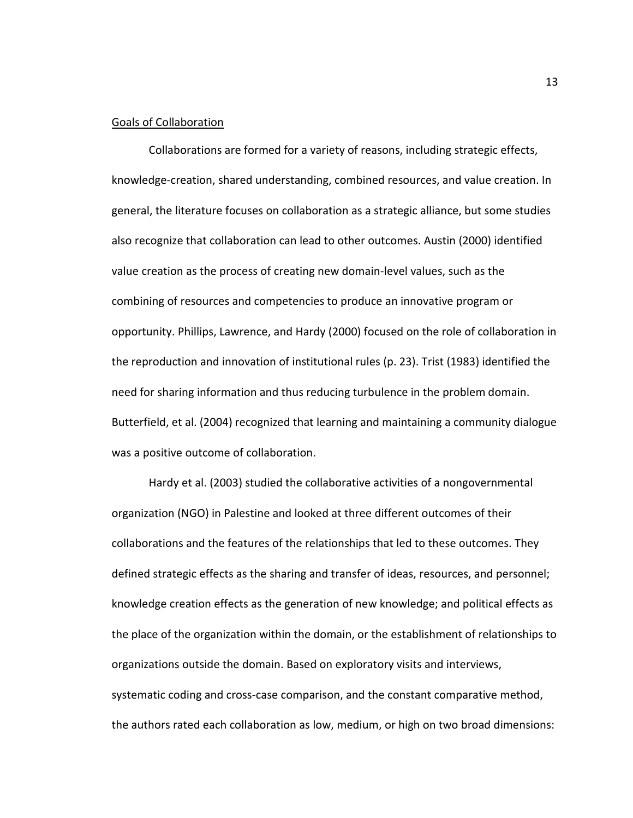#### Goals of Collaboration

Collaborations are formed for a variety of reasons, including strategic effects, knowledge-creation, shared understanding, combined resources, and value creation. In general, the literature focuses on collaboration as a strategic alliance, but some studies also recognize that collaboration can lead to other outcomes. Austin (2000) identified value creation as the process of creating new domain-level values, such as the combining of resources and competencies to produce an innovative program or opportunity. Phillips, Lawrence, and Hardy (2000) focused on the role of collaboration in the reproduction and innovation of institutional rules (p. 23). Trist (1983) identified the need for sharing information and thus reducing turbulence in the problem domain. Butterfield, et al. (2004) recognized that learning and maintaining a community dialogue was a positive outcome of collaboration.

Hardy et al. (2003) studied the collaborative activities of a nongovernmental organization (NGO) in Palestine and looked at three different outcomes of their collaborations and the features of the relationships that led to these outcomes. They defined strategic effects as the sharing and transfer of ideas, resources, and personnel; knowledge creation effects as the generation of new knowledge; and political effects as the place of the organization within the domain, or the establishment of relationships to organizations outside the domain. Based on exploratory visits and interviews, systematic coding and cross-case comparison, and the constant comparative method, the authors rated each collaboration as low, medium, or high on two broad dimensions: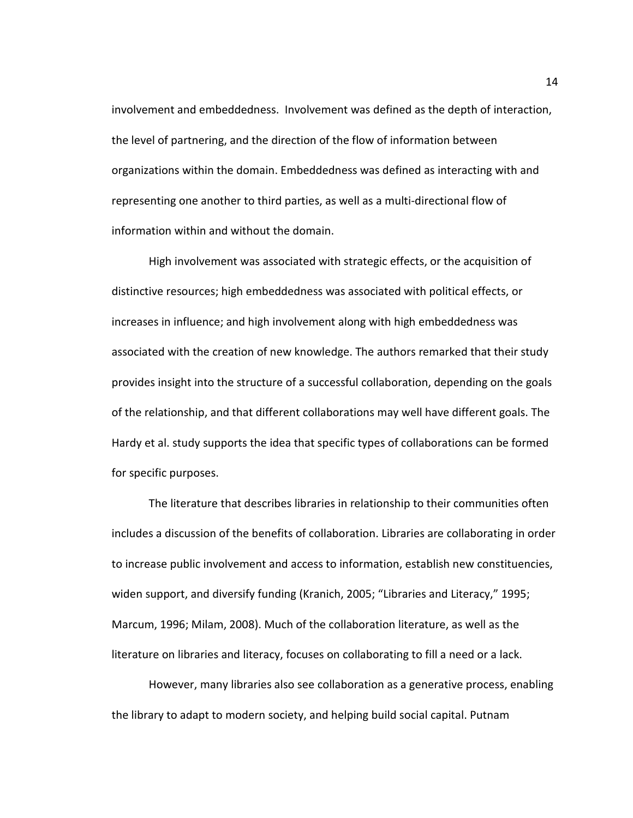involvement and embeddedness. Involvement was defined as the depth of interaction, the level of partnering, and the direction of the flow of information between organizations within the domain. Embeddedness was defined as interacting with and representing one another to third parties, as well as a multi-directional flow of information within and without the domain.

High involvement was associated with strategic effects, or the acquisition of distinctive resources; high embeddedness was associated with political effects, or increases in influence; and high involvement along with high embeddedness was associated with the creation of new knowledge. The authors remarked that their study provides insight into the structure of a successful collaboration, depending on the goals of the relationship, and that different collaborations may well have different goals. The Hardy et al. study supports the idea that specific types of collaborations can be formed for specific purposes.

The literature that describes libraries in relationship to their communities often includes a discussion of the benefits of collaboration. Libraries are collaborating in order to increase public involvement and access to information, establish new constituencies, widen support, and diversify funding (Kranich, 2005; "Libraries and Literacy," 1995; Marcum, 1996; Milam, 2008). Much of the collaboration literature, as well as the literature on libraries and literacy, focuses on collaborating to fill a need or a lack.

However, many libraries also see collaboration as a generative process, enabling the library to adapt to modern society, and helping build social capital. Putnam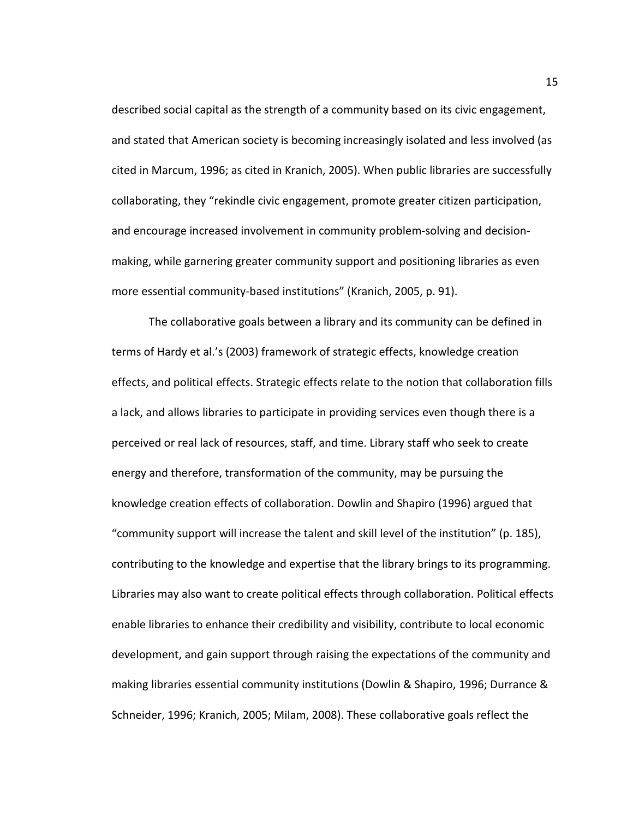described social capital as the strength of a community based on its civic engagement, and stated that American society is becoming increasingly isolated and less involved (as cited in Marcum, 1996; as cited in Kranich, 2005). When public libraries are successfully collaborating, they "rekindle civic engagement, promote greater citizen participation, and encourage increased involvement in community problem-solving and decisionmaking, while garnering greater community support and positioning libraries as even more essential community-based institutions" (Kranich, 2005, p. 91).

The collaborative goals between a library and its community can be defined in terms of Hardy et al.'s (2003) framework of strategic effects, knowledge creation effects, and political effects. Strategic effects relate to the notion that collaboration fills a lack, and allows libraries to participate in providing services even though there is a perceived or real lack of resources, staff, and time. Library staff who seek to create energy and therefore, transformation of the community, may be pursuing the knowledge creation effects of collaboration. Dowlin and Shapiro (1996) argued that "community support will increase the talent and skill level of the institution" (p. 185), contributing to the knowledge and expertise that the library brings to its programming. Libraries may also want to create political effects through collaboration. Political effects enable libraries to enhance their credibility and visibility, contribute to local economic development, and gain support through raising the expectations of the community and making libraries essential community institutions (Dowlin & Shapiro, 1996; Durrance & Schneider, 1996; Kranich, 2005; Milam, 2008). These collaborative goals reflect the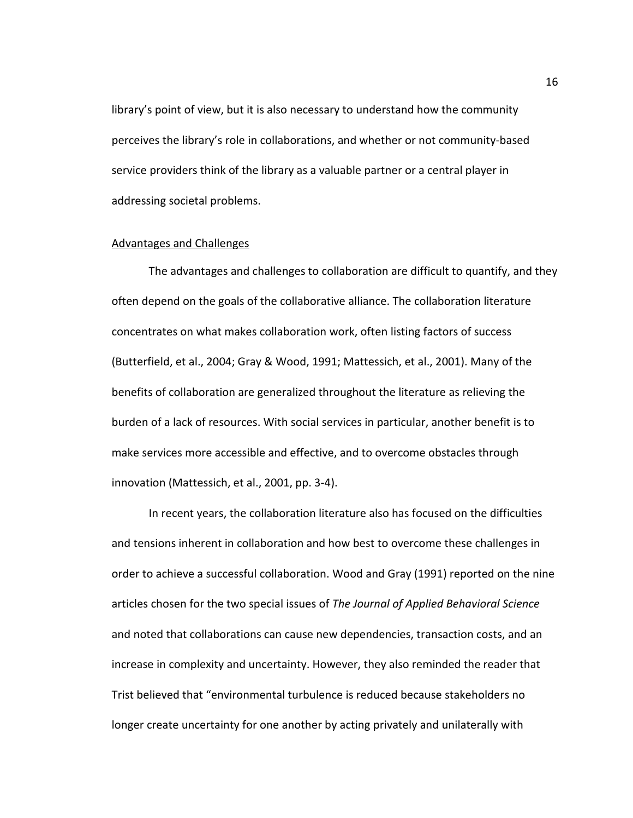library's point of view, but it is also necessary to understand how the community perceives the library's role in collaborations, and whether or not community-based service providers think of the library as a valuable partner or a central player in addressing societal problems.

#### Advantages and Challenges

The advantages and challenges to collaboration are difficult to quantify, and they often depend on the goals of the collaborative alliance. The collaboration literature concentrates on what makes collaboration work, often listing factors of success (Butterfield, et al., 2004; Gray & Wood, 1991; Mattessich, et al., 2001). Many of the benefits of collaboration are generalized throughout the literature as relieving the burden of a lack of resources. With social services in particular, another benefit is to make services more accessible and effective, and to overcome obstacles through innovation (Mattessich, et al., 2001, pp. 3-4).

In recent years, the collaboration literature also has focused on the difficulties and tensions inherent in collaboration and how best to overcome these challenges in order to achieve a successful collaboration. Wood and Gray (1991) reported on the nine articles chosen for the two special issues of The Journal of Applied Behavioral Science and noted that collaborations can cause new dependencies, transaction costs, and an increase in complexity and uncertainty. However, they also reminded the reader that Trist believed that "environmental turbulence is reduced because stakeholders no longer create uncertainty for one another by acting privately and unilaterally with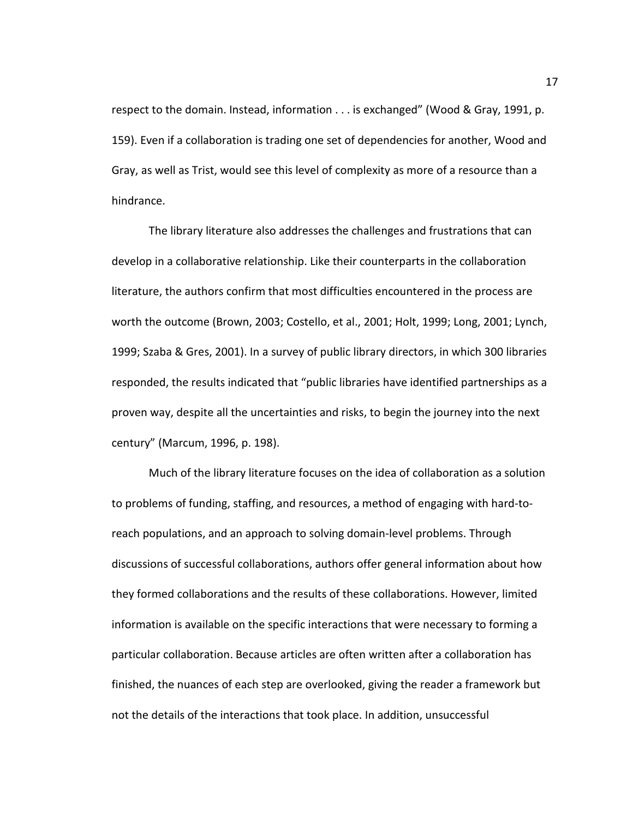respect to the domain. Instead, information . . . is exchanged" (Wood & Gray, 1991, p. 159). Even if a collaboration is trading one set of dependencies for another, Wood and Gray, as well as Trist, would see this level of complexity as more of a resource than a hindrance.

The library literature also addresses the challenges and frustrations that can develop in a collaborative relationship. Like their counterparts in the collaboration literature, the authors confirm that most difficulties encountered in the process are worth the outcome (Brown, 2003; Costello, et al., 2001; Holt, 1999; Long, 2001; Lynch, 1999; Szaba & Gres, 2001). In a survey of public library directors, in which 300 libraries responded, the results indicated that "public libraries have identified partnerships as a proven way, despite all the uncertainties and risks, to begin the journey into the next century" (Marcum, 1996, p. 198).

Much of the library literature focuses on the idea of collaboration as a solution to problems of funding, staffing, and resources, a method of engaging with hard-toreach populations, and an approach to solving domain-level problems. Through discussions of successful collaborations, authors offer general information about how they formed collaborations and the results of these collaborations. However, limited information is available on the specific interactions that were necessary to forming a particular collaboration. Because articles are often written after a collaboration has finished, the nuances of each step are overlooked, giving the reader a framework but not the details of the interactions that took place. In addition, unsuccessful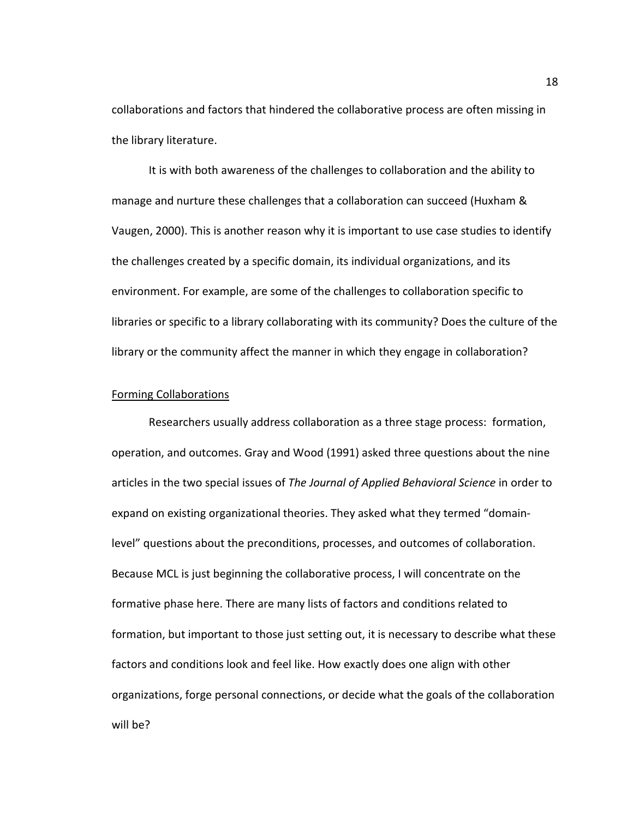collaborations and factors that hindered the collaborative process are often missing in the library literature.

It is with both awareness of the challenges to collaboration and the ability to manage and nurture these challenges that a collaboration can succeed (Huxham & Vaugen, 2000). This is another reason why it is important to use case studies to identify the challenges created by a specific domain, its individual organizations, and its environment. For example, are some of the challenges to collaboration specific to libraries or specific to a library collaborating with its community? Does the culture of the library or the community affect the manner in which they engage in collaboration?

#### Forming Collaborations

Researchers usually address collaboration as a three stage process: formation, operation, and outcomes. Gray and Wood (1991) asked three questions about the nine articles in the two special issues of The Journal of Applied Behavioral Science in order to expand on existing organizational theories. They asked what they termed "domainlevel" questions about the preconditions, processes, and outcomes of collaboration. Because MCL is just beginning the collaborative process, I will concentrate on the formative phase here. There are many lists of factors and conditions related to formation, but important to those just setting out, it is necessary to describe what these factors and conditions look and feel like. How exactly does one align with other organizations, forge personal connections, or decide what the goals of the collaboration will be?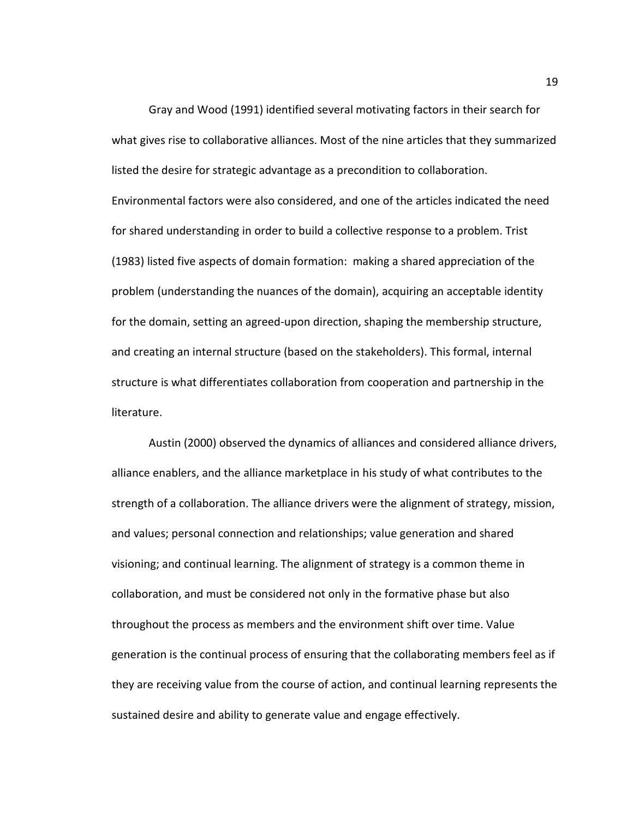Gray and Wood (1991) identified several motivating factors in their search for what gives rise to collaborative alliances. Most of the nine articles that they summarized listed the desire for strategic advantage as a precondition to collaboration. Environmental factors were also considered, and one of the articles indicated the need for shared understanding in order to build a collective response to a problem. Trist (1983) listed five aspects of domain formation: making a shared appreciation of the problem (understanding the nuances of the domain), acquiring an acceptable identity for the domain, setting an agreed-upon direction, shaping the membership structure, and creating an internal structure (based on the stakeholders). This formal, internal structure is what differentiates collaboration from cooperation and partnership in the literature.

 Austin (2000) observed the dynamics of alliances and considered alliance drivers, alliance enablers, and the alliance marketplace in his study of what contributes to the strength of a collaboration. The alliance drivers were the alignment of strategy, mission, and values; personal connection and relationships; value generation and shared visioning; and continual learning. The alignment of strategy is a common theme in collaboration, and must be considered not only in the formative phase but also throughout the process as members and the environment shift over time. Value generation is the continual process of ensuring that the collaborating members feel as if they are receiving value from the course of action, and continual learning represents the sustained desire and ability to generate value and engage effectively.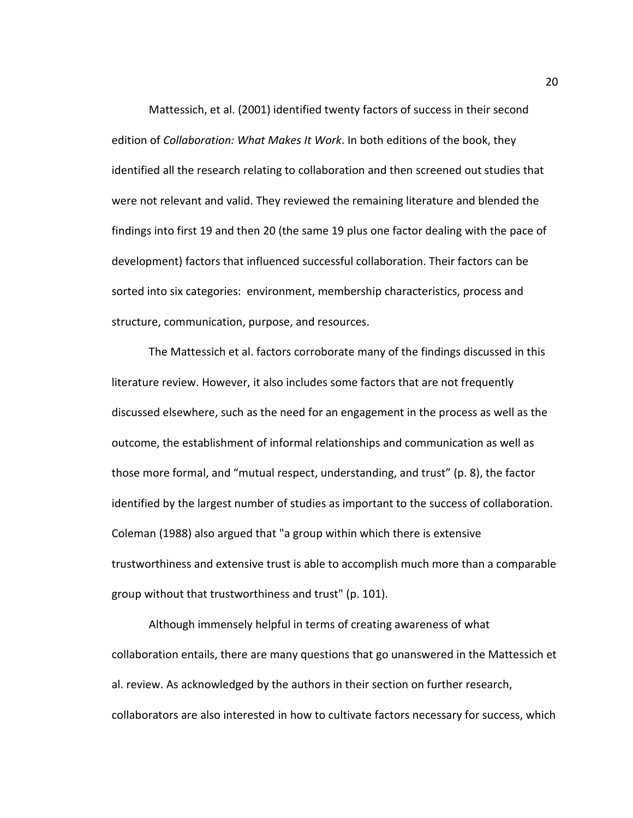Mattessich, et al. (2001) identified twenty factors of success in their second edition of Collaboration: What Makes It Work. In both editions of the book, they identified all the research relating to collaboration and then screened out studies that were not relevant and valid. They reviewed the remaining literature and blended the findings into first 19 and then 20 (the same 19 plus one factor dealing with the pace of development) factors that influenced successful collaboration. Their factors can be sorted into six categories: environment, membership characteristics, process and structure, communication, purpose, and resources.

The Mattessich et al. factors corroborate many of the findings discussed in this literature review. However, it also includes some factors that are not frequently discussed elsewhere, such as the need for an engagement in the process as well as the outcome, the establishment of informal relationships and communication as well as those more formal, and "mutual respect, understanding, and trust" (p. 8), the factor identified by the largest number of studies as important to the success of collaboration. Coleman (1988) also argued that "a group within which there is extensive trustworthiness and extensive trust is able to accomplish much more than a comparable group without that trustworthiness and trust" (p. 101).

 Although immensely helpful in terms of creating awareness of what collaboration entails, there are many questions that go unanswered in the Mattessich et al. review. As acknowledged by the authors in their section on further research, collaborators are also interested in how to cultivate factors necessary for success, which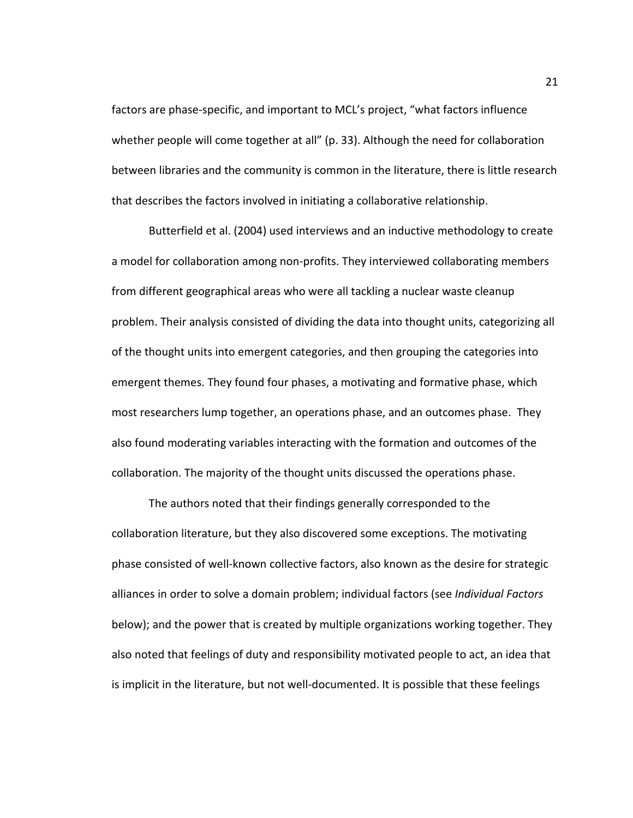factors are phase-specific, and important to MCL's project, "what factors influence whether people will come together at all" (p. 33). Although the need for collaboration between libraries and the community is common in the literature, there is little research that describes the factors involved in initiating a collaborative relationship.

Butterfield et al. (2004) used interviews and an inductive methodology to create a model for collaboration among non-profits. They interviewed collaborating members from different geographical areas who were all tackling a nuclear waste cleanup problem. Their analysis consisted of dividing the data into thought units, categorizing all of the thought units into emergent categories, and then grouping the categories into emergent themes. They found four phases, a motivating and formative phase, which most researchers lump together, an operations phase, and an outcomes phase. They also found moderating variables interacting with the formation and outcomes of the collaboration. The majority of the thought units discussed the operations phase.

The authors noted that their findings generally corresponded to the collaboration literature, but they also discovered some exceptions. The motivating phase consisted of well-known collective factors, also known as the desire for strategic alliances in order to solve a domain problem; individual factors (see Individual Factors below); and the power that is created by multiple organizations working together. They also noted that feelings of duty and responsibility motivated people to act, an idea that is implicit in the literature, but not well-documented. It is possible that these feelings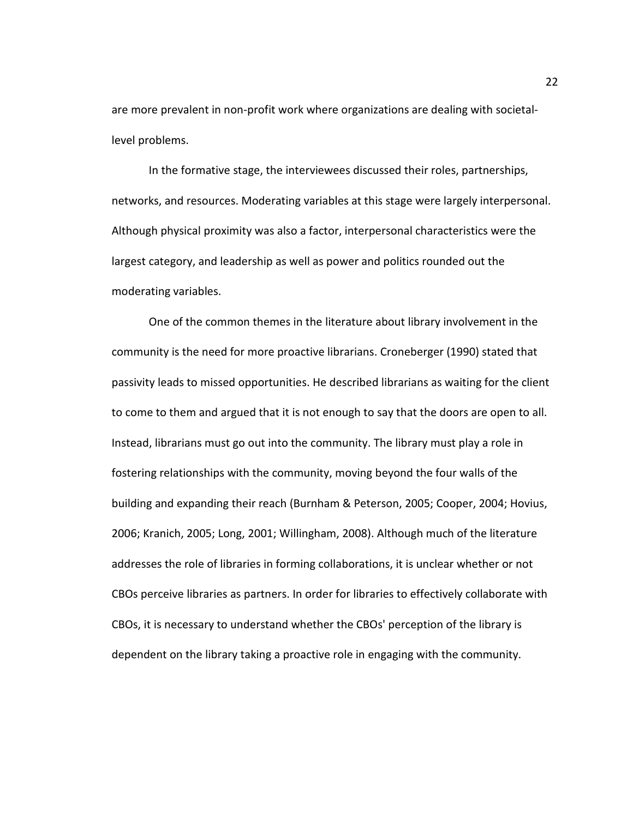are more prevalent in non-profit work where organizations are dealing with societallevel problems.

 In the formative stage, the interviewees discussed their roles, partnerships, networks, and resources. Moderating variables at this stage were largely interpersonal. Although physical proximity was also a factor, interpersonal characteristics were the largest category, and leadership as well as power and politics rounded out the moderating variables.

 One of the common themes in the literature about library involvement in the community is the need for more proactive librarians. Croneberger (1990) stated that passivity leads to missed opportunities. He described librarians as waiting for the client to come to them and argued that it is not enough to say that the doors are open to all. Instead, librarians must go out into the community. The library must play a role in fostering relationships with the community, moving beyond the four walls of the building and expanding their reach (Burnham & Peterson, 2005; Cooper, 2004; Hovius, 2006; Kranich, 2005; Long, 2001; Willingham, 2008). Although much of the literature addresses the role of libraries in forming collaborations, it is unclear whether or not CBOs perceive libraries as partners. In order for libraries to effectively collaborate with CBOs, it is necessary to understand whether the CBOs' perception of the library is dependent on the library taking a proactive role in engaging with the community.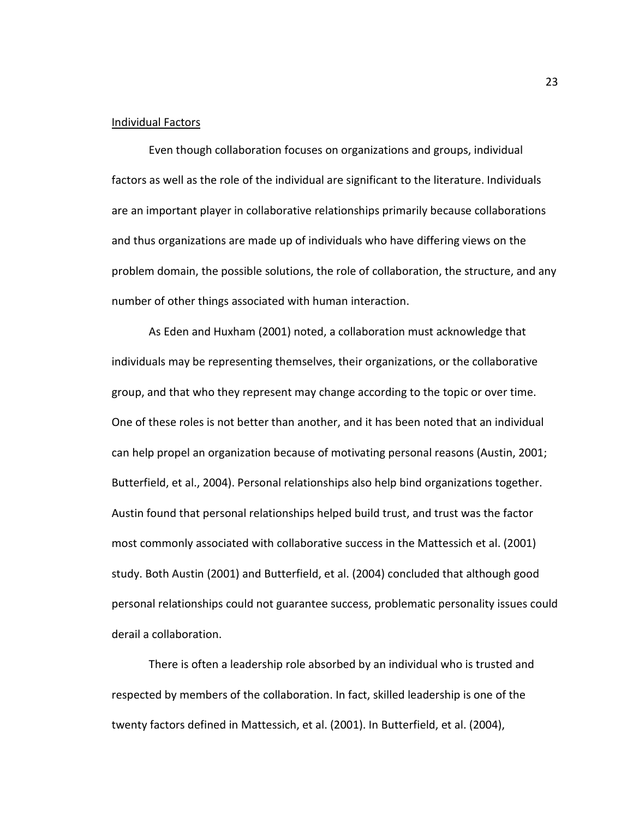#### Individual Factors

 Even though collaboration focuses on organizations and groups, individual factors as well as the role of the individual are significant to the literature. Individuals are an important player in collaborative relationships primarily because collaborations and thus organizations are made up of individuals who have differing views on the problem domain, the possible solutions, the role of collaboration, the structure, and any number of other things associated with human interaction.

As Eden and Huxham (2001) noted, a collaboration must acknowledge that individuals may be representing themselves, their organizations, or the collaborative group, and that who they represent may change according to the topic or over time. One of these roles is not better than another, and it has been noted that an individual can help propel an organization because of motivating personal reasons (Austin, 2001; Butterfield, et al., 2004). Personal relationships also help bind organizations together. Austin found that personal relationships helped build trust, and trust was the factor most commonly associated with collaborative success in the Mattessich et al. (2001) study. Both Austin (2001) and Butterfield, et al. (2004) concluded that although good personal relationships could not guarantee success, problematic personality issues could derail a collaboration.

There is often a leadership role absorbed by an individual who is trusted and respected by members of the collaboration. In fact, skilled leadership is one of the twenty factors defined in Mattessich, et al. (2001). In Butterfield, et al. (2004),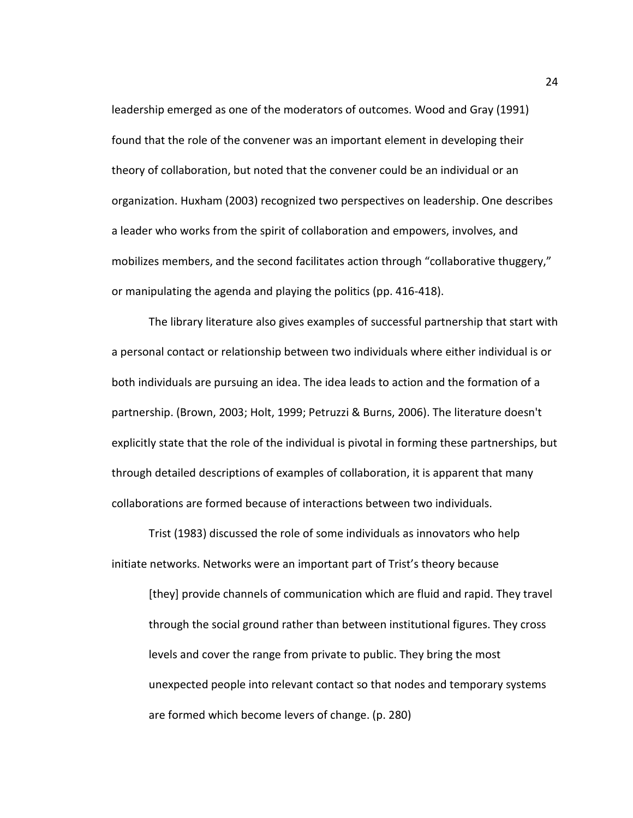leadership emerged as one of the moderators of outcomes. Wood and Gray (1991) found that the role of the convener was an important element in developing their theory of collaboration, but noted that the convener could be an individual or an organization. Huxham (2003) recognized two perspectives on leadership. One describes a leader who works from the spirit of collaboration and empowers, involves, and mobilizes members, and the second facilitates action through "collaborative thuggery," or manipulating the agenda and playing the politics (pp. 416-418).

The library literature also gives examples of successful partnership that start with a personal contact or relationship between two individuals where either individual is or both individuals are pursuing an idea. The idea leads to action and the formation of a partnership. (Brown, 2003; Holt, 1999; Petruzzi & Burns, 2006). The literature doesn't explicitly state that the role of the individual is pivotal in forming these partnerships, but through detailed descriptions of examples of collaboration, it is apparent that many collaborations are formed because of interactions between two individuals.

Trist (1983) discussed the role of some individuals as innovators who help initiate networks. Networks were an important part of Trist's theory because

[they] provide channels of communication which are fluid and rapid. They travel through the social ground rather than between institutional figures. They cross levels and cover the range from private to public. They bring the most unexpected people into relevant contact so that nodes and temporary systems are formed which become levers of change. (p. 280)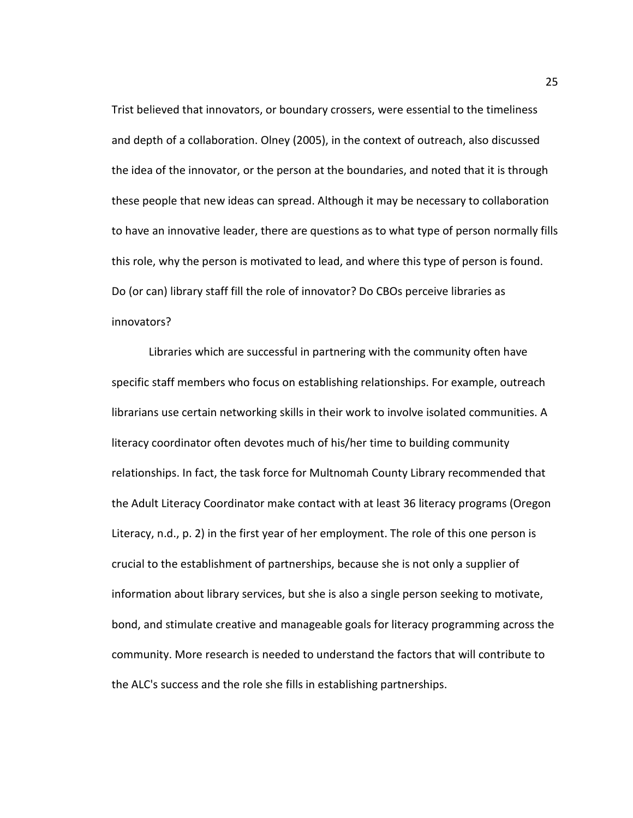Trist believed that innovators, or boundary crossers, were essential to the timeliness and depth of a collaboration. Olney (2005), in the context of outreach, also discussed the idea of the innovator, or the person at the boundaries, and noted that it is through these people that new ideas can spread. Although it may be necessary to collaboration to have an innovative leader, there are questions as to what type of person normally fills this role, why the person is motivated to lead, and where this type of person is found. Do (or can) library staff fill the role of innovator? Do CBOs perceive libraries as innovators?

Libraries which are successful in partnering with the community often have specific staff members who focus on establishing relationships. For example, outreach librarians use certain networking skills in their work to involve isolated communities. A literacy coordinator often devotes much of his/her time to building community relationships. In fact, the task force for Multnomah County Library recommended that the Adult Literacy Coordinator make contact with at least 36 literacy programs (Oregon Literacy, n.d., p. 2) in the first year of her employment. The role of this one person is crucial to the establishment of partnerships, because she is not only a supplier of information about library services, but she is also a single person seeking to motivate, bond, and stimulate creative and manageable goals for literacy programming across the community. More research is needed to understand the factors that will contribute to the ALC's success and the role she fills in establishing partnerships.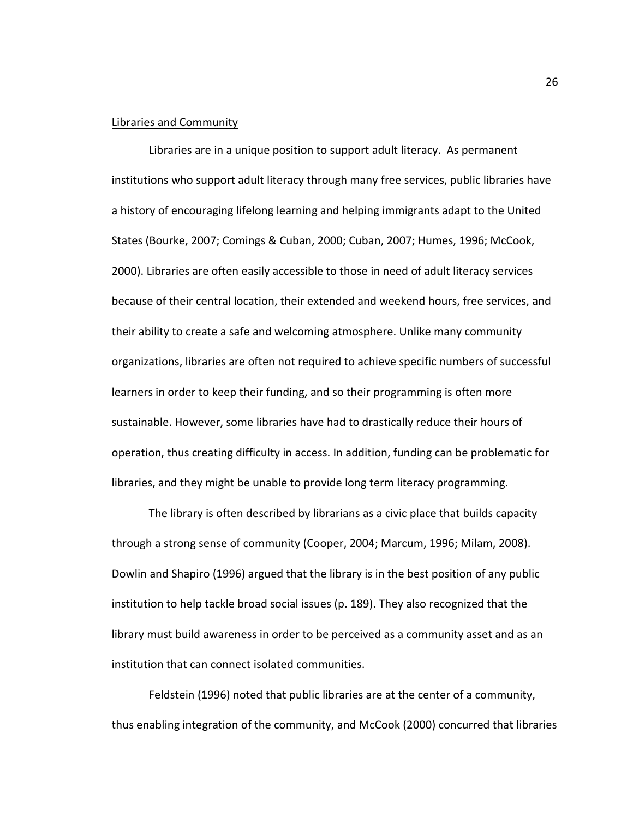#### Libraries and Community

Libraries are in a unique position to support adult literacy. As permanent institutions who support adult literacy through many free services, public libraries have a history of encouraging lifelong learning and helping immigrants adapt to the United States (Bourke, 2007; Comings & Cuban, 2000; Cuban, 2007; Humes, 1996; McCook, 2000). Libraries are often easily accessible to those in need of adult literacy services because of their central location, their extended and weekend hours, free services, and their ability to create a safe and welcoming atmosphere. Unlike many community organizations, libraries are often not required to achieve specific numbers of successful learners in order to keep their funding, and so their programming is often more sustainable. However, some libraries have had to drastically reduce their hours of operation, thus creating difficulty in access. In addition, funding can be problematic for libraries, and they might be unable to provide long term literacy programming.

The library is often described by librarians as a civic place that builds capacity through a strong sense of community (Cooper, 2004; Marcum, 1996; Milam, 2008). Dowlin and Shapiro (1996) argued that the library is in the best position of any public institution to help tackle broad social issues (p. 189). They also recognized that the library must build awareness in order to be perceived as a community asset and as an institution that can connect isolated communities.

Feldstein (1996) noted that public libraries are at the center of a community, thus enabling integration of the community, and McCook (2000) concurred that libraries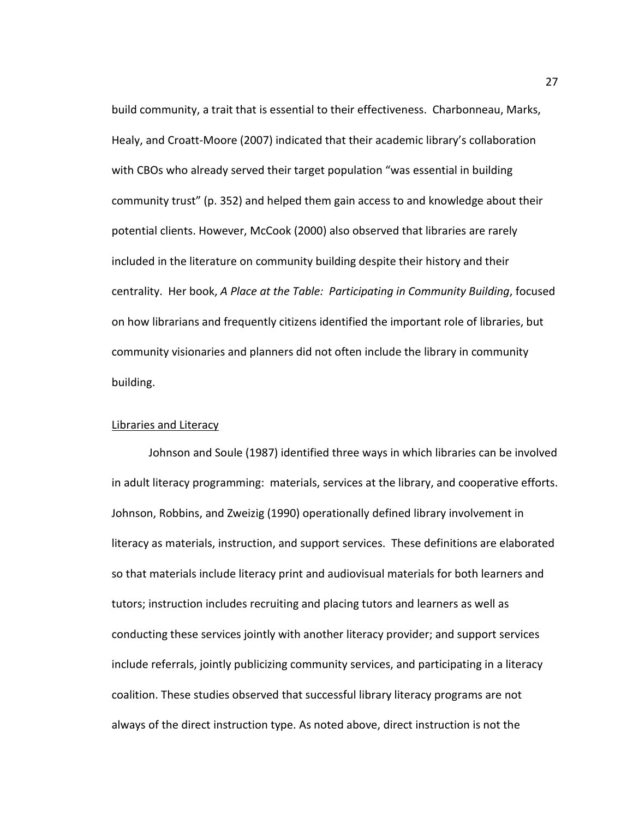build community, a trait that is essential to their effectiveness. Charbonneau, Marks, Healy, and Croatt-Moore (2007) indicated that their academic library's collaboration with CBOs who already served their target population "was essential in building community trust" (p. 352) and helped them gain access to and knowledge about their potential clients. However, McCook (2000) also observed that libraries are rarely included in the literature on community building despite their history and their centrality. Her book, A Place at the Table: Participating in Community Building, focused on how librarians and frequently citizens identified the important role of libraries, but community visionaries and planners did not often include the library in community building.

# Libraries and Literacy

Johnson and Soule (1987) identified three ways in which libraries can be involved in adult literacy programming: materials, services at the library, and cooperative efforts. Johnson, Robbins, and Zweizig (1990) operationally defined library involvement in literacy as materials, instruction, and support services. These definitions are elaborated so that materials include literacy print and audiovisual materials for both learners and tutors; instruction includes recruiting and placing tutors and learners as well as conducting these services jointly with another literacy provider; and support services include referrals, jointly publicizing community services, and participating in a literacy coalition. These studies observed that successful library literacy programs are not always of the direct instruction type. As noted above, direct instruction is not the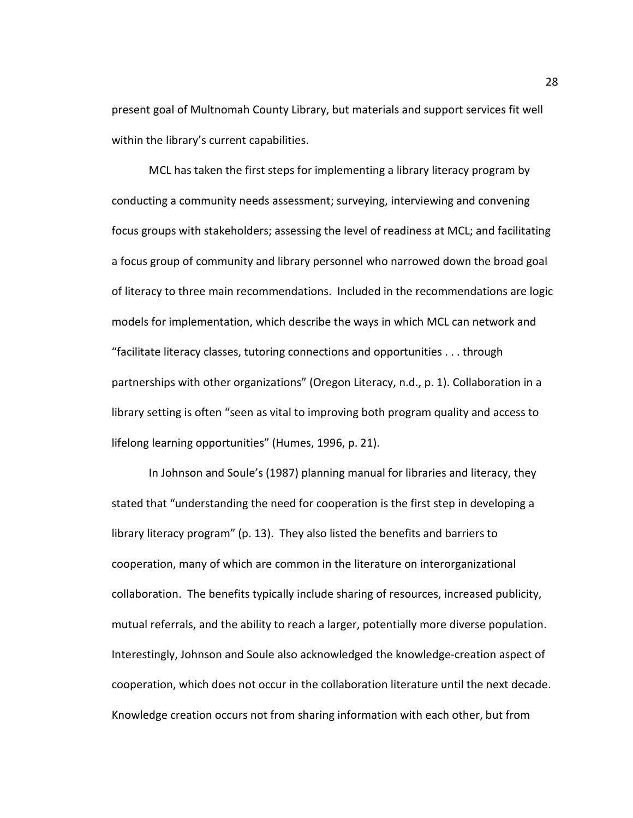present goal of Multnomah County Library, but materials and support services fit well within the library's current capabilities.

MCL has taken the first steps for implementing a library literacy program by conducting a community needs assessment; surveying, interviewing and convening focus groups with stakeholders; assessing the level of readiness at MCL; and facilitating a focus group of community and library personnel who narrowed down the broad goal of literacy to three main recommendations. Included in the recommendations are logic models for implementation, which describe the ways in which MCL can network and "facilitate literacy classes, tutoring connections and opportunities . . . through partnerships with other organizations" (Oregon Literacy, n.d., p. 1). Collaboration in a library setting is often "seen as vital to improving both program quality and access to lifelong learning opportunities" (Humes, 1996, p. 21).

In Johnson and Soule's (1987) planning manual for libraries and literacy, they stated that "understanding the need for cooperation is the first step in developing a library literacy program" (p. 13). They also listed the benefits and barriers to cooperation, many of which are common in the literature on interorganizational collaboration. The benefits typically include sharing of resources, increased publicity, mutual referrals, and the ability to reach a larger, potentially more diverse population. Interestingly, Johnson and Soule also acknowledged the knowledge-creation aspect of cooperation, which does not occur in the collaboration literature until the next decade. Knowledge creation occurs not from sharing information with each other, but from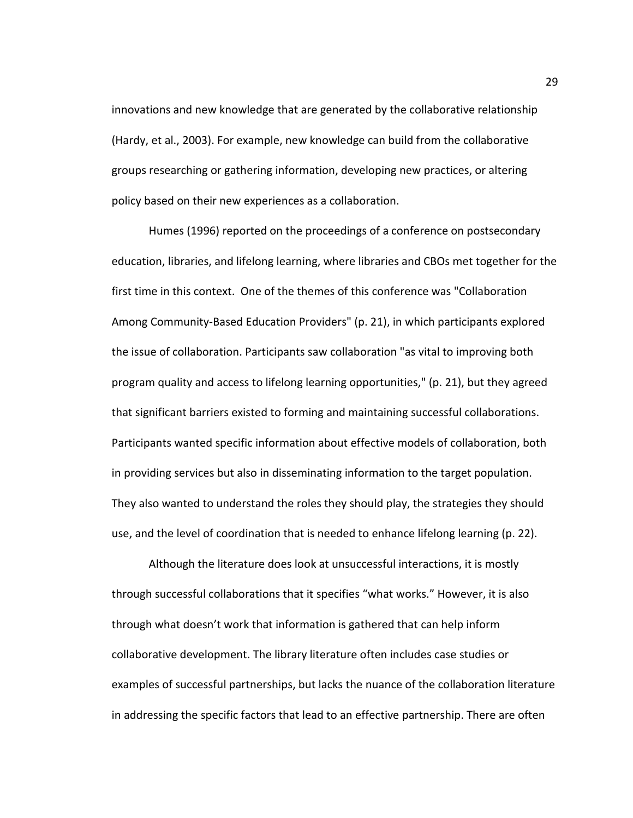innovations and new knowledge that are generated by the collaborative relationship (Hardy, et al., 2003). For example, new knowledge can build from the collaborative groups researching or gathering information, developing new practices, or altering policy based on their new experiences as a collaboration.

 Humes (1996) reported on the proceedings of a conference on postsecondary education, libraries, and lifelong learning, where libraries and CBOs met together for the first time in this context. One of the themes of this conference was "Collaboration Among Community-Based Education Providers" (p. 21), in which participants explored the issue of collaboration. Participants saw collaboration "as vital to improving both program quality and access to lifelong learning opportunities," (p. 21), but they agreed that significant barriers existed to forming and maintaining successful collaborations. Participants wanted specific information about effective models of collaboration, both in providing services but also in disseminating information to the target population. They also wanted to understand the roles they should play, the strategies they should use, and the level of coordination that is needed to enhance lifelong learning (p. 22).

Although the literature does look at unsuccessful interactions, it is mostly through successful collaborations that it specifies "what works." However, it is also through what doesn't work that information is gathered that can help inform collaborative development. The library literature often includes case studies or examples of successful partnerships, but lacks the nuance of the collaboration literature in addressing the specific factors that lead to an effective partnership. There are often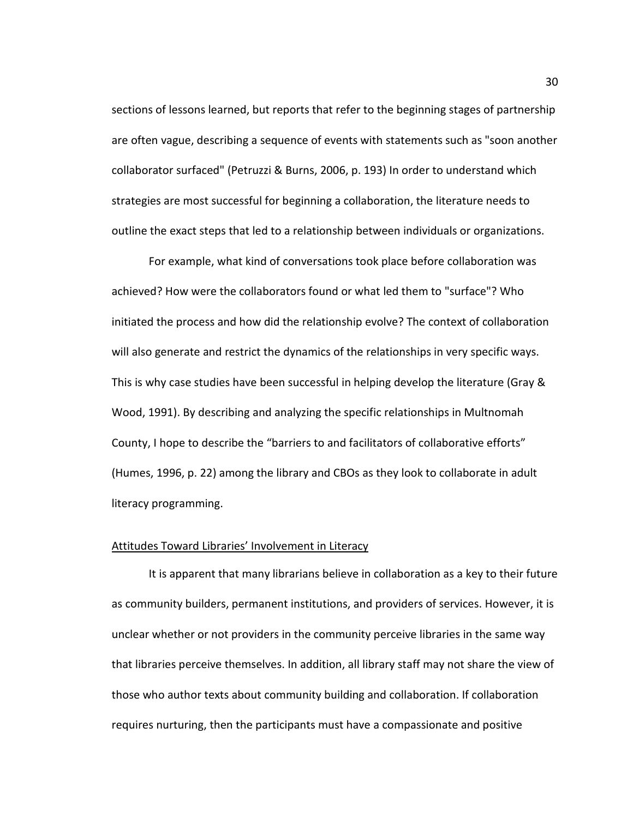sections of lessons learned, but reports that refer to the beginning stages of partnership are often vague, describing a sequence of events with statements such as "soon another collaborator surfaced" (Petruzzi & Burns, 2006, p. 193) In order to understand which strategies are most successful for beginning a collaboration, the literature needs to outline the exact steps that led to a relationship between individuals or organizations.

 For example, what kind of conversations took place before collaboration was achieved? How were the collaborators found or what led them to "surface"? Who initiated the process and how did the relationship evolve? The context of collaboration will also generate and restrict the dynamics of the relationships in very specific ways. This is why case studies have been successful in helping develop the literature (Gray & Wood, 1991). By describing and analyzing the specific relationships in Multnomah County, I hope to describe the "barriers to and facilitators of collaborative efforts" (Humes, 1996, p. 22) among the library and CBOs as they look to collaborate in adult literacy programming.

#### Attitudes Toward Libraries' Involvement in Literacy

It is apparent that many librarians believe in collaboration as a key to their future as community builders, permanent institutions, and providers of services. However, it is unclear whether or not providers in the community perceive libraries in the same way that libraries perceive themselves. In addition, all library staff may not share the view of those who author texts about community building and collaboration. If collaboration requires nurturing, then the participants must have a compassionate and positive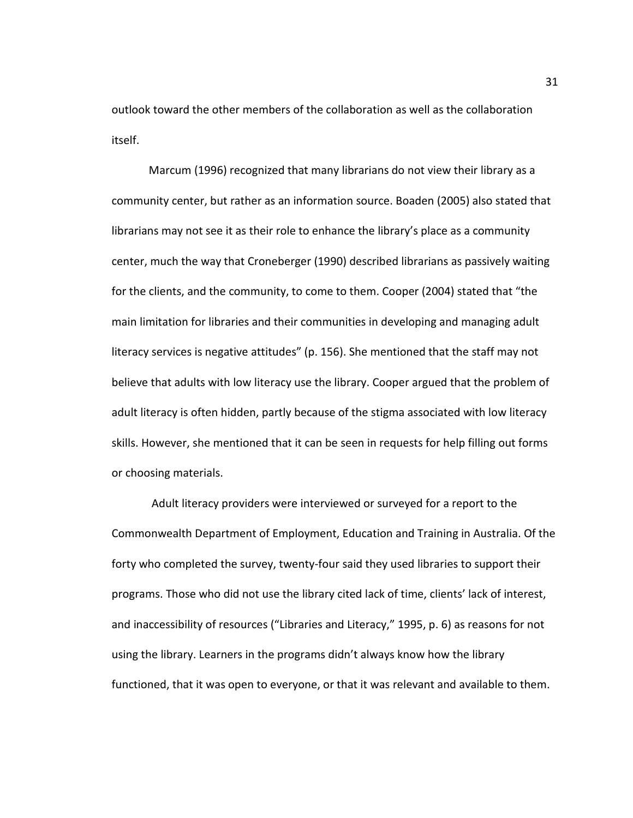outlook toward the other members of the collaboration as well as the collaboration itself.

Marcum (1996) recognized that many librarians do not view their library as a community center, but rather as an information source. Boaden (2005) also stated that librarians may not see it as their role to enhance the library's place as a community center, much the way that Croneberger (1990) described librarians as passively waiting for the clients, and the community, to come to them. Cooper (2004) stated that "the main limitation for libraries and their communities in developing and managing adult literacy services is negative attitudes" (p. 156). She mentioned that the staff may not believe that adults with low literacy use the library. Cooper argued that the problem of adult literacy is often hidden, partly because of the stigma associated with low literacy skills. However, she mentioned that it can be seen in requests for help filling out forms or choosing materials.

 Adult literacy providers were interviewed or surveyed for a report to the Commonwealth Department of Employment, Education and Training in Australia. Of the forty who completed the survey, twenty-four said they used libraries to support their programs. Those who did not use the library cited lack of time, clients' lack of interest, and inaccessibility of resources ("Libraries and Literacy," 1995, p. 6) as reasons for not using the library. Learners in the programs didn't always know how the library functioned, that it was open to everyone, or that it was relevant and available to them.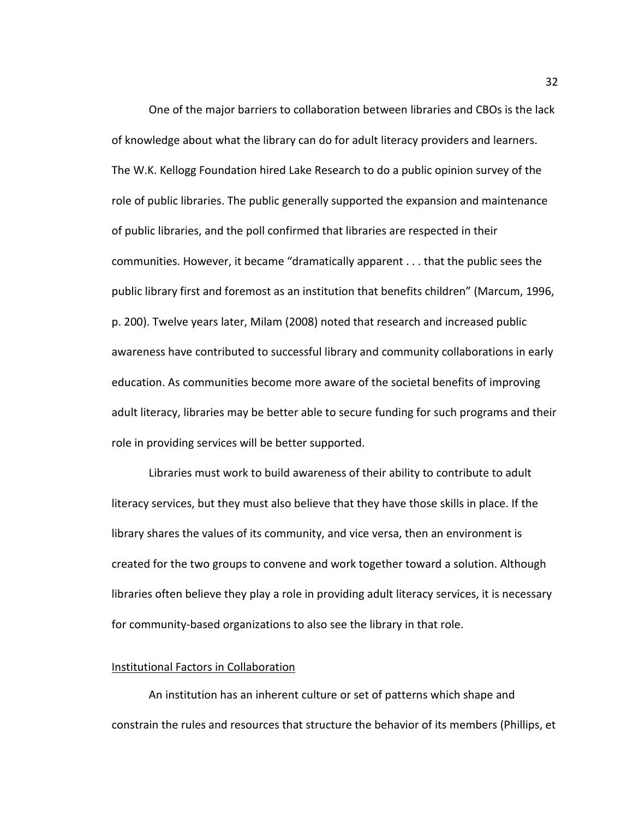One of the major barriers to collaboration between libraries and CBOs is the lack of knowledge about what the library can do for adult literacy providers and learners. The W.K. Kellogg Foundation hired Lake Research to do a public opinion survey of the role of public libraries. The public generally supported the expansion and maintenance of public libraries, and the poll confirmed that libraries are respected in their communities. However, it became "dramatically apparent . . . that the public sees the public library first and foremost as an institution that benefits children" (Marcum, 1996, p. 200). Twelve years later, Milam (2008) noted that research and increased public awareness have contributed to successful library and community collaborations in early education. As communities become more aware of the societal benefits of improving adult literacy, libraries may be better able to secure funding for such programs and their role in providing services will be better supported.

 Libraries must work to build awareness of their ability to contribute to adult literacy services, but they must also believe that they have those skills in place. If the library shares the values of its community, and vice versa, then an environment is created for the two groups to convene and work together toward a solution. Although libraries often believe they play a role in providing adult literacy services, it is necessary for community-based organizations to also see the library in that role.

### Institutional Factors in Collaboration

 An institution has an inherent culture or set of patterns which shape and constrain the rules and resources that structure the behavior of its members (Phillips, et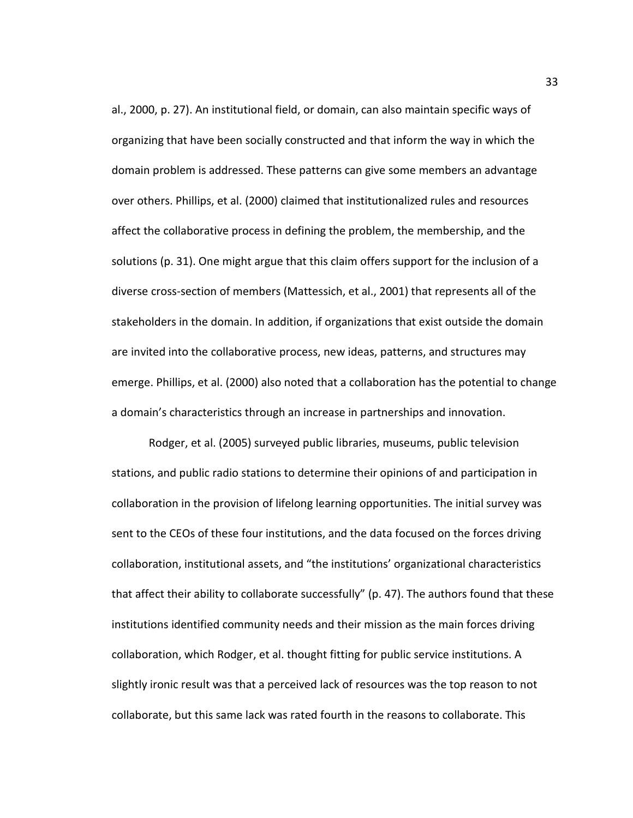al., 2000, p. 27). An institutional field, or domain, can also maintain specific ways of organizing that have been socially constructed and that inform the way in which the domain problem is addressed. These patterns can give some members an advantage over others. Phillips, et al. (2000) claimed that institutionalized rules and resources affect the collaborative process in defining the problem, the membership, and the solutions (p. 31). One might argue that this claim offers support for the inclusion of a diverse cross-section of members (Mattessich, et al., 2001) that represents all of the stakeholders in the domain. In addition, if organizations that exist outside the domain are invited into the collaborative process, new ideas, patterns, and structures may emerge. Phillips, et al. (2000) also noted that a collaboration has the potential to change a domain's characteristics through an increase in partnerships and innovation.

 Rodger, et al. (2005) surveyed public libraries, museums, public television stations, and public radio stations to determine their opinions of and participation in collaboration in the provision of lifelong learning opportunities. The initial survey was sent to the CEOs of these four institutions, and the data focused on the forces driving collaboration, institutional assets, and "the institutions' organizational characteristics that affect their ability to collaborate successfully" (p. 47). The authors found that these institutions identified community needs and their mission as the main forces driving collaboration, which Rodger, et al. thought fitting for public service institutions. A slightly ironic result was that a perceived lack of resources was the top reason to not collaborate, but this same lack was rated fourth in the reasons to collaborate. This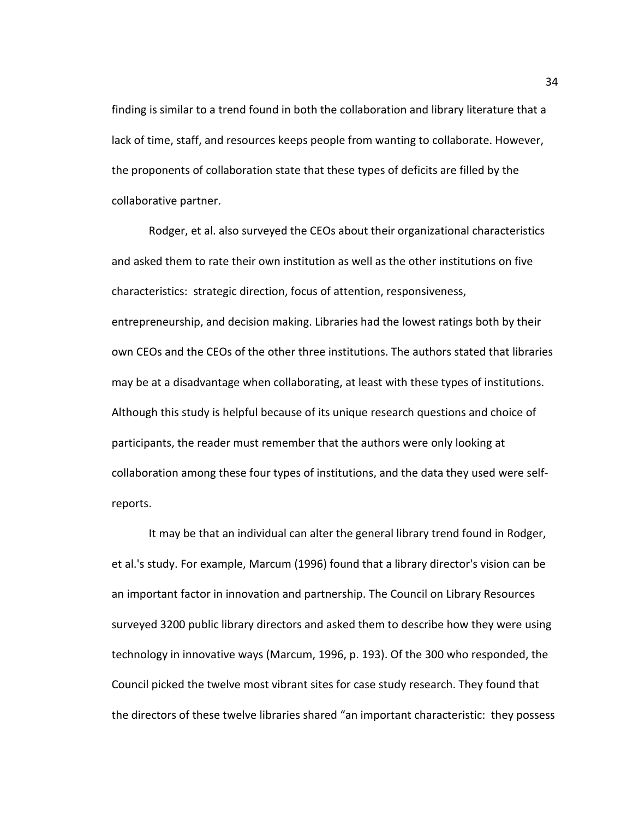finding is similar to a trend found in both the collaboration and library literature that a lack of time, staff, and resources keeps people from wanting to collaborate. However, the proponents of collaboration state that these types of deficits are filled by the collaborative partner.

Rodger, et al. also surveyed the CEOs about their organizational characteristics and asked them to rate their own institution as well as the other institutions on five characteristics: strategic direction, focus of attention, responsiveness, entrepreneurship, and decision making. Libraries had the lowest ratings both by their own CEOs and the CEOs of the other three institutions. The authors stated that libraries may be at a disadvantage when collaborating, at least with these types of institutions. Although this study is helpful because of its unique research questions and choice of participants, the reader must remember that the authors were only looking at collaboration among these four types of institutions, and the data they used were selfreports.

It may be that an individual can alter the general library trend found in Rodger, et al.'s study. For example, Marcum (1996) found that a library director's vision can be an important factor in innovation and partnership. The Council on Library Resources surveyed 3200 public library directors and asked them to describe how they were using technology in innovative ways (Marcum, 1996, p. 193). Of the 300 who responded, the Council picked the twelve most vibrant sites for case study research. They found that the directors of these twelve libraries shared "an important characteristic: they possess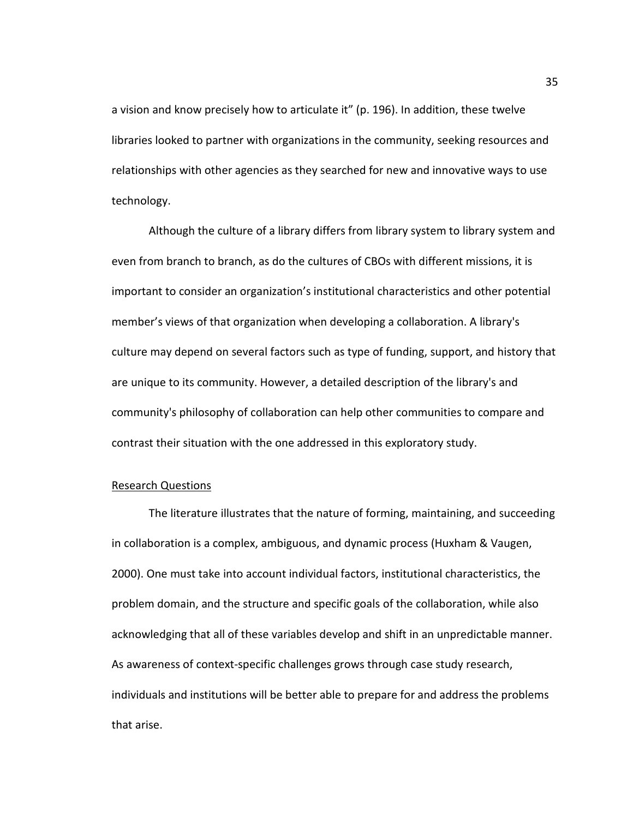a vision and know precisely how to articulate it" (p. 196). In addition, these twelve libraries looked to partner with organizations in the community, seeking resources and relationships with other agencies as they searched for new and innovative ways to use technology.

Although the culture of a library differs from library system to library system and even from branch to branch, as do the cultures of CBOs with different missions, it is important to consider an organization's institutional characteristics and other potential member's views of that organization when developing a collaboration. A library's culture may depend on several factors such as type of funding, support, and history that are unique to its community. However, a detailed description of the library's and community's philosophy of collaboration can help other communities to compare and contrast their situation with the one addressed in this exploratory study.

# Research Questions

The literature illustrates that the nature of forming, maintaining, and succeeding in collaboration is a complex, ambiguous, and dynamic process (Huxham & Vaugen, 2000). One must take into account individual factors, institutional characteristics, the problem domain, and the structure and specific goals of the collaboration, while also acknowledging that all of these variables develop and shift in an unpredictable manner. As awareness of context-specific challenges grows through case study research, individuals and institutions will be better able to prepare for and address the problems that arise.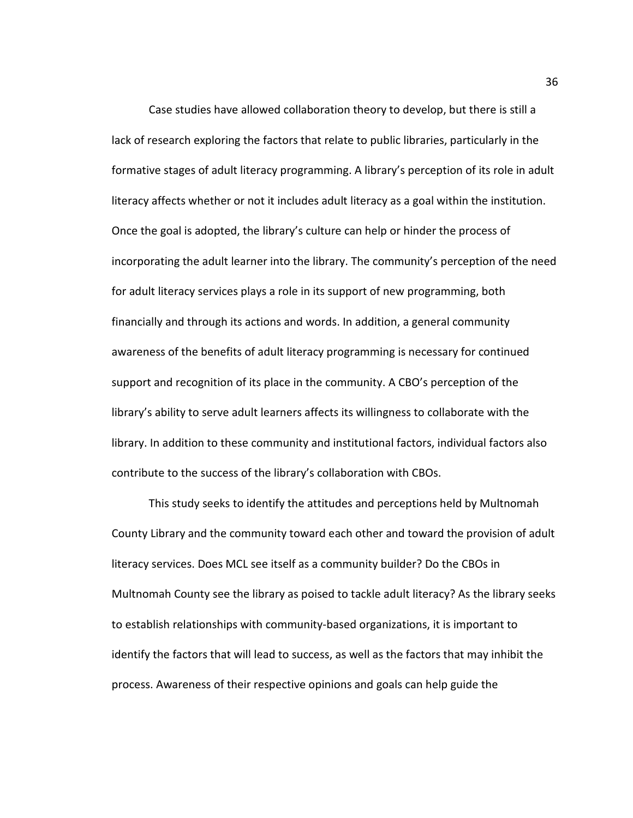Case studies have allowed collaboration theory to develop, but there is still a lack of research exploring the factors that relate to public libraries, particularly in the formative stages of adult literacy programming. A library's perception of its role in adult literacy affects whether or not it includes adult literacy as a goal within the institution. Once the goal is adopted, the library's culture can help or hinder the process of incorporating the adult learner into the library. The community's perception of the need for adult literacy services plays a role in its support of new programming, both financially and through its actions and words. In addition, a general community awareness of the benefits of adult literacy programming is necessary for continued support and recognition of its place in the community. A CBO's perception of the library's ability to serve adult learners affects its willingness to collaborate with the library. In addition to these community and institutional factors, individual factors also contribute to the success of the library's collaboration with CBOs.

This study seeks to identify the attitudes and perceptions held by Multnomah County Library and the community toward each other and toward the provision of adult literacy services. Does MCL see itself as a community builder? Do the CBOs in Multnomah County see the library as poised to tackle adult literacy? As the library seeks to establish relationships with community-based organizations, it is important to identify the factors that will lead to success, as well as the factors that may inhibit the process. Awareness of their respective opinions and goals can help guide the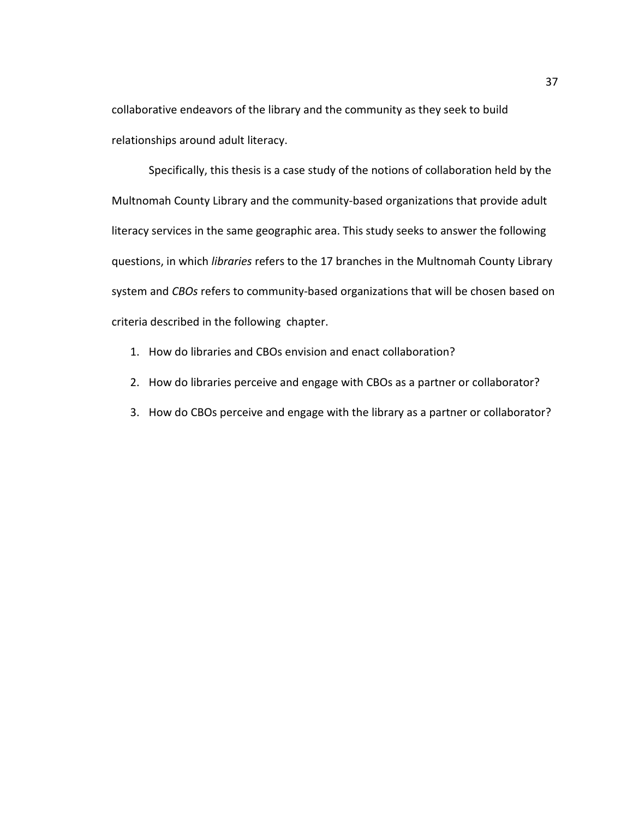collaborative endeavors of the library and the community as they seek to build relationships around adult literacy.

Specifically, this thesis is a case study of the notions of collaboration held by the Multnomah County Library and the community-based organizations that provide adult literacy services in the same geographic area. This study seeks to answer the following questions, in which *libraries* refers to the 17 branches in the Multnomah County Library system and CBOs refers to community-based organizations that will be chosen based on criteria described in the following chapter.

- 1. How do libraries and CBOs envision and enact collaboration?
- 2. How do libraries perceive and engage with CBOs as a partner or collaborator?
- 3. How do CBOs perceive and engage with the library as a partner or collaborator?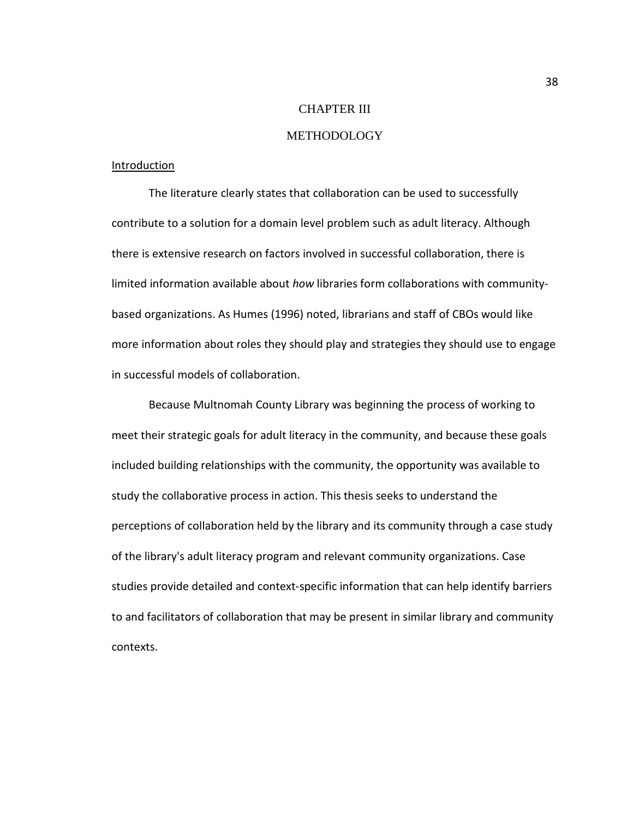# CHAPTER III

# **METHODOLOGY**

#### Introduction

The literature clearly states that collaboration can be used to successfully contribute to a solution for a domain level problem such as adult literacy. Although there is extensive research on factors involved in successful collaboration, there is limited information available about how libraries form collaborations with communitybased organizations. As Humes (1996) noted, librarians and staff of CBOs would like more information about roles they should play and strategies they should use to engage in successful models of collaboration.

Because Multnomah County Library was beginning the process of working to meet their strategic goals for adult literacy in the community, and because these goals included building relationships with the community, the opportunity was available to study the collaborative process in action. This thesis seeks to understand the perceptions of collaboration held by the library and its community through a case study of the library's adult literacy program and relevant community organizations. Case studies provide detailed and context-specific information that can help identify barriers to and facilitators of collaboration that may be present in similar library and community contexts.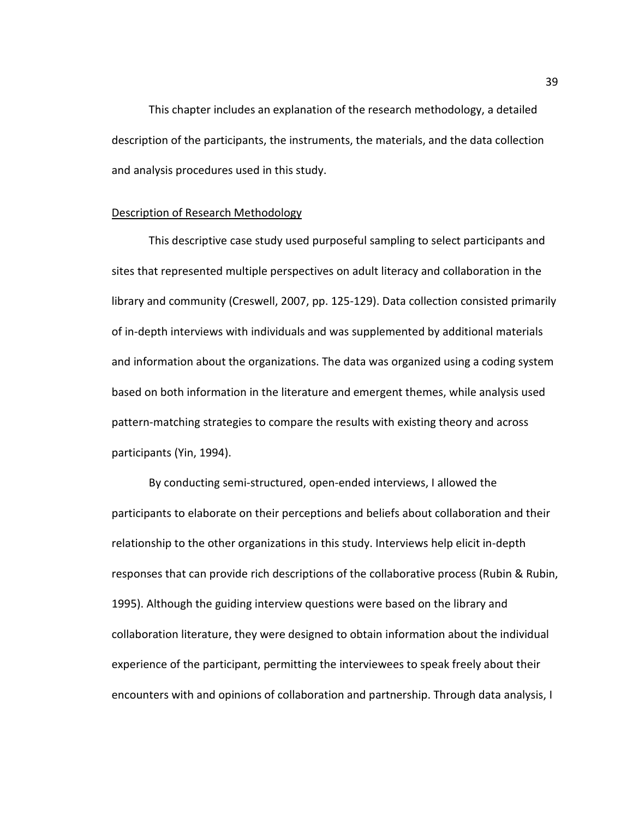This chapter includes an explanation of the research methodology, a detailed description of the participants, the instruments, the materials, and the data collection and analysis procedures used in this study.

### Description of Research Methodology

This descriptive case study used purposeful sampling to select participants and sites that represented multiple perspectives on adult literacy and collaboration in the library and community (Creswell, 2007, pp. 125-129). Data collection consisted primarily of in-depth interviews with individuals and was supplemented by additional materials and information about the organizations. The data was organized using a coding system based on both information in the literature and emergent themes, while analysis used pattern-matching strategies to compare the results with existing theory and across participants (Yin, 1994).

By conducting semi-structured, open-ended interviews, I allowed the participants to elaborate on their perceptions and beliefs about collaboration and their relationship to the other organizations in this study. Interviews help elicit in-depth responses that can provide rich descriptions of the collaborative process (Rubin & Rubin, 1995). Although the guiding interview questions were based on the library and collaboration literature, they were designed to obtain information about the individual experience of the participant, permitting the interviewees to speak freely about their encounters with and opinions of collaboration and partnership. Through data analysis, I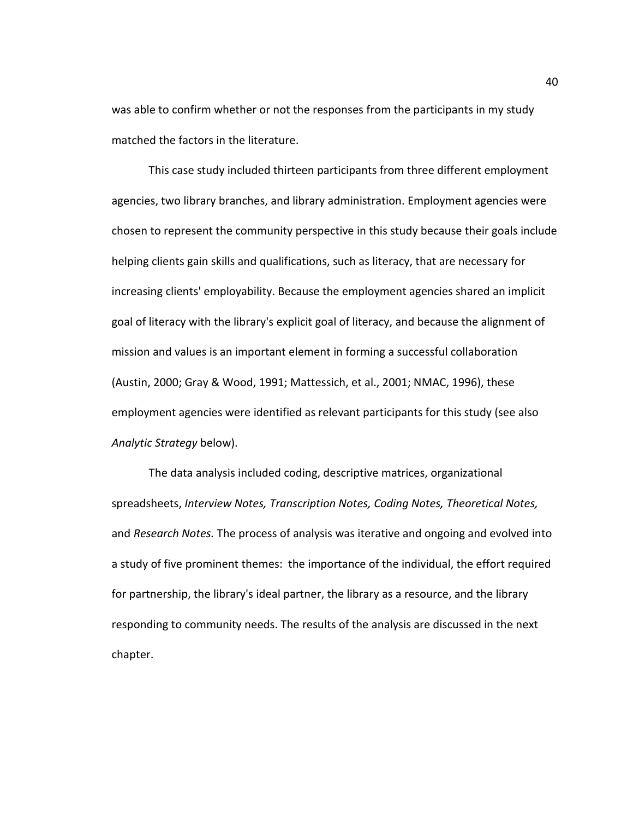was able to confirm whether or not the responses from the participants in my study matched the factors in the literature.

This case study included thirteen participants from three different employment agencies, two library branches, and library administration. Employment agencies were chosen to represent the community perspective in this study because their goals include helping clients gain skills and qualifications, such as literacy, that are necessary for increasing clients' employability. Because the employment agencies shared an implicit goal of literacy with the library's explicit goal of literacy, and because the alignment of mission and values is an important element in forming a successful collaboration (Austin, 2000; Gray & Wood, 1991; Mattessich, et al., 2001; NMAC, 1996), these employment agencies were identified as relevant participants for this study (see also Analytic Strategy below).

The data analysis included coding, descriptive matrices, organizational spreadsheets, Interview Notes, Transcription Notes, Coding Notes, Theoretical Notes, and Research Notes. The process of analysis was iterative and ongoing and evolved into a study of five prominent themes: the importance of the individual, the effort required for partnership, the library's ideal partner, the library as a resource, and the library responding to community needs. The results of the analysis are discussed in the next chapter.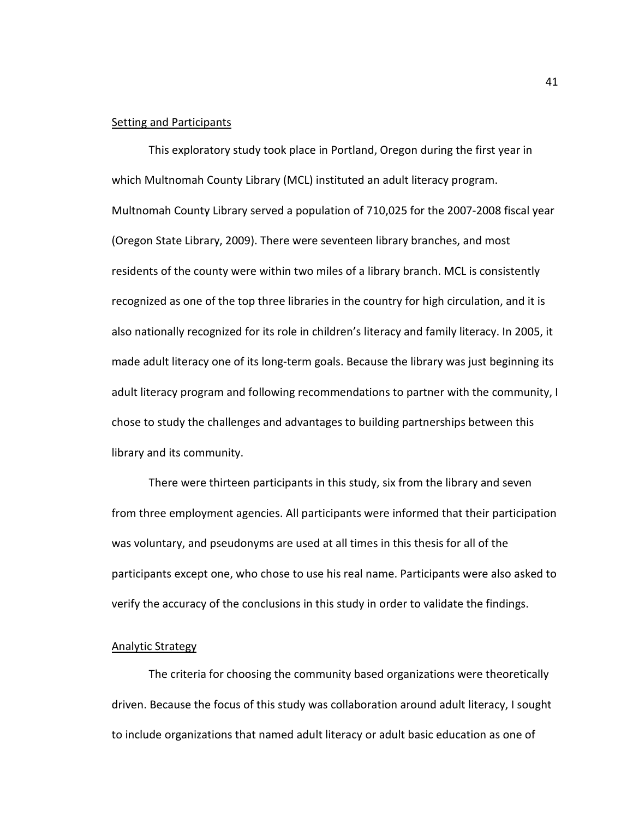#### Setting and Participants

This exploratory study took place in Portland, Oregon during the first year in which Multnomah County Library (MCL) instituted an adult literacy program. Multnomah County Library served a population of 710,025 for the 2007-2008 fiscal year (Oregon State Library, 2009). There were seventeen library branches, and most residents of the county were within two miles of a library branch. MCL is consistently recognized as one of the top three libraries in the country for high circulation, and it is also nationally recognized for its role in children's literacy and family literacy. In 2005, it made adult literacy one of its long-term goals. Because the library was just beginning its adult literacy program and following recommendations to partner with the community, I chose to study the challenges and advantages to building partnerships between this library and its community.

There were thirteen participants in this study, six from the library and seven from three employment agencies. All participants were informed that their participation was voluntary, and pseudonyms are used at all times in this thesis for all of the participants except one, who chose to use his real name. Participants were also asked to verify the accuracy of the conclusions in this study in order to validate the findings.

### Analytic Strategy

The criteria for choosing the community based organizations were theoretically driven. Because the focus of this study was collaboration around adult literacy, I sought to include organizations that named adult literacy or adult basic education as one of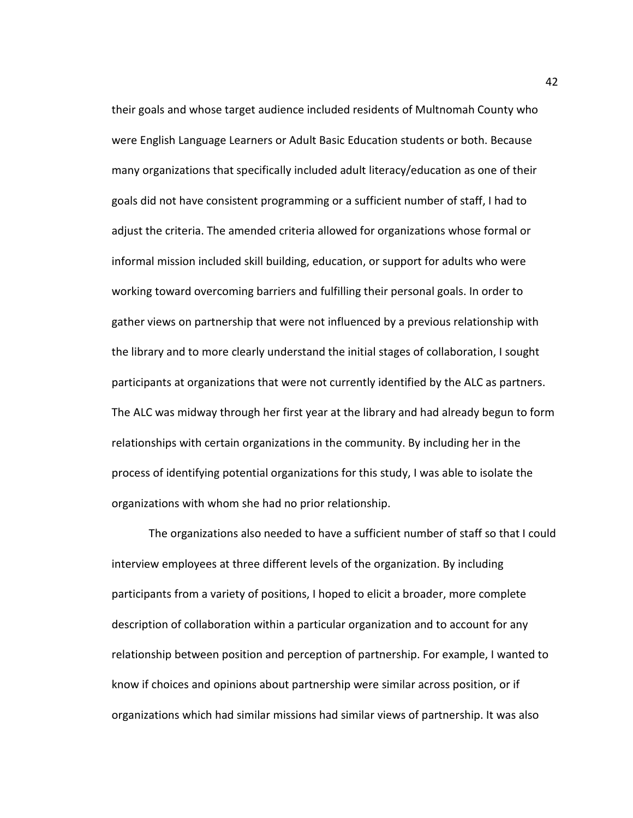their goals and whose target audience included residents of Multnomah County who were English Language Learners or Adult Basic Education students or both. Because many organizations that specifically included adult literacy/education as one of their goals did not have consistent programming or a sufficient number of staff, I had to adjust the criteria. The amended criteria allowed for organizations whose formal or informal mission included skill building, education, or support for adults who were working toward overcoming barriers and fulfilling their personal goals. In order to gather views on partnership that were not influenced by a previous relationship with the library and to more clearly understand the initial stages of collaboration, I sought participants at organizations that were not currently identified by the ALC as partners. The ALC was midway through her first year at the library and had already begun to form relationships with certain organizations in the community. By including her in the process of identifying potential organizations for this study, I was able to isolate the organizations with whom she had no prior relationship.

The organizations also needed to have a sufficient number of staff so that I could interview employees at three different levels of the organization. By including participants from a variety of positions, I hoped to elicit a broader, more complete description of collaboration within a particular organization and to account for any relationship between position and perception of partnership. For example, I wanted to know if choices and opinions about partnership were similar across position, or if organizations which had similar missions had similar views of partnership. It was also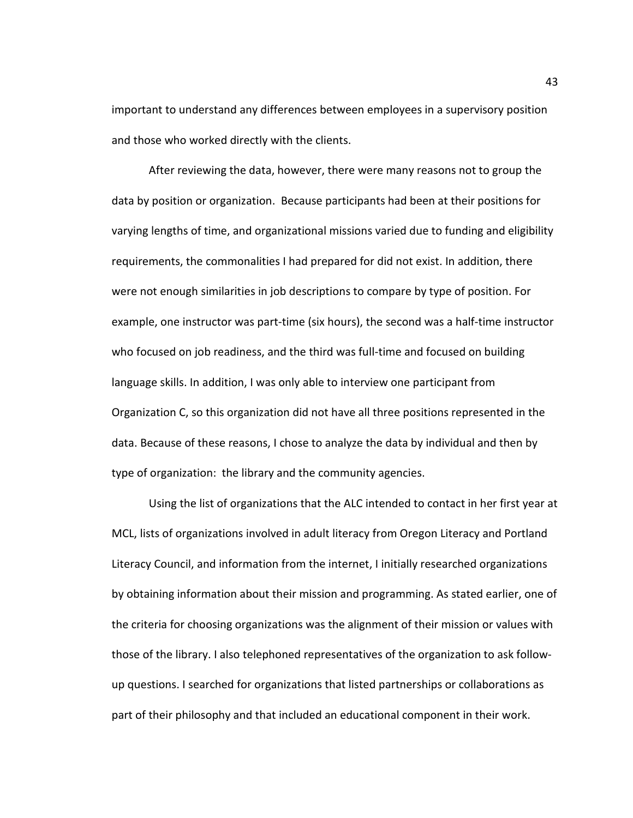important to understand any differences between employees in a supervisory position and those who worked directly with the clients.

After reviewing the data, however, there were many reasons not to group the data by position or organization. Because participants had been at their positions for varying lengths of time, and organizational missions varied due to funding and eligibility requirements, the commonalities I had prepared for did not exist. In addition, there were not enough similarities in job descriptions to compare by type of position. For example, one instructor was part-time (six hours), the second was a half-time instructor who focused on job readiness, and the third was full-time and focused on building language skills. In addition, I was only able to interview one participant from Organization C, so this organization did not have all three positions represented in the data. Because of these reasons, I chose to analyze the data by individual and then by type of organization: the library and the community agencies.

Using the list of organizations that the ALC intended to contact in her first year at MCL, lists of organizations involved in adult literacy from Oregon Literacy and Portland Literacy Council, and information from the internet, I initially researched organizations by obtaining information about their mission and programming. As stated earlier, one of the criteria for choosing organizations was the alignment of their mission or values with those of the library. I also telephoned representatives of the organization to ask followup questions. I searched for organizations that listed partnerships or collaborations as part of their philosophy and that included an educational component in their work.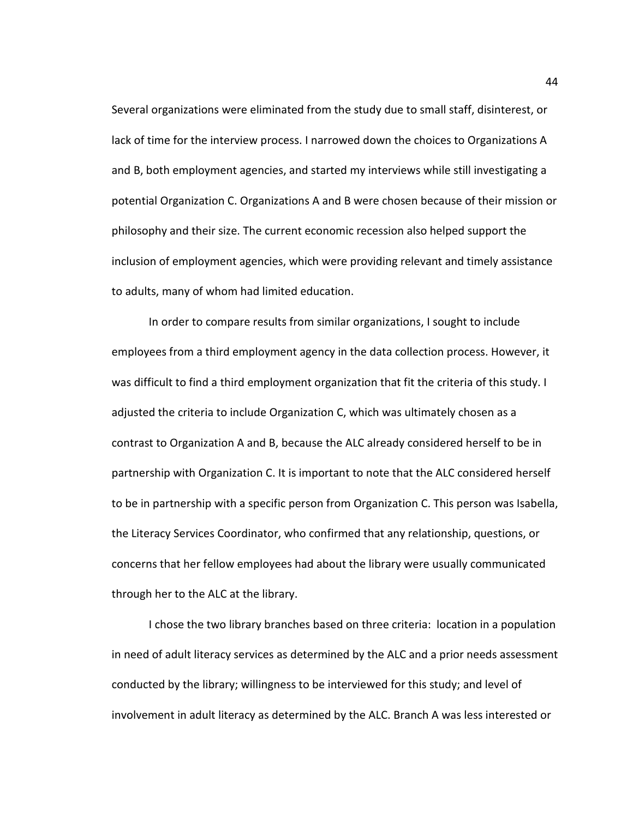Several organizations were eliminated from the study due to small staff, disinterest, or lack of time for the interview process. I narrowed down the choices to Organizations A and B, both employment agencies, and started my interviews while still investigating a potential Organization C. Organizations A and B were chosen because of their mission or philosophy and their size. The current economic recession also helped support the inclusion of employment agencies, which were providing relevant and timely assistance to adults, many of whom had limited education.

In order to compare results from similar organizations, I sought to include employees from a third employment agency in the data collection process. However, it was difficult to find a third employment organization that fit the criteria of this study. I adjusted the criteria to include Organization C, which was ultimately chosen as a contrast to Organization A and B, because the ALC already considered herself to be in partnership with Organization C. It is important to note that the ALC considered herself to be in partnership with a specific person from Organization C. This person was Isabella, the Literacy Services Coordinator, who confirmed that any relationship, questions, or concerns that her fellow employees had about the library were usually communicated through her to the ALC at the library.

I chose the two library branches based on three criteria: location in a population in need of adult literacy services as determined by the ALC and a prior needs assessment conducted by the library; willingness to be interviewed for this study; and level of involvement in adult literacy as determined by the ALC. Branch A was less interested or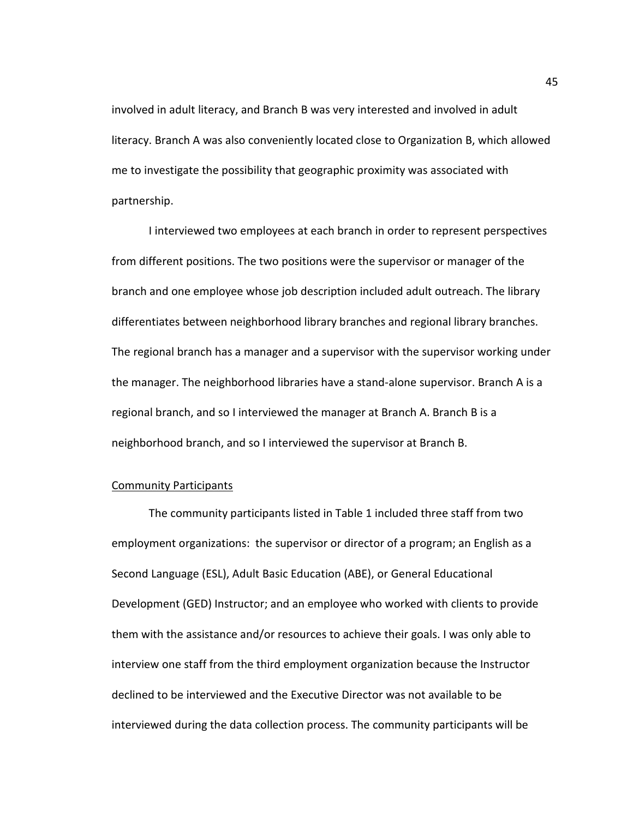involved in adult literacy, and Branch B was very interested and involved in adult literacy. Branch A was also conveniently located close to Organization B, which allowed me to investigate the possibility that geographic proximity was associated with partnership.

I interviewed two employees at each branch in order to represent perspectives from different positions. The two positions were the supervisor or manager of the branch and one employee whose job description included adult outreach. The library differentiates between neighborhood library branches and regional library branches. The regional branch has a manager and a supervisor with the supervisor working under the manager. The neighborhood libraries have a stand-alone supervisor. Branch A is a regional branch, and so I interviewed the manager at Branch A. Branch B is a neighborhood branch, and so I interviewed the supervisor at Branch B.

# Community Participants

The community participants listed in Table 1 included three staff from two employment organizations: the supervisor or director of a program; an English as a Second Language (ESL), Adult Basic Education (ABE), or General Educational Development (GED) Instructor; and an employee who worked with clients to provide them with the assistance and/or resources to achieve their goals. I was only able to interview one staff from the third employment organization because the Instructor declined to be interviewed and the Executive Director was not available to be interviewed during the data collection process. The community participants will be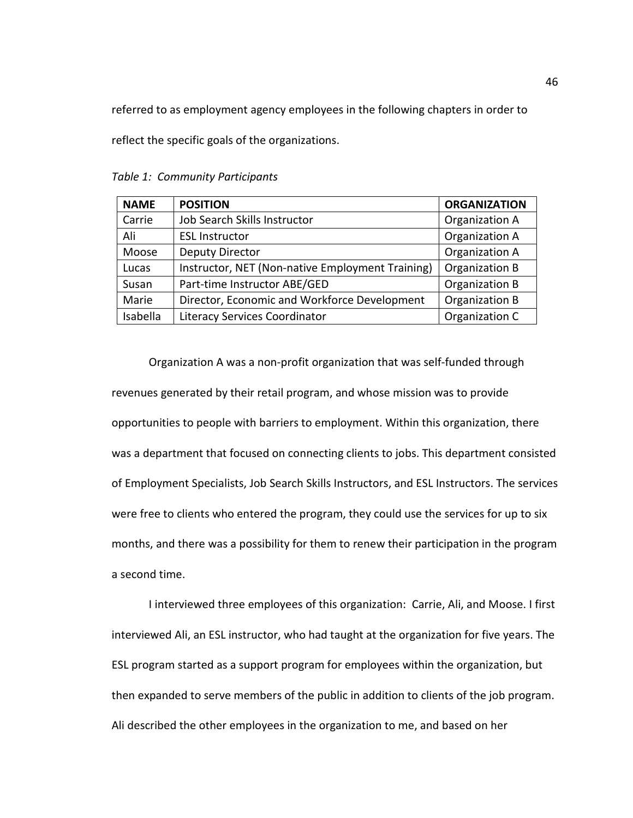referred to as employment agency employees in the following chapters in order to

reflect the specific goals of the organizations.

| <b>NAME</b> | <b>POSITION</b>                                  | <b>ORGANIZATION</b> |
|-------------|--------------------------------------------------|---------------------|
| Carrie      | Job Search Skills Instructor                     | Organization A      |
| Ali         | <b>ESL Instructor</b>                            | Organization A      |
| Moose       | <b>Deputy Director</b>                           | Organization A      |
| Lucas       | Instructor, NET (Non-native Employment Training) | Organization B      |
| Susan       | Part-time Instructor ABE/GED                     | Organization B      |
| Marie       | Director, Economic and Workforce Development     | Organization B      |
| Isabella    | <b>Literacy Services Coordinator</b>             | Organization C      |

Table 1: Community Participants

Organization A was a non-profit organization that was self-funded through revenues generated by their retail program, and whose mission was to provide opportunities to people with barriers to employment. Within this organization, there was a department that focused on connecting clients to jobs. This department consisted of Employment Specialists, Job Search Skills Instructors, and ESL Instructors. The services were free to clients who entered the program, they could use the services for up to six months, and there was a possibility for them to renew their participation in the program a second time.

I interviewed three employees of this organization: Carrie, Ali, and Moose. I first interviewed Ali, an ESL instructor, who had taught at the organization for five years. The ESL program started as a support program for employees within the organization, but then expanded to serve members of the public in addition to clients of the job program. Ali described the other employees in the organization to me, and based on her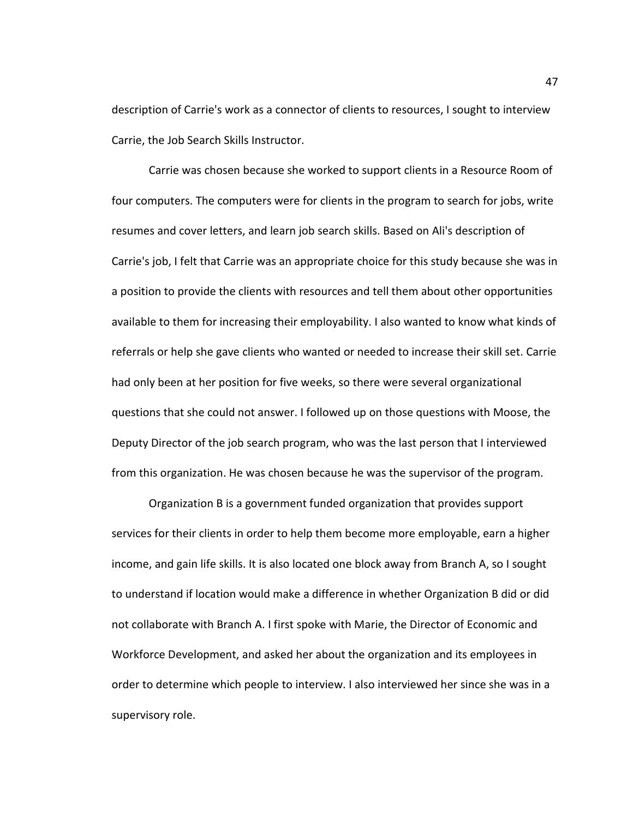description of Carrie's work as a connector of clients to resources, I sought to interview Carrie, the Job Search Skills Instructor.

Carrie was chosen because she worked to support clients in a Resource Room of four computers. The computers were for clients in the program to search for jobs, write resumes and cover letters, and learn job search skills. Based on Ali's description of Carrie's job, I felt that Carrie was an appropriate choice for this study because she was in a position to provide the clients with resources and tell them about other opportunities available to them for increasing their employability. I also wanted to know what kinds of referrals or help she gave clients who wanted or needed to increase their skill set. Carrie had only been at her position for five weeks, so there were several organizational questions that she could not answer. I followed up on those questions with Moose, the Deputy Director of the job search program, who was the last person that I interviewed from this organization. He was chosen because he was the supervisor of the program.

Organization B is a government funded organization that provides support services for their clients in order to help them become more employable, earn a higher income, and gain life skills. It is also located one block away from Branch A, so I sought to understand if location would make a difference in whether Organization B did or did not collaborate with Branch A. I first spoke with Marie, the Director of Economic and Workforce Development, and asked her about the organization and its employees in order to determine which people to interview. I also interviewed her since she was in a supervisory role.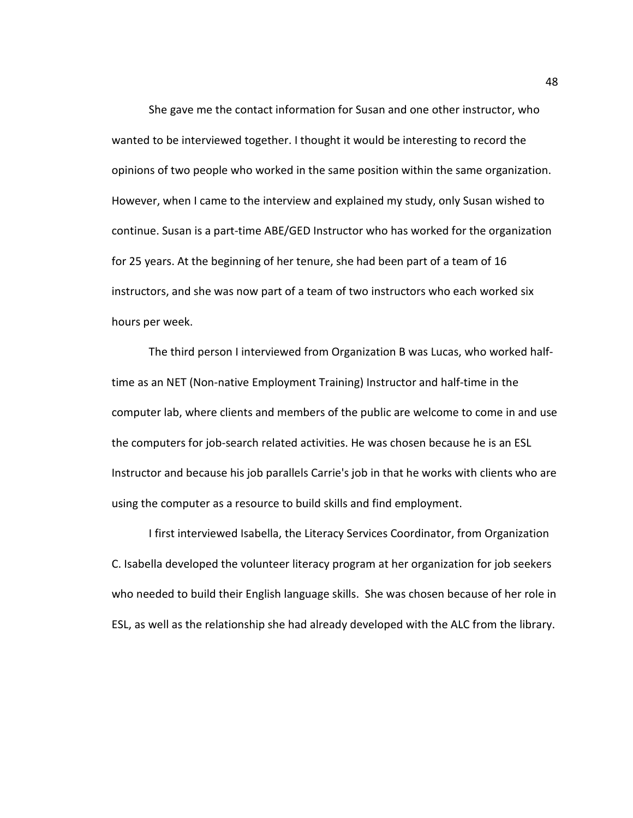She gave me the contact information for Susan and one other instructor, who wanted to be interviewed together. I thought it would be interesting to record the opinions of two people who worked in the same position within the same organization. However, when I came to the interview and explained my study, only Susan wished to continue. Susan is a part-time ABE/GED Instructor who has worked for the organization for 25 years. At the beginning of her tenure, she had been part of a team of 16 instructors, and she was now part of a team of two instructors who each worked six hours per week.

The third person I interviewed from Organization B was Lucas, who worked halftime as an NET (Non-native Employment Training) Instructor and half-time in the computer lab, where clients and members of the public are welcome to come in and use the computers for job-search related activities. He was chosen because he is an ESL Instructor and because his job parallels Carrie's job in that he works with clients who are using the computer as a resource to build skills and find employment.

I first interviewed Isabella, the Literacy Services Coordinator, from Organization C. Isabella developed the volunteer literacy program at her organization for job seekers who needed to build their English language skills. She was chosen because of her role in ESL, as well as the relationship she had already developed with the ALC from the library.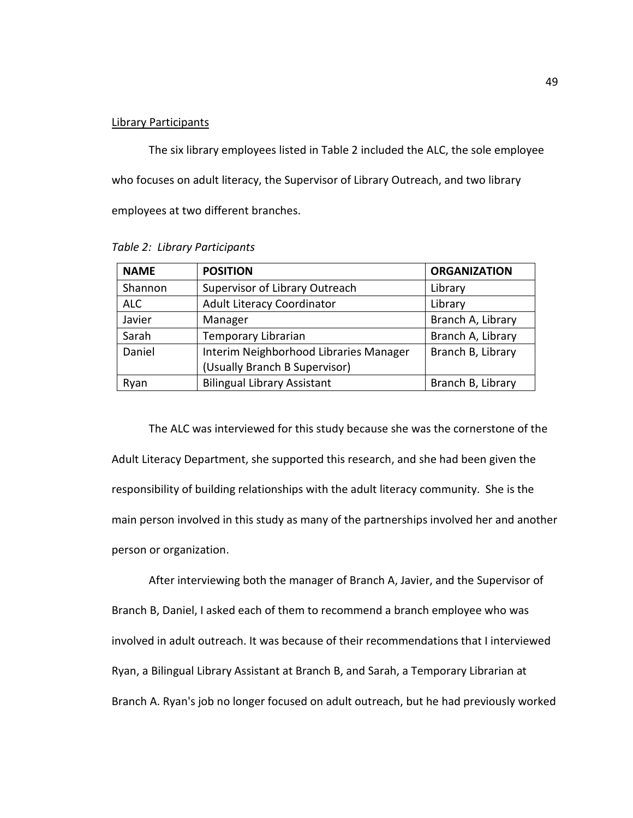#### Library Participants

The six library employees listed in Table 2 included the ALC, the sole employee who focuses on adult literacy, the Supervisor of Library Outreach, and two library employees at two different branches.

| <b>NAME</b> | <b>POSITION</b>                        | <b>ORGANIZATION</b> |
|-------------|----------------------------------------|---------------------|
| Shannon     | Supervisor of Library Outreach         | Library             |
| <b>ALC</b>  | <b>Adult Literacy Coordinator</b>      | Library             |
| Javier      | Manager                                | Branch A, Library   |
| Sarah       | Temporary Librarian                    | Branch A, Library   |
| Daniel      | Interim Neighborhood Libraries Manager | Branch B, Library   |
|             | (Usually Branch B Supervisor)          |                     |
| Ryan        | <b>Bilingual Library Assistant</b>     | Branch B, Library   |

Table 2: Library Participants

The ALC was interviewed for this study because she was the cornerstone of the Adult Literacy Department, she supported this research, and she had been given the responsibility of building relationships with the adult literacy community. She is the main person involved in this study as many of the partnerships involved her and another person or organization.

After interviewing both the manager of Branch A, Javier, and the Supervisor of Branch B, Daniel, I asked each of them to recommend a branch employee who was involved in adult outreach. It was because of their recommendations that I interviewed Ryan, a Bilingual Library Assistant at Branch B, and Sarah, a Temporary Librarian at Branch A. Ryan's job no longer focused on adult outreach, but he had previously worked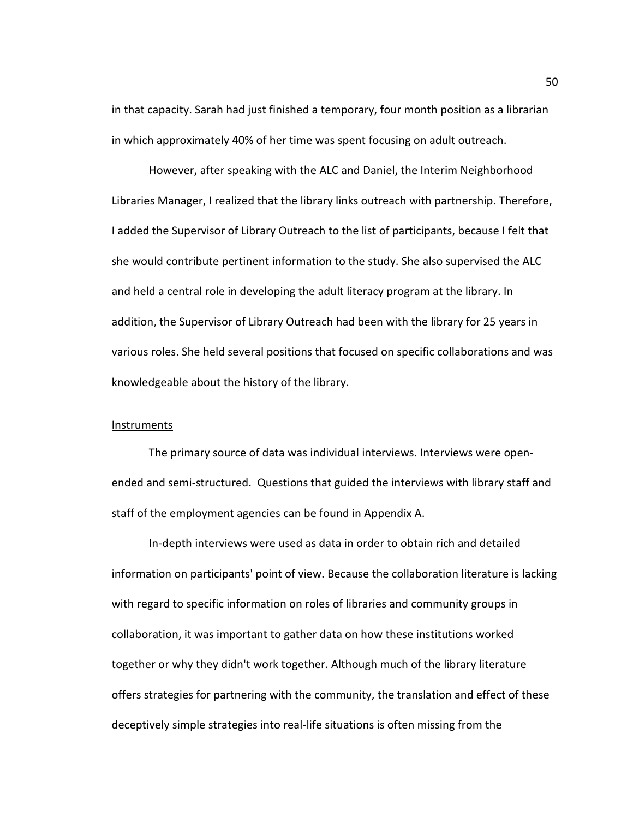in that capacity. Sarah had just finished a temporary, four month position as a librarian in which approximately 40% of her time was spent focusing on adult outreach.

However, after speaking with the ALC and Daniel, the Interim Neighborhood Libraries Manager, I realized that the library links outreach with partnership. Therefore, I added the Supervisor of Library Outreach to the list of participants, because I felt that she would contribute pertinent information to the study. She also supervised the ALC and held a central role in developing the adult literacy program at the library. In addition, the Supervisor of Library Outreach had been with the library for 25 years in various roles. She held several positions that focused on specific collaborations and was knowledgeable about the history of the library.

### Instruments

The primary source of data was individual interviews. Interviews were openended and semi-structured. Questions that guided the interviews with library staff and staff of the employment agencies can be found in Appendix A.

In-depth interviews were used as data in order to obtain rich and detailed information on participants' point of view. Because the collaboration literature is lacking with regard to specific information on roles of libraries and community groups in collaboration, it was important to gather data on how these institutions worked together or why they didn't work together. Although much of the library literature offers strategies for partnering with the community, the translation and effect of these deceptively simple strategies into real-life situations is often missing from the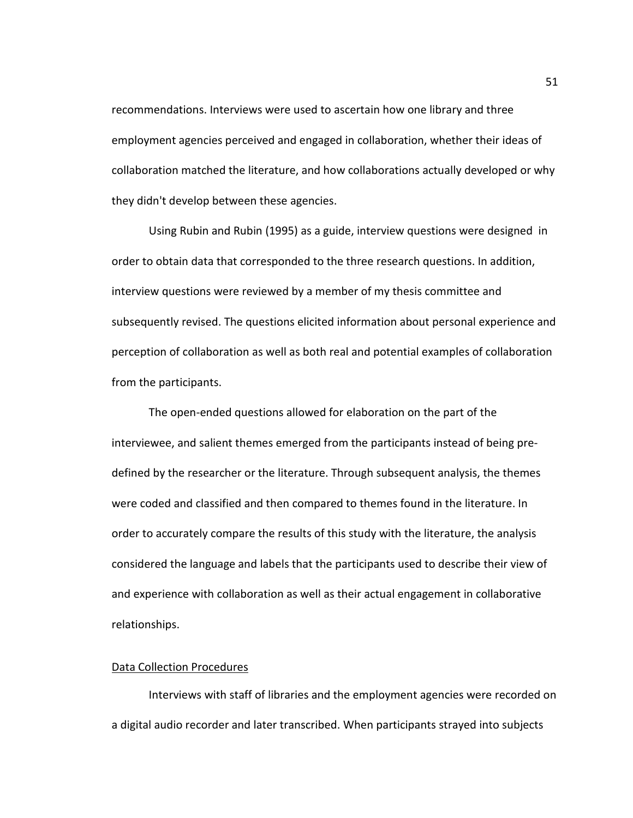recommendations. Interviews were used to ascertain how one library and three employment agencies perceived and engaged in collaboration, whether their ideas of collaboration matched the literature, and how collaborations actually developed or why they didn't develop between these agencies.

Using Rubin and Rubin (1995) as a guide, interview questions were designed in order to obtain data that corresponded to the three research questions. In addition, interview questions were reviewed by a member of my thesis committee and subsequently revised. The questions elicited information about personal experience and perception of collaboration as well as both real and potential examples of collaboration from the participants.

The open-ended questions allowed for elaboration on the part of the interviewee, and salient themes emerged from the participants instead of being predefined by the researcher or the literature. Through subsequent analysis, the themes were coded and classified and then compared to themes found in the literature. In order to accurately compare the results of this study with the literature, the analysis considered the language and labels that the participants used to describe their view of and experience with collaboration as well as their actual engagement in collaborative relationships.

# Data Collection Procedures

Interviews with staff of libraries and the employment agencies were recorded on a digital audio recorder and later transcribed. When participants strayed into subjects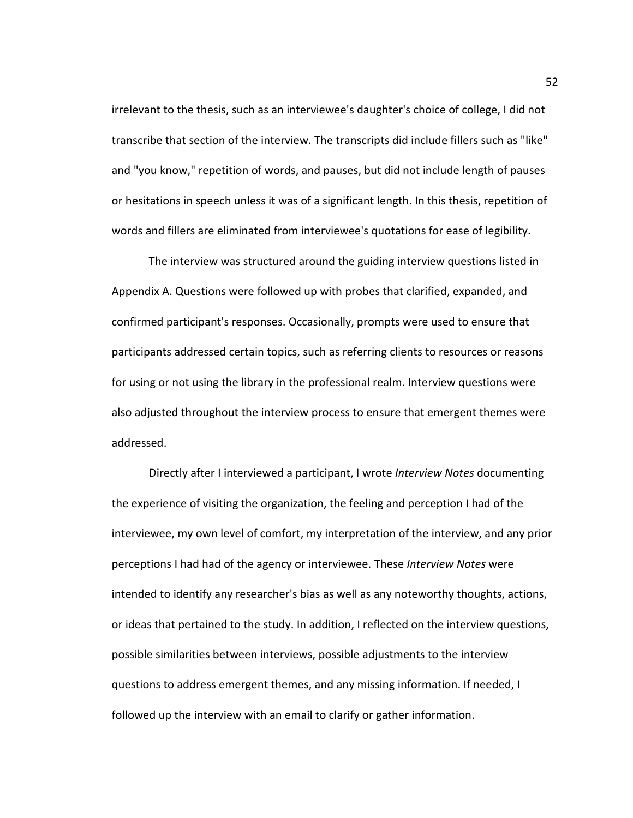irrelevant to the thesis, such as an interviewee's daughter's choice of college, I did not transcribe that section of the interview. The transcripts did include fillers such as "like" and "you know," repetition of words, and pauses, but did not include length of pauses or hesitations in speech unless it was of a significant length. In this thesis, repetition of words and fillers are eliminated from interviewee's quotations for ease of legibility.

The interview was structured around the guiding interview questions listed in Appendix A. Questions were followed up with probes that clarified, expanded, and confirmed participant's responses. Occasionally, prompts were used to ensure that participants addressed certain topics, such as referring clients to resources or reasons for using or not using the library in the professional realm. Interview questions were also adjusted throughout the interview process to ensure that emergent themes were addressed.

Directly after I interviewed a participant, I wrote Interview Notes documenting the experience of visiting the organization, the feeling and perception I had of the interviewee, my own level of comfort, my interpretation of the interview, and any prior perceptions I had had of the agency or interviewee. These Interview Notes were intended to identify any researcher's bias as well as any noteworthy thoughts, actions, or ideas that pertained to the study. In addition, I reflected on the interview questions, possible similarities between interviews, possible adjustments to the interview questions to address emergent themes, and any missing information. If needed, I followed up the interview with an email to clarify or gather information.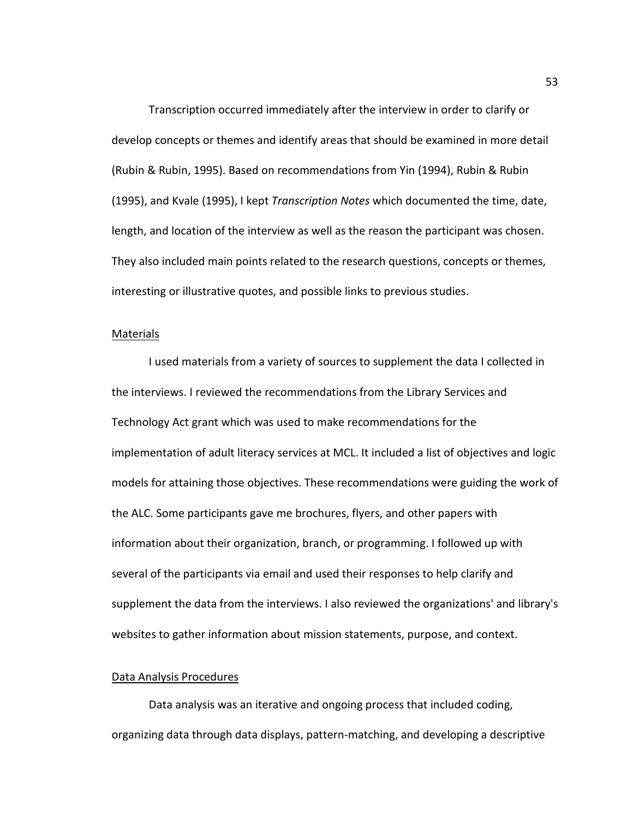Transcription occurred immediately after the interview in order to clarify or develop concepts or themes and identify areas that should be examined in more detail (Rubin & Rubin, 1995). Based on recommendations from Yin (1994), Rubin & Rubin (1995), and Kvale (1995), I kept Transcription Notes which documented the time, date, length, and location of the interview as well as the reason the participant was chosen. They also included main points related to the research questions, concepts or themes, interesting or illustrative quotes, and possible links to previous studies.

#### Materials

I used materials from a variety of sources to supplement the data I collected in the interviews. I reviewed the recommendations from the Library Services and Technology Act grant which was used to make recommendations for the implementation of adult literacy services at MCL. It included a list of objectives and logic models for attaining those objectives. These recommendations were guiding the work of the ALC. Some participants gave me brochures, flyers, and other papers with information about their organization, branch, or programming. I followed up with several of the participants via email and used their responses to help clarify and supplement the data from the interviews. I also reviewed the organizations' and library's websites to gather information about mission statements, purpose, and context.

#### Data Analysis Procedures

Data analysis was an iterative and ongoing process that included coding, organizing data through data displays, pattern-matching, and developing a descriptive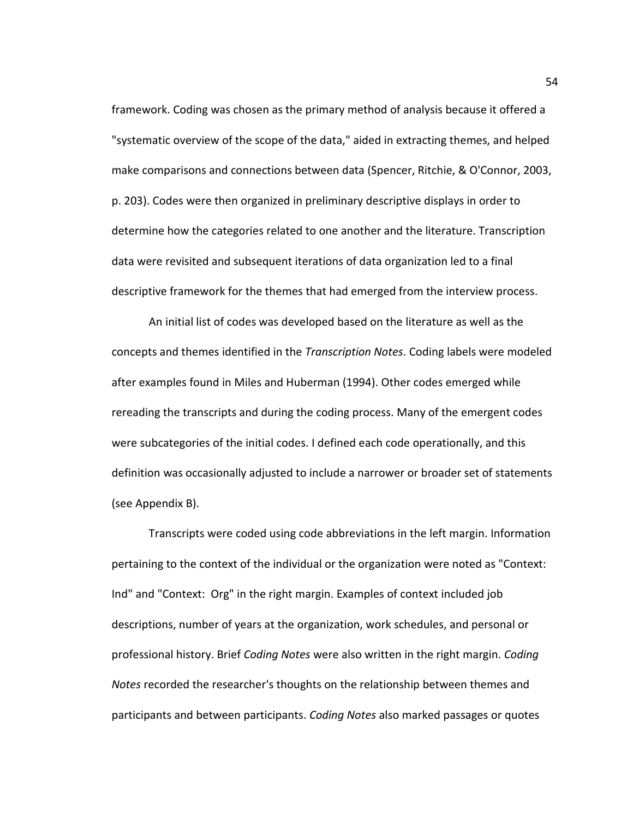framework. Coding was chosen as the primary method of analysis because it offered a "systematic overview of the scope of the data," aided in extracting themes, and helped make comparisons and connections between data (Spencer, Ritchie, & O'Connor, 2003, p. 203). Codes were then organized in preliminary descriptive displays in order to determine how the categories related to one another and the literature. Transcription data were revisited and subsequent iterations of data organization led to a final descriptive framework for the themes that had emerged from the interview process.

An initial list of codes was developed based on the literature as well as the concepts and themes identified in the Transcription Notes. Coding labels were modeled after examples found in Miles and Huberman (1994). Other codes emerged while rereading the transcripts and during the coding process. Many of the emergent codes were subcategories of the initial codes. I defined each code operationally, and this definition was occasionally adjusted to include a narrower or broader set of statements (see Appendix B).

Transcripts were coded using code abbreviations in the left margin. Information pertaining to the context of the individual or the organization were noted as "Context: Ind" and "Context: Org" in the right margin. Examples of context included job descriptions, number of years at the organization, work schedules, and personal or professional history. Brief Coding Notes were also written in the right margin. Coding Notes recorded the researcher's thoughts on the relationship between themes and participants and between participants. Coding Notes also marked passages or quotes

54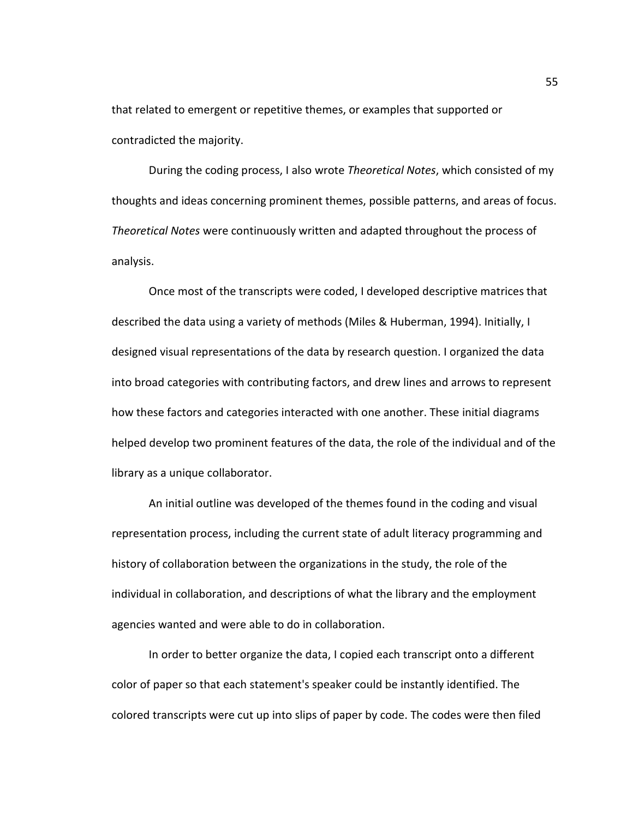that related to emergent or repetitive themes, or examples that supported or contradicted the majority.

During the coding process, I also wrote Theoretical Notes, which consisted of my thoughts and ideas concerning prominent themes, possible patterns, and areas of focus. Theoretical Notes were continuously written and adapted throughout the process of analysis.

Once most of the transcripts were coded, I developed descriptive matrices that described the data using a variety of methods (Miles & Huberman, 1994). Initially, I designed visual representations of the data by research question. I organized the data into broad categories with contributing factors, and drew lines and arrows to represent how these factors and categories interacted with one another. These initial diagrams helped develop two prominent features of the data, the role of the individual and of the library as a unique collaborator.

An initial outline was developed of the themes found in the coding and visual representation process, including the current state of adult literacy programming and history of collaboration between the organizations in the study, the role of the individual in collaboration, and descriptions of what the library and the employment agencies wanted and were able to do in collaboration.

In order to better organize the data, I copied each transcript onto a different color of paper so that each statement's speaker could be instantly identified. The colored transcripts were cut up into slips of paper by code. The codes were then filed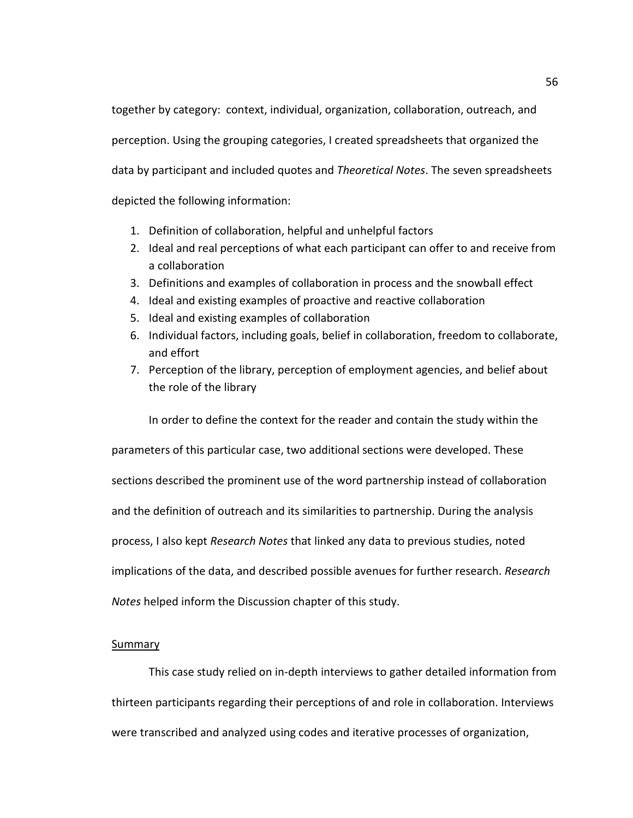together by category: context, individual, organization, collaboration, outreach, and perception. Using the grouping categories, I created spreadsheets that organized the data by participant and included quotes and Theoretical Notes. The seven spreadsheets depicted the following information:

- 1. Definition of collaboration, helpful and unhelpful factors
- 2. Ideal and real perceptions of what each participant can offer to and receive from a collaboration
- 3. Definitions and examples of collaboration in process and the snowball effect
- 4. Ideal and existing examples of proactive and reactive collaboration
- 5. Ideal and existing examples of collaboration
- 6. Individual factors, including goals, belief in collaboration, freedom to collaborate, and effort
- 7. Perception of the library, perception of employment agencies, and belief about the role of the library

In order to define the context for the reader and contain the study within the

parameters of this particular case, two additional sections were developed. These

sections described the prominent use of the word partnership instead of collaboration

and the definition of outreach and its similarities to partnership. During the analysis

process, I also kept Research Notes that linked any data to previous studies, noted

implications of the data, and described possible avenues for further research. Research

Notes helped inform the Discussion chapter of this study.

#### **Summary**

 This case study relied on in-depth interviews to gather detailed information from thirteen participants regarding their perceptions of and role in collaboration. Interviews were transcribed and analyzed using codes and iterative processes of organization,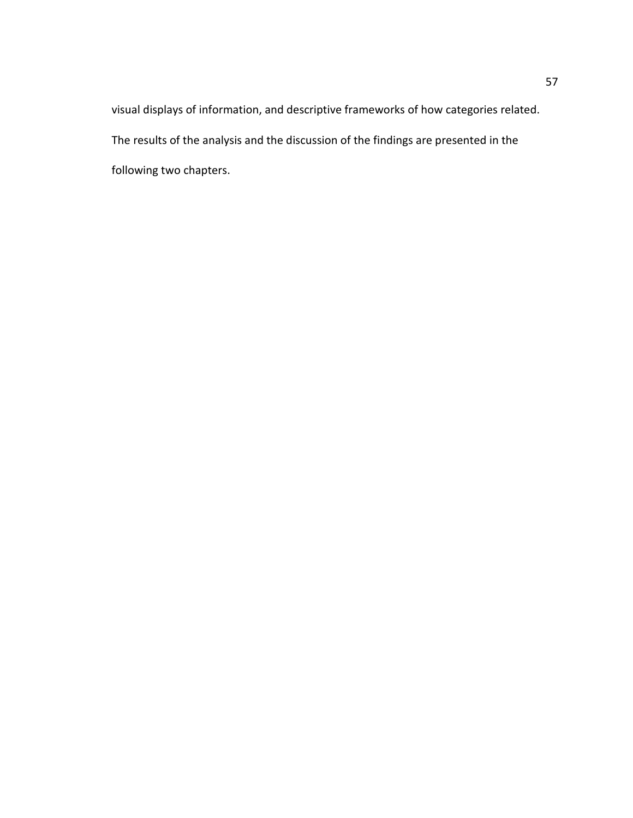visual displays of information, and descriptive frameworks of how categories related. The results of the analysis and the discussion of the findings are presented in the following two chapters.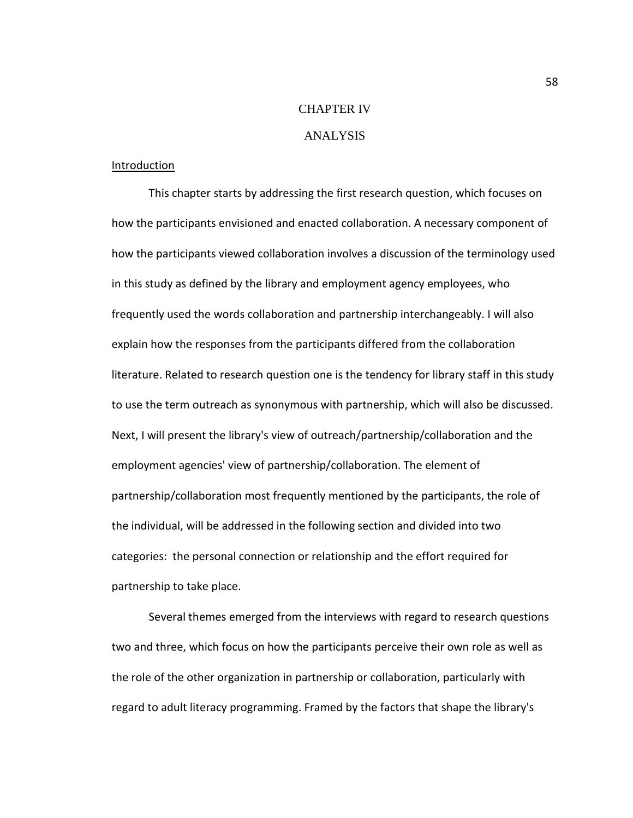# CHAPTER IV

# ANALYSIS

### Introduction

 This chapter starts by addressing the first research question, which focuses on how the participants envisioned and enacted collaboration. A necessary component of how the participants viewed collaboration involves a discussion of the terminology used in this study as defined by the library and employment agency employees, who frequently used the words collaboration and partnership interchangeably. I will also explain how the responses from the participants differed from the collaboration literature. Related to research question one is the tendency for library staff in this study to use the term outreach as synonymous with partnership, which will also be discussed. Next, I will present the library's view of outreach/partnership/collaboration and the employment agencies' view of partnership/collaboration. The element of partnership/collaboration most frequently mentioned by the participants, the role of the individual, will be addressed in the following section and divided into two categories: the personal connection or relationship and the effort required for partnership to take place.

 Several themes emerged from the interviews with regard to research questions two and three, which focus on how the participants perceive their own role as well as the role of the other organization in partnership or collaboration, particularly with regard to adult literacy programming. Framed by the factors that shape the library's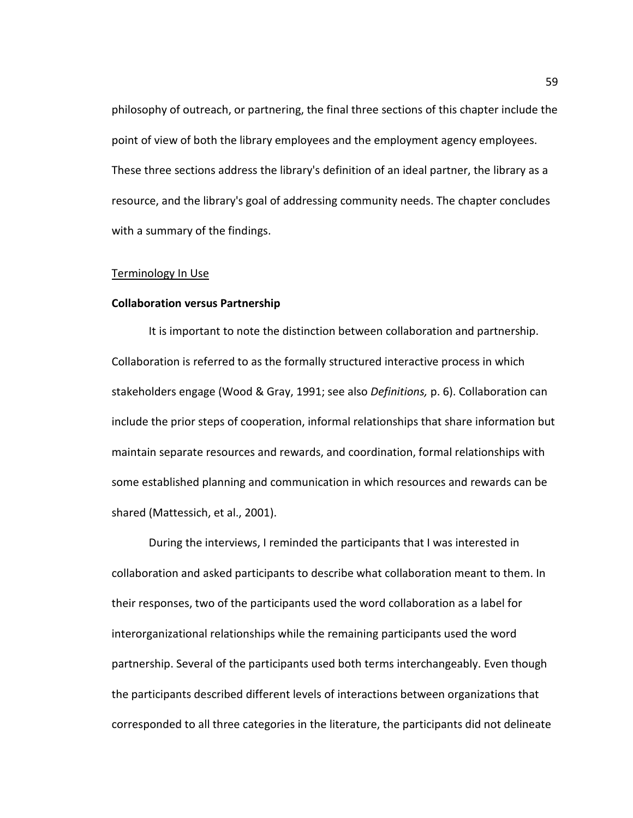philosophy of outreach, or partnering, the final three sections of this chapter include the point of view of both the library employees and the employment agency employees. These three sections address the library's definition of an ideal partner, the library as a resource, and the library's goal of addressing community needs. The chapter concludes with a summary of the findings.

### Terminology In Use

#### Collaboration versus Partnership

 It is important to note the distinction between collaboration and partnership. Collaboration is referred to as the formally structured interactive process in which stakeholders engage (Wood & Gray, 1991; see also Definitions, p. 6). Collaboration can include the prior steps of cooperation, informal relationships that share information but maintain separate resources and rewards, and coordination, formal relationships with some established planning and communication in which resources and rewards can be shared (Mattessich, et al., 2001).

During the interviews, I reminded the participants that I was interested in collaboration and asked participants to describe what collaboration meant to them. In their responses, two of the participants used the word collaboration as a label for interorganizational relationships while the remaining participants used the word partnership. Several of the participants used both terms interchangeably. Even though the participants described different levels of interactions between organizations that corresponded to all three categories in the literature, the participants did not delineate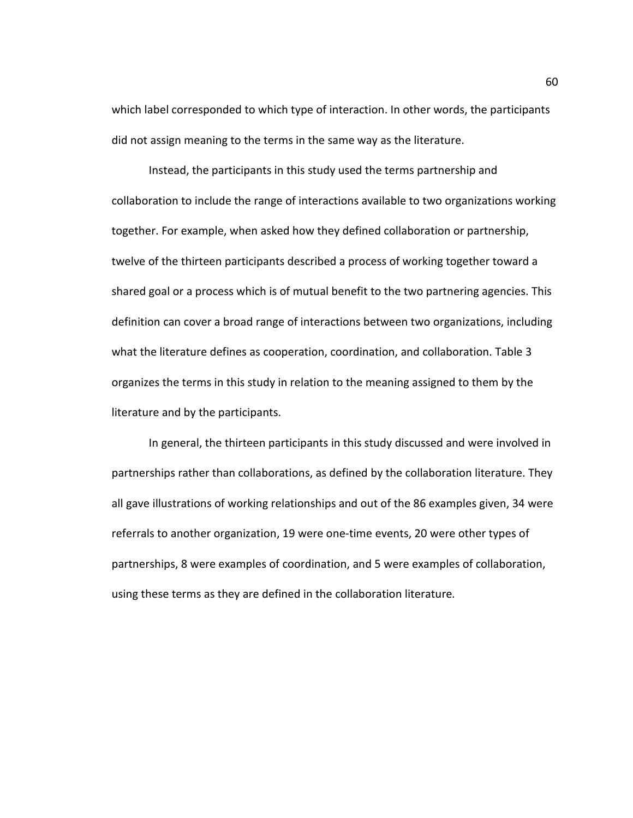which label corresponded to which type of interaction. In other words, the participants did not assign meaning to the terms in the same way as the literature.

Instead, the participants in this study used the terms partnership and collaboration to include the range of interactions available to two organizations working together. For example, when asked how they defined collaboration or partnership, twelve of the thirteen participants described a process of working together toward a shared goal or a process which is of mutual benefit to the two partnering agencies. This definition can cover a broad range of interactions between two organizations, including what the literature defines as cooperation, coordination, and collaboration. Table 3 organizes the terms in this study in relation to the meaning assigned to them by the literature and by the participants.

In general, the thirteen participants in this study discussed and were involved in partnerships rather than collaborations, as defined by the collaboration literature. They all gave illustrations of working relationships and out of the 86 examples given, 34 were referrals to another organization, 19 were one-time events, 20 were other types of partnerships, 8 were examples of coordination, and 5 were examples of collaboration, using these terms as they are defined in the collaboration literature.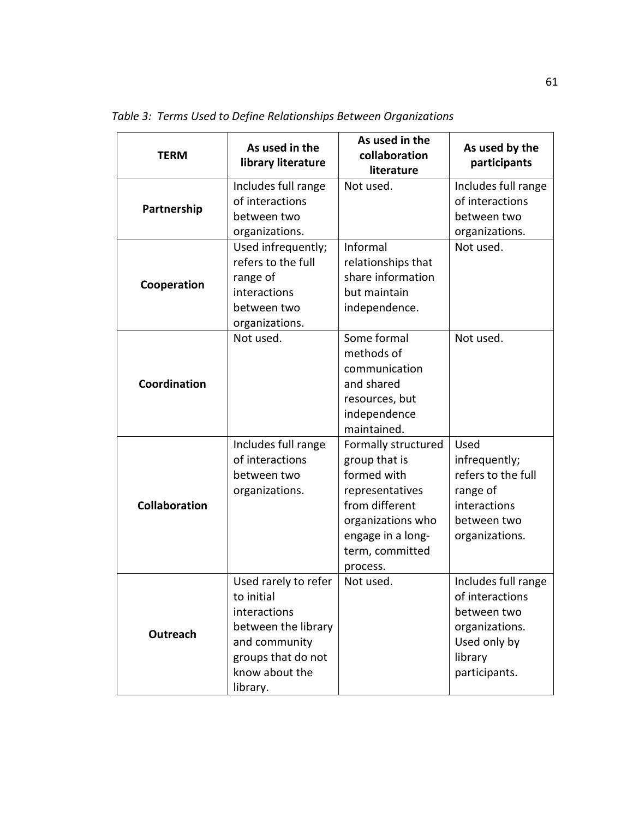TERM As used in the library literature As used in the collaboration literature As used by the participants Partnership Includes full range of interactions between two organizations. Not used. | Includes full range of interactions between two organizations. Cooperation Used infrequently; refers to the full range of interactions between two organizations. Informal relationships that share information but maintain independence. Not used. Coordination Not used. Some formal methods of communication and shared resources, but independence maintained. Not used. Collaboration Includes full range of interactions between two organizations. Formally structured group that is formed with representatives from different organizations who engage in a longterm, committed process. Used infrequently; refers to the full range of interactions between two organizations. **Outreach** Used rarely to refer to initial interactions between the library and community groups that do not know about the library. Not used. Includes full range of interactions between two organizations. Used only by library participants.

Table 3: Terms Used to Define Relationships Between Organizations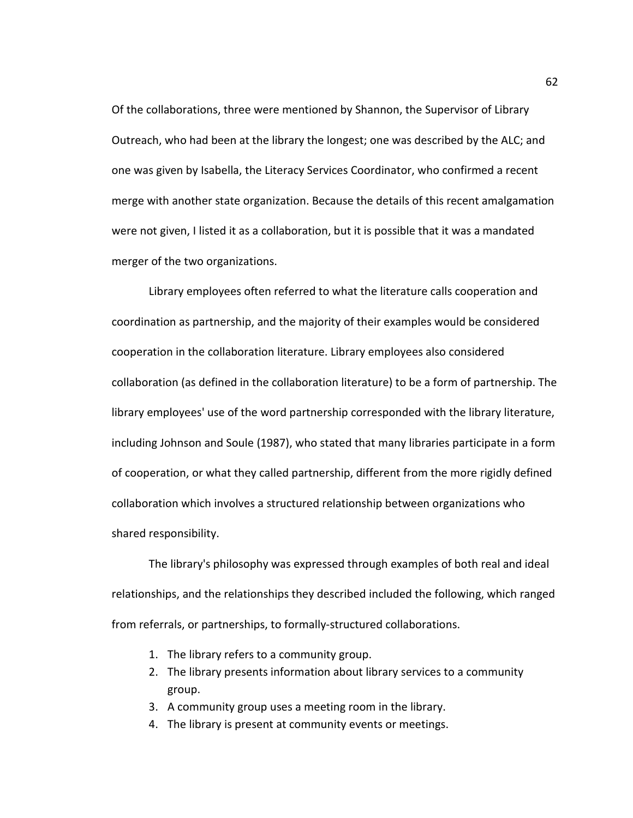Of the collaborations, three were mentioned by Shannon, the Supervisor of Library Outreach, who had been at the library the longest; one was described by the ALC; and one was given by Isabella, the Literacy Services Coordinator, who confirmed a recent merge with another state organization. Because the details of this recent amalgamation were not given, I listed it as a collaboration, but it is possible that it was a mandated merger of the two organizations.

Library employees often referred to what the literature calls cooperation and coordination as partnership, and the majority of their examples would be considered cooperation in the collaboration literature. Library employees also considered collaboration (as defined in the collaboration literature) to be a form of partnership. The library employees' use of the word partnership corresponded with the library literature, including Johnson and Soule (1987), who stated that many libraries participate in a form of cooperation, or what they called partnership, different from the more rigidly defined collaboration which involves a structured relationship between organizations who shared responsibility.

The library's philosophy was expressed through examples of both real and ideal relationships, and the relationships they described included the following, which ranged from referrals, or partnerships, to formally-structured collaborations.

- 1. The library refers to a community group.
- 2. The library presents information about library services to a community group.
- 3. A community group uses a meeting room in the library.
- 4. The library is present at community events or meetings.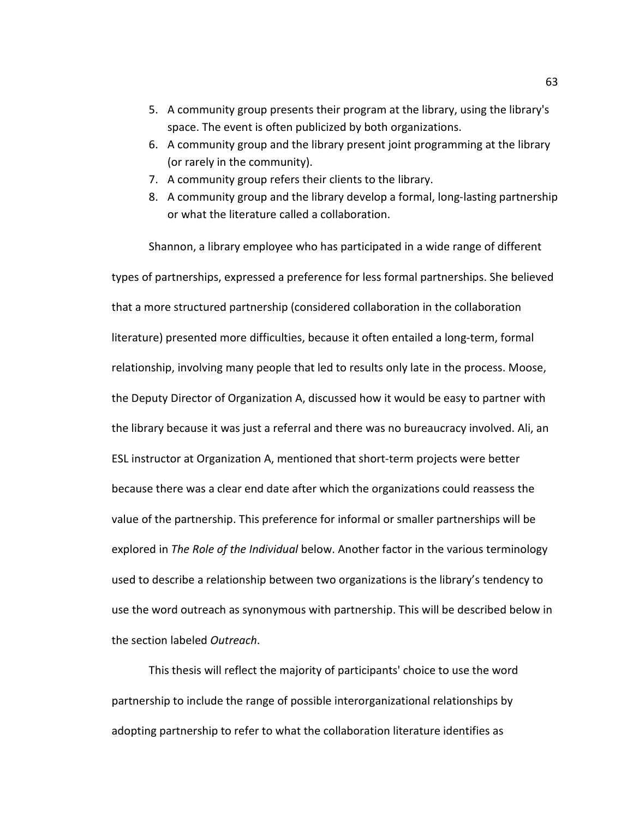- 5. A community group presents their program at the library, using the library's space. The event is often publicized by both organizations.
- 6. A community group and the library present joint programming at the library (or rarely in the community).
- 7. A community group refers their clients to the library.
- 8. A community group and the library develop a formal, long-lasting partnership or what the literature called a collaboration.

Shannon, a library employee who has participated in a wide range of different types of partnerships, expressed a preference for less formal partnerships. She believed that a more structured partnership (considered collaboration in the collaboration literature) presented more difficulties, because it often entailed a long-term, formal relationship, involving many people that led to results only late in the process. Moose, the Deputy Director of Organization A, discussed how it would be easy to partner with the library because it was just a referral and there was no bureaucracy involved. Ali, an ESL instructor at Organization A, mentioned that short-term projects were better because there was a clear end date after which the organizations could reassess the value of the partnership. This preference for informal or smaller partnerships will be explored in The Role of the Individual below. Another factor in the various terminology used to describe a relationship between two organizations is the library's tendency to use the word outreach as synonymous with partnership. This will be described below in the section labeled Outreach.

This thesis will reflect the majority of participants' choice to use the word partnership to include the range of possible interorganizational relationships by adopting partnership to refer to what the collaboration literature identifies as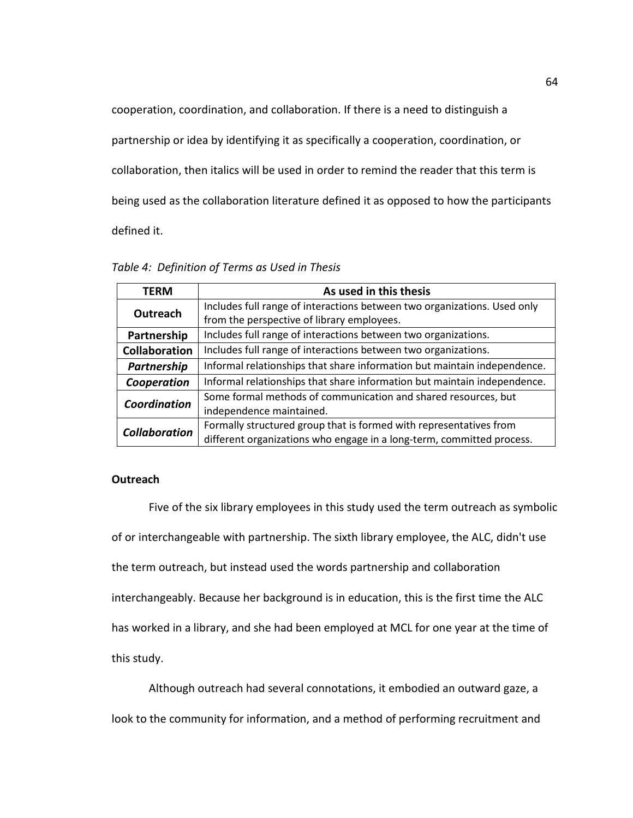cooperation, coordination, and collaboration. If there is a need to distinguish a partnership or idea by identifying it as specifically a cooperation, coordination, or collaboration, then italics will be used in order to remind the reader that this term is being used as the collaboration literature defined it as opposed to how the participants defined it.

| <b>TERM</b>          | As used in this thesis                                                   |
|----------------------|--------------------------------------------------------------------------|
| Outreach             | Includes full range of interactions between two organizations. Used only |
|                      | from the perspective of library employees.                               |
| Partnership          | Includes full range of interactions between two organizations.           |
| <b>Collaboration</b> | Includes full range of interactions between two organizations.           |
| Partnership          | Informal relationships that share information but maintain independence. |
| Cooperation          | Informal relationships that share information but maintain independence. |
| Coordination         | Some formal methods of communication and shared resources, but           |
|                      | independence maintained.                                                 |
| <b>Collaboration</b> | Formally structured group that is formed with representatives from       |
|                      | different organizations who engage in a long-term, committed process.    |

Table 4: Definition of Terms as Used in Thesis

# **Outreach**

Five of the six library employees in this study used the term outreach as symbolic of or interchangeable with partnership. The sixth library employee, the ALC, didn't use the term outreach, but instead used the words partnership and collaboration interchangeably. Because her background is in education, this is the first time the ALC has worked in a library, and she had been employed at MCL for one year at the time of this study.

Although outreach had several connotations, it embodied an outward gaze, a

look to the community for information, and a method of performing recruitment and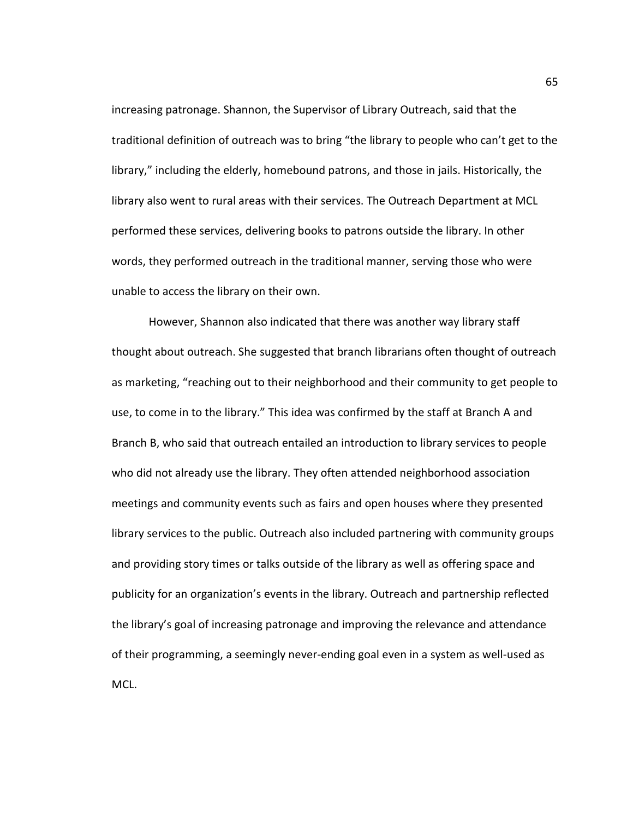increasing patronage. Shannon, the Supervisor of Library Outreach, said that the traditional definition of outreach was to bring "the library to people who can't get to the library," including the elderly, homebound patrons, and those in jails. Historically, the library also went to rural areas with their services. The Outreach Department at MCL performed these services, delivering books to patrons outside the library. In other words, they performed outreach in the traditional manner, serving those who were unable to access the library on their own.

However, Shannon also indicated that there was another way library staff thought about outreach. She suggested that branch librarians often thought of outreach as marketing, "reaching out to their neighborhood and their community to get people to use, to come in to the library." This idea was confirmed by the staff at Branch A and Branch B, who said that outreach entailed an introduction to library services to people who did not already use the library. They often attended neighborhood association meetings and community events such as fairs and open houses where they presented library services to the public. Outreach also included partnering with community groups and providing story times or talks outside of the library as well as offering space and publicity for an organization's events in the library. Outreach and partnership reflected the library's goal of increasing patronage and improving the relevance and attendance of their programming, a seemingly never-ending goal even in a system as well-used as MCL.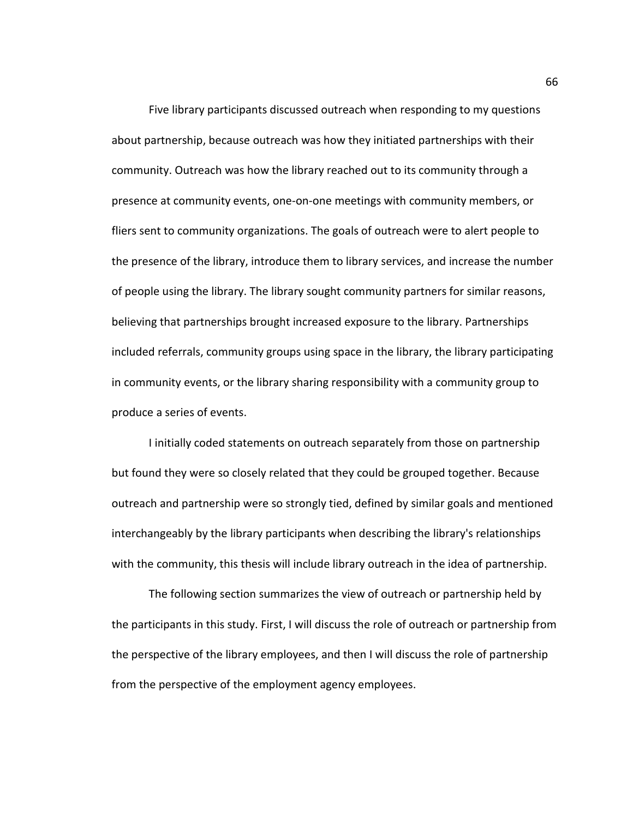Five library participants discussed outreach when responding to my questions about partnership, because outreach was how they initiated partnerships with their community. Outreach was how the library reached out to its community through a presence at community events, one-on-one meetings with community members, or fliers sent to community organizations. The goals of outreach were to alert people to the presence of the library, introduce them to library services, and increase the number of people using the library. The library sought community partners for similar reasons, believing that partnerships brought increased exposure to the library. Partnerships included referrals, community groups using space in the library, the library participating in community events, or the library sharing responsibility with a community group to produce a series of events.

I initially coded statements on outreach separately from those on partnership but found they were so closely related that they could be grouped together. Because outreach and partnership were so strongly tied, defined by similar goals and mentioned interchangeably by the library participants when describing the library's relationships with the community, this thesis will include library outreach in the idea of partnership.

The following section summarizes the view of outreach or partnership held by the participants in this study. First, I will discuss the role of outreach or partnership from the perspective of the library employees, and then I will discuss the role of partnership from the perspective of the employment agency employees.

66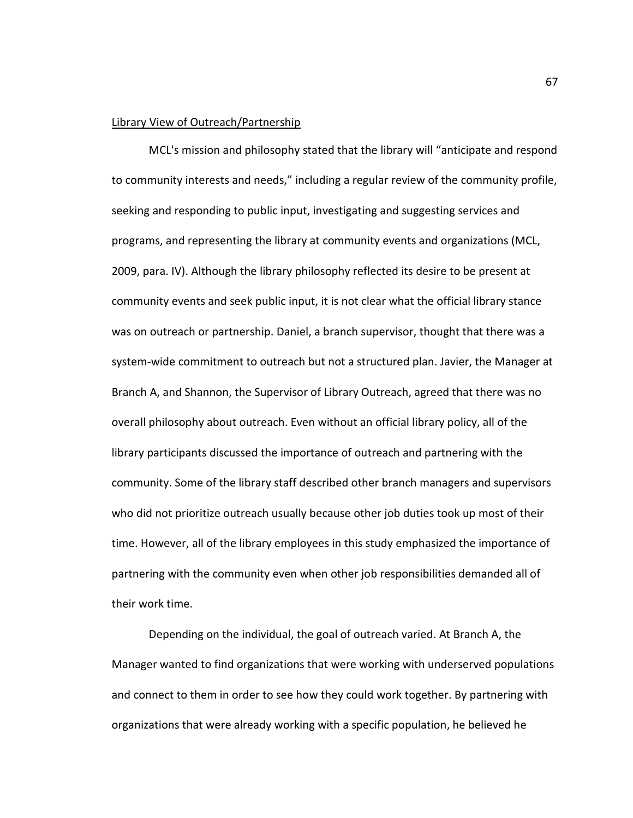#### Library View of Outreach/Partnership

MCL's mission and philosophy stated that the library will "anticipate and respond to community interests and needs," including a regular review of the community profile, seeking and responding to public input, investigating and suggesting services and programs, and representing the library at community events and organizations (MCL, 2009, para. IV). Although the library philosophy reflected its desire to be present at community events and seek public input, it is not clear what the official library stance was on outreach or partnership. Daniel, a branch supervisor, thought that there was a system-wide commitment to outreach but not a structured plan. Javier, the Manager at Branch A, and Shannon, the Supervisor of Library Outreach, agreed that there was no overall philosophy about outreach. Even without an official library policy, all of the library participants discussed the importance of outreach and partnering with the community. Some of the library staff described other branch managers and supervisors who did not prioritize outreach usually because other job duties took up most of their time. However, all of the library employees in this study emphasized the importance of partnering with the community even when other job responsibilities demanded all of their work time.

Depending on the individual, the goal of outreach varied. At Branch A, the Manager wanted to find organizations that were working with underserved populations and connect to them in order to see how they could work together. By partnering with organizations that were already working with a specific population, he believed he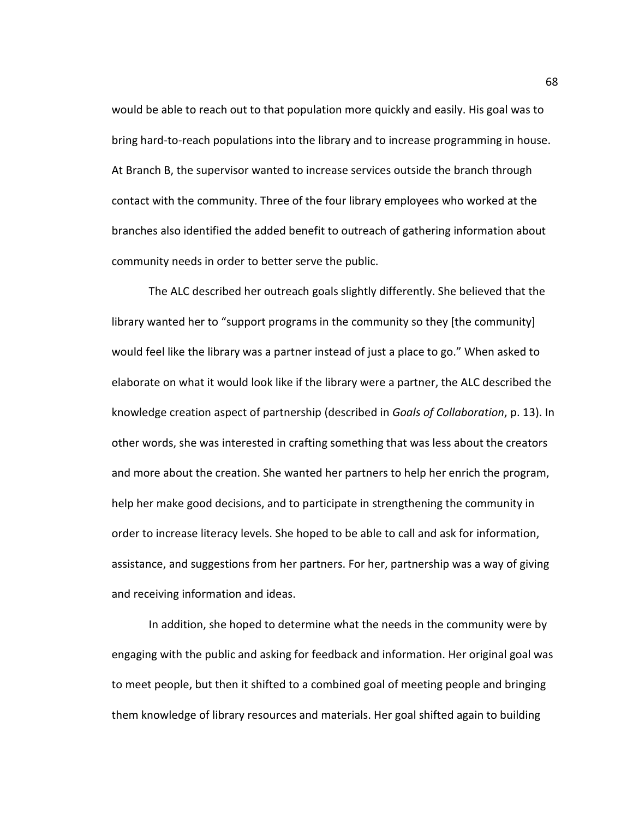would be able to reach out to that population more quickly and easily. His goal was to bring hard-to-reach populations into the library and to increase programming in house. At Branch B, the supervisor wanted to increase services outside the branch through contact with the community. Three of the four library employees who worked at the branches also identified the added benefit to outreach of gathering information about community needs in order to better serve the public.

The ALC described her outreach goals slightly differently. She believed that the library wanted her to "support programs in the community so they [the community] would feel like the library was a partner instead of just a place to go." When asked to elaborate on what it would look like if the library were a partner, the ALC described the knowledge creation aspect of partnership (described in Goals of Collaboration, p. 13). In other words, she was interested in crafting something that was less about the creators and more about the creation. She wanted her partners to help her enrich the program, help her make good decisions, and to participate in strengthening the community in order to increase literacy levels. She hoped to be able to call and ask for information, assistance, and suggestions from her partners. For her, partnership was a way of giving and receiving information and ideas.

In addition, she hoped to determine what the needs in the community were by engaging with the public and asking for feedback and information. Her original goal was to meet people, but then it shifted to a combined goal of meeting people and bringing them knowledge of library resources and materials. Her goal shifted again to building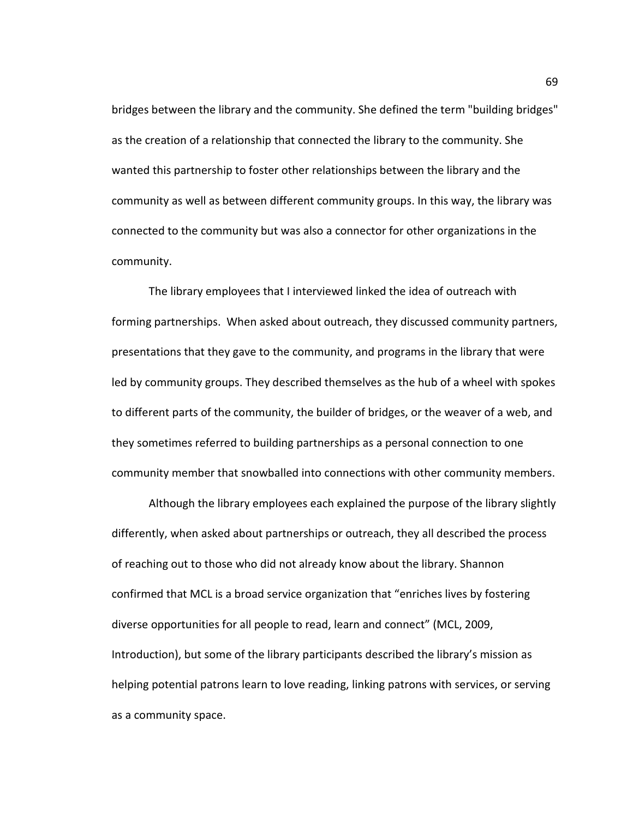bridges between the library and the community. She defined the term "building bridges" as the creation of a relationship that connected the library to the community. She wanted this partnership to foster other relationships between the library and the community as well as between different community groups. In this way, the library was connected to the community but was also a connector for other organizations in the community.

The library employees that I interviewed linked the idea of outreach with forming partnerships. When asked about outreach, they discussed community partners, presentations that they gave to the community, and programs in the library that were led by community groups. They described themselves as the hub of a wheel with spokes to different parts of the community, the builder of bridges, or the weaver of a web, and they sometimes referred to building partnerships as a personal connection to one community member that snowballed into connections with other community members.

Although the library employees each explained the purpose of the library slightly differently, when asked about partnerships or outreach, they all described the process of reaching out to those who did not already know about the library. Shannon confirmed that MCL is a broad service organization that "enriches lives by fostering diverse opportunities for all people to read, learn and connect" (MCL, 2009, Introduction), but some of the library participants described the library's mission as helping potential patrons learn to love reading, linking patrons with services, or serving as a community space.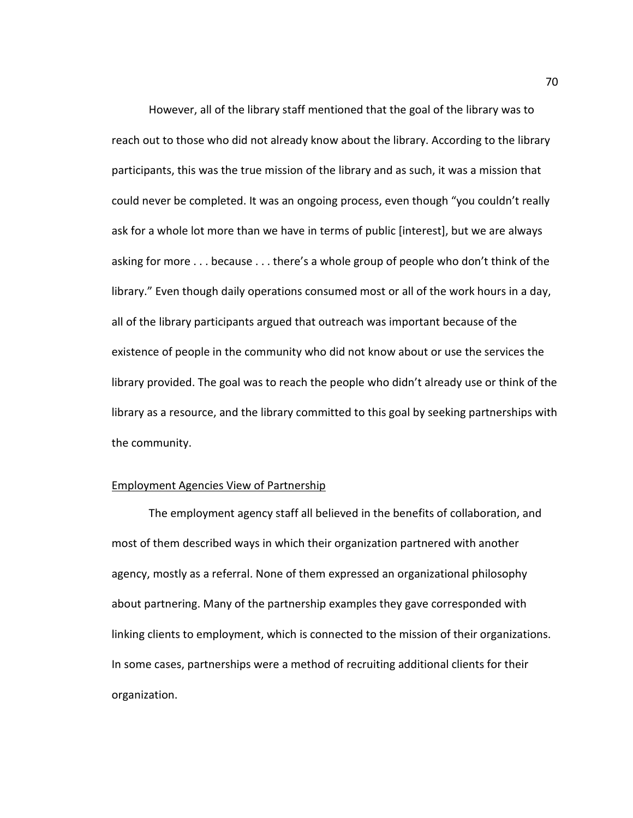However, all of the library staff mentioned that the goal of the library was to reach out to those who did not already know about the library. According to the library participants, this was the true mission of the library and as such, it was a mission that could never be completed. It was an ongoing process, even though "you couldn't really ask for a whole lot more than we have in terms of public [interest], but we are always asking for more . . . because . . . there's a whole group of people who don't think of the library." Even though daily operations consumed most or all of the work hours in a day, all of the library participants argued that outreach was important because of the existence of people in the community who did not know about or use the services the library provided. The goal was to reach the people who didn't already use or think of the library as a resource, and the library committed to this goal by seeking partnerships with the community.

## Employment Agencies View of Partnership

The employment agency staff all believed in the benefits of collaboration, and most of them described ways in which their organization partnered with another agency, mostly as a referral. None of them expressed an organizational philosophy about partnering. Many of the partnership examples they gave corresponded with linking clients to employment, which is connected to the mission of their organizations. In some cases, partnerships were a method of recruiting additional clients for their organization.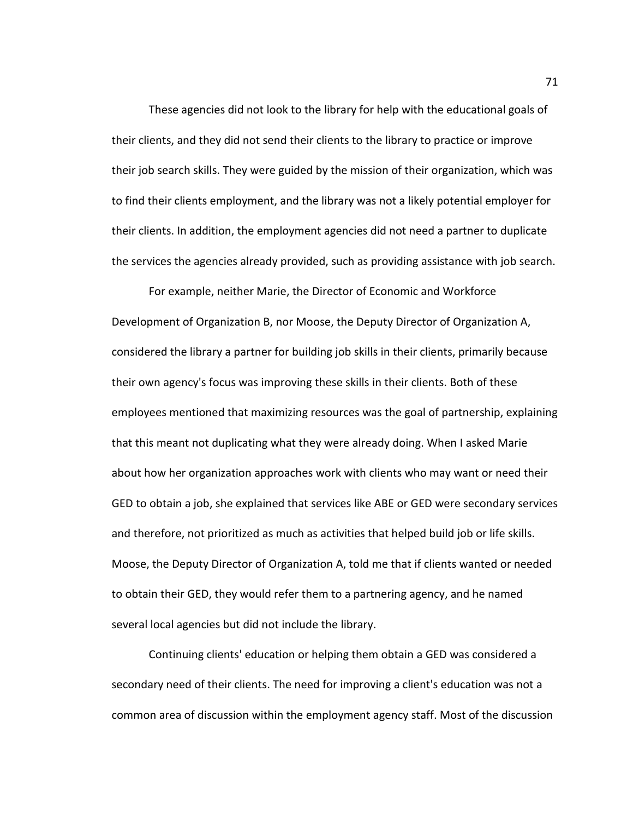These agencies did not look to the library for help with the educational goals of their clients, and they did not send their clients to the library to practice or improve their job search skills. They were guided by the mission of their organization, which was to find their clients employment, and the library was not a likely potential employer for their clients. In addition, the employment agencies did not need a partner to duplicate the services the agencies already provided, such as providing assistance with job search.

For example, neither Marie, the Director of Economic and Workforce Development of Organization B, nor Moose, the Deputy Director of Organization A, considered the library a partner for building job skills in their clients, primarily because their own agency's focus was improving these skills in their clients. Both of these employees mentioned that maximizing resources was the goal of partnership, explaining that this meant not duplicating what they were already doing. When I asked Marie about how her organization approaches work with clients who may want or need their GED to obtain a job, she explained that services like ABE or GED were secondary services and therefore, not prioritized as much as activities that helped build job or life skills. Moose, the Deputy Director of Organization A, told me that if clients wanted or needed to obtain their GED, they would refer them to a partnering agency, and he named several local agencies but did not include the library.

Continuing clients' education or helping them obtain a GED was considered a secondary need of their clients. The need for improving a client's education was not a common area of discussion within the employment agency staff. Most of the discussion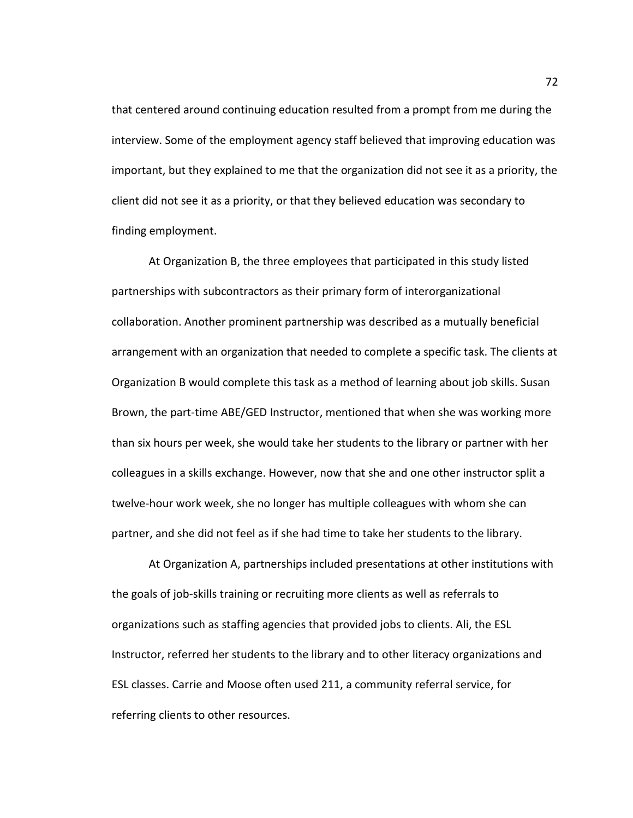that centered around continuing education resulted from a prompt from me during the interview. Some of the employment agency staff believed that improving education was important, but they explained to me that the organization did not see it as a priority, the client did not see it as a priority, or that they believed education was secondary to finding employment.

At Organization B, the three employees that participated in this study listed partnerships with subcontractors as their primary form of interorganizational collaboration. Another prominent partnership was described as a mutually beneficial arrangement with an organization that needed to complete a specific task. The clients at Organization B would complete this task as a method of learning about job skills. Susan Brown, the part-time ABE/GED Instructor, mentioned that when she was working more than six hours per week, she would take her students to the library or partner with her colleagues in a skills exchange. However, now that she and one other instructor split a twelve-hour work week, she no longer has multiple colleagues with whom she can partner, and she did not feel as if she had time to take her students to the library.

 At Organization A, partnerships included presentations at other institutions with the goals of job-skills training or recruiting more clients as well as referrals to organizations such as staffing agencies that provided jobs to clients. Ali, the ESL Instructor, referred her students to the library and to other literacy organizations and ESL classes. Carrie and Moose often used 211, a community referral service, for referring clients to other resources.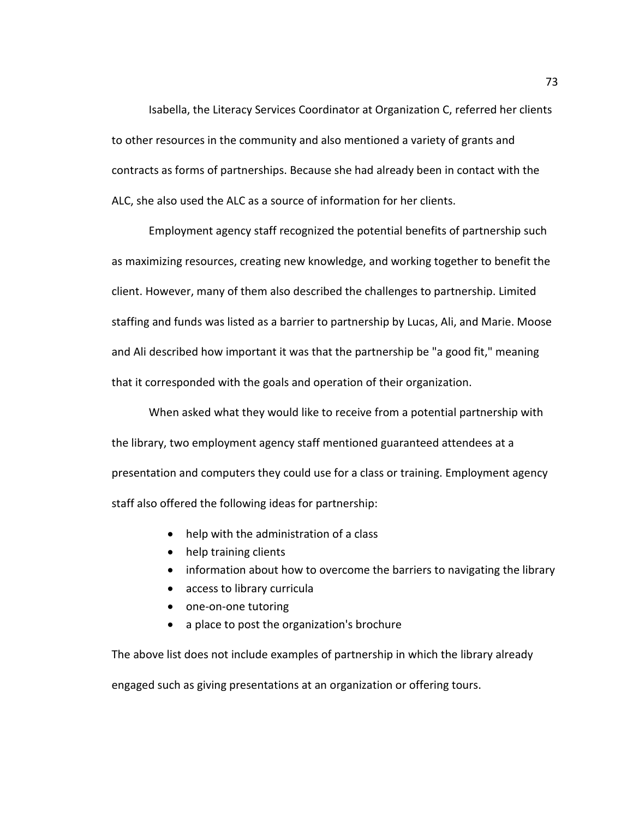Isabella, the Literacy Services Coordinator at Organization C, referred her clients to other resources in the community and also mentioned a variety of grants and contracts as forms of partnerships. Because she had already been in contact with the ALC, she also used the ALC as a source of information for her clients.

Employment agency staff recognized the potential benefits of partnership such as maximizing resources, creating new knowledge, and working together to benefit the client. However, many of them also described the challenges to partnership. Limited staffing and funds was listed as a barrier to partnership by Lucas, Ali, and Marie. Moose and Ali described how important it was that the partnership be "a good fit," meaning that it corresponded with the goals and operation of their organization.

 When asked what they would like to receive from a potential partnership with the library, two employment agency staff mentioned guaranteed attendees at a presentation and computers they could use for a class or training. Employment agency staff also offered the following ideas for partnership:

- help with the administration of a class
- help training clients
- information about how to overcome the barriers to navigating the library
- access to library curricula
- one-on-one tutoring
- a place to post the organization's brochure

The above list does not include examples of partnership in which the library already

engaged such as giving presentations at an organization or offering tours.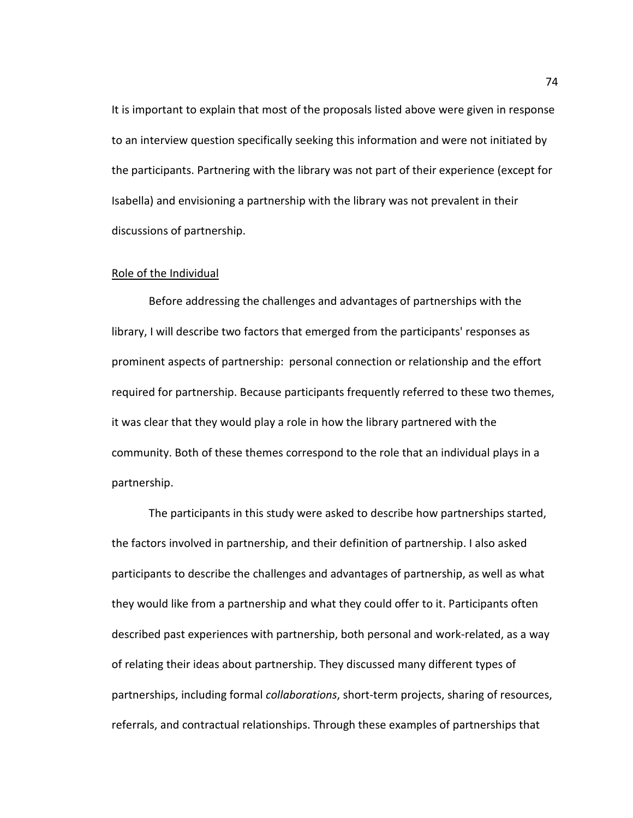It is important to explain that most of the proposals listed above were given in response to an interview question specifically seeking this information and were not initiated by the participants. Partnering with the library was not part of their experience (except for Isabella) and envisioning a partnership with the library was not prevalent in their discussions of partnership.

## Role of the Individual

Before addressing the challenges and advantages of partnerships with the library, I will describe two factors that emerged from the participants' responses as prominent aspects of partnership: personal connection or relationship and the effort required for partnership. Because participants frequently referred to these two themes, it was clear that they would play a role in how the library partnered with the community. Both of these themes correspond to the role that an individual plays in a partnership.

The participants in this study were asked to describe how partnerships started, the factors involved in partnership, and their definition of partnership. I also asked participants to describe the challenges and advantages of partnership, as well as what they would like from a partnership and what they could offer to it. Participants often described past experiences with partnership, both personal and work-related, as a way of relating their ideas about partnership. They discussed many different types of partnerships, including formal collaborations, short-term projects, sharing of resources, referrals, and contractual relationships. Through these examples of partnerships that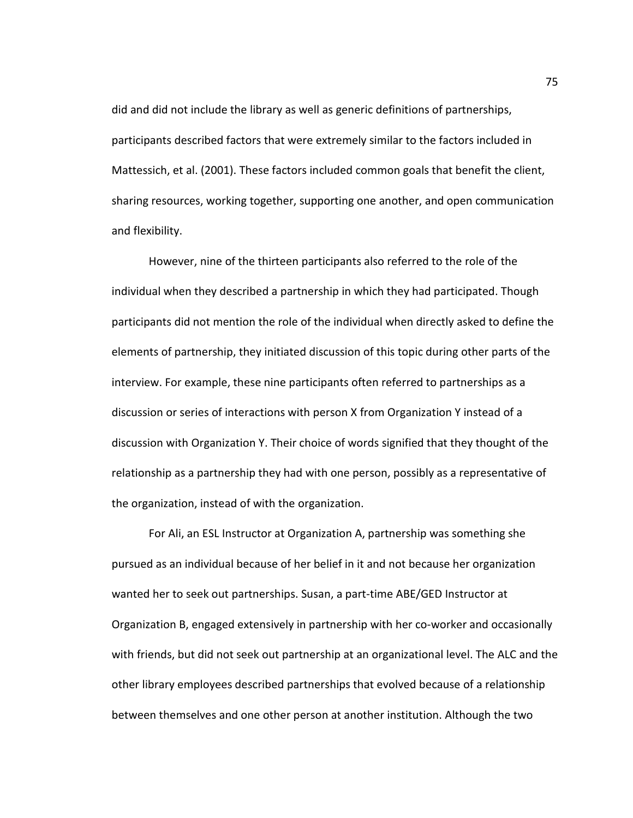did and did not include the library as well as generic definitions of partnerships, participants described factors that were extremely similar to the factors included in Mattessich, et al. (2001). These factors included common goals that benefit the client, sharing resources, working together, supporting one another, and open communication and flexibility.

However, nine of the thirteen participants also referred to the role of the individual when they described a partnership in which they had participated. Though participants did not mention the role of the individual when directly asked to define the elements of partnership, they initiated discussion of this topic during other parts of the interview. For example, these nine participants often referred to partnerships as a discussion or series of interactions with person X from Organization Y instead of a discussion with Organization Y. Their choice of words signified that they thought of the relationship as a partnership they had with one person, possibly as a representative of the organization, instead of with the organization.

For Ali, an ESL Instructor at Organization A, partnership was something she pursued as an individual because of her belief in it and not because her organization wanted her to seek out partnerships. Susan, a part-time ABE/GED Instructor at Organization B, engaged extensively in partnership with her co-worker and occasionally with friends, but did not seek out partnership at an organizational level. The ALC and the other library employees described partnerships that evolved because of a relationship between themselves and one other person at another institution. Although the two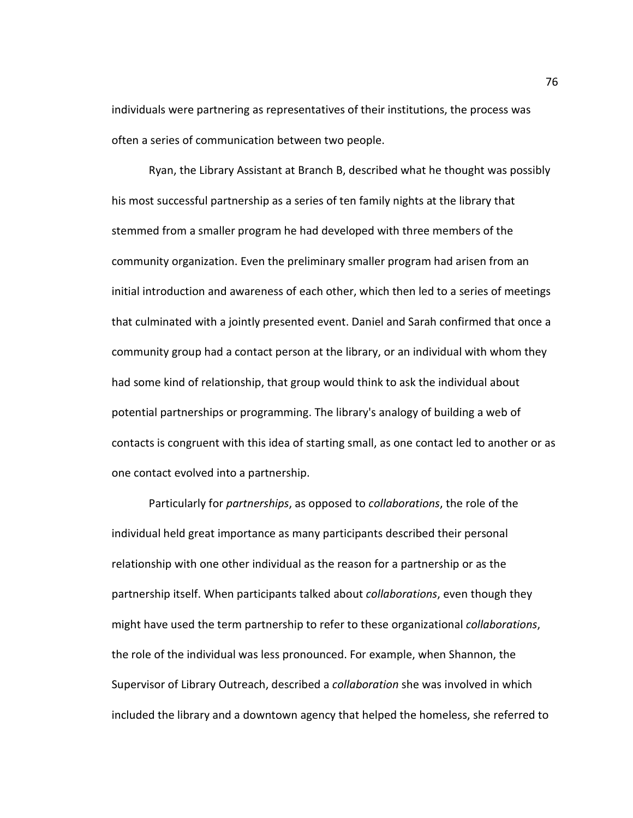individuals were partnering as representatives of their institutions, the process was often a series of communication between two people.

Ryan, the Library Assistant at Branch B, described what he thought was possibly his most successful partnership as a series of ten family nights at the library that stemmed from a smaller program he had developed with three members of the community organization. Even the preliminary smaller program had arisen from an initial introduction and awareness of each other, which then led to a series of meetings that culminated with a jointly presented event. Daniel and Sarah confirmed that once a community group had a contact person at the library, or an individual with whom they had some kind of relationship, that group would think to ask the individual about potential partnerships or programming. The library's analogy of building a web of contacts is congruent with this idea of starting small, as one contact led to another or as one contact evolved into a partnership.

Particularly for partnerships, as opposed to collaborations, the role of the individual held great importance as many participants described their personal relationship with one other individual as the reason for a partnership or as the partnership itself. When participants talked about collaborations, even though they might have used the term partnership to refer to these organizational collaborations, the role of the individual was less pronounced. For example, when Shannon, the Supervisor of Library Outreach, described a collaboration she was involved in which included the library and a downtown agency that helped the homeless, she referred to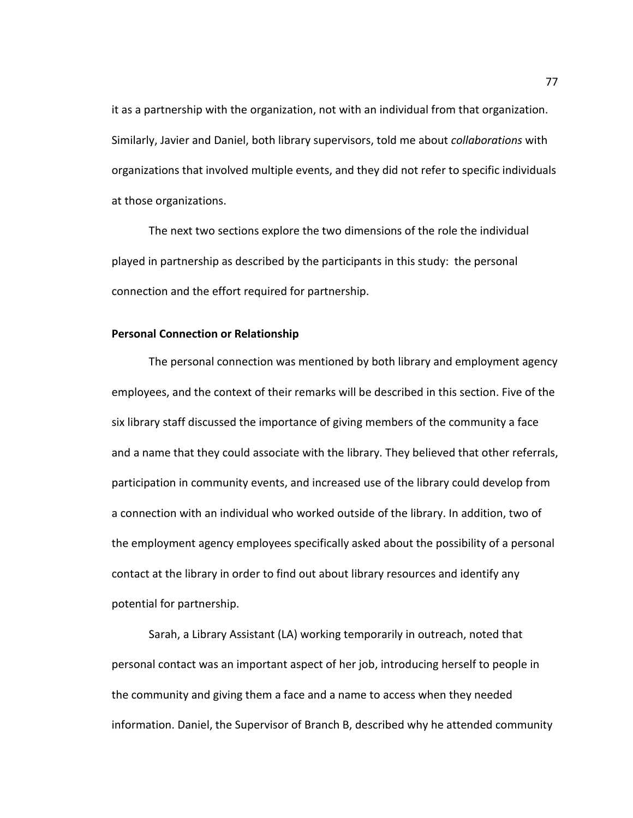it as a partnership with the organization, not with an individual from that organization. Similarly, Javier and Daniel, both library supervisors, told me about collaborations with organizations that involved multiple events, and they did not refer to specific individuals at those organizations.

The next two sections explore the two dimensions of the role the individual played in partnership as described by the participants in this study: the personal connection and the effort required for partnership.

#### Personal Connection or Relationship

The personal connection was mentioned by both library and employment agency employees, and the context of their remarks will be described in this section. Five of the six library staff discussed the importance of giving members of the community a face and a name that they could associate with the library. They believed that other referrals, participation in community events, and increased use of the library could develop from a connection with an individual who worked outside of the library. In addition, two of the employment agency employees specifically asked about the possibility of a personal contact at the library in order to find out about library resources and identify any potential for partnership.

Sarah, a Library Assistant (LA) working temporarily in outreach, noted that personal contact was an important aspect of her job, introducing herself to people in the community and giving them a face and a name to access when they needed information. Daniel, the Supervisor of Branch B, described why he attended community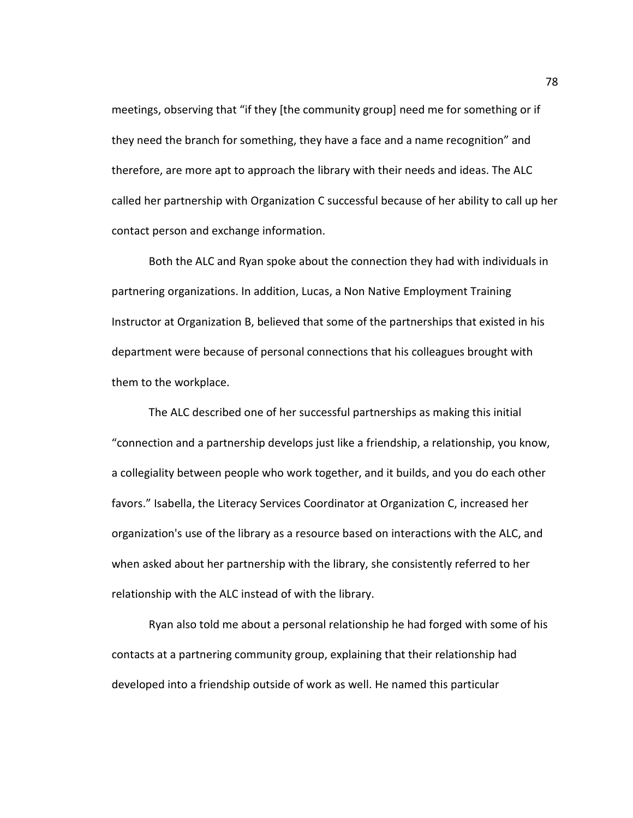meetings, observing that "if they [the community group] need me for something or if they need the branch for something, they have a face and a name recognition" and therefore, are more apt to approach the library with their needs and ideas. The ALC called her partnership with Organization C successful because of her ability to call up her contact person and exchange information.

Both the ALC and Ryan spoke about the connection they had with individuals in partnering organizations. In addition, Lucas, a Non Native Employment Training Instructor at Organization B, believed that some of the partnerships that existed in his department were because of personal connections that his colleagues brought with them to the workplace.

The ALC described one of her successful partnerships as making this initial "connection and a partnership develops just like a friendship, a relationship, you know, a collegiality between people who work together, and it builds, and you do each other favors." Isabella, the Literacy Services Coordinator at Organization C, increased her organization's use of the library as a resource based on interactions with the ALC, and when asked about her partnership with the library, she consistently referred to her relationship with the ALC instead of with the library.

Ryan also told me about a personal relationship he had forged with some of his contacts at a partnering community group, explaining that their relationship had developed into a friendship outside of work as well. He named this particular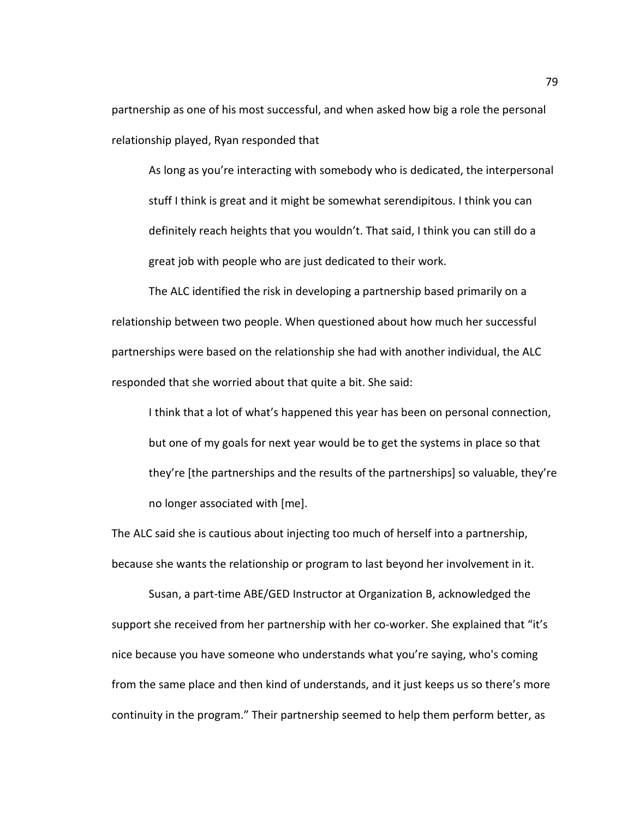partnership as one of his most successful, and when asked how big a role the personal relationship played, Ryan responded that

As long as you're interacting with somebody who is dedicated, the interpersonal stuff I think is great and it might be somewhat serendipitous. I think you can definitely reach heights that you wouldn't. That said, I think you can still do a great job with people who are just dedicated to their work.

The ALC identified the risk in developing a partnership based primarily on a relationship between two people. When questioned about how much her successful partnerships were based on the relationship she had with another individual, the ALC responded that she worried about that quite a bit. She said:

I think that a lot of what's happened this year has been on personal connection, but one of my goals for next year would be to get the systems in place so that they're [the partnerships and the results of the partnerships] so valuable, they're no longer associated with [me].

The ALC said she is cautious about injecting too much of herself into a partnership, because she wants the relationship or program to last beyond her involvement in it.

Susan, a part-time ABE/GED Instructor at Organization B, acknowledged the support she received from her partnership with her co-worker. She explained that "it's nice because you have someone who understands what you're saying, who's coming from the same place and then kind of understands, and it just keeps us so there's more continuity in the program." Their partnership seemed to help them perform better, as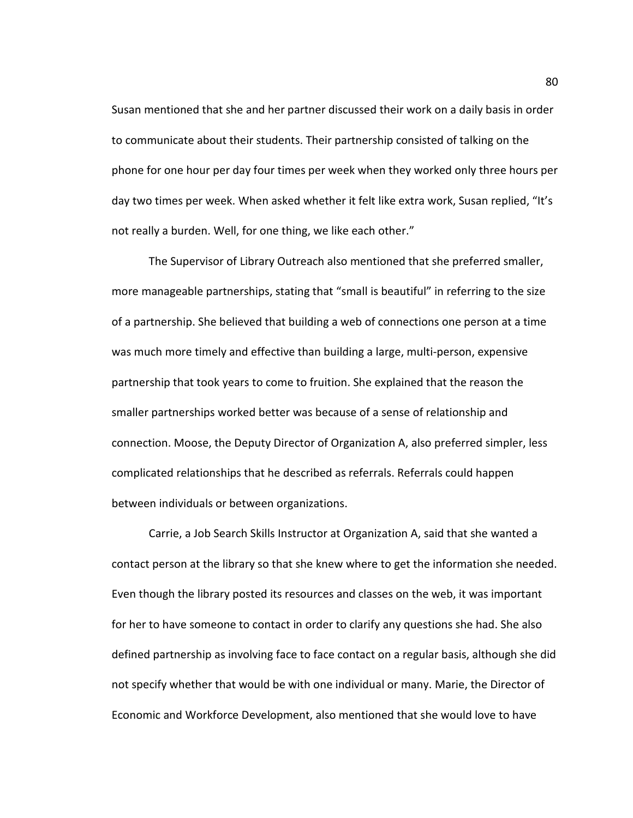Susan mentioned that she and her partner discussed their work on a daily basis in order to communicate about their students. Their partnership consisted of talking on the phone for one hour per day four times per week when they worked only three hours per day two times per week. When asked whether it felt like extra work, Susan replied, "It's not really a burden. Well, for one thing, we like each other."

The Supervisor of Library Outreach also mentioned that she preferred smaller, more manageable partnerships, stating that "small is beautiful" in referring to the size of a partnership. She believed that building a web of connections one person at a time was much more timely and effective than building a large, multi-person, expensive partnership that took years to come to fruition. She explained that the reason the smaller partnerships worked better was because of a sense of relationship and connection. Moose, the Deputy Director of Organization A, also preferred simpler, less complicated relationships that he described as referrals. Referrals could happen between individuals or between organizations.

Carrie, a Job Search Skills Instructor at Organization A, said that she wanted a contact person at the library so that she knew where to get the information she needed. Even though the library posted its resources and classes on the web, it was important for her to have someone to contact in order to clarify any questions she had. She also defined partnership as involving face to face contact on a regular basis, although she did not specify whether that would be with one individual or many. Marie, the Director of Economic and Workforce Development, also mentioned that she would love to have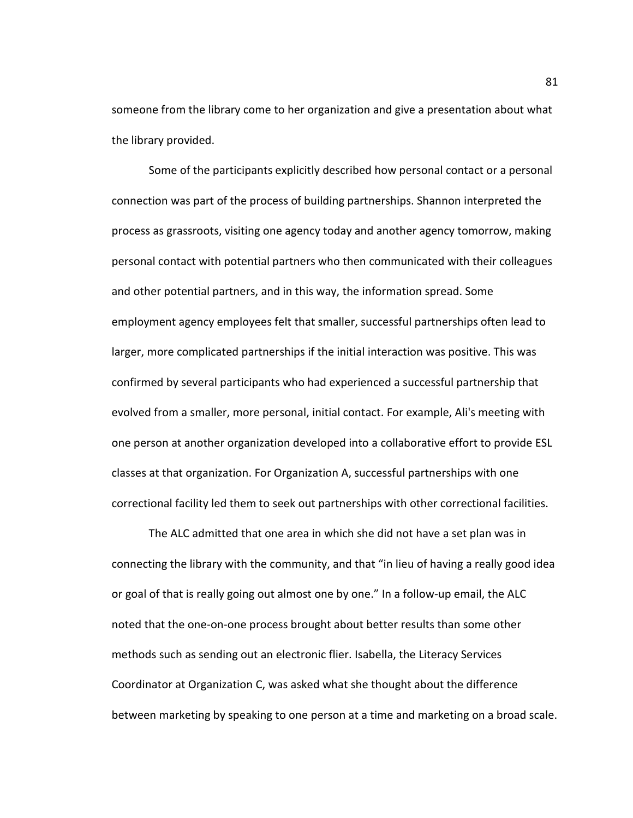someone from the library come to her organization and give a presentation about what the library provided.

Some of the participants explicitly described how personal contact or a personal connection was part of the process of building partnerships. Shannon interpreted the process as grassroots, visiting one agency today and another agency tomorrow, making personal contact with potential partners who then communicated with their colleagues and other potential partners, and in this way, the information spread. Some employment agency employees felt that smaller, successful partnerships often lead to larger, more complicated partnerships if the initial interaction was positive. This was confirmed by several participants who had experienced a successful partnership that evolved from a smaller, more personal, initial contact. For example, Ali's meeting with one person at another organization developed into a collaborative effort to provide ESL classes at that organization. For Organization A, successful partnerships with one correctional facility led them to seek out partnerships with other correctional facilities.

The ALC admitted that one area in which she did not have a set plan was in connecting the library with the community, and that "in lieu of having a really good idea or goal of that is really going out almost one by one." In a follow-up email, the ALC noted that the one-on-one process brought about better results than some other methods such as sending out an electronic flier. Isabella, the Literacy Services Coordinator at Organization C, was asked what she thought about the difference between marketing by speaking to one person at a time and marketing on a broad scale.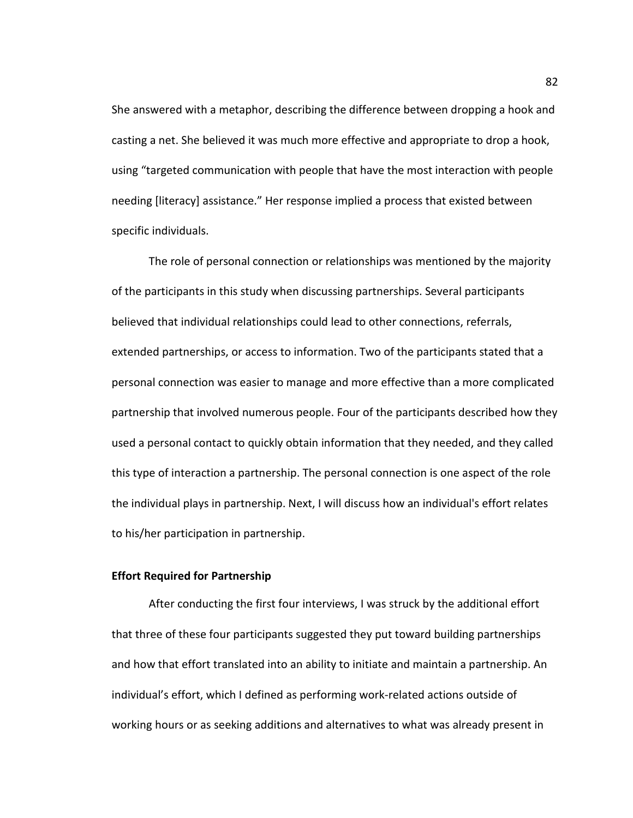She answered with a metaphor, describing the difference between dropping a hook and casting a net. She believed it was much more effective and appropriate to drop a hook, using "targeted communication with people that have the most interaction with people needing [literacy] assistance." Her response implied a process that existed between specific individuals.

The role of personal connection or relationships was mentioned by the majority of the participants in this study when discussing partnerships. Several participants believed that individual relationships could lead to other connections, referrals, extended partnerships, or access to information. Two of the participants stated that a personal connection was easier to manage and more effective than a more complicated partnership that involved numerous people. Four of the participants described how they used a personal contact to quickly obtain information that they needed, and they called this type of interaction a partnership. The personal connection is one aspect of the role the individual plays in partnership. Next, I will discuss how an individual's effort relates to his/her participation in partnership.

## Effort Required for Partnership

After conducting the first four interviews, I was struck by the additional effort that three of these four participants suggested they put toward building partnerships and how that effort translated into an ability to initiate and maintain a partnership. An individual's effort, which I defined as performing work-related actions outside of working hours or as seeking additions and alternatives to what was already present in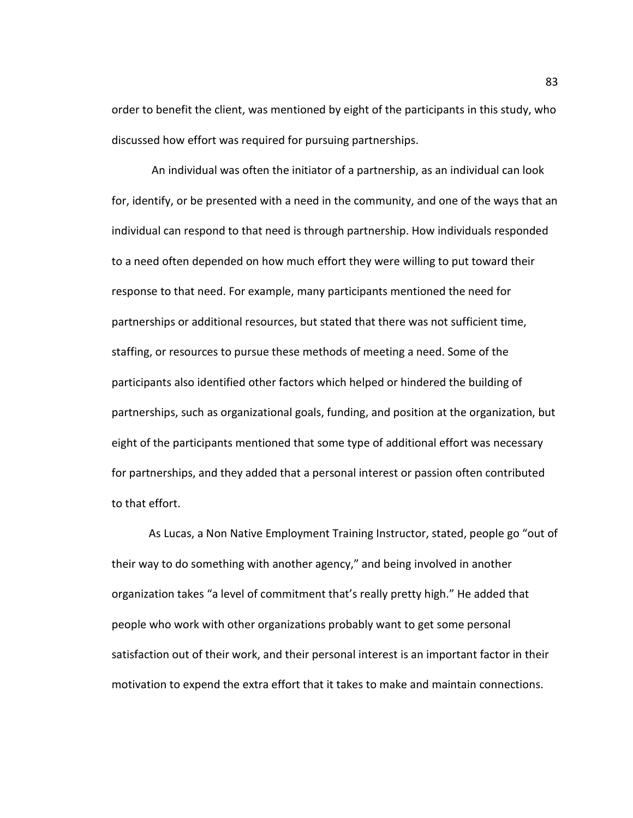order to benefit the client, was mentioned by eight of the participants in this study, who discussed how effort was required for pursuing partnerships.

 An individual was often the initiator of a partnership, as an individual can look for, identify, or be presented with a need in the community, and one of the ways that an individual can respond to that need is through partnership. How individuals responded to a need often depended on how much effort they were willing to put toward their response to that need. For example, many participants mentioned the need for partnerships or additional resources, but stated that there was not sufficient time, staffing, or resources to pursue these methods of meeting a need. Some of the participants also identified other factors which helped or hindered the building of partnerships, such as organizational goals, funding, and position at the organization, but eight of the participants mentioned that some type of additional effort was necessary for partnerships, and they added that a personal interest or passion often contributed to that effort.

As Lucas, a Non Native Employment Training Instructor, stated, people go "out of their way to do something with another agency," and being involved in another organization takes "a level of commitment that's really pretty high." He added that people who work with other organizations probably want to get some personal satisfaction out of their work, and their personal interest is an important factor in their motivation to expend the extra effort that it takes to make and maintain connections.

83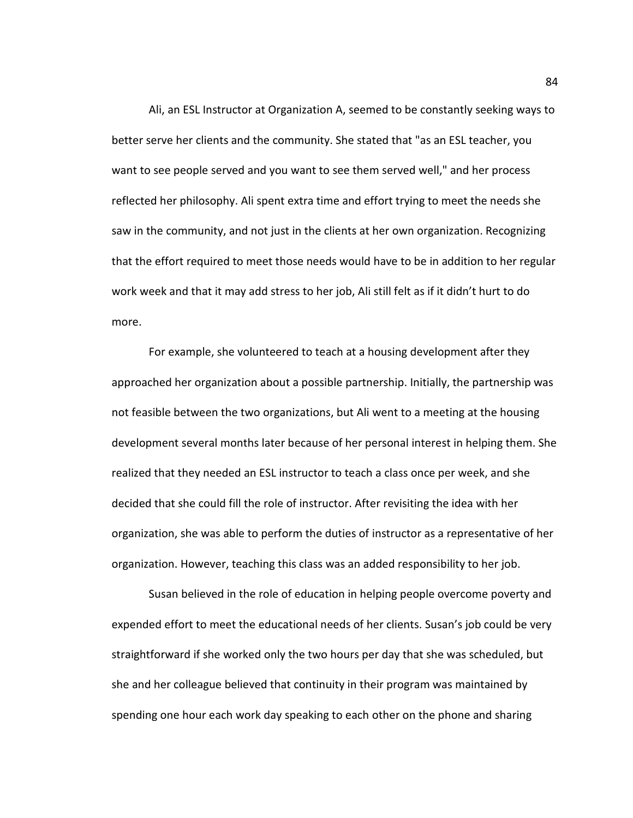Ali, an ESL Instructor at Organization A, seemed to be constantly seeking ways to better serve her clients and the community. She stated that "as an ESL teacher, you want to see people served and you want to see them served well," and her process reflected her philosophy. Ali spent extra time and effort trying to meet the needs she saw in the community, and not just in the clients at her own organization. Recognizing that the effort required to meet those needs would have to be in addition to her regular work week and that it may add stress to her job, Ali still felt as if it didn't hurt to do more.

For example, she volunteered to teach at a housing development after they approached her organization about a possible partnership. Initially, the partnership was not feasible between the two organizations, but Ali went to a meeting at the housing development several months later because of her personal interest in helping them. She realized that they needed an ESL instructor to teach a class once per week, and she decided that she could fill the role of instructor. After revisiting the idea with her organization, she was able to perform the duties of instructor as a representative of her organization. However, teaching this class was an added responsibility to her job.

Susan believed in the role of education in helping people overcome poverty and expended effort to meet the educational needs of her clients. Susan's job could be very straightforward if she worked only the two hours per day that she was scheduled, but she and her colleague believed that continuity in their program was maintained by spending one hour each work day speaking to each other on the phone and sharing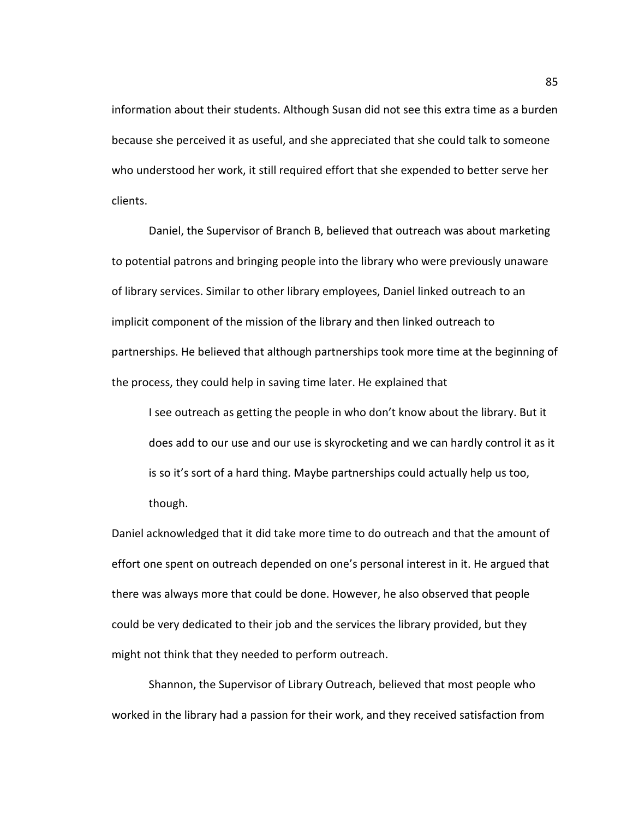information about their students. Although Susan did not see this extra time as a burden because she perceived it as useful, and she appreciated that she could talk to someone who understood her work, it still required effort that she expended to better serve her clients.

Daniel, the Supervisor of Branch B, believed that outreach was about marketing to potential patrons and bringing people into the library who were previously unaware of library services. Similar to other library employees, Daniel linked outreach to an implicit component of the mission of the library and then linked outreach to partnerships. He believed that although partnerships took more time at the beginning of the process, they could help in saving time later. He explained that

I see outreach as getting the people in who don't know about the library. But it does add to our use and our use is skyrocketing and we can hardly control it as it is so it's sort of a hard thing. Maybe partnerships could actually help us too, though.

Daniel acknowledged that it did take more time to do outreach and that the amount of effort one spent on outreach depended on one's personal interest in it. He argued that there was always more that could be done. However, he also observed that people could be very dedicated to their job and the services the library provided, but they might not think that they needed to perform outreach.

Shannon, the Supervisor of Library Outreach, believed that most people who worked in the library had a passion for their work, and they received satisfaction from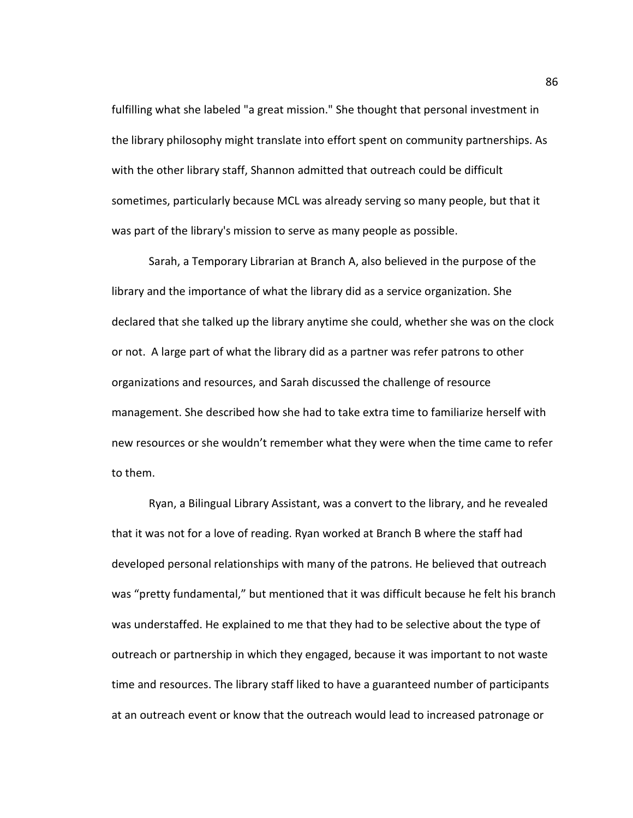fulfilling what she labeled "a great mission." She thought that personal investment in the library philosophy might translate into effort spent on community partnerships. As with the other library staff, Shannon admitted that outreach could be difficult sometimes, particularly because MCL was already serving so many people, but that it was part of the library's mission to serve as many people as possible.

Sarah, a Temporary Librarian at Branch A, also believed in the purpose of the library and the importance of what the library did as a service organization. She declared that she talked up the library anytime she could, whether she was on the clock or not. A large part of what the library did as a partner was refer patrons to other organizations and resources, and Sarah discussed the challenge of resource management. She described how she had to take extra time to familiarize herself with new resources or she wouldn't remember what they were when the time came to refer to them.

Ryan, a Bilingual Library Assistant, was a convert to the library, and he revealed that it was not for a love of reading. Ryan worked at Branch B where the staff had developed personal relationships with many of the patrons. He believed that outreach was "pretty fundamental," but mentioned that it was difficult because he felt his branch was understaffed. He explained to me that they had to be selective about the type of outreach or partnership in which they engaged, because it was important to not waste time and resources. The library staff liked to have a guaranteed number of participants at an outreach event or know that the outreach would lead to increased patronage or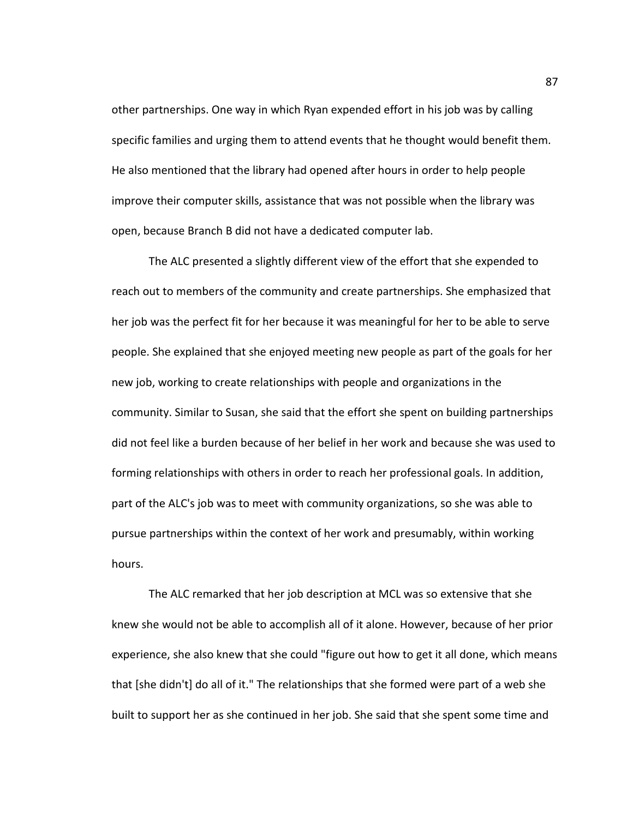other partnerships. One way in which Ryan expended effort in his job was by calling specific families and urging them to attend events that he thought would benefit them. He also mentioned that the library had opened after hours in order to help people improve their computer skills, assistance that was not possible when the library was open, because Branch B did not have a dedicated computer lab.

The ALC presented a slightly different view of the effort that she expended to reach out to members of the community and create partnerships. She emphasized that her job was the perfect fit for her because it was meaningful for her to be able to serve people. She explained that she enjoyed meeting new people as part of the goals for her new job, working to create relationships with people and organizations in the community. Similar to Susan, she said that the effort she spent on building partnerships did not feel like a burden because of her belief in her work and because she was used to forming relationships with others in order to reach her professional goals. In addition, part of the ALC's job was to meet with community organizations, so she was able to pursue partnerships within the context of her work and presumably, within working hours.

The ALC remarked that her job description at MCL was so extensive that she knew she would not be able to accomplish all of it alone. However, because of her prior experience, she also knew that she could "figure out how to get it all done, which means that [she didn't] do all of it." The relationships that she formed were part of a web she built to support her as she continued in her job. She said that she spent some time and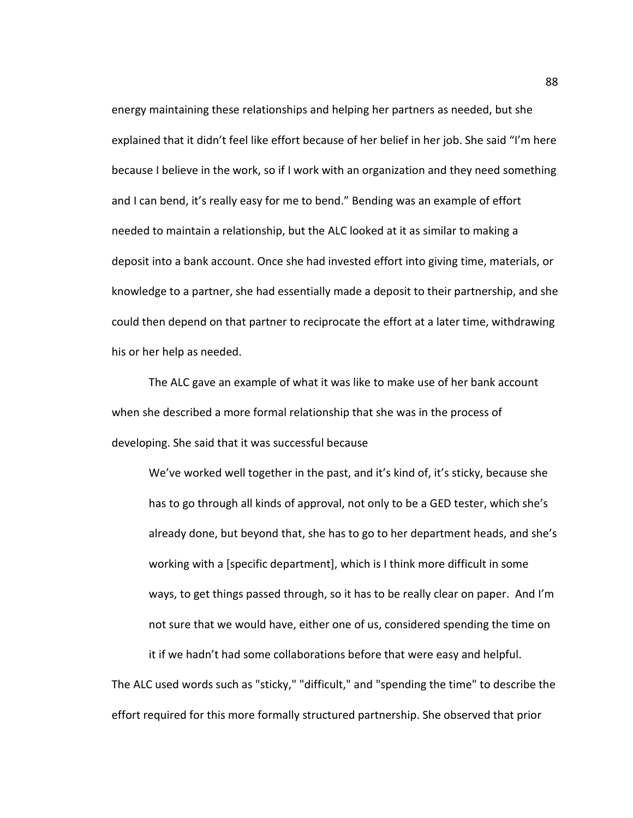energy maintaining these relationships and helping her partners as needed, but she explained that it didn't feel like effort because of her belief in her job. She said "I'm here because I believe in the work, so if I work with an organization and they need something and I can bend, it's really easy for me to bend." Bending was an example of effort needed to maintain a relationship, but the ALC looked at it as similar to making a deposit into a bank account. Once she had invested effort into giving time, materials, or knowledge to a partner, she had essentially made a deposit to their partnership, and she could then depend on that partner to reciprocate the effort at a later time, withdrawing his or her help as needed.

The ALC gave an example of what it was like to make use of her bank account when she described a more formal relationship that she was in the process of developing. She said that it was successful because

We've worked well together in the past, and it's kind of, it's sticky, because she has to go through all kinds of approval, not only to be a GED tester, which she's already done, but beyond that, she has to go to her department heads, and she's working with a [specific department], which is I think more difficult in some ways, to get things passed through, so it has to be really clear on paper. And I'm not sure that we would have, either one of us, considered spending the time on it if we hadn't had some collaborations before that were easy and helpful.

The ALC used words such as "sticky," "difficult," and "spending the time" to describe the effort required for this more formally structured partnership. She observed that prior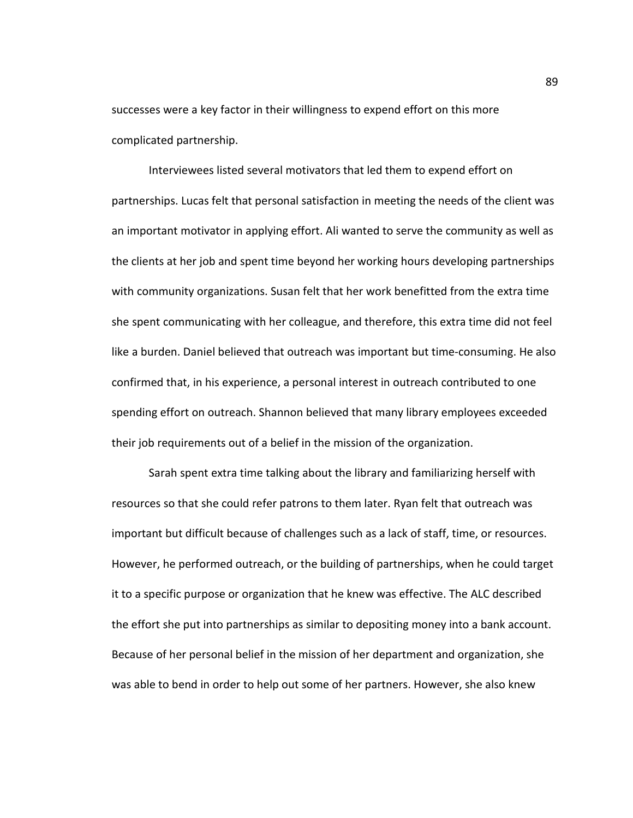successes were a key factor in their willingness to expend effort on this more complicated partnership.

Interviewees listed several motivators that led them to expend effort on partnerships. Lucas felt that personal satisfaction in meeting the needs of the client was an important motivator in applying effort. Ali wanted to serve the community as well as the clients at her job and spent time beyond her working hours developing partnerships with community organizations. Susan felt that her work benefitted from the extra time she spent communicating with her colleague, and therefore, this extra time did not feel like a burden. Daniel believed that outreach was important but time-consuming. He also confirmed that, in his experience, a personal interest in outreach contributed to one spending effort on outreach. Shannon believed that many library employees exceeded their job requirements out of a belief in the mission of the organization.

Sarah spent extra time talking about the library and familiarizing herself with resources so that she could refer patrons to them later. Ryan felt that outreach was important but difficult because of challenges such as a lack of staff, time, or resources. However, he performed outreach, or the building of partnerships, when he could target it to a specific purpose or organization that he knew was effective. The ALC described the effort she put into partnerships as similar to depositing money into a bank account. Because of her personal belief in the mission of her department and organization, she was able to bend in order to help out some of her partners. However, she also knew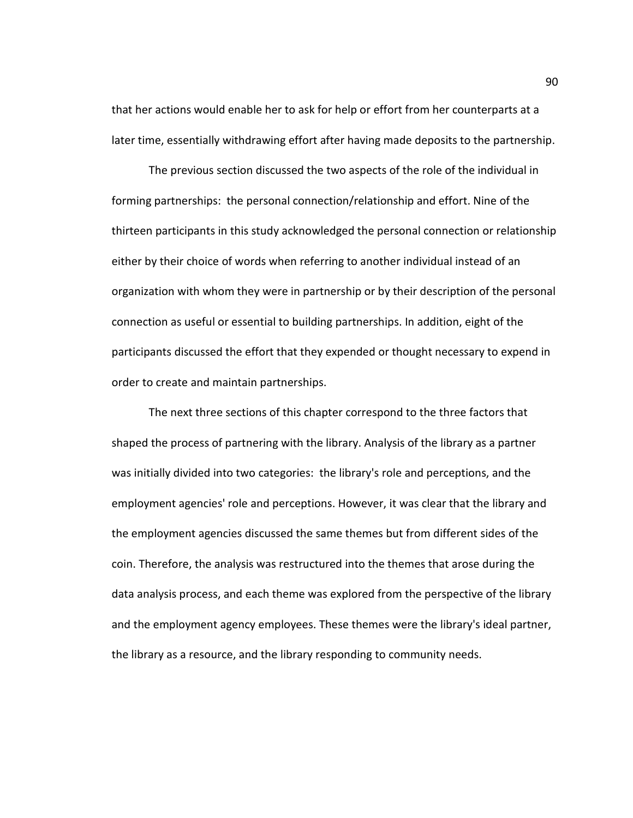that her actions would enable her to ask for help or effort from her counterparts at a later time, essentially withdrawing effort after having made deposits to the partnership.

The previous section discussed the two aspects of the role of the individual in forming partnerships: the personal connection/relationship and effort. Nine of the thirteen participants in this study acknowledged the personal connection or relationship either by their choice of words when referring to another individual instead of an organization with whom they were in partnership or by their description of the personal connection as useful or essential to building partnerships. In addition, eight of the participants discussed the effort that they expended or thought necessary to expend in order to create and maintain partnerships.

The next three sections of this chapter correspond to the three factors that shaped the process of partnering with the library. Analysis of the library as a partner was initially divided into two categories: the library's role and perceptions, and the employment agencies' role and perceptions. However, it was clear that the library and the employment agencies discussed the same themes but from different sides of the coin. Therefore, the analysis was restructured into the themes that arose during the data analysis process, and each theme was explored from the perspective of the library and the employment agency employees. These themes were the library's ideal partner, the library as a resource, and the library responding to community needs.

90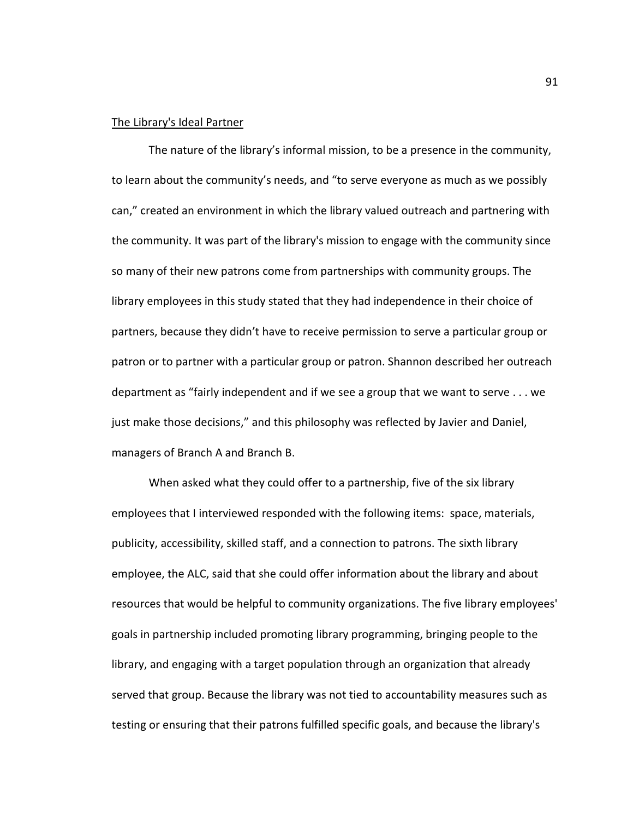#### The Library's Ideal Partner

The nature of the library's informal mission, to be a presence in the community, to learn about the community's needs, and "to serve everyone as much as we possibly can," created an environment in which the library valued outreach and partnering with the community. It was part of the library's mission to engage with the community since so many of their new patrons come from partnerships with community groups. The library employees in this study stated that they had independence in their choice of partners, because they didn't have to receive permission to serve a particular group or patron or to partner with a particular group or patron. Shannon described her outreach department as "fairly independent and if we see a group that we want to serve . . . we just make those decisions," and this philosophy was reflected by Javier and Daniel, managers of Branch A and Branch B.

When asked what they could offer to a partnership, five of the six library employees that I interviewed responded with the following items: space, materials, publicity, accessibility, skilled staff, and a connection to patrons. The sixth library employee, the ALC, said that she could offer information about the library and about resources that would be helpful to community organizations. The five library employees' goals in partnership included promoting library programming, bringing people to the library, and engaging with a target population through an organization that already served that group. Because the library was not tied to accountability measures such as testing or ensuring that their patrons fulfilled specific goals, and because the library's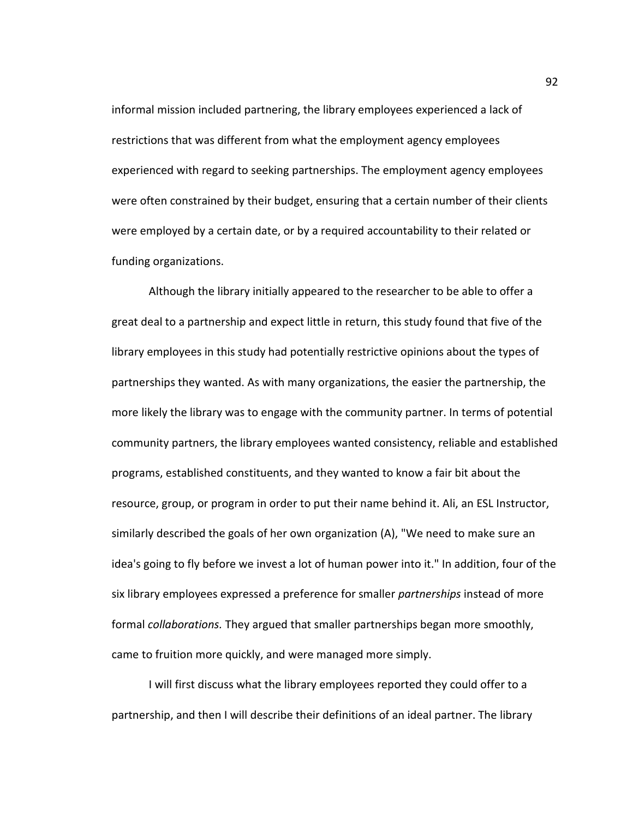informal mission included partnering, the library employees experienced a lack of restrictions that was different from what the employment agency employees experienced with regard to seeking partnerships. The employment agency employees were often constrained by their budget, ensuring that a certain number of their clients were employed by a certain date, or by a required accountability to their related or funding organizations.

Although the library initially appeared to the researcher to be able to offer a great deal to a partnership and expect little in return, this study found that five of the library employees in this study had potentially restrictive opinions about the types of partnerships they wanted. As with many organizations, the easier the partnership, the more likely the library was to engage with the community partner. In terms of potential community partners, the library employees wanted consistency, reliable and established programs, established constituents, and they wanted to know a fair bit about the resource, group, or program in order to put their name behind it. Ali, an ESL Instructor, similarly described the goals of her own organization (A), "We need to make sure an idea's going to fly before we invest a lot of human power into it." In addition, four of the six library employees expressed a preference for smaller *partnerships* instead of more formal collaborations. They argued that smaller partnerships began more smoothly, came to fruition more quickly, and were managed more simply.

I will first discuss what the library employees reported they could offer to a partnership, and then I will describe their definitions of an ideal partner. The library 92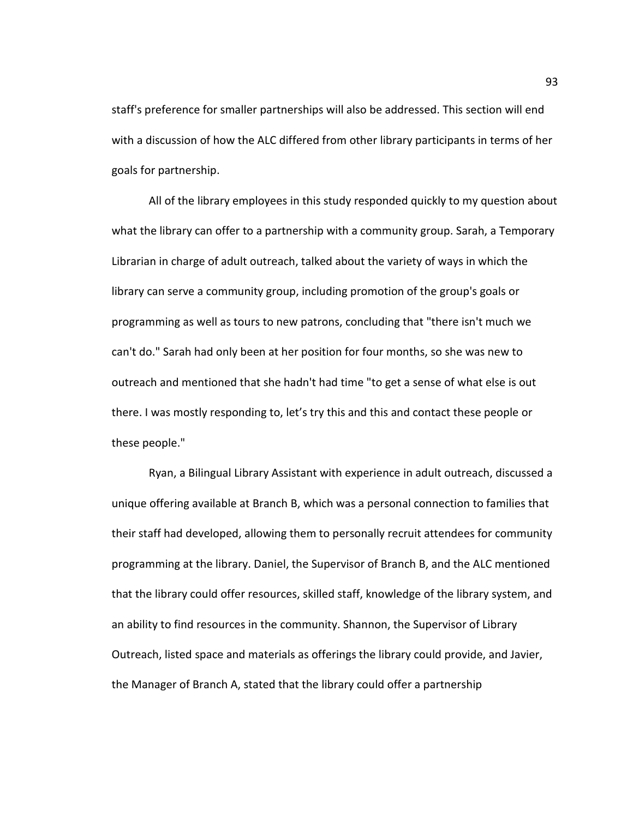staff's preference for smaller partnerships will also be addressed. This section will end with a discussion of how the ALC differed from other library participants in terms of her goals for partnership.

All of the library employees in this study responded quickly to my question about what the library can offer to a partnership with a community group. Sarah, a Temporary Librarian in charge of adult outreach, talked about the variety of ways in which the library can serve a community group, including promotion of the group's goals or programming as well as tours to new patrons, concluding that "there isn't much we can't do." Sarah had only been at her position for four months, so she was new to outreach and mentioned that she hadn't had time "to get a sense of what else is out there. I was mostly responding to, let's try this and this and contact these people or these people."

Ryan, a Bilingual Library Assistant with experience in adult outreach, discussed a unique offering available at Branch B, which was a personal connection to families that their staff had developed, allowing them to personally recruit attendees for community programming at the library. Daniel, the Supervisor of Branch B, and the ALC mentioned that the library could offer resources, skilled staff, knowledge of the library system, and an ability to find resources in the community. Shannon, the Supervisor of Library Outreach, listed space and materials as offerings the library could provide, and Javier, the Manager of Branch A, stated that the library could offer a partnership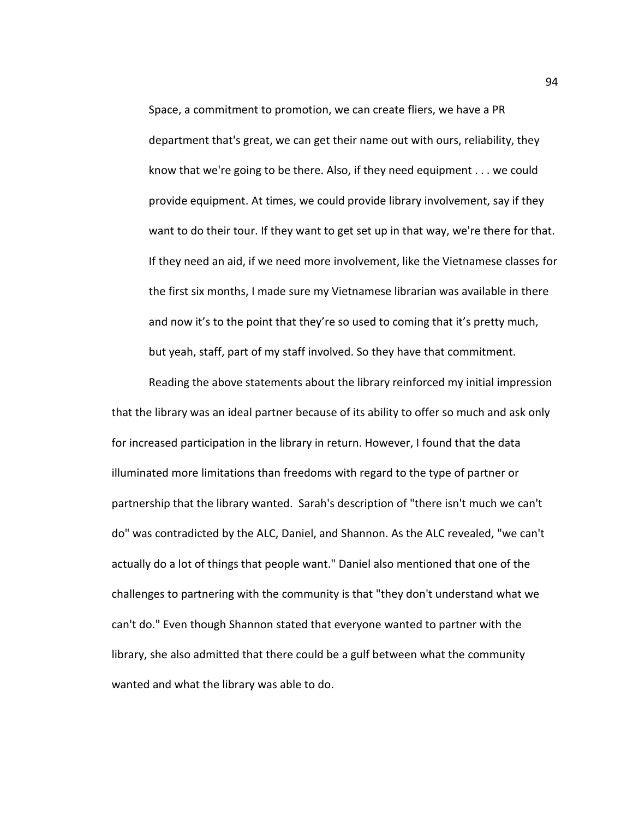Space, a commitment to promotion, we can create fliers, we have a PR department that's great, we can get their name out with ours, reliability, they know that we're going to be there. Also, if they need equipment . . . we could provide equipment. At times, we could provide library involvement, say if they want to do their tour. If they want to get set up in that way, we're there for that. If they need an aid, if we need more involvement, like the Vietnamese classes for the first six months, I made sure my Vietnamese librarian was available in there and now it's to the point that they're so used to coming that it's pretty much, but yeah, staff, part of my staff involved. So they have that commitment.

 Reading the above statements about the library reinforced my initial impression that the library was an ideal partner because of its ability to offer so much and ask only for increased participation in the library in return. However, I found that the data illuminated more limitations than freedoms with regard to the type of partner or partnership that the library wanted. Sarah's description of "there isn't much we can't do" was contradicted by the ALC, Daniel, and Shannon. As the ALC revealed, "we can't actually do a lot of things that people want." Daniel also mentioned that one of the challenges to partnering with the community is that "they don't understand what we can't do." Even though Shannon stated that everyone wanted to partner with the library, she also admitted that there could be a gulf between what the community wanted and what the library was able to do.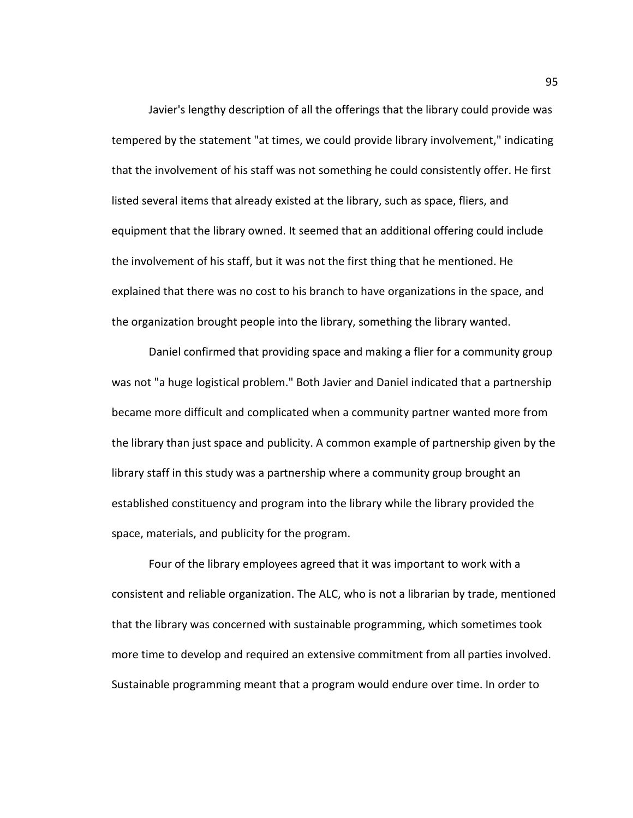Javier's lengthy description of all the offerings that the library could provide was tempered by the statement "at times, we could provide library involvement," indicating that the involvement of his staff was not something he could consistently offer. He first listed several items that already existed at the library, such as space, fliers, and equipment that the library owned. It seemed that an additional offering could include the involvement of his staff, but it was not the first thing that he mentioned. He explained that there was no cost to his branch to have organizations in the space, and the organization brought people into the library, something the library wanted.

Daniel confirmed that providing space and making a flier for a community group was not "a huge logistical problem." Both Javier and Daniel indicated that a partnership became more difficult and complicated when a community partner wanted more from the library than just space and publicity. A common example of partnership given by the library staff in this study was a partnership where a community group brought an established constituency and program into the library while the library provided the space, materials, and publicity for the program.

Four of the library employees agreed that it was important to work with a consistent and reliable organization. The ALC, who is not a librarian by trade, mentioned that the library was concerned with sustainable programming, which sometimes took more time to develop and required an extensive commitment from all parties involved. Sustainable programming meant that a program would endure over time. In order to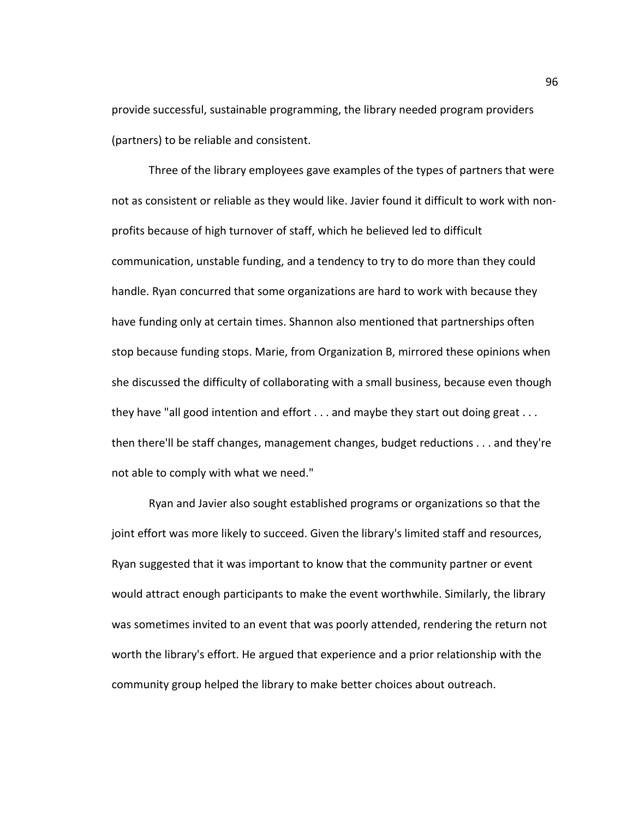provide successful, sustainable programming, the library needed program providers (partners) to be reliable and consistent.

Three of the library employees gave examples of the types of partners that were not as consistent or reliable as they would like. Javier found it difficult to work with nonprofits because of high turnover of staff, which he believed led to difficult communication, unstable funding, and a tendency to try to do more than they could handle. Ryan concurred that some organizations are hard to work with because they have funding only at certain times. Shannon also mentioned that partnerships often stop because funding stops. Marie, from Organization B, mirrored these opinions when she discussed the difficulty of collaborating with a small business, because even though they have "all good intention and effort . . . and maybe they start out doing great . . . then there'll be staff changes, management changes, budget reductions . . . and they're not able to comply with what we need."

Ryan and Javier also sought established programs or organizations so that the joint effort was more likely to succeed. Given the library's limited staff and resources, Ryan suggested that it was important to know that the community partner or event would attract enough participants to make the event worthwhile. Similarly, the library was sometimes invited to an event that was poorly attended, rendering the return not worth the library's effort. He argued that experience and a prior relationship with the community group helped the library to make better choices about outreach.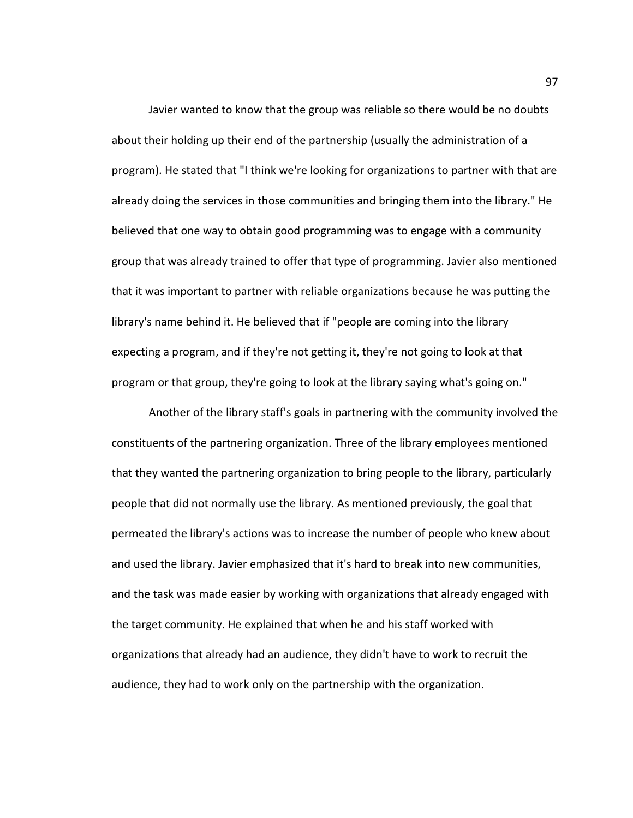Javier wanted to know that the group was reliable so there would be no doubts about their holding up their end of the partnership (usually the administration of a program). He stated that "I think we're looking for organizations to partner with that are already doing the services in those communities and bringing them into the library." He believed that one way to obtain good programming was to engage with a community group that was already trained to offer that type of programming. Javier also mentioned that it was important to partner with reliable organizations because he was putting the library's name behind it. He believed that if "people are coming into the library expecting a program, and if they're not getting it, they're not going to look at that program or that group, they're going to look at the library saying what's going on."

Another of the library staff's goals in partnering with the community involved the constituents of the partnering organization. Three of the library employees mentioned that they wanted the partnering organization to bring people to the library, particularly people that did not normally use the library. As mentioned previously, the goal that permeated the library's actions was to increase the number of people who knew about and used the library. Javier emphasized that it's hard to break into new communities, and the task was made easier by working with organizations that already engaged with the target community. He explained that when he and his staff worked with organizations that already had an audience, they didn't have to work to recruit the audience, they had to work only on the partnership with the organization.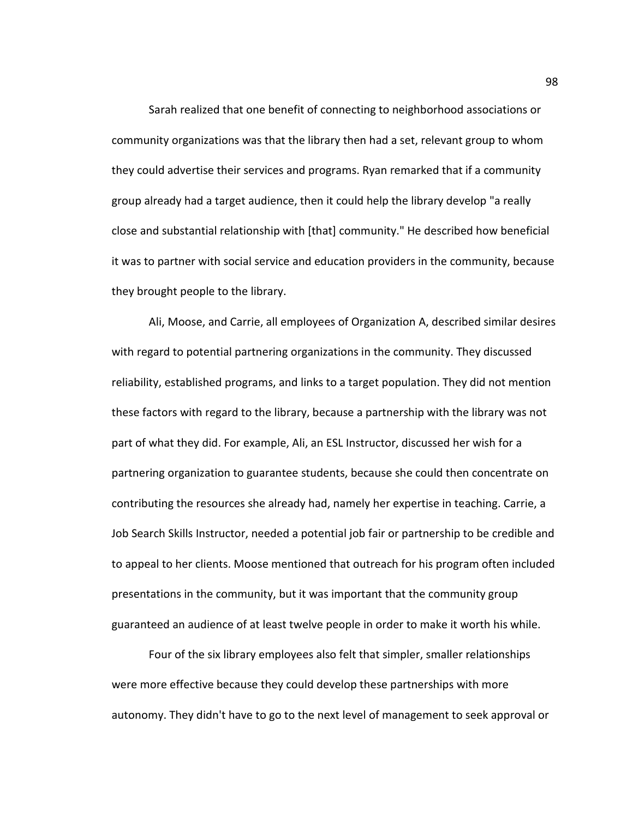Sarah realized that one benefit of connecting to neighborhood associations or community organizations was that the library then had a set, relevant group to whom they could advertise their services and programs. Ryan remarked that if a community group already had a target audience, then it could help the library develop "a really close and substantial relationship with [that] community." He described how beneficial it was to partner with social service and education providers in the community, because they brought people to the library.

Ali, Moose, and Carrie, all employees of Organization A, described similar desires with regard to potential partnering organizations in the community. They discussed reliability, established programs, and links to a target population. They did not mention these factors with regard to the library, because a partnership with the library was not part of what they did. For example, Ali, an ESL Instructor, discussed her wish for a partnering organization to guarantee students, because she could then concentrate on contributing the resources she already had, namely her expertise in teaching. Carrie, a Job Search Skills Instructor, needed a potential job fair or partnership to be credible and to appeal to her clients. Moose mentioned that outreach for his program often included presentations in the community, but it was important that the community group guaranteed an audience of at least twelve people in order to make it worth his while.

Four of the six library employees also felt that simpler, smaller relationships were more effective because they could develop these partnerships with more autonomy. They didn't have to go to the next level of management to seek approval or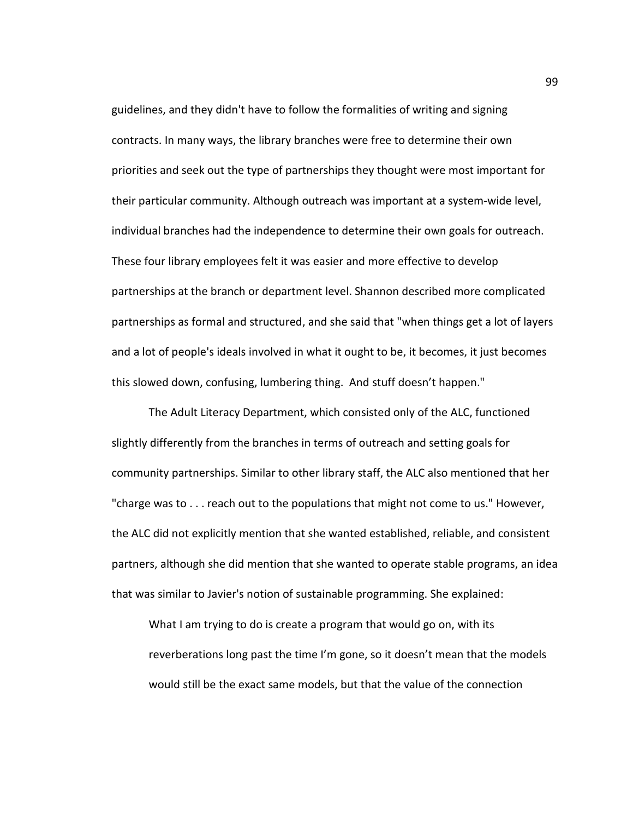guidelines, and they didn't have to follow the formalities of writing and signing contracts. In many ways, the library branches were free to determine their own priorities and seek out the type of partnerships they thought were most important for their particular community. Although outreach was important at a system-wide level, individual branches had the independence to determine their own goals for outreach. These four library employees felt it was easier and more effective to develop partnerships at the branch or department level. Shannon described more complicated partnerships as formal and structured, and she said that "when things get a lot of layers and a lot of people's ideals involved in what it ought to be, it becomes, it just becomes this slowed down, confusing, lumbering thing. And stuff doesn't happen."

The Adult Literacy Department, which consisted only of the ALC, functioned slightly differently from the branches in terms of outreach and setting goals for community partnerships. Similar to other library staff, the ALC also mentioned that her "charge was to . . . reach out to the populations that might not come to us." However, the ALC did not explicitly mention that she wanted established, reliable, and consistent partners, although she did mention that she wanted to operate stable programs, an idea that was similar to Javier's notion of sustainable programming. She explained:

What I am trying to do is create a program that would go on, with its reverberations long past the time I'm gone, so it doesn't mean that the models would still be the exact same models, but that the value of the connection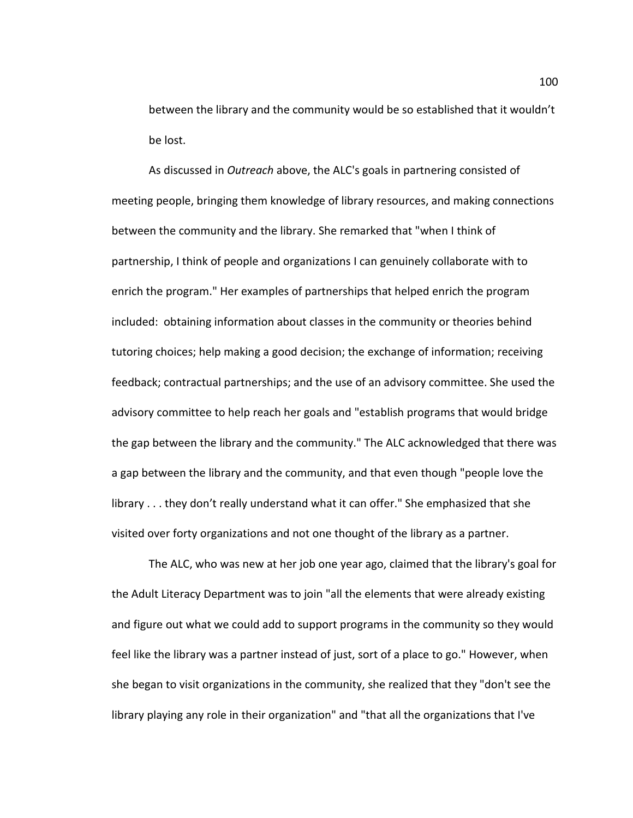between the library and the community would be so established that it wouldn't be lost.

As discussed in Outreach above, the ALC's goals in partnering consisted of meeting people, bringing them knowledge of library resources, and making connections between the community and the library. She remarked that "when I think of partnership, I think of people and organizations I can genuinely collaborate with to enrich the program." Her examples of partnerships that helped enrich the program included: obtaining information about classes in the community or theories behind tutoring choices; help making a good decision; the exchange of information; receiving feedback; contractual partnerships; and the use of an advisory committee. She used the advisory committee to help reach her goals and "establish programs that would bridge the gap between the library and the community." The ALC acknowledged that there was a gap between the library and the community, and that even though "people love the library . . . they don't really understand what it can offer." She emphasized that she visited over forty organizations and not one thought of the library as a partner.

The ALC, who was new at her job one year ago, claimed that the library's goal for the Adult Literacy Department was to join "all the elements that were already existing and figure out what we could add to support programs in the community so they would feel like the library was a partner instead of just, sort of a place to go." However, when she began to visit organizations in the community, she realized that they "don't see the library playing any role in their organization" and "that all the organizations that I've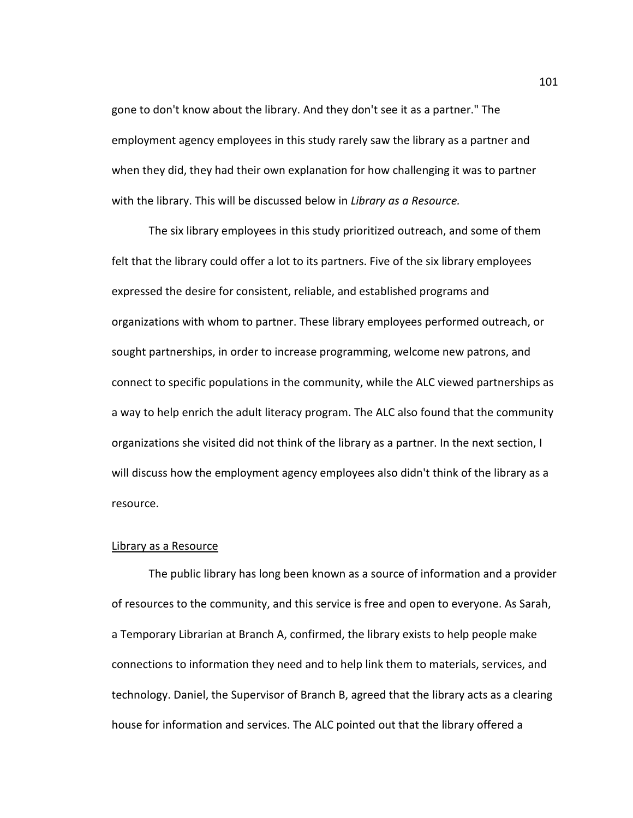gone to don't know about the library. And they don't see it as a partner." The employment agency employees in this study rarely saw the library as a partner and when they did, they had their own explanation for how challenging it was to partner with the library. This will be discussed below in Library as a Resource.

The six library employees in this study prioritized outreach, and some of them felt that the library could offer a lot to its partners. Five of the six library employees expressed the desire for consistent, reliable, and established programs and organizations with whom to partner. These library employees performed outreach, or sought partnerships, in order to increase programming, welcome new patrons, and connect to specific populations in the community, while the ALC viewed partnerships as a way to help enrich the adult literacy program. The ALC also found that the community organizations she visited did not think of the library as a partner. In the next section, I will discuss how the employment agency employees also didn't think of the library as a resource.

### Library as a Resource

The public library has long been known as a source of information and a provider of resources to the community, and this service is free and open to everyone. As Sarah, a Temporary Librarian at Branch A, confirmed, the library exists to help people make connections to information they need and to help link them to materials, services, and technology. Daniel, the Supervisor of Branch B, agreed that the library acts as a clearing house for information and services. The ALC pointed out that the library offered a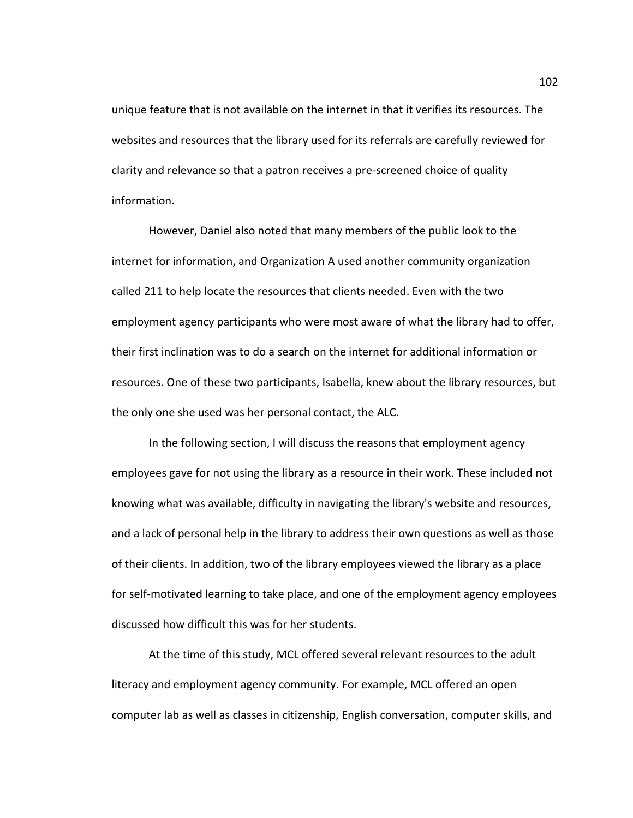unique feature that is not available on the internet in that it verifies its resources. The websites and resources that the library used for its referrals are carefully reviewed for clarity and relevance so that a patron receives a pre-screened choice of quality information.

However, Daniel also noted that many members of the public look to the internet for information, and Organization A used another community organization called 211 to help locate the resources that clients needed. Even with the two employment agency participants who were most aware of what the library had to offer, their first inclination was to do a search on the internet for additional information or resources. One of these two participants, Isabella, knew about the library resources, but the only one she used was her personal contact, the ALC.

In the following section, I will discuss the reasons that employment agency employees gave for not using the library as a resource in their work. These included not knowing what was available, difficulty in navigating the library's website and resources, and a lack of personal help in the library to address their own questions as well as those of their clients. In addition, two of the library employees viewed the library as a place for self-motivated learning to take place, and one of the employment agency employees discussed how difficult this was for her students.

At the time of this study, MCL offered several relevant resources to the adult literacy and employment agency community. For example, MCL offered an open computer lab as well as classes in citizenship, English conversation, computer skills, and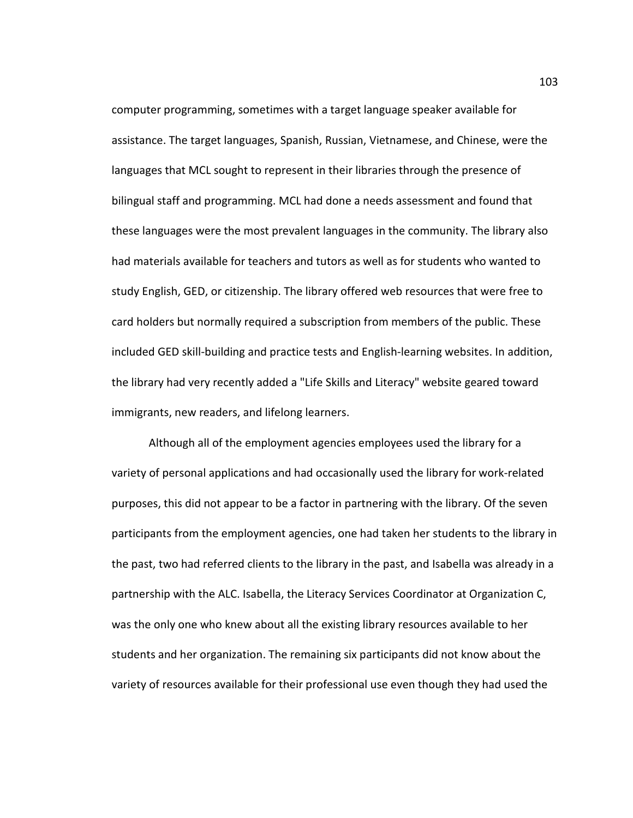computer programming, sometimes with a target language speaker available for assistance. The target languages, Spanish, Russian, Vietnamese, and Chinese, were the languages that MCL sought to represent in their libraries through the presence of bilingual staff and programming. MCL had done a needs assessment and found that these languages were the most prevalent languages in the community. The library also had materials available for teachers and tutors as well as for students who wanted to study English, GED, or citizenship. The library offered web resources that were free to card holders but normally required a subscription from members of the public. These included GED skill-building and practice tests and English-learning websites. In addition, the library had very recently added a "Life Skills and Literacy" website geared toward immigrants, new readers, and lifelong learners.

Although all of the employment agencies employees used the library for a variety of personal applications and had occasionally used the library for work-related purposes, this did not appear to be a factor in partnering with the library. Of the seven participants from the employment agencies, one had taken her students to the library in the past, two had referred clients to the library in the past, and Isabella was already in a partnership with the ALC. Isabella, the Literacy Services Coordinator at Organization C, was the only one who knew about all the existing library resources available to her students and her organization. The remaining six participants did not know about the variety of resources available for their professional use even though they had used the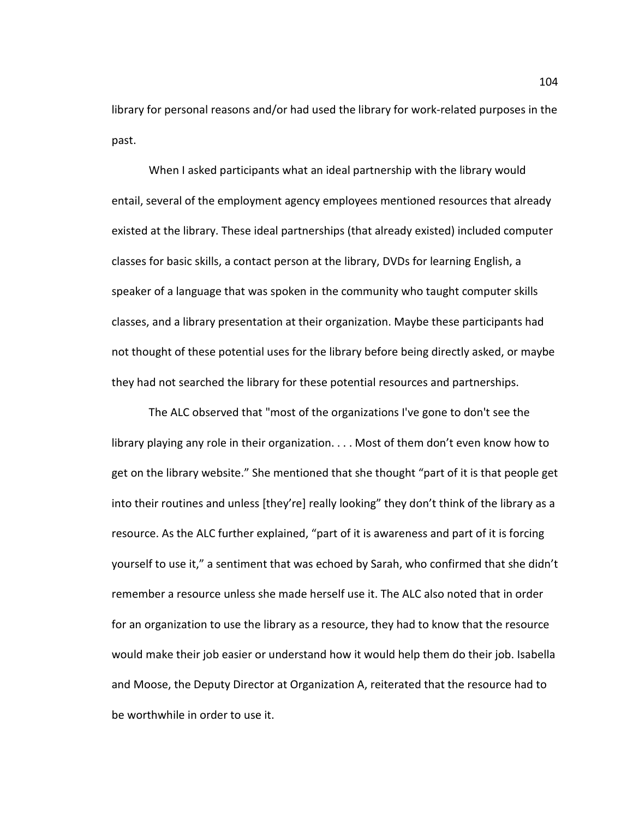library for personal reasons and/or had used the library for work-related purposes in the past.

When I asked participants what an ideal partnership with the library would entail, several of the employment agency employees mentioned resources that already existed at the library. These ideal partnerships (that already existed) included computer classes for basic skills, a contact person at the library, DVDs for learning English, a speaker of a language that was spoken in the community who taught computer skills classes, and a library presentation at their organization. Maybe these participants had not thought of these potential uses for the library before being directly asked, or maybe they had not searched the library for these potential resources and partnerships.

The ALC observed that "most of the organizations I've gone to don't see the library playing any role in their organization. . . . Most of them don't even know how to get on the library website." She mentioned that she thought "part of it is that people get into their routines and unless [they're] really looking" they don't think of the library as a resource. As the ALC further explained, "part of it is awareness and part of it is forcing yourself to use it," a sentiment that was echoed by Sarah, who confirmed that she didn't remember a resource unless she made herself use it. The ALC also noted that in order for an organization to use the library as a resource, they had to know that the resource would make their job easier or understand how it would help them do their job. Isabella and Moose, the Deputy Director at Organization A, reiterated that the resource had to be worthwhile in order to use it.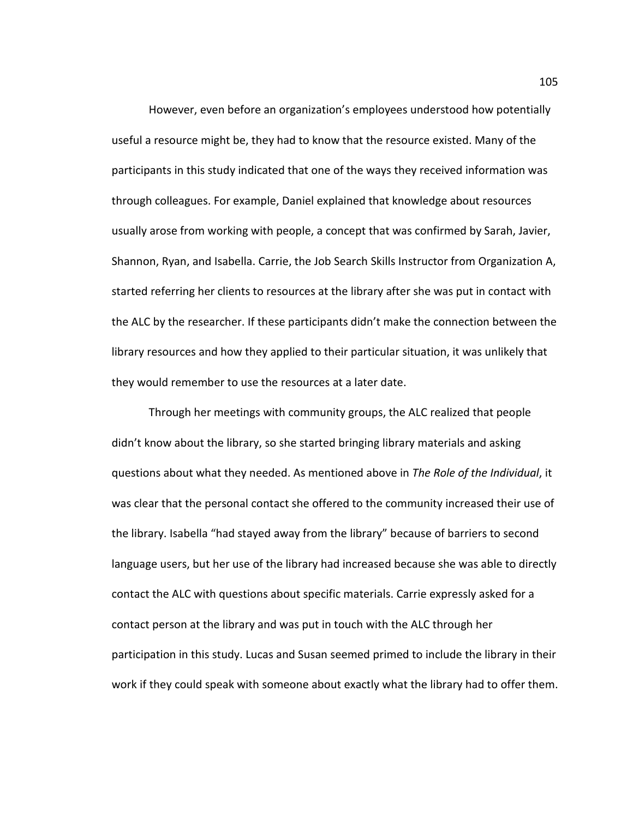However, even before an organization's employees understood how potentially useful a resource might be, they had to know that the resource existed. Many of the participants in this study indicated that one of the ways they received information was through colleagues. For example, Daniel explained that knowledge about resources usually arose from working with people, a concept that was confirmed by Sarah, Javier, Shannon, Ryan, and Isabella. Carrie, the Job Search Skills Instructor from Organization A, started referring her clients to resources at the library after she was put in contact with the ALC by the researcher. If these participants didn't make the connection between the library resources and how they applied to their particular situation, it was unlikely that they would remember to use the resources at a later date.

Through her meetings with community groups, the ALC realized that people didn't know about the library, so she started bringing library materials and asking questions about what they needed. As mentioned above in The Role of the Individual, it was clear that the personal contact she offered to the community increased their use of the library. Isabella "had stayed away from the library" because of barriers to second language users, but her use of the library had increased because she was able to directly contact the ALC with questions about specific materials. Carrie expressly asked for a contact person at the library and was put in touch with the ALC through her participation in this study. Lucas and Susan seemed primed to include the library in their work if they could speak with someone about exactly what the library had to offer them.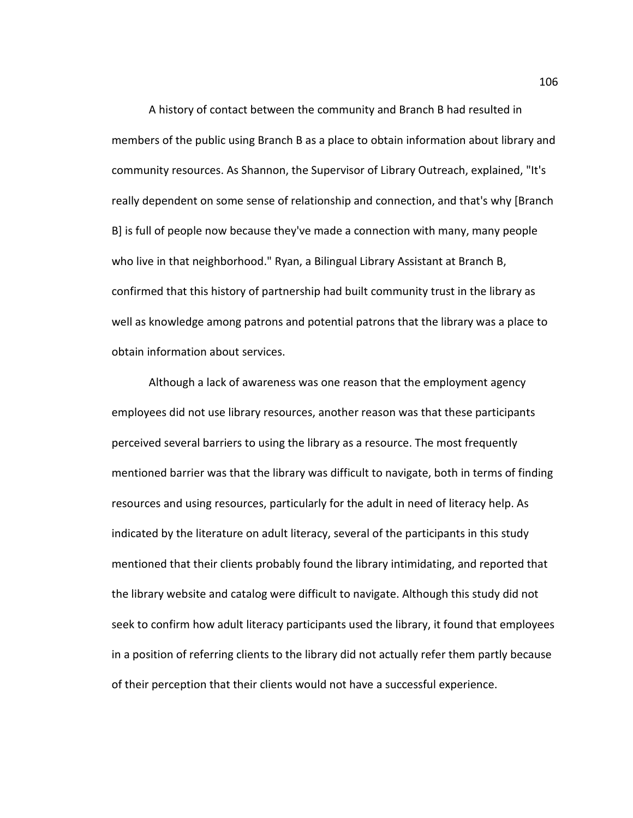A history of contact between the community and Branch B had resulted in members of the public using Branch B as a place to obtain information about library and community resources. As Shannon, the Supervisor of Library Outreach, explained, "It's really dependent on some sense of relationship and connection, and that's why [Branch B] is full of people now because they've made a connection with many, many people who live in that neighborhood." Ryan, a Bilingual Library Assistant at Branch B, confirmed that this history of partnership had built community trust in the library as well as knowledge among patrons and potential patrons that the library was a place to obtain information about services.

Although a lack of awareness was one reason that the employment agency employees did not use library resources, another reason was that these participants perceived several barriers to using the library as a resource. The most frequently mentioned barrier was that the library was difficult to navigate, both in terms of finding resources and using resources, particularly for the adult in need of literacy help. As indicated by the literature on adult literacy, several of the participants in this study mentioned that their clients probably found the library intimidating, and reported that the library website and catalog were difficult to navigate. Although this study did not seek to confirm how adult literacy participants used the library, it found that employees in a position of referring clients to the library did not actually refer them partly because of their perception that their clients would not have a successful experience.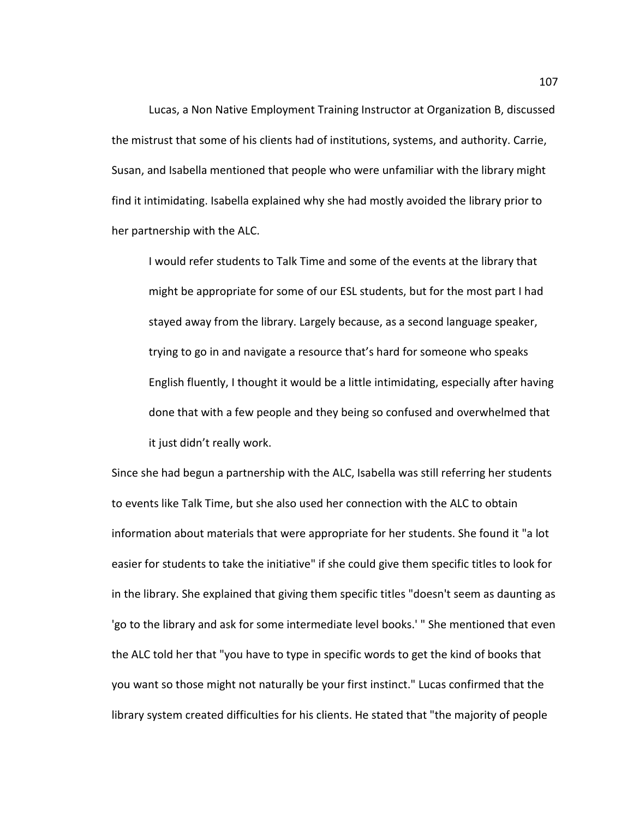Lucas, a Non Native Employment Training Instructor at Organization B, discussed the mistrust that some of his clients had of institutions, systems, and authority. Carrie, Susan, and Isabella mentioned that people who were unfamiliar with the library might find it intimidating. Isabella explained why she had mostly avoided the library prior to her partnership with the ALC.

I would refer students to Talk Time and some of the events at the library that might be appropriate for some of our ESL students, but for the most part I had stayed away from the library. Largely because, as a second language speaker, trying to go in and navigate a resource that's hard for someone who speaks English fluently, I thought it would be a little intimidating, especially after having done that with a few people and they being so confused and overwhelmed that it just didn't really work.

Since she had begun a partnership with the ALC, Isabella was still referring her students to events like Talk Time, but she also used her connection with the ALC to obtain information about materials that were appropriate for her students. She found it "a lot easier for students to take the initiative" if she could give them specific titles to look for in the library. She explained that giving them specific titles "doesn't seem as daunting as 'go to the library and ask for some intermediate level books.' " She mentioned that even the ALC told her that "you have to type in specific words to get the kind of books that you want so those might not naturally be your first instinct." Lucas confirmed that the library system created difficulties for his clients. He stated that "the majority of people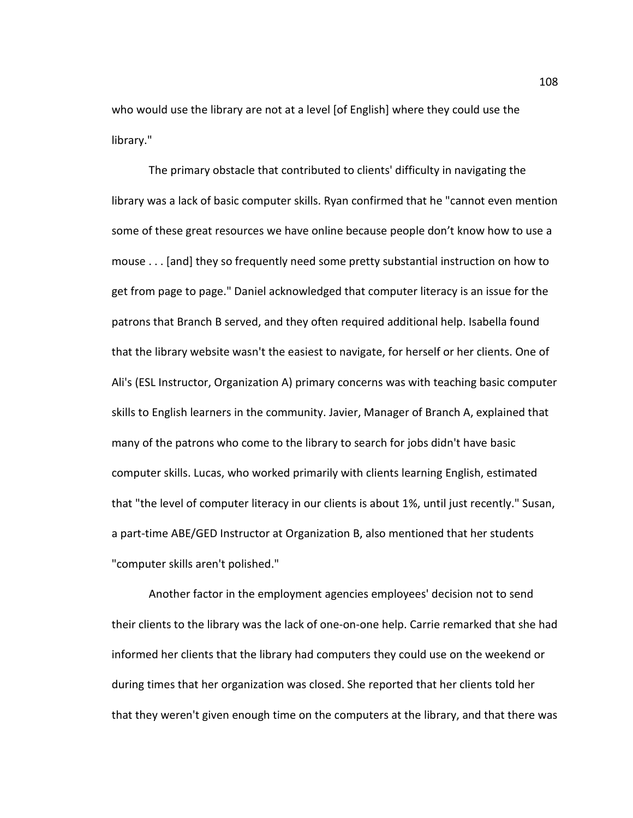who would use the library are not at a level [of English] where they could use the library."

The primary obstacle that contributed to clients' difficulty in navigating the library was a lack of basic computer skills. Ryan confirmed that he "cannot even mention some of these great resources we have online because people don't know how to use a mouse . . . [and] they so frequently need some pretty substantial instruction on how to get from page to page." Daniel acknowledged that computer literacy is an issue for the patrons that Branch B served, and they often required additional help. Isabella found that the library website wasn't the easiest to navigate, for herself or her clients. One of Ali's (ESL Instructor, Organization A) primary concerns was with teaching basic computer skills to English learners in the community. Javier, Manager of Branch A, explained that many of the patrons who come to the library to search for jobs didn't have basic computer skills. Lucas, who worked primarily with clients learning English, estimated that "the level of computer literacy in our clients is about 1%, until just recently." Susan, a part-time ABE/GED Instructor at Organization B, also mentioned that her students "computer skills aren't polished."

Another factor in the employment agencies employees' decision not to send their clients to the library was the lack of one-on-one help. Carrie remarked that she had informed her clients that the library had computers they could use on the weekend or during times that her organization was closed. She reported that her clients told her that they weren't given enough time on the computers at the library, and that there was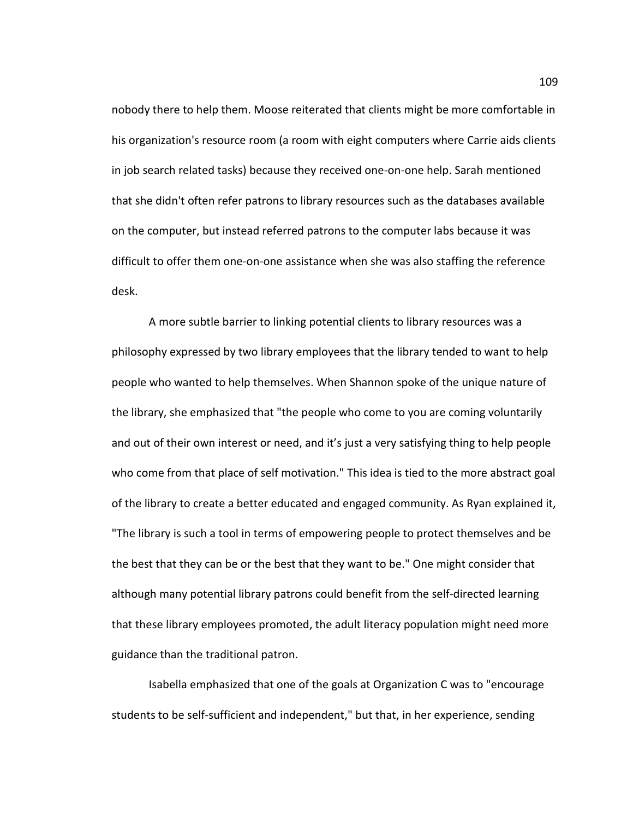nobody there to help them. Moose reiterated that clients might be more comfortable in his organization's resource room (a room with eight computers where Carrie aids clients in job search related tasks) because they received one-on-one help. Sarah mentioned that she didn't often refer patrons to library resources such as the databases available on the computer, but instead referred patrons to the computer labs because it was difficult to offer them one-on-one assistance when she was also staffing the reference desk.

A more subtle barrier to linking potential clients to library resources was a philosophy expressed by two library employees that the library tended to want to help people who wanted to help themselves. When Shannon spoke of the unique nature of the library, she emphasized that "the people who come to you are coming voluntarily and out of their own interest or need, and it's just a very satisfying thing to help people who come from that place of self motivation." This idea is tied to the more abstract goal of the library to create a better educated and engaged community. As Ryan explained it, "The library is such a tool in terms of empowering people to protect themselves and be the best that they can be or the best that they want to be." One might consider that although many potential library patrons could benefit from the self-directed learning that these library employees promoted, the adult literacy population might need more guidance than the traditional patron.

Isabella emphasized that one of the goals at Organization C was to "encourage students to be self-sufficient and independent," but that, in her experience, sending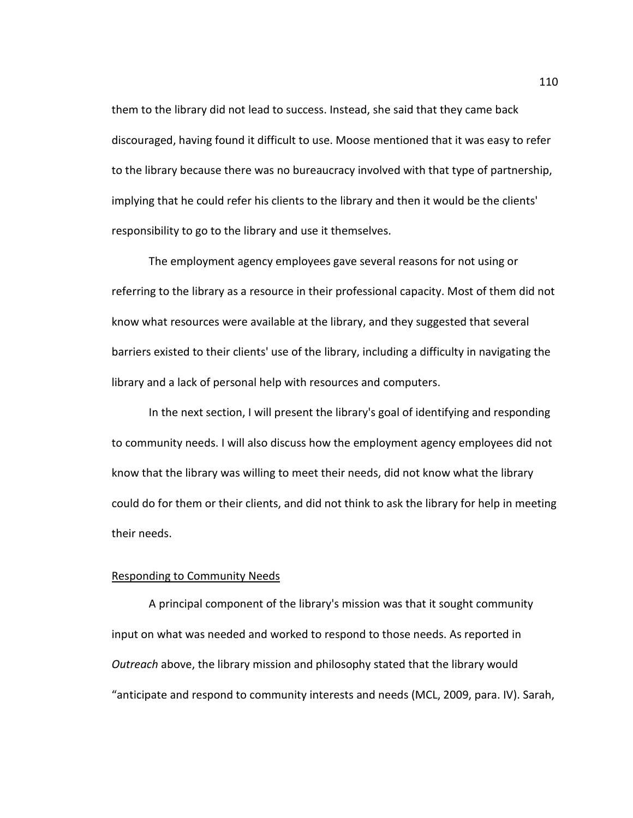them to the library did not lead to success. Instead, she said that they came back discouraged, having found it difficult to use. Moose mentioned that it was easy to refer to the library because there was no bureaucracy involved with that type of partnership, implying that he could refer his clients to the library and then it would be the clients' responsibility to go to the library and use it themselves.

The employment agency employees gave several reasons for not using or referring to the library as a resource in their professional capacity. Most of them did not know what resources were available at the library, and they suggested that several barriers existed to their clients' use of the library, including a difficulty in navigating the library and a lack of personal help with resources and computers.

In the next section, I will present the library's goal of identifying and responding to community needs. I will also discuss how the employment agency employees did not know that the library was willing to meet their needs, did not know what the library could do for them or their clients, and did not think to ask the library for help in meeting their needs.

### Responding to Community Needs

 A principal component of the library's mission was that it sought community input on what was needed and worked to respond to those needs. As reported in Outreach above, the library mission and philosophy stated that the library would "anticipate and respond to community interests and needs (MCL, 2009, para. IV). Sarah,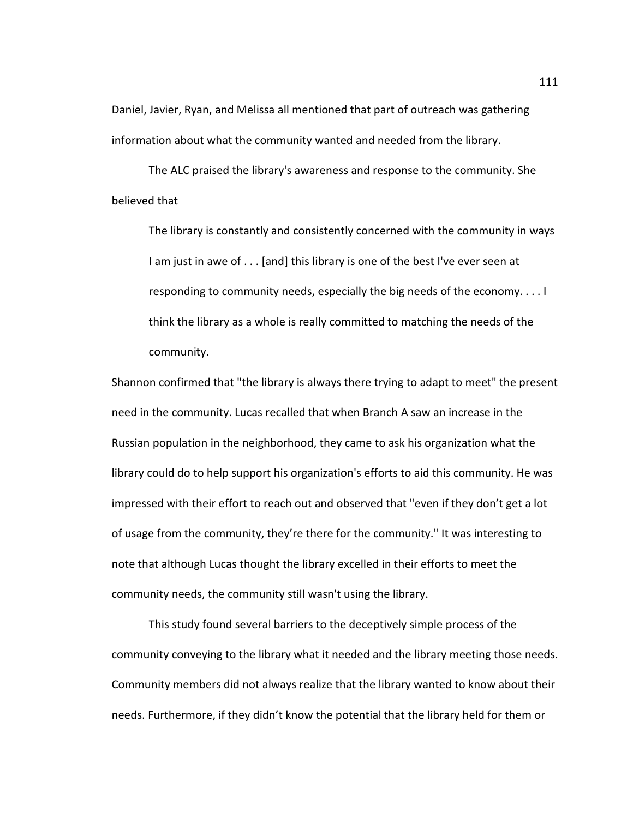Daniel, Javier, Ryan, and Melissa all mentioned that part of outreach was gathering information about what the community wanted and needed from the library.

The ALC praised the library's awareness and response to the community. She believed that

The library is constantly and consistently concerned with the community in ways I am just in awe of . . . [and] this library is one of the best I've ever seen at responding to community needs, especially the big needs of the economy. . . . I think the library as a whole is really committed to matching the needs of the community.

Shannon confirmed that "the library is always there trying to adapt to meet" the present need in the community. Lucas recalled that when Branch A saw an increase in the Russian population in the neighborhood, they came to ask his organization what the library could do to help support his organization's efforts to aid this community. He was impressed with their effort to reach out and observed that "even if they don't get a lot of usage from the community, they're there for the community." It was interesting to note that although Lucas thought the library excelled in their efforts to meet the community needs, the community still wasn't using the library.

This study found several barriers to the deceptively simple process of the community conveying to the library what it needed and the library meeting those needs. Community members did not always realize that the library wanted to know about their needs. Furthermore, if they didn't know the potential that the library held for them or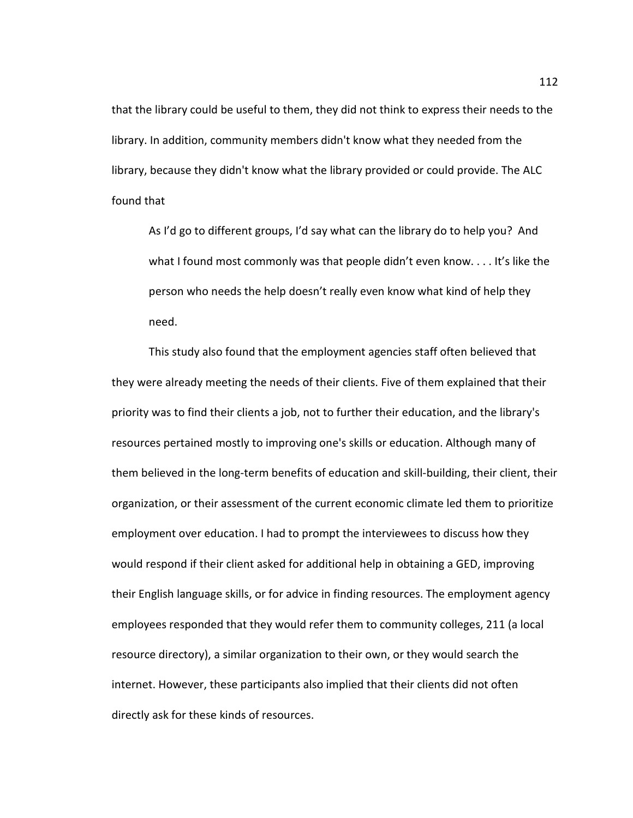that the library could be useful to them, they did not think to express their needs to the library. In addition, community members didn't know what they needed from the library, because they didn't know what the library provided or could provide. The ALC found that

As I'd go to different groups, I'd say what can the library do to help you? And what I found most commonly was that people didn't even know. . . . It's like the person who needs the help doesn't really even know what kind of help they need.

This study also found that the employment agencies staff often believed that they were already meeting the needs of their clients. Five of them explained that their priority was to find their clients a job, not to further their education, and the library's resources pertained mostly to improving one's skills or education. Although many of them believed in the long-term benefits of education and skill-building, their client, their organization, or their assessment of the current economic climate led them to prioritize employment over education. I had to prompt the interviewees to discuss how they would respond if their client asked for additional help in obtaining a GED, improving their English language skills, or for advice in finding resources. The employment agency employees responded that they would refer them to community colleges, 211 (a local resource directory), a similar organization to their own, or they would search the internet. However, these participants also implied that their clients did not often directly ask for these kinds of resources.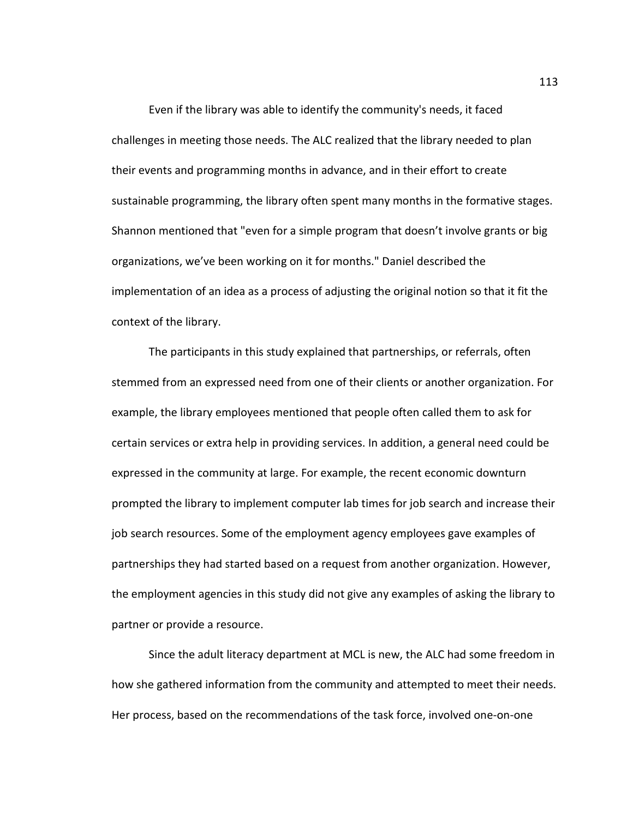Even if the library was able to identify the community's needs, it faced challenges in meeting those needs. The ALC realized that the library needed to plan their events and programming months in advance, and in their effort to create sustainable programming, the library often spent many months in the formative stages. Shannon mentioned that "even for a simple program that doesn't involve grants or big organizations, we've been working on it for months." Daniel described the implementation of an idea as a process of adjusting the original notion so that it fit the context of the library.

The participants in this study explained that partnerships, or referrals, often stemmed from an expressed need from one of their clients or another organization. For example, the library employees mentioned that people often called them to ask for certain services or extra help in providing services. In addition, a general need could be expressed in the community at large. For example, the recent economic downturn prompted the library to implement computer lab times for job search and increase their job search resources. Some of the employment agency employees gave examples of partnerships they had started based on a request from another organization. However, the employment agencies in this study did not give any examples of asking the library to partner or provide a resource.

 Since the adult literacy department at MCL is new, the ALC had some freedom in how she gathered information from the community and attempted to meet their needs. Her process, based on the recommendations of the task force, involved one-on-one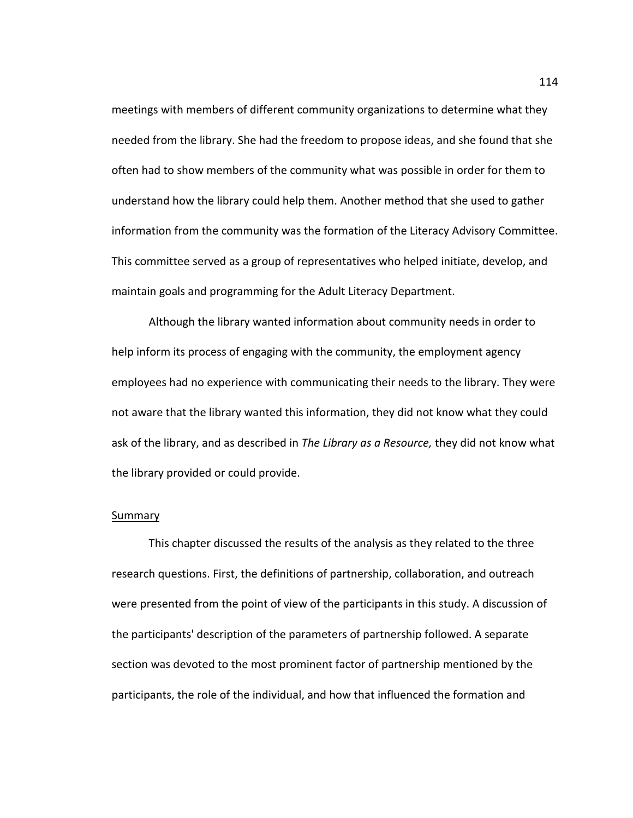meetings with members of different community organizations to determine what they needed from the library. She had the freedom to propose ideas, and she found that she often had to show members of the community what was possible in order for them to understand how the library could help them. Another method that she used to gather information from the community was the formation of the Literacy Advisory Committee. This committee served as a group of representatives who helped initiate, develop, and maintain goals and programming for the Adult Literacy Department.

 Although the library wanted information about community needs in order to help inform its process of engaging with the community, the employment agency employees had no experience with communicating their needs to the library. They were not aware that the library wanted this information, they did not know what they could ask of the library, and as described in The Library as a Resource, they did not know what the library provided or could provide.

#### **Summary**

 This chapter discussed the results of the analysis as they related to the three research questions. First, the definitions of partnership, collaboration, and outreach were presented from the point of view of the participants in this study. A discussion of the participants' description of the parameters of partnership followed. A separate section was devoted to the most prominent factor of partnership mentioned by the participants, the role of the individual, and how that influenced the formation and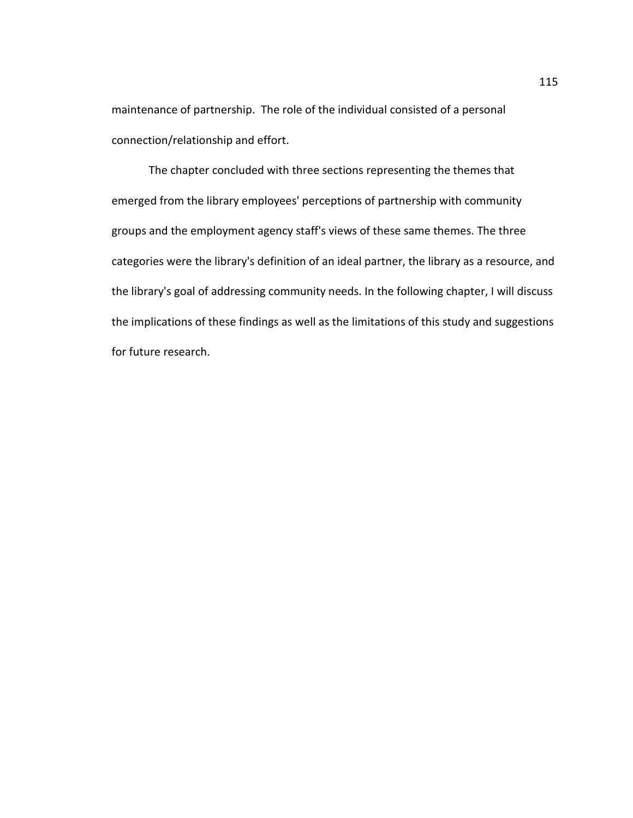maintenance of partnership. The role of the individual consisted of a personal connection/relationship and effort.

 The chapter concluded with three sections representing the themes that emerged from the library employees' perceptions of partnership with community groups and the employment agency staff's views of these same themes. The three categories were the library's definition of an ideal partner, the library as a resource, and the library's goal of addressing community needs. In the following chapter, I will discuss the implications of these findings as well as the limitations of this study and suggestions for future research.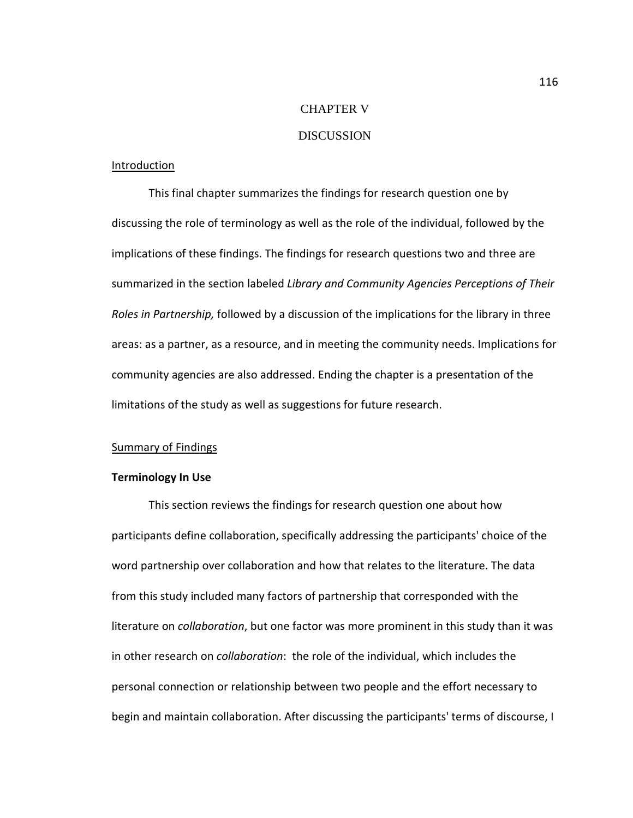# CHAPTER V

# DISCUSSION

### Introduction

This final chapter summarizes the findings for research question one by discussing the role of terminology as well as the role of the individual, followed by the implications of these findings. The findings for research questions two and three are summarized in the section labeled Library and Community Agencies Perceptions of Their Roles in Partnership, followed by a discussion of the implications for the library in three areas: as a partner, as a resource, and in meeting the community needs. Implications for community agencies are also addressed. Ending the chapter is a presentation of the limitations of the study as well as suggestions for future research.

#### Summary of Findings

### Terminology In Use

This section reviews the findings for research question one about how participants define collaboration, specifically addressing the participants' choice of the word partnership over collaboration and how that relates to the literature. The data from this study included many factors of partnership that corresponded with the literature on *collaboration*, but one factor was more prominent in this study than it was in other research on *collaboration*: the role of the individual, which includes the personal connection or relationship between two people and the effort necessary to begin and maintain collaboration. After discussing the participants' terms of discourse, I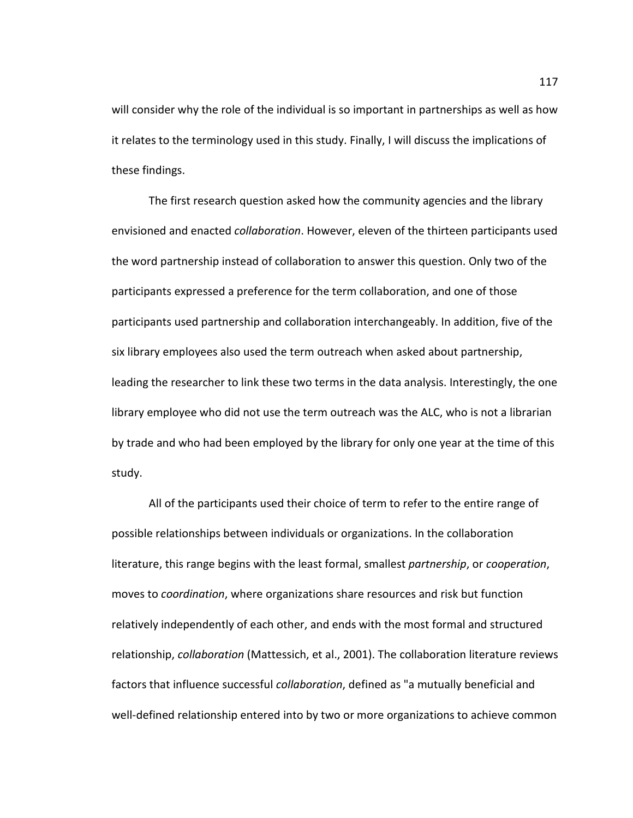will consider why the role of the individual is so important in partnerships as well as how it relates to the terminology used in this study. Finally, I will discuss the implications of these findings.

The first research question asked how the community agencies and the library envisioned and enacted collaboration. However, eleven of the thirteen participants used the word partnership instead of collaboration to answer this question. Only two of the participants expressed a preference for the term collaboration, and one of those participants used partnership and collaboration interchangeably. In addition, five of the six library employees also used the term outreach when asked about partnership, leading the researcher to link these two terms in the data analysis. Interestingly, the one library employee who did not use the term outreach was the ALC, who is not a librarian by trade and who had been employed by the library for only one year at the time of this study.

All of the participants used their choice of term to refer to the entire range of possible relationships between individuals or organizations. In the collaboration literature, this range begins with the least formal, smallest partnership, or cooperation, moves to coordination, where organizations share resources and risk but function relatively independently of each other, and ends with the most formal and structured relationship, collaboration (Mattessich, et al., 2001). The collaboration literature reviews factors that influence successful *collaboration*, defined as "a mutually beneficial and well-defined relationship entered into by two or more organizations to achieve common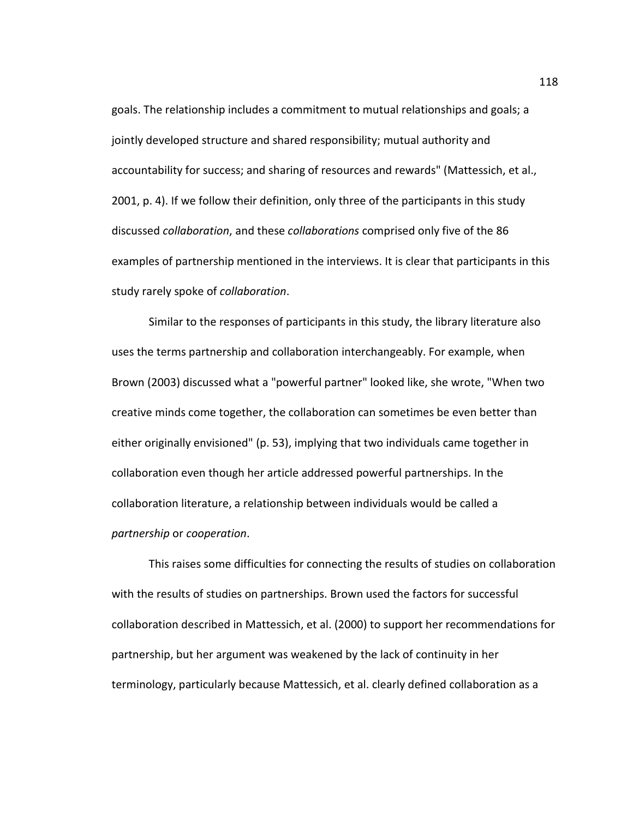goals. The relationship includes a commitment to mutual relationships and goals; a jointly developed structure and shared responsibility; mutual authority and accountability for success; and sharing of resources and rewards" (Mattessich, et al., 2001, p. 4). If we follow their definition, only three of the participants in this study discussed *collaboration*, and these *collaborations* comprised only five of the 86 examples of partnership mentioned in the interviews. It is clear that participants in this study rarely spoke of collaboration.

Similar to the responses of participants in this study, the library literature also uses the terms partnership and collaboration interchangeably. For example, when Brown (2003) discussed what a "powerful partner" looked like, she wrote, "When two creative minds come together, the collaboration can sometimes be even better than either originally envisioned" (p. 53), implying that two individuals came together in collaboration even though her article addressed powerful partnerships. In the collaboration literature, a relationship between individuals would be called a partnership or cooperation.

This raises some difficulties for connecting the results of studies on collaboration with the results of studies on partnerships. Brown used the factors for successful collaboration described in Mattessich, et al. (2000) to support her recommendations for partnership, but her argument was weakened by the lack of continuity in her terminology, particularly because Mattessich, et al. clearly defined collaboration as a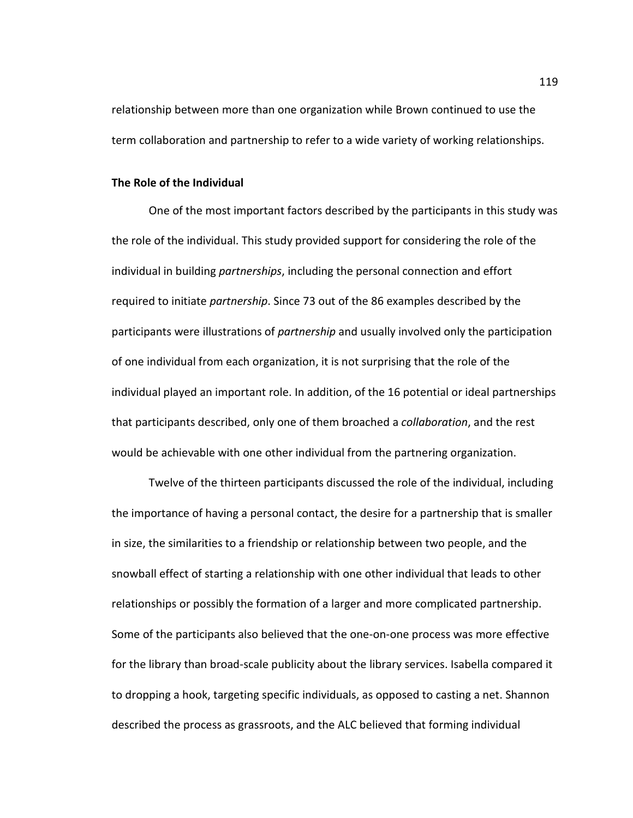relationship between more than one organization while Brown continued to use the term collaboration and partnership to refer to a wide variety of working relationships.

# The Role of the Individual

One of the most important factors described by the participants in this study was the role of the individual. This study provided support for considering the role of the individual in building *partnerships*, including the personal connection and effort required to initiate partnership. Since 73 out of the 86 examples described by the participants were illustrations of *partnership* and usually involved only the participation of one individual from each organization, it is not surprising that the role of the individual played an important role. In addition, of the 16 potential or ideal partnerships that participants described, only one of them broached a collaboration, and the rest would be achievable with one other individual from the partnering organization.

 Twelve of the thirteen participants discussed the role of the individual, including the importance of having a personal contact, the desire for a partnership that is smaller in size, the similarities to a friendship or relationship between two people, and the snowball effect of starting a relationship with one other individual that leads to other relationships or possibly the formation of a larger and more complicated partnership. Some of the participants also believed that the one-on-one process was more effective for the library than broad-scale publicity about the library services. Isabella compared it to dropping a hook, targeting specific individuals, as opposed to casting a net. Shannon described the process as grassroots, and the ALC believed that forming individual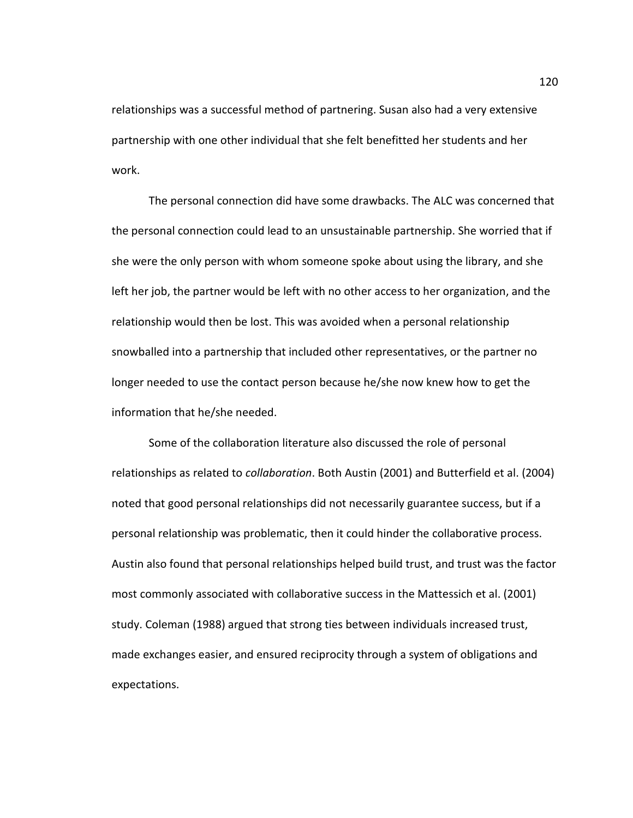relationships was a successful method of partnering. Susan also had a very extensive partnership with one other individual that she felt benefitted her students and her work.

The personal connection did have some drawbacks. The ALC was concerned that the personal connection could lead to an unsustainable partnership. She worried that if she were the only person with whom someone spoke about using the library, and she left her job, the partner would be left with no other access to her organization, and the relationship would then be lost. This was avoided when a personal relationship snowballed into a partnership that included other representatives, or the partner no longer needed to use the contact person because he/she now knew how to get the information that he/she needed.

Some of the collaboration literature also discussed the role of personal relationships as related to collaboration. Both Austin (2001) and Butterfield et al. (2004) noted that good personal relationships did not necessarily guarantee success, but if a personal relationship was problematic, then it could hinder the collaborative process. Austin also found that personal relationships helped build trust, and trust was the factor most commonly associated with collaborative success in the Mattessich et al. (2001) study. Coleman (1988) argued that strong ties between individuals increased trust, made exchanges easier, and ensured reciprocity through a system of obligations and expectations.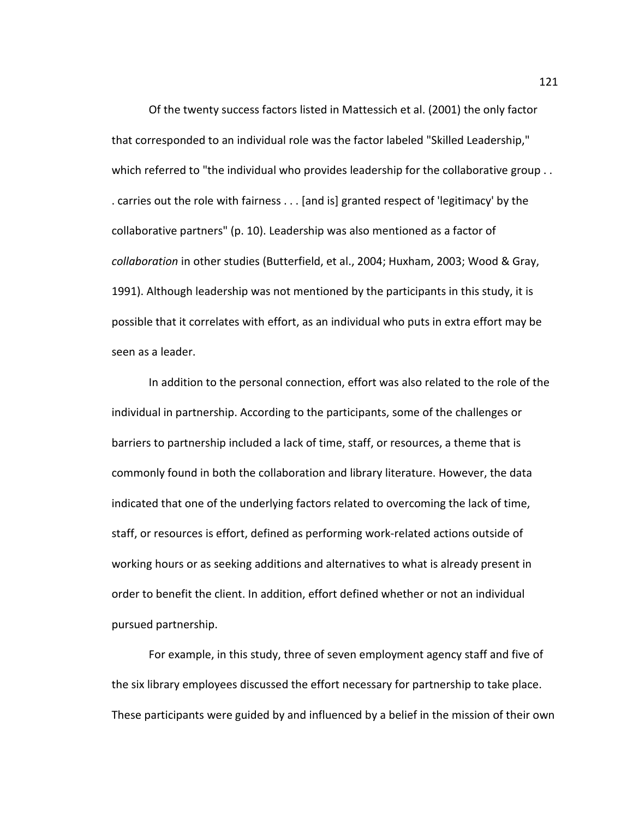Of the twenty success factors listed in Mattessich et al. (2001) the only factor that corresponded to an individual role was the factor labeled "Skilled Leadership," which referred to "the individual who provides leadership for the collaborative group . . . carries out the role with fairness . . . [and is] granted respect of 'legitimacy' by the collaborative partners" (p. 10). Leadership was also mentioned as a factor of collaboration in other studies (Butterfield, et al., 2004; Huxham, 2003; Wood & Gray, 1991). Although leadership was not mentioned by the participants in this study, it is possible that it correlates with effort, as an individual who puts in extra effort may be seen as a leader.

In addition to the personal connection, effort was also related to the role of the individual in partnership. According to the participants, some of the challenges or barriers to partnership included a lack of time, staff, or resources, a theme that is commonly found in both the collaboration and library literature. However, the data indicated that one of the underlying factors related to overcoming the lack of time, staff, or resources is effort, defined as performing work-related actions outside of working hours or as seeking additions and alternatives to what is already present in order to benefit the client. In addition, effort defined whether or not an individual pursued partnership.

For example, in this study, three of seven employment agency staff and five of the six library employees discussed the effort necessary for partnership to take place. These participants were guided by and influenced by a belief in the mission of their own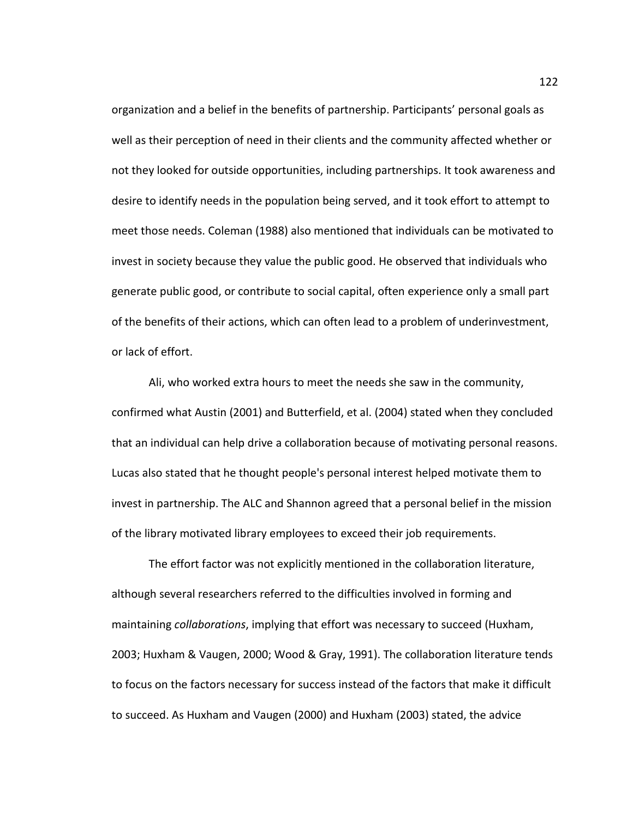organization and a belief in the benefits of partnership. Participants' personal goals as well as their perception of need in their clients and the community affected whether or not they looked for outside opportunities, including partnerships. It took awareness and desire to identify needs in the population being served, and it took effort to attempt to meet those needs. Coleman (1988) also mentioned that individuals can be motivated to invest in society because they value the public good. He observed that individuals who generate public good, or contribute to social capital, often experience only a small part of the benefits of their actions, which can often lead to a problem of underinvestment, or lack of effort.

Ali, who worked extra hours to meet the needs she saw in the community, confirmed what Austin (2001) and Butterfield, et al. (2004) stated when they concluded that an individual can help drive a collaboration because of motivating personal reasons. Lucas also stated that he thought people's personal interest helped motivate them to invest in partnership. The ALC and Shannon agreed that a personal belief in the mission of the library motivated library employees to exceed their job requirements.

The effort factor was not explicitly mentioned in the collaboration literature, although several researchers referred to the difficulties involved in forming and maintaining *collaborations*, implying that effort was necessary to succeed (Huxham, 2003; Huxham & Vaugen, 2000; Wood & Gray, 1991). The collaboration literature tends to focus on the factors necessary for success instead of the factors that make it difficult to succeed. As Huxham and Vaugen (2000) and Huxham (2003) stated, the advice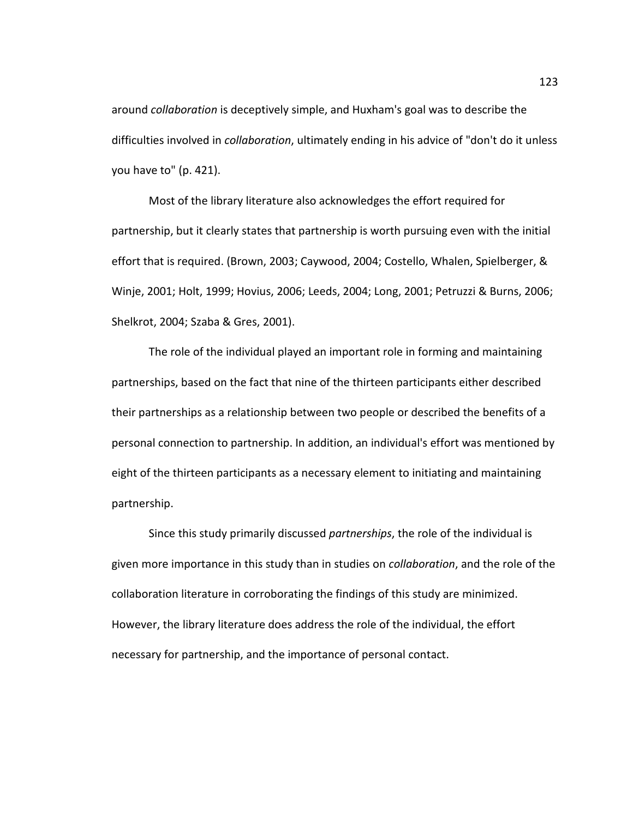around collaboration is deceptively simple, and Huxham's goal was to describe the difficulties involved in *collaboration*, ultimately ending in his advice of "don't do it unless you have to" (p. 421).

Most of the library literature also acknowledges the effort required for partnership, but it clearly states that partnership is worth pursuing even with the initial effort that is required. (Brown, 2003; Caywood, 2004; Costello, Whalen, Spielberger, & Winje, 2001; Holt, 1999; Hovius, 2006; Leeds, 2004; Long, 2001; Petruzzi & Burns, 2006; Shelkrot, 2004; Szaba & Gres, 2001).

The role of the individual played an important role in forming and maintaining partnerships, based on the fact that nine of the thirteen participants either described their partnerships as a relationship between two people or described the benefits of a personal connection to partnership. In addition, an individual's effort was mentioned by eight of the thirteen participants as a necessary element to initiating and maintaining partnership.

Since this study primarily discussed partnerships, the role of the individual is given more importance in this study than in studies on *collaboration*, and the role of the collaboration literature in corroborating the findings of this study are minimized. However, the library literature does address the role of the individual, the effort necessary for partnership, and the importance of personal contact.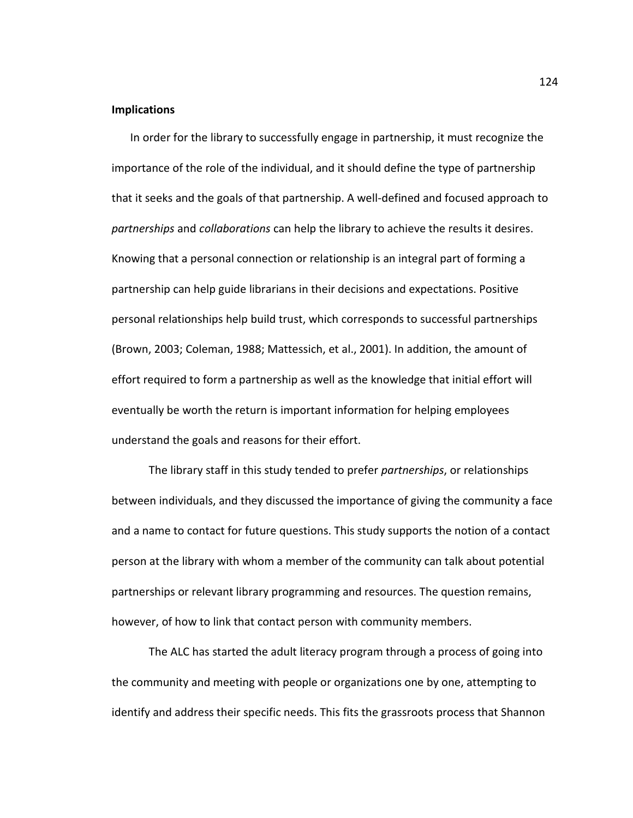### Implications

In order for the library to successfully engage in partnership, it must recognize the importance of the role of the individual, and it should define the type of partnership that it seeks and the goals of that partnership. A well-defined and focused approach to partnerships and collaborations can help the library to achieve the results it desires. Knowing that a personal connection or relationship is an integral part of forming a partnership can help guide librarians in their decisions and expectations. Positive personal relationships help build trust, which corresponds to successful partnerships (Brown, 2003; Coleman, 1988; Mattessich, et al., 2001). In addition, the amount of effort required to form a partnership as well as the knowledge that initial effort will eventually be worth the return is important information for helping employees understand the goals and reasons for their effort.

The library staff in this study tended to prefer partnerships, or relationships between individuals, and they discussed the importance of giving the community a face and a name to contact for future questions. This study supports the notion of a contact person at the library with whom a member of the community can talk about potential partnerships or relevant library programming and resources. The question remains, however, of how to link that contact person with community members.

The ALC has started the adult literacy program through a process of going into the community and meeting with people or organizations one by one, attempting to identify and address their specific needs. This fits the grassroots process that Shannon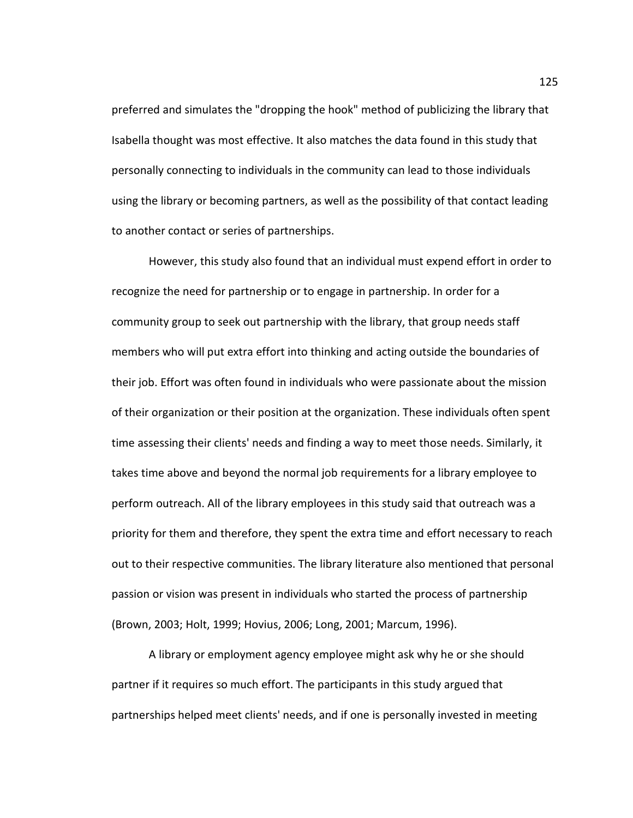preferred and simulates the "dropping the hook" method of publicizing the library that Isabella thought was most effective. It also matches the data found in this study that personally connecting to individuals in the community can lead to those individuals using the library or becoming partners, as well as the possibility of that contact leading to another contact or series of partnerships.

However, this study also found that an individual must expend effort in order to recognize the need for partnership or to engage in partnership. In order for a community group to seek out partnership with the library, that group needs staff members who will put extra effort into thinking and acting outside the boundaries of their job. Effort was often found in individuals who were passionate about the mission of their organization or their position at the organization. These individuals often spent time assessing their clients' needs and finding a way to meet those needs. Similarly, it takes time above and beyond the normal job requirements for a library employee to perform outreach. All of the library employees in this study said that outreach was a priority for them and therefore, they spent the extra time and effort necessary to reach out to their respective communities. The library literature also mentioned that personal passion or vision was present in individuals who started the process of partnership (Brown, 2003; Holt, 1999; Hovius, 2006; Long, 2001; Marcum, 1996).

A library or employment agency employee might ask why he or she should partner if it requires so much effort. The participants in this study argued that partnerships helped meet clients' needs, and if one is personally invested in meeting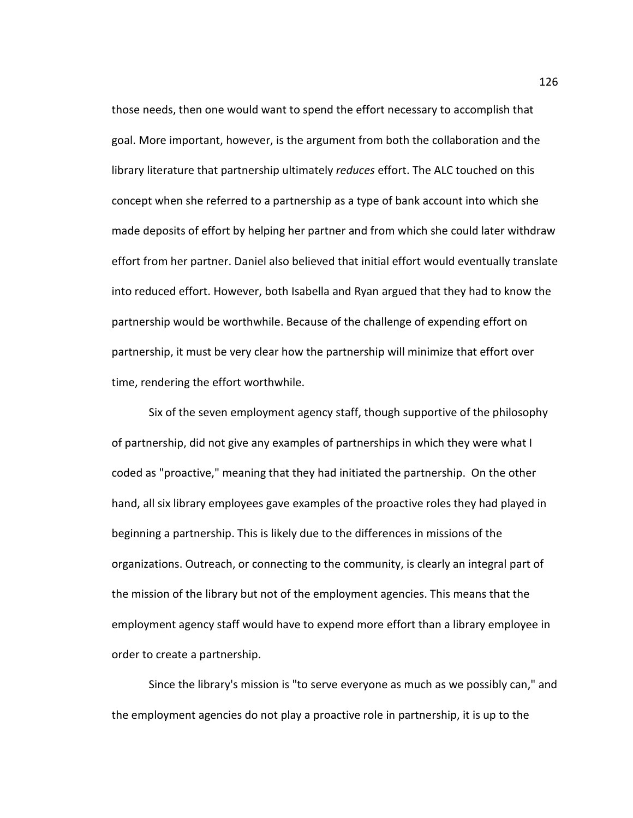those needs, then one would want to spend the effort necessary to accomplish that goal. More important, however, is the argument from both the collaboration and the library literature that partnership ultimately reduces effort. The ALC touched on this concept when she referred to a partnership as a type of bank account into which she made deposits of effort by helping her partner and from which she could later withdraw effort from her partner. Daniel also believed that initial effort would eventually translate into reduced effort. However, both Isabella and Ryan argued that they had to know the partnership would be worthwhile. Because of the challenge of expending effort on partnership, it must be very clear how the partnership will minimize that effort over time, rendering the effort worthwhile.

Six of the seven employment agency staff, though supportive of the philosophy of partnership, did not give any examples of partnerships in which they were what I coded as "proactive," meaning that they had initiated the partnership. On the other hand, all six library employees gave examples of the proactive roles they had played in beginning a partnership. This is likely due to the differences in missions of the organizations. Outreach, or connecting to the community, is clearly an integral part of the mission of the library but not of the employment agencies. This means that the employment agency staff would have to expend more effort than a library employee in order to create a partnership.

Since the library's mission is "to serve everyone as much as we possibly can," and the employment agencies do not play a proactive role in partnership, it is up to the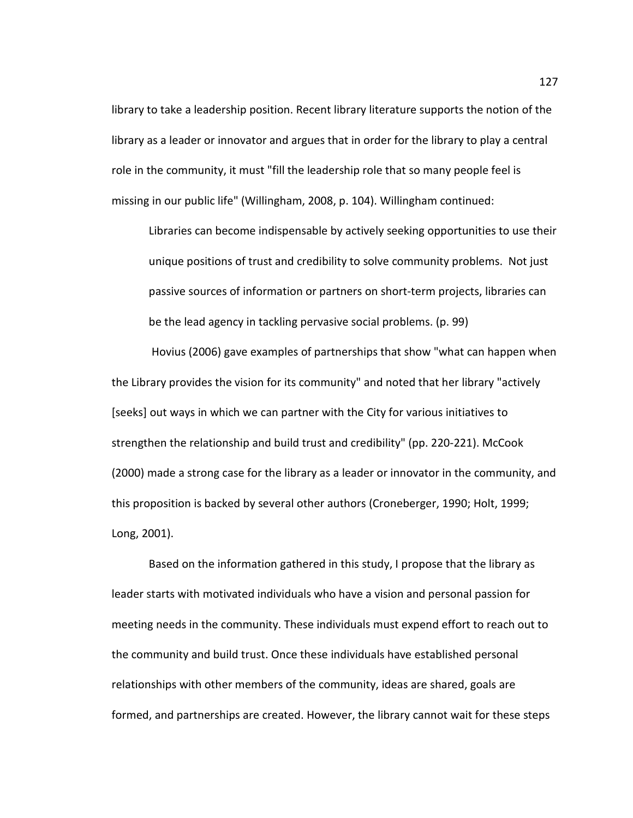library to take a leadership position. Recent library literature supports the notion of the library as a leader or innovator and argues that in order for the library to play a central role in the community, it must "fill the leadership role that so many people feel is missing in our public life" (Willingham, 2008, p. 104). Willingham continued:

Libraries can become indispensable by actively seeking opportunities to use their unique positions of trust and credibility to solve community problems. Not just passive sources of information or partners on short-term projects, libraries can be the lead agency in tackling pervasive social problems. (p. 99)

 Hovius (2006) gave examples of partnerships that show "what can happen when the Library provides the vision for its community" and noted that her library "actively [seeks] out ways in which we can partner with the City for various initiatives to strengthen the relationship and build trust and credibility" (pp. 220-221). McCook (2000) made a strong case for the library as a leader or innovator in the community, and this proposition is backed by several other authors (Croneberger, 1990; Holt, 1999; Long, 2001).

Based on the information gathered in this study, I propose that the library as leader starts with motivated individuals who have a vision and personal passion for meeting needs in the community. These individuals must expend effort to reach out to the community and build trust. Once these individuals have established personal relationships with other members of the community, ideas are shared, goals are formed, and partnerships are created. However, the library cannot wait for these steps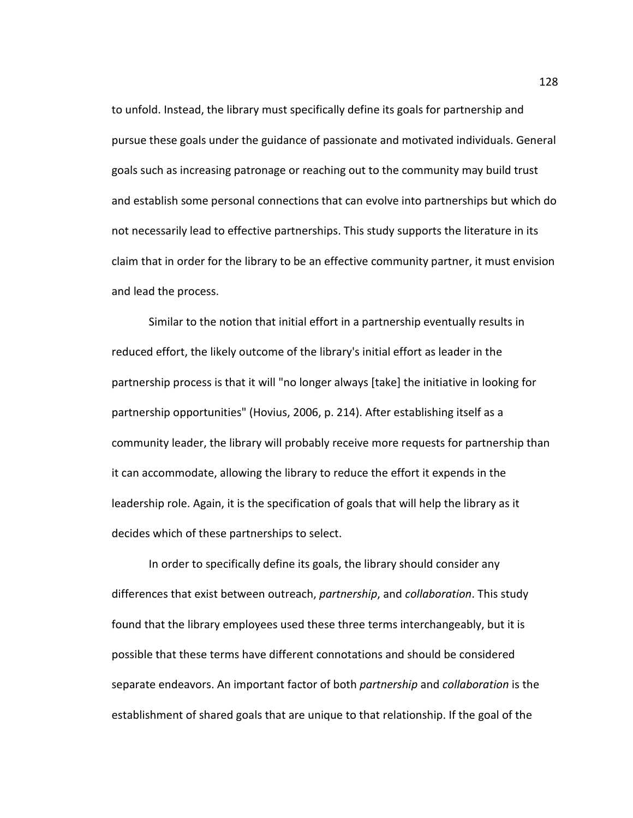to unfold. Instead, the library must specifically define its goals for partnership and pursue these goals under the guidance of passionate and motivated individuals. General goals such as increasing patronage or reaching out to the community may build trust and establish some personal connections that can evolve into partnerships but which do not necessarily lead to effective partnerships. This study supports the literature in its claim that in order for the library to be an effective community partner, it must envision and lead the process.

Similar to the notion that initial effort in a partnership eventually results in reduced effort, the likely outcome of the library's initial effort as leader in the partnership process is that it will "no longer always [take] the initiative in looking for partnership opportunities" (Hovius, 2006, p. 214). After establishing itself as a community leader, the library will probably receive more requests for partnership than it can accommodate, allowing the library to reduce the effort it expends in the leadership role. Again, it is the specification of goals that will help the library as it decides which of these partnerships to select.

In order to specifically define its goals, the library should consider any differences that exist between outreach, partnership, and collaboration. This study found that the library employees used these three terms interchangeably, but it is possible that these terms have different connotations and should be considered separate endeavors. An important factor of both *partnership* and *collaboration* is the establishment of shared goals that are unique to that relationship. If the goal of the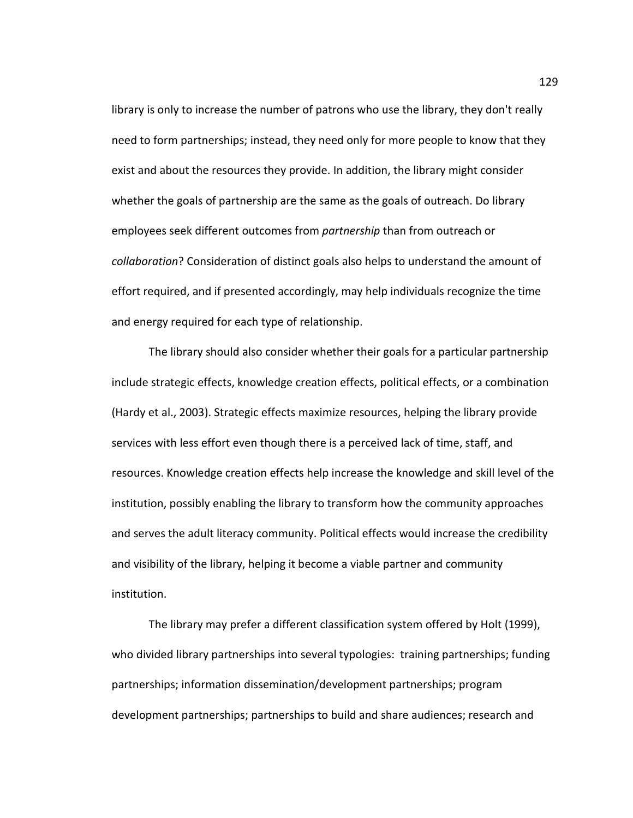library is only to increase the number of patrons who use the library, they don't really need to form partnerships; instead, they need only for more people to know that they exist and about the resources they provide. In addition, the library might consider whether the goals of partnership are the same as the goals of outreach. Do library employees seek different outcomes from partnership than from outreach or collaboration? Consideration of distinct goals also helps to understand the amount of effort required, and if presented accordingly, may help individuals recognize the time and energy required for each type of relationship.

The library should also consider whether their goals for a particular partnership include strategic effects, knowledge creation effects, political effects, or a combination (Hardy et al., 2003). Strategic effects maximize resources, helping the library provide services with less effort even though there is a perceived lack of time, staff, and resources. Knowledge creation effects help increase the knowledge and skill level of the institution, possibly enabling the library to transform how the community approaches and serves the adult literacy community. Political effects would increase the credibility and visibility of the library, helping it become a viable partner and community institution.

The library may prefer a different classification system offered by Holt (1999), who divided library partnerships into several typologies: training partnerships; funding partnerships; information dissemination/development partnerships; program development partnerships; partnerships to build and share audiences; research and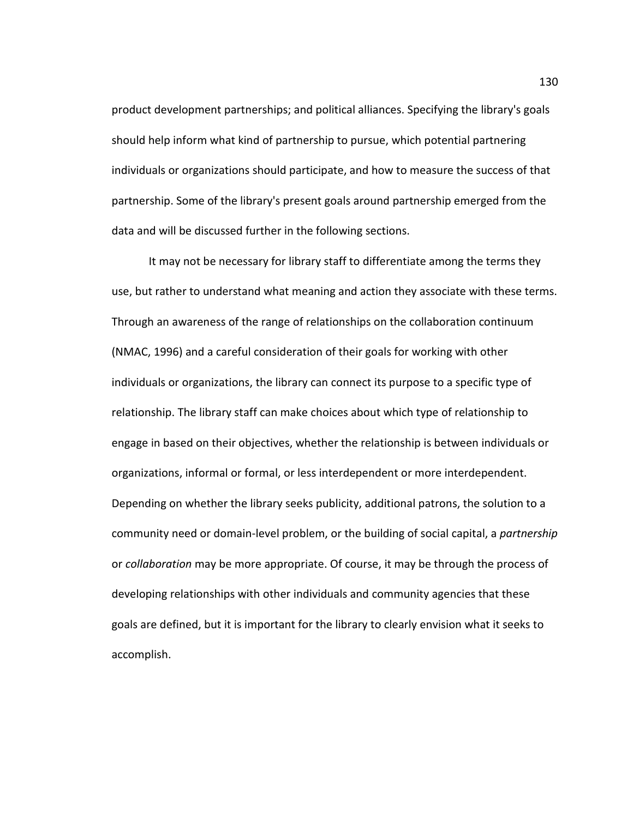product development partnerships; and political alliances. Specifying the library's goals should help inform what kind of partnership to pursue, which potential partnering individuals or organizations should participate, and how to measure the success of that partnership. Some of the library's present goals around partnership emerged from the data and will be discussed further in the following sections.

It may not be necessary for library staff to differentiate among the terms they use, but rather to understand what meaning and action they associate with these terms. Through an awareness of the range of relationships on the collaboration continuum (NMAC, 1996) and a careful consideration of their goals for working with other individuals or organizations, the library can connect its purpose to a specific type of relationship. The library staff can make choices about which type of relationship to engage in based on their objectives, whether the relationship is between individuals or organizations, informal or formal, or less interdependent or more interdependent. Depending on whether the library seeks publicity, additional patrons, the solution to a community need or domain-level problem, or the building of social capital, a partnership or collaboration may be more appropriate. Of course, it may be through the process of developing relationships with other individuals and community agencies that these goals are defined, but it is important for the library to clearly envision what it seeks to accomplish.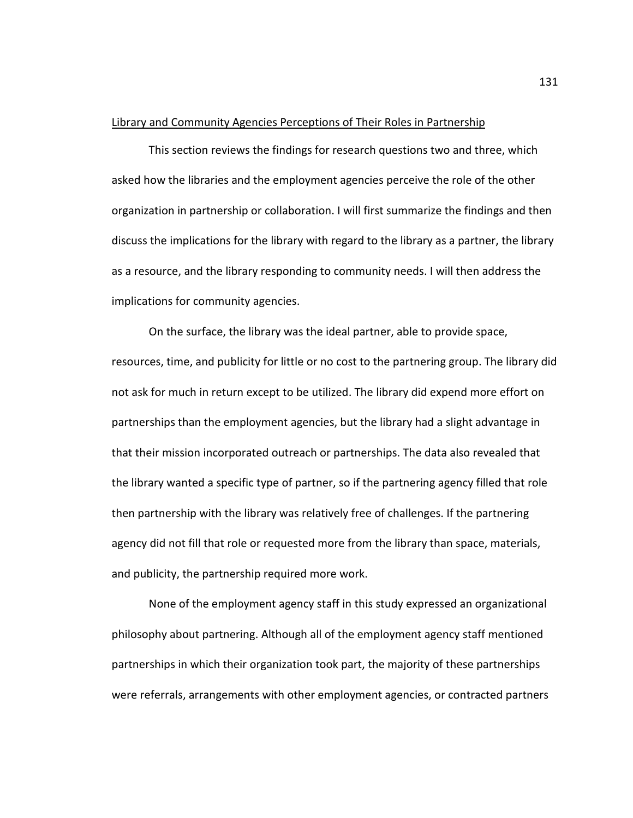#### Library and Community Agencies Perceptions of Their Roles in Partnership

This section reviews the findings for research questions two and three, which asked how the libraries and the employment agencies perceive the role of the other organization in partnership or collaboration. I will first summarize the findings and then discuss the implications for the library with regard to the library as a partner, the library as a resource, and the library responding to community needs. I will then address the implications for community agencies.

On the surface, the library was the ideal partner, able to provide space, resources, time, and publicity for little or no cost to the partnering group. The library did not ask for much in return except to be utilized. The library did expend more effort on partnerships than the employment agencies, but the library had a slight advantage in that their mission incorporated outreach or partnerships. The data also revealed that the library wanted a specific type of partner, so if the partnering agency filled that role then partnership with the library was relatively free of challenges. If the partnering agency did not fill that role or requested more from the library than space, materials, and publicity, the partnership required more work.

None of the employment agency staff in this study expressed an organizational philosophy about partnering. Although all of the employment agency staff mentioned partnerships in which their organization took part, the majority of these partnerships were referrals, arrangements with other employment agencies, or contracted partners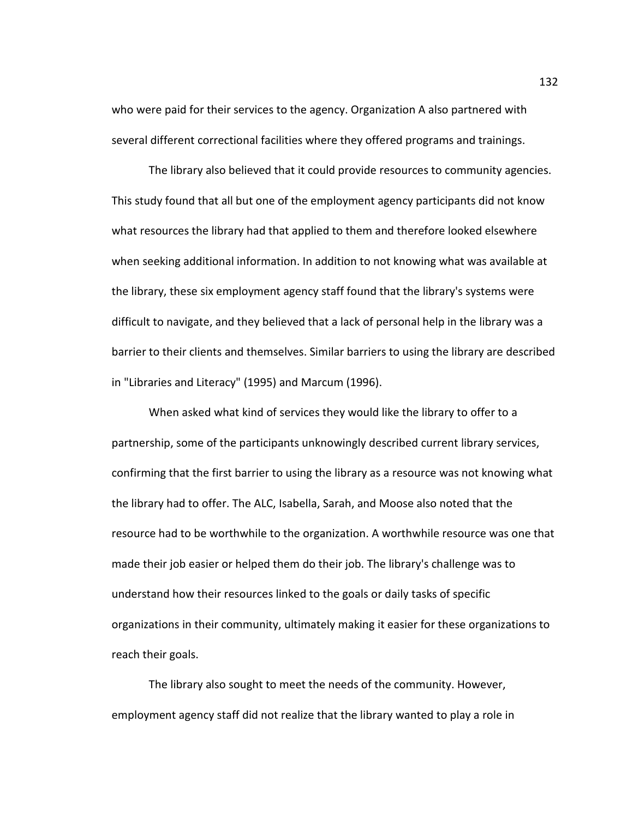who were paid for their services to the agency. Organization A also partnered with several different correctional facilities where they offered programs and trainings.

The library also believed that it could provide resources to community agencies. This study found that all but one of the employment agency participants did not know what resources the library had that applied to them and therefore looked elsewhere when seeking additional information. In addition to not knowing what was available at the library, these six employment agency staff found that the library's systems were difficult to navigate, and they believed that a lack of personal help in the library was a barrier to their clients and themselves. Similar barriers to using the library are described in "Libraries and Literacy" (1995) and Marcum (1996).

When asked what kind of services they would like the library to offer to a partnership, some of the participants unknowingly described current library services, confirming that the first barrier to using the library as a resource was not knowing what the library had to offer. The ALC, Isabella, Sarah, and Moose also noted that the resource had to be worthwhile to the organization. A worthwhile resource was one that made their job easier or helped them do their job. The library's challenge was to understand how their resources linked to the goals or daily tasks of specific organizations in their community, ultimately making it easier for these organizations to reach their goals.

The library also sought to meet the needs of the community. However, employment agency staff did not realize that the library wanted to play a role in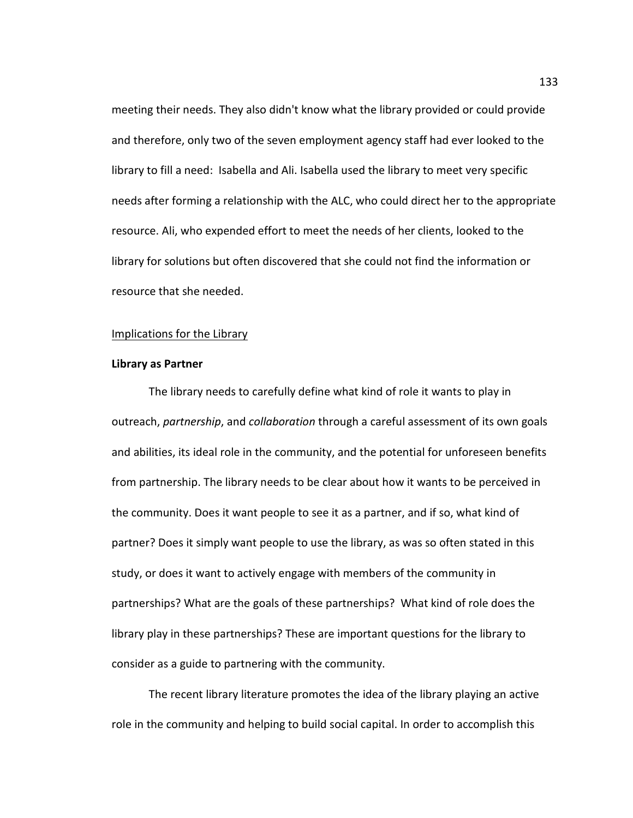meeting their needs. They also didn't know what the library provided or could provide and therefore, only two of the seven employment agency staff had ever looked to the library to fill a need: Isabella and Ali. Isabella used the library to meet very specific needs after forming a relationship with the ALC, who could direct her to the appropriate resource. Ali, who expended effort to meet the needs of her clients, looked to the library for solutions but often discovered that she could not find the information or resource that she needed.

#### Implications for the Library

### Library as Partner

The library needs to carefully define what kind of role it wants to play in outreach, partnership, and collaboration through a careful assessment of its own goals and abilities, its ideal role in the community, and the potential for unforeseen benefits from partnership. The library needs to be clear about how it wants to be perceived in the community. Does it want people to see it as a partner, and if so, what kind of partner? Does it simply want people to use the library, as was so often stated in this study, or does it want to actively engage with members of the community in partnerships? What are the goals of these partnerships? What kind of role does the library play in these partnerships? These are important questions for the library to consider as a guide to partnering with the community.

The recent library literature promotes the idea of the library playing an active role in the community and helping to build social capital. In order to accomplish this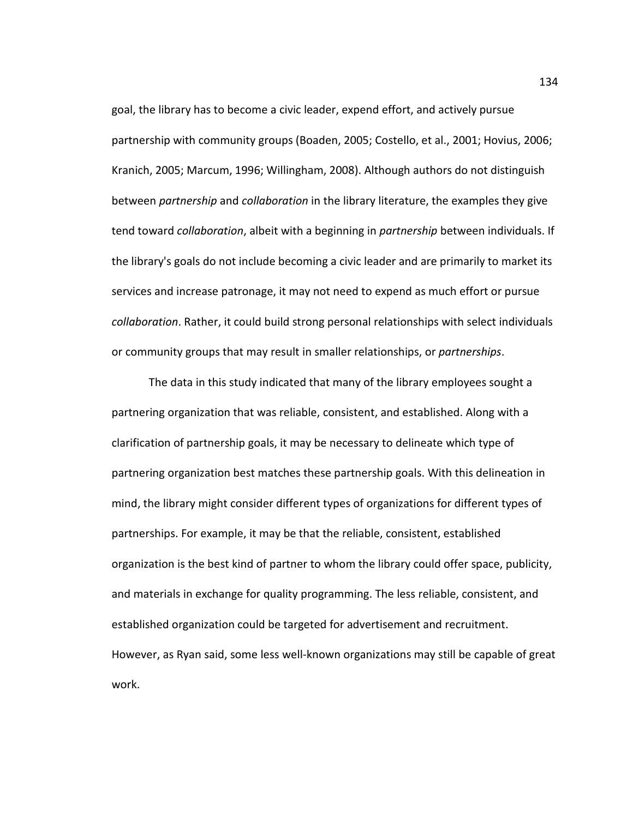goal, the library has to become a civic leader, expend effort, and actively pursue partnership with community groups (Boaden, 2005; Costello, et al., 2001; Hovius, 2006; Kranich, 2005; Marcum, 1996; Willingham, 2008). Although authors do not distinguish between partnership and collaboration in the library literature, the examples they give tend toward *collaboration*, albeit with a beginning in *partnership* between individuals. If the library's goals do not include becoming a civic leader and are primarily to market its services and increase patronage, it may not need to expend as much effort or pursue collaboration. Rather, it could build strong personal relationships with select individuals or community groups that may result in smaller relationships, or partnerships.

The data in this study indicated that many of the library employees sought a partnering organization that was reliable, consistent, and established. Along with a clarification of partnership goals, it may be necessary to delineate which type of partnering organization best matches these partnership goals. With this delineation in mind, the library might consider different types of organizations for different types of partnerships. For example, it may be that the reliable, consistent, established organization is the best kind of partner to whom the library could offer space, publicity, and materials in exchange for quality programming. The less reliable, consistent, and established organization could be targeted for advertisement and recruitment. However, as Ryan said, some less well-known organizations may still be capable of great work.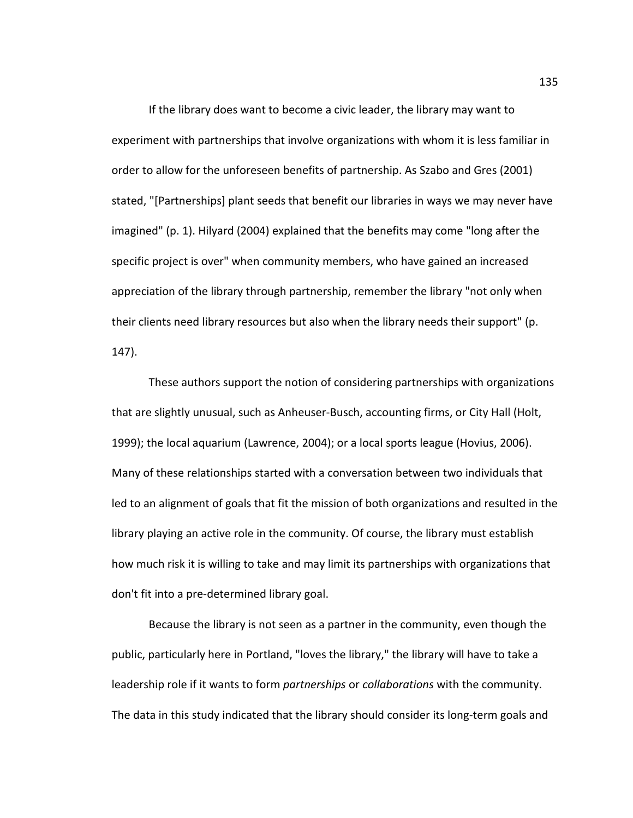If the library does want to become a civic leader, the library may want to experiment with partnerships that involve organizations with whom it is less familiar in order to allow for the unforeseen benefits of partnership. As Szabo and Gres (2001) stated, "[Partnerships] plant seeds that benefit our libraries in ways we may never have imagined" (p. 1). Hilyard (2004) explained that the benefits may come "long after the specific project is over" when community members, who have gained an increased appreciation of the library through partnership, remember the library "not only when their clients need library resources but also when the library needs their support" (p. 147).

These authors support the notion of considering partnerships with organizations that are slightly unusual, such as Anheuser-Busch, accounting firms, or City Hall (Holt, 1999); the local aquarium (Lawrence, 2004); or a local sports league (Hovius, 2006). Many of these relationships started with a conversation between two individuals that led to an alignment of goals that fit the mission of both organizations and resulted in the library playing an active role in the community. Of course, the library must establish how much risk it is willing to take and may limit its partnerships with organizations that don't fit into a pre-determined library goal.

Because the library is not seen as a partner in the community, even though the public, particularly here in Portland, "loves the library," the library will have to take a leadership role if it wants to form *partnerships* or *collaborations* with the community. The data in this study indicated that the library should consider its long-term goals and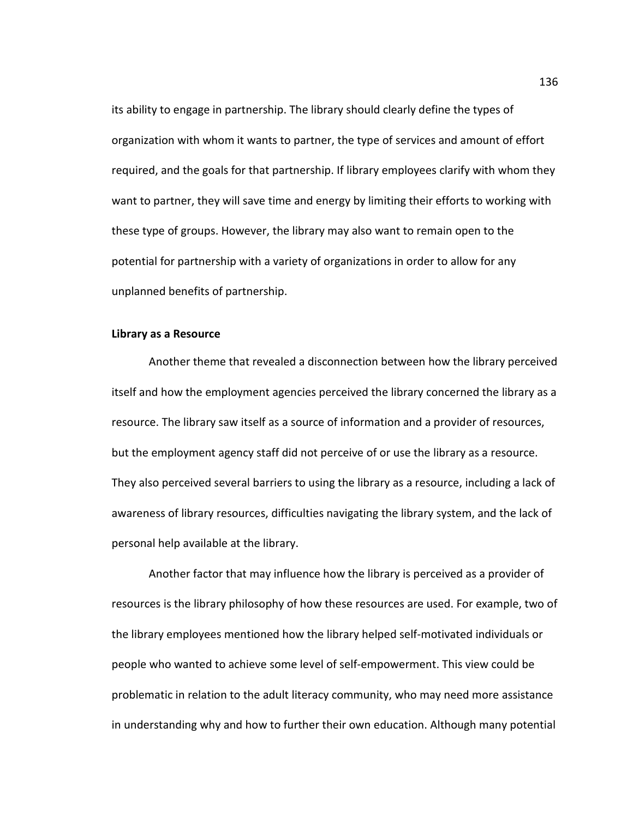its ability to engage in partnership. The library should clearly define the types of organization with whom it wants to partner, the type of services and amount of effort required, and the goals for that partnership. If library employees clarify with whom they want to partner, they will save time and energy by limiting their efforts to working with these type of groups. However, the library may also want to remain open to the potential for partnership with a variety of organizations in order to allow for any unplanned benefits of partnership.

#### Library as a Resource

Another theme that revealed a disconnection between how the library perceived itself and how the employment agencies perceived the library concerned the library as a resource. The library saw itself as a source of information and a provider of resources, but the employment agency staff did not perceive of or use the library as a resource. They also perceived several barriers to using the library as a resource, including a lack of awareness of library resources, difficulties navigating the library system, and the lack of personal help available at the library.

Another factor that may influence how the library is perceived as a provider of resources is the library philosophy of how these resources are used. For example, two of the library employees mentioned how the library helped self-motivated individuals or people who wanted to achieve some level of self-empowerment. This view could be problematic in relation to the adult literacy community, who may need more assistance in understanding why and how to further their own education. Although many potential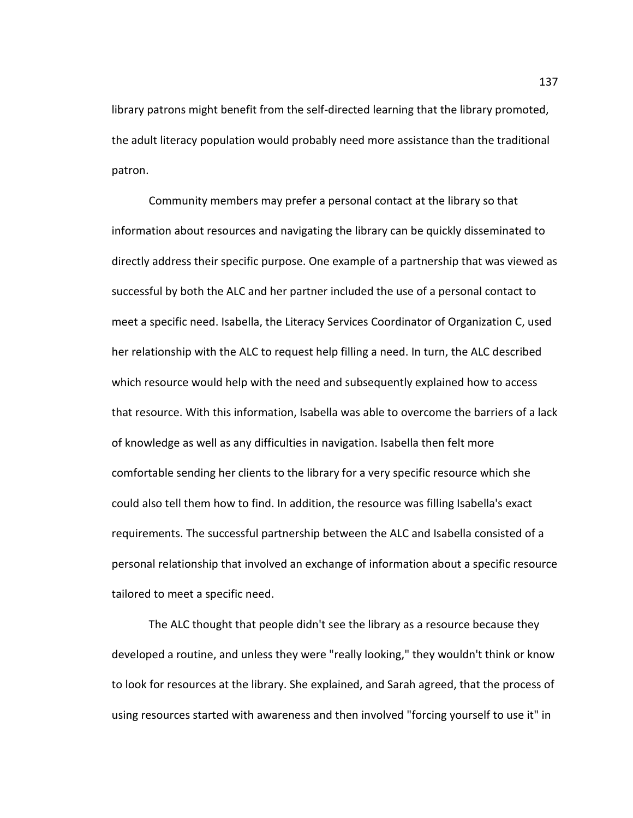library patrons might benefit from the self-directed learning that the library promoted, the adult literacy population would probably need more assistance than the traditional patron.

Community members may prefer a personal contact at the library so that information about resources and navigating the library can be quickly disseminated to directly address their specific purpose. One example of a partnership that was viewed as successful by both the ALC and her partner included the use of a personal contact to meet a specific need. Isabella, the Literacy Services Coordinator of Organization C, used her relationship with the ALC to request help filling a need. In turn, the ALC described which resource would help with the need and subsequently explained how to access that resource. With this information, Isabella was able to overcome the barriers of a lack of knowledge as well as any difficulties in navigation. Isabella then felt more comfortable sending her clients to the library for a very specific resource which she could also tell them how to find. In addition, the resource was filling Isabella's exact requirements. The successful partnership between the ALC and Isabella consisted of a personal relationship that involved an exchange of information about a specific resource tailored to meet a specific need.

The ALC thought that people didn't see the library as a resource because they developed a routine, and unless they were "really looking," they wouldn't think or know to look for resources at the library. She explained, and Sarah agreed, that the process of using resources started with awareness and then involved "forcing yourself to use it" in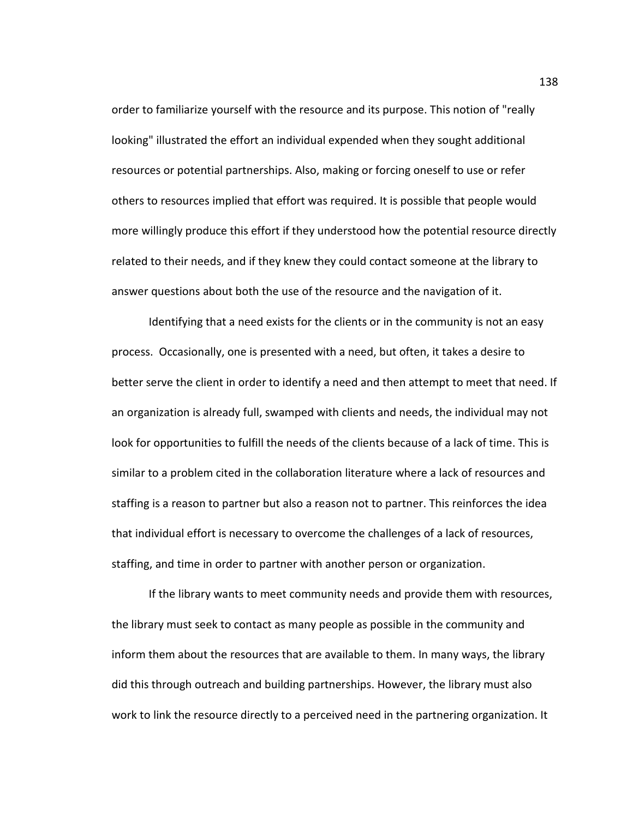order to familiarize yourself with the resource and its purpose. This notion of "really looking" illustrated the effort an individual expended when they sought additional resources or potential partnerships. Also, making or forcing oneself to use or refer others to resources implied that effort was required. It is possible that people would more willingly produce this effort if they understood how the potential resource directly related to their needs, and if they knew they could contact someone at the library to answer questions about both the use of the resource and the navigation of it.

Identifying that a need exists for the clients or in the community is not an easy process. Occasionally, one is presented with a need, but often, it takes a desire to better serve the client in order to identify a need and then attempt to meet that need. If an organization is already full, swamped with clients and needs, the individual may not look for opportunities to fulfill the needs of the clients because of a lack of time. This is similar to a problem cited in the collaboration literature where a lack of resources and staffing is a reason to partner but also a reason not to partner. This reinforces the idea that individual effort is necessary to overcome the challenges of a lack of resources, staffing, and time in order to partner with another person or organization.

If the library wants to meet community needs and provide them with resources, the library must seek to contact as many people as possible in the community and inform them about the resources that are available to them. In many ways, the library did this through outreach and building partnerships. However, the library must also work to link the resource directly to a perceived need in the partnering organization. It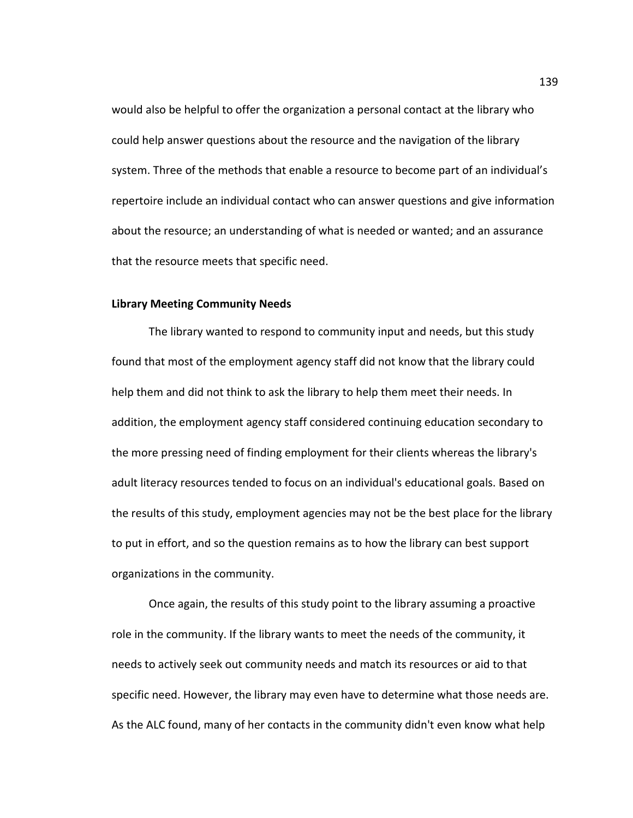would also be helpful to offer the organization a personal contact at the library who could help answer questions about the resource and the navigation of the library system. Three of the methods that enable a resource to become part of an individual's repertoire include an individual contact who can answer questions and give information about the resource; an understanding of what is needed or wanted; and an assurance that the resource meets that specific need.

## Library Meeting Community Needs

The library wanted to respond to community input and needs, but this study found that most of the employment agency staff did not know that the library could help them and did not think to ask the library to help them meet their needs. In addition, the employment agency staff considered continuing education secondary to the more pressing need of finding employment for their clients whereas the library's adult literacy resources tended to focus on an individual's educational goals. Based on the results of this study, employment agencies may not be the best place for the library to put in effort, and so the question remains as to how the library can best support organizations in the community.

Once again, the results of this study point to the library assuming a proactive role in the community. If the library wants to meet the needs of the community, it needs to actively seek out community needs and match its resources or aid to that specific need. However, the library may even have to determine what those needs are. As the ALC found, many of her contacts in the community didn't even know what help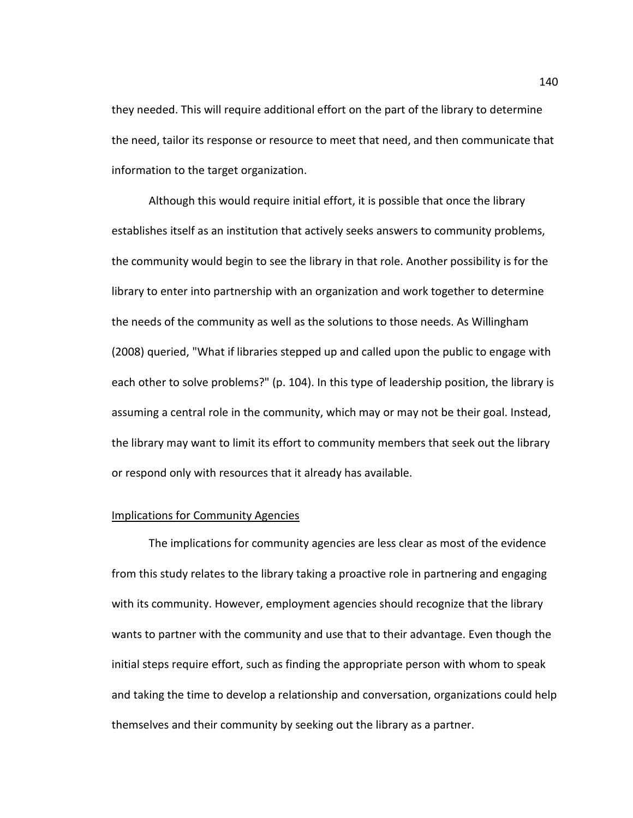they needed. This will require additional effort on the part of the library to determine the need, tailor its response or resource to meet that need, and then communicate that information to the target organization.

Although this would require initial effort, it is possible that once the library establishes itself as an institution that actively seeks answers to community problems, the community would begin to see the library in that role. Another possibility is for the library to enter into partnership with an organization and work together to determine the needs of the community as well as the solutions to those needs. As Willingham (2008) queried, "What if libraries stepped up and called upon the public to engage with each other to solve problems?" (p. 104). In this type of leadership position, the library is assuming a central role in the community, which may or may not be their goal. Instead, the library may want to limit its effort to community members that seek out the library or respond only with resources that it already has available.

#### Implications for Community Agencies

 The implications for community agencies are less clear as most of the evidence from this study relates to the library taking a proactive role in partnering and engaging with its community. However, employment agencies should recognize that the library wants to partner with the community and use that to their advantage. Even though the initial steps require effort, such as finding the appropriate person with whom to speak and taking the time to develop a relationship and conversation, organizations could help themselves and their community by seeking out the library as a partner.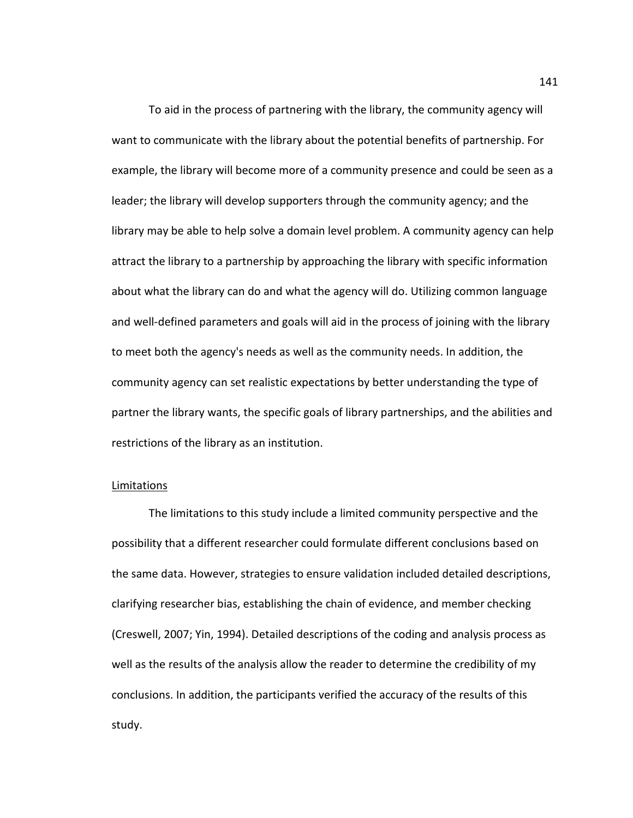To aid in the process of partnering with the library, the community agency will want to communicate with the library about the potential benefits of partnership. For example, the library will become more of a community presence and could be seen as a leader; the library will develop supporters through the community agency; and the library may be able to help solve a domain level problem. A community agency can help attract the library to a partnership by approaching the library with specific information about what the library can do and what the agency will do. Utilizing common language and well-defined parameters and goals will aid in the process of joining with the library to meet both the agency's needs as well as the community needs. In addition, the community agency can set realistic expectations by better understanding the type of partner the library wants, the specific goals of library partnerships, and the abilities and restrictions of the library as an institution.

## Limitations

 The limitations to this study include a limited community perspective and the possibility that a different researcher could formulate different conclusions based on the same data. However, strategies to ensure validation included detailed descriptions, clarifying researcher bias, establishing the chain of evidence, and member checking (Creswell, 2007; Yin, 1994). Detailed descriptions of the coding and analysis process as well as the results of the analysis allow the reader to determine the credibility of my conclusions. In addition, the participants verified the accuracy of the results of this study.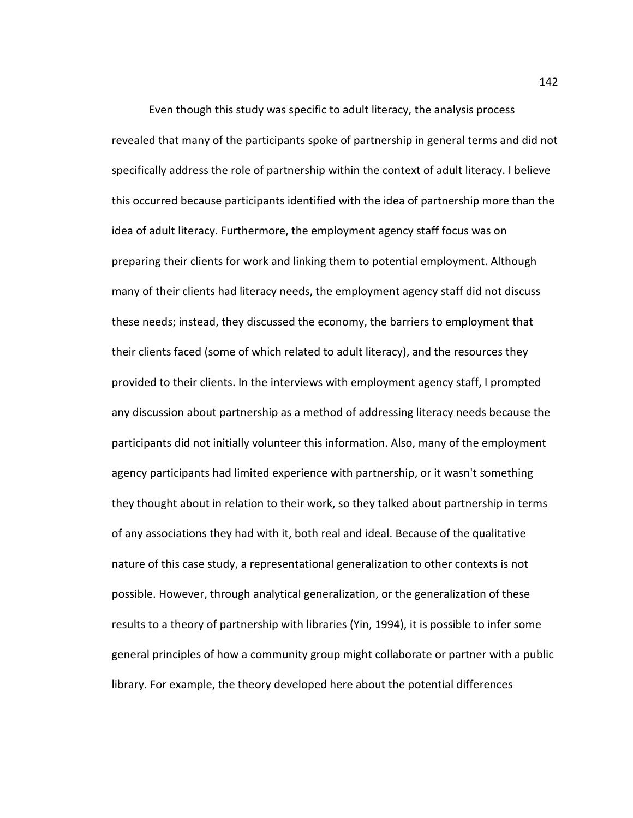Even though this study was specific to adult literacy, the analysis process revealed that many of the participants spoke of partnership in general terms and did not specifically address the role of partnership within the context of adult literacy. I believe this occurred because participants identified with the idea of partnership more than the idea of adult literacy. Furthermore, the employment agency staff focus was on preparing their clients for work and linking them to potential employment. Although many of their clients had literacy needs, the employment agency staff did not discuss these needs; instead, they discussed the economy, the barriers to employment that their clients faced (some of which related to adult literacy), and the resources they provided to their clients. In the interviews with employment agency staff, I prompted any discussion about partnership as a method of addressing literacy needs because the participants did not initially volunteer this information. Also, many of the employment agency participants had limited experience with partnership, or it wasn't something they thought about in relation to their work, so they talked about partnership in terms of any associations they had with it, both real and ideal. Because of the qualitative nature of this case study, a representational generalization to other contexts is not possible. However, through analytical generalization, or the generalization of these results to a theory of partnership with libraries (Yin, 1994), it is possible to infer some general principles of how a community group might collaborate or partner with a public library. For example, the theory developed here about the potential differences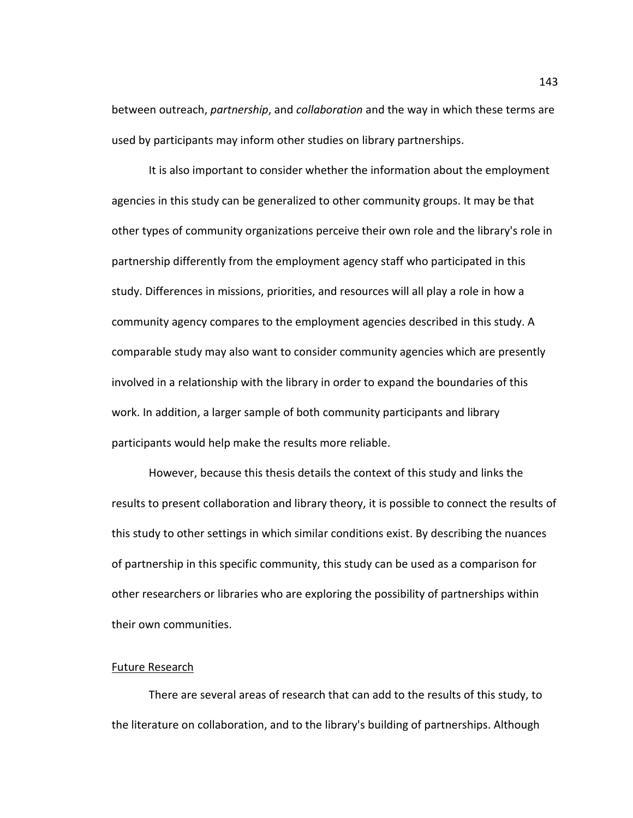between outreach, partnership, and collaboration and the way in which these terms are used by participants may inform other studies on library partnerships.

It is also important to consider whether the information about the employment agencies in this study can be generalized to other community groups. It may be that other types of community organizations perceive their own role and the library's role in partnership differently from the employment agency staff who participated in this study. Differences in missions, priorities, and resources will all play a role in how a community agency compares to the employment agencies described in this study. A comparable study may also want to consider community agencies which are presently involved in a relationship with the library in order to expand the boundaries of this work. In addition, a larger sample of both community participants and library participants would help make the results more reliable.

However, because this thesis details the context of this study and links the results to present collaboration and library theory, it is possible to connect the results of this study to other settings in which similar conditions exist. By describing the nuances of partnership in this specific community, this study can be used as a comparison for other researchers or libraries who are exploring the possibility of partnerships within their own communities.

## Future Research

There are several areas of research that can add to the results of this study, to the literature on collaboration, and to the library's building of partnerships. Although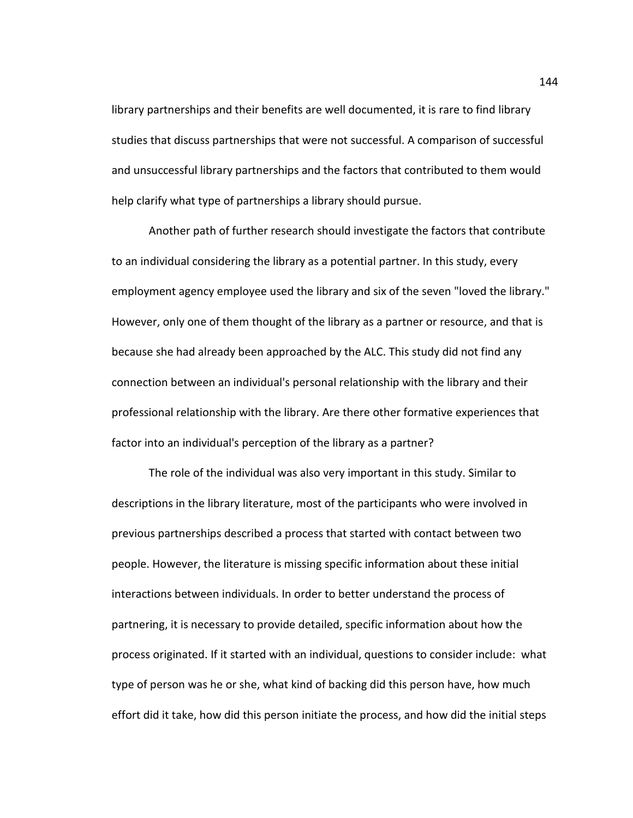library partnerships and their benefits are well documented, it is rare to find library studies that discuss partnerships that were not successful. A comparison of successful and unsuccessful library partnerships and the factors that contributed to them would help clarify what type of partnerships a library should pursue.

Another path of further research should investigate the factors that contribute to an individual considering the library as a potential partner. In this study, every employment agency employee used the library and six of the seven "loved the library." However, only one of them thought of the library as a partner or resource, and that is because she had already been approached by the ALC. This study did not find any connection between an individual's personal relationship with the library and their professional relationship with the library. Are there other formative experiences that factor into an individual's perception of the library as a partner?

The role of the individual was also very important in this study. Similar to descriptions in the library literature, most of the participants who were involved in previous partnerships described a process that started with contact between two people. However, the literature is missing specific information about these initial interactions between individuals. In order to better understand the process of partnering, it is necessary to provide detailed, specific information about how the process originated. If it started with an individual, questions to consider include: what type of person was he or she, what kind of backing did this person have, how much effort did it take, how did this person initiate the process, and how did the initial steps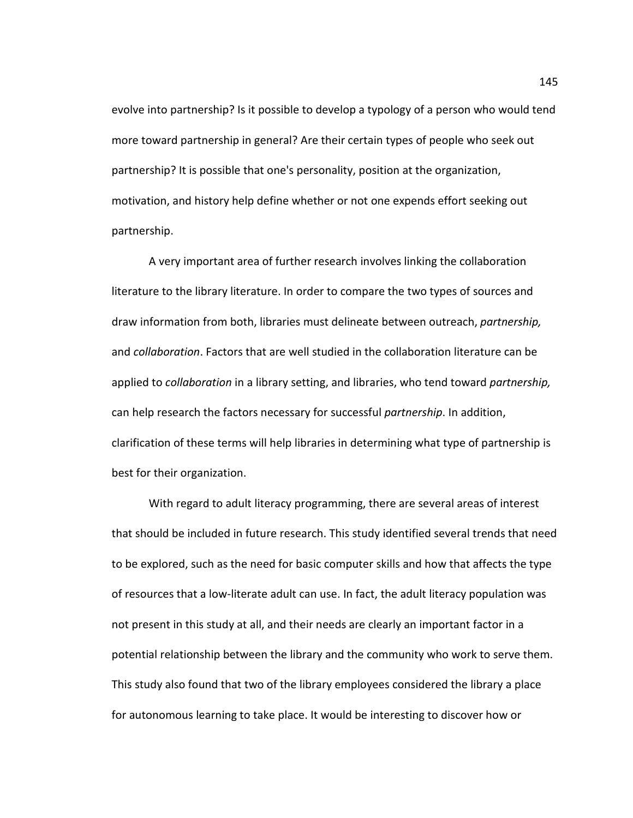evolve into partnership? Is it possible to develop a typology of a person who would tend more toward partnership in general? Are their certain types of people who seek out partnership? It is possible that one's personality, position at the organization, motivation, and history help define whether or not one expends effort seeking out partnership.

A very important area of further research involves linking the collaboration literature to the library literature. In order to compare the two types of sources and draw information from both, libraries must delineate between outreach, partnership, and collaboration. Factors that are well studied in the collaboration literature can be applied to *collaboration* in a library setting, and libraries, who tend toward *partnership*, can help research the factors necessary for successful partnership. In addition, clarification of these terms will help libraries in determining what type of partnership is best for their organization.

 With regard to adult literacy programming, there are several areas of interest that should be included in future research. This study identified several trends that need to be explored, such as the need for basic computer skills and how that affects the type of resources that a low-literate adult can use. In fact, the adult literacy population was not present in this study at all, and their needs are clearly an important factor in a potential relationship between the library and the community who work to serve them. This study also found that two of the library employees considered the library a place for autonomous learning to take place. It would be interesting to discover how or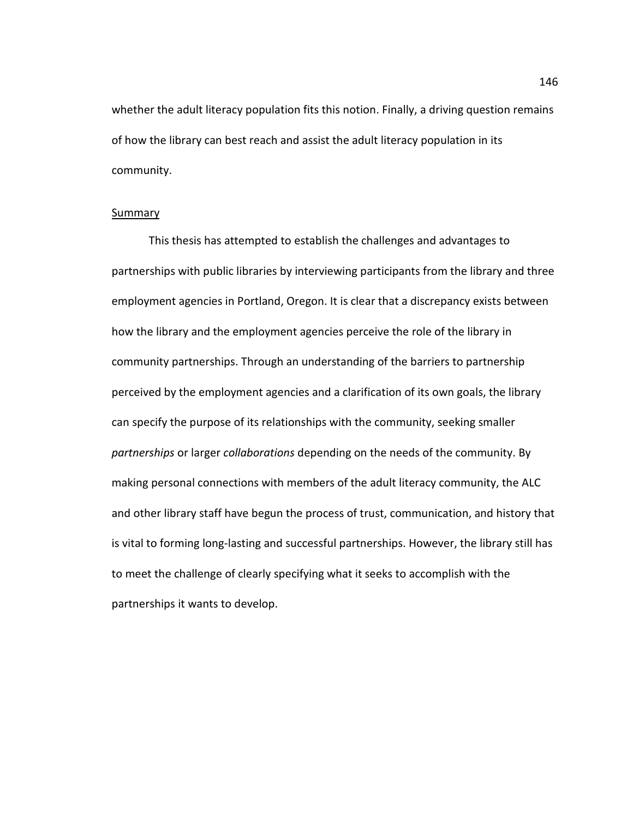whether the adult literacy population fits this notion. Finally, a driving question remains of how the library can best reach and assist the adult literacy population in its community.

## Summary

This thesis has attempted to establish the challenges and advantages to partnerships with public libraries by interviewing participants from the library and three employment agencies in Portland, Oregon. It is clear that a discrepancy exists between how the library and the employment agencies perceive the role of the library in community partnerships. Through an understanding of the barriers to partnership perceived by the employment agencies and a clarification of its own goals, the library can specify the purpose of its relationships with the community, seeking smaller partnerships or larger collaborations depending on the needs of the community. By making personal connections with members of the adult literacy community, the ALC and other library staff have begun the process of trust, communication, and history that is vital to forming long-lasting and successful partnerships. However, the library still has to meet the challenge of clearly specifying what it seeks to accomplish with the partnerships it wants to develop.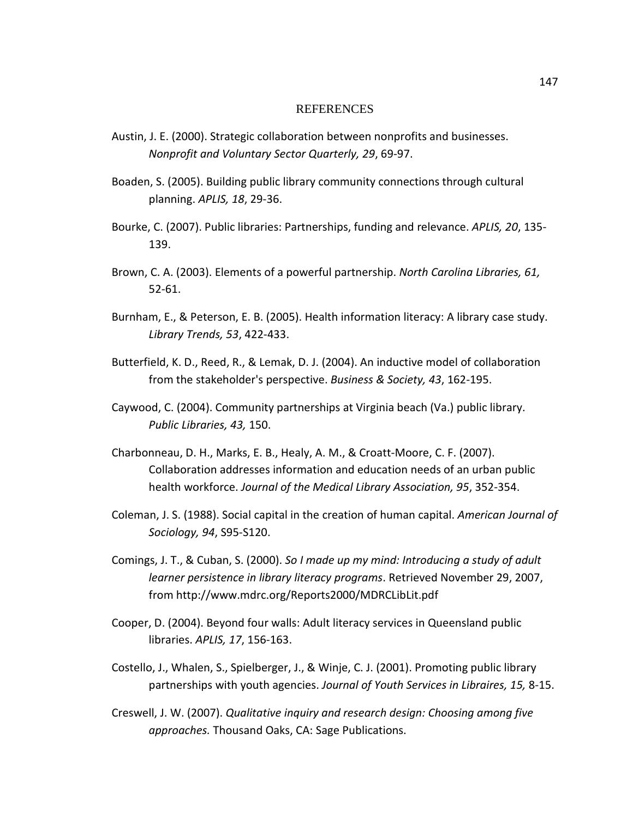#### REFERENCES

- Austin, J. E. (2000). Strategic collaboration between nonprofits and businesses. Nonprofit and Voluntary Sector Quarterly, 29, 69-97.
- Boaden, S. (2005). Building public library community connections through cultural planning. APLIS, 18, 29-36.
- Bourke, C. (2007). Public libraries: Partnerships, funding and relevance. APLIS, 20, 135- 139.
- Brown, C. A. (2003). Elements of a powerful partnership. North Carolina Libraries, 61, 52-61.
- Burnham, E., & Peterson, E. B. (2005). Health information literacy: A library case study. Library Trends, 53, 422-433.
- Butterfield, K. D., Reed, R., & Lemak, D. J. (2004). An inductive model of collaboration from the stakeholder's perspective. Business & Society, 43, 162-195.
- Caywood, C. (2004). Community partnerships at Virginia beach (Va.) public library. Public Libraries, 43, 150.
- Charbonneau, D. H., Marks, E. B., Healy, A. M., & Croatt-Moore, C. F. (2007). Collaboration addresses information and education needs of an urban public health workforce. Journal of the Medical Library Association, 95, 352-354.
- Coleman, J. S. (1988). Social capital in the creation of human capital. American Journal of Sociology, 94, S95-S120.
- Comings, J. T., & Cuban, S. (2000). So I made up my mind: Introducing a study of adult learner persistence in library literacy programs. Retrieved November 29, 2007, from http://www.mdrc.org/Reports2000/MDRCLibLit.pdf
- Cooper, D. (2004). Beyond four walls: Adult literacy services in Queensland public libraries. APLIS, 17, 156-163.
- Costello, J., Whalen, S., Spielberger, J., & Winje, C. J. (2001). Promoting public library partnerships with youth agencies. Journal of Youth Services in Libraires, 15, 8-15.
- Creswell, J. W. (2007). Qualitative inquiry and research design: Choosing among five approaches. Thousand Oaks, CA: Sage Publications.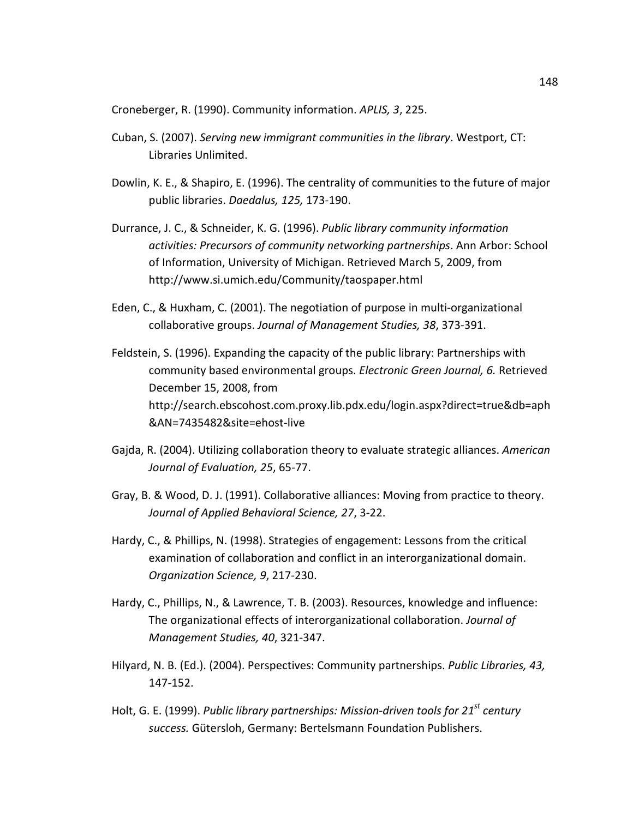Croneberger, R. (1990). Community information. APLIS, 3, 225.

- Cuban, S. (2007). Serving new immigrant communities in the library. Westport, CT: Libraries Unlimited.
- Dowlin, K. E., & Shapiro, E. (1996). The centrality of communities to the future of major public libraries. Daedalus, 125, 173-190.
- Durrance, J. C., & Schneider, K. G. (1996). Public library community information activities: Precursors of community networking partnerships. Ann Arbor: School of Information, University of Michigan. Retrieved March 5, 2009, from http://www.si.umich.edu/Community/taospaper.html
- Eden, C., & Huxham, C. (2001). The negotiation of purpose in multi-organizational collaborative groups. Journal of Management Studies, 38, 373-391.
- Feldstein, S. (1996). Expanding the capacity of the public library: Partnerships with community based environmental groups. Electronic Green Journal, 6. Retrieved December 15, 2008, from http://search.ebscohost.com.proxy.lib.pdx.edu/login.aspx?direct=true&db=aph &AN=7435482&site=ehost-live
- Gajda, R. (2004). Utilizing collaboration theory to evaluate strategic alliances. American Journal of Evaluation, 25, 65-77.
- Gray, B. & Wood, D. J. (1991). Collaborative alliances: Moving from practice to theory. Journal of Applied Behavioral Science, 27, 3-22.
- Hardy, C., & Phillips, N. (1998). Strategies of engagement: Lessons from the critical examination of collaboration and conflict in an interorganizational domain. Organization Science, 9, 217-230.
- Hardy, C., Phillips, N., & Lawrence, T. B. (2003). Resources, knowledge and influence: The organizational effects of interorganizational collaboration. Journal of Management Studies, 40, 321-347.
- Hilyard, N. B. (Ed.). (2004). Perspectives: Community partnerships. Public Libraries, 43, 147-152.
- Holt, G. E. (1999). Public library partnerships: Mission-driven tools for 21<sup>st</sup> century success. Gütersloh, Germany: Bertelsmann Foundation Publishers.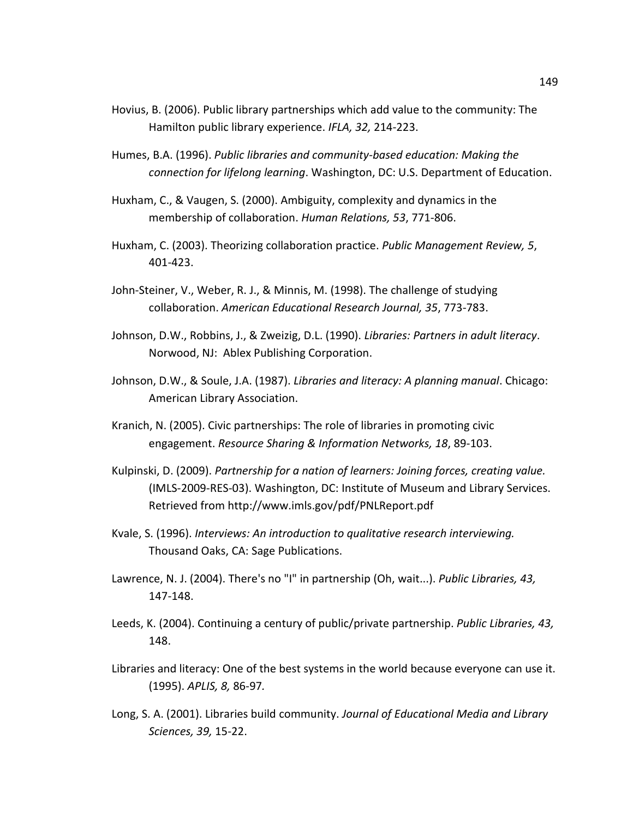- Hovius, B. (2006). Public library partnerships which add value to the community: The Hamilton public library experience. IFLA, 32, 214-223.
- Humes, B.A. (1996). Public libraries and community-based education: Making the connection for lifelong learning. Washington, DC: U.S. Department of Education.
- Huxham, C., & Vaugen, S. (2000). Ambiguity, complexity and dynamics in the membership of collaboration. Human Relations, 53, 771-806.
- Huxham, C. (2003). Theorizing collaboration practice. Public Management Review, 5, 401-423.
- John-Steiner, V., Weber, R. J., & Minnis, M. (1998). The challenge of studying collaboration. American Educational Research Journal, 35, 773-783.
- Johnson, D.W., Robbins, J., & Zweizig, D.L. (1990). Libraries: Partners in adult literacy. Norwood, NJ: Ablex Publishing Corporation.
- Johnson, D.W., & Soule, J.A. (1987). Libraries and literacy: A planning manual. Chicago: American Library Association.
- Kranich, N. (2005). Civic partnerships: The role of libraries in promoting civic engagement. Resource Sharing & Information Networks, 18, 89-103.
- Kulpinski, D. (2009). Partnership for a nation of learners: Joining forces, creating value. (IMLS-2009-RES-03). Washington, DC: Institute of Museum and Library Services. Retrieved from http://www.imls.gov/pdf/PNLReport.pdf
- Kvale, S. (1996). Interviews: An introduction to qualitative research interviewing. Thousand Oaks, CA: Sage Publications.
- Lawrence, N. J. (2004). There's no "I" in partnership (Oh, wait...). Public Libraries, 43, 147-148.
- Leeds, K. (2004). Continuing a century of public/private partnership. Public Libraries, 43, 148.
- Libraries and literacy: One of the best systems in the world because everyone can use it. (1995). APLIS, 8, 86-97.
- Long, S. A. (2001). Libraries build community. Journal of Educational Media and Library Sciences, 39, 15-22.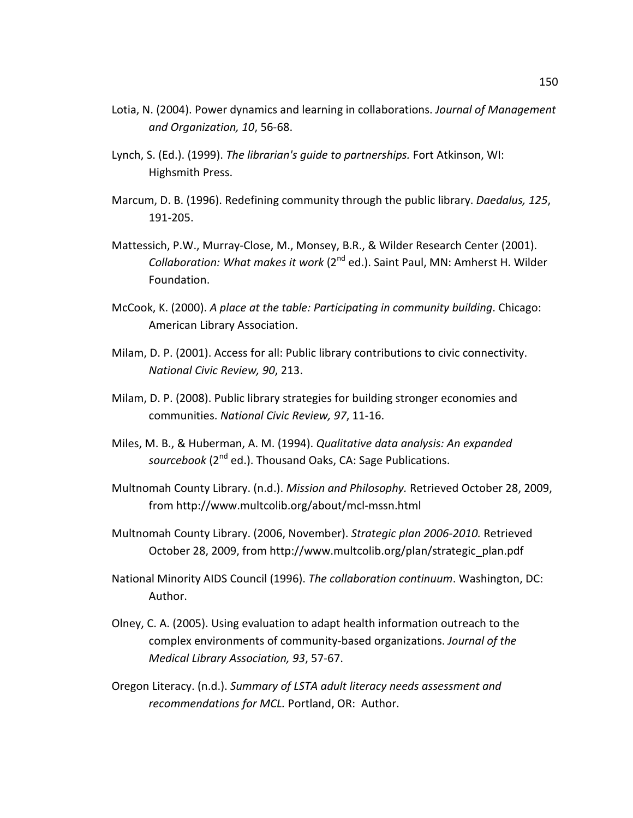- Lotia, N. (2004). Power dynamics and learning in collaborations. Journal of Management and Organization, 10, 56-68.
- Lynch, S. (Ed.). (1999). The librarian's guide to partnerships. Fort Atkinson, WI: Highsmith Press.
- Marcum, D. B. (1996). Redefining community through the public library. Daedalus, 125, 191-205.
- Mattessich, P.W., Murray-Close, M., Monsey, B.R., & Wilder Research Center (2001). Collaboration: What makes it work (2<sup>nd</sup> ed.). Saint Paul, MN: Amherst H. Wilder Foundation.
- McCook, K. (2000). A place at the table: Participating in community building. Chicago: American Library Association.
- Milam, D. P. (2001). Access for all: Public library contributions to civic connectivity. National Civic Review, 90, 213.
- Milam, D. P. (2008). Public library strategies for building stronger economies and communities. National Civic Review, 97, 11-16.
- Miles, M. B., & Huberman, A. M. (1994). Qualitative data analysis: An expanded sourcebook (2<sup>nd</sup> ed.). Thousand Oaks, CA: Sage Publications.
- Multnomah County Library. (n.d.). Mission and Philosophy. Retrieved October 28, 2009, from http://www.multcolib.org/about/mcl-mssn.html
- Multnomah County Library. (2006, November). Strategic plan 2006-2010. Retrieved October 28, 2009, from http://www.multcolib.org/plan/strategic\_plan.pdf
- National Minority AIDS Council (1996). The collaboration continuum. Washington, DC: Author.
- Olney, C. A. (2005). Using evaluation to adapt health information outreach to the complex environments of community-based organizations. Journal of the Medical Library Association, 93, 57-67.
- Oregon Literacy. (n.d.). Summary of LSTA adult literacy needs assessment and recommendations for MCL. Portland, OR: Author.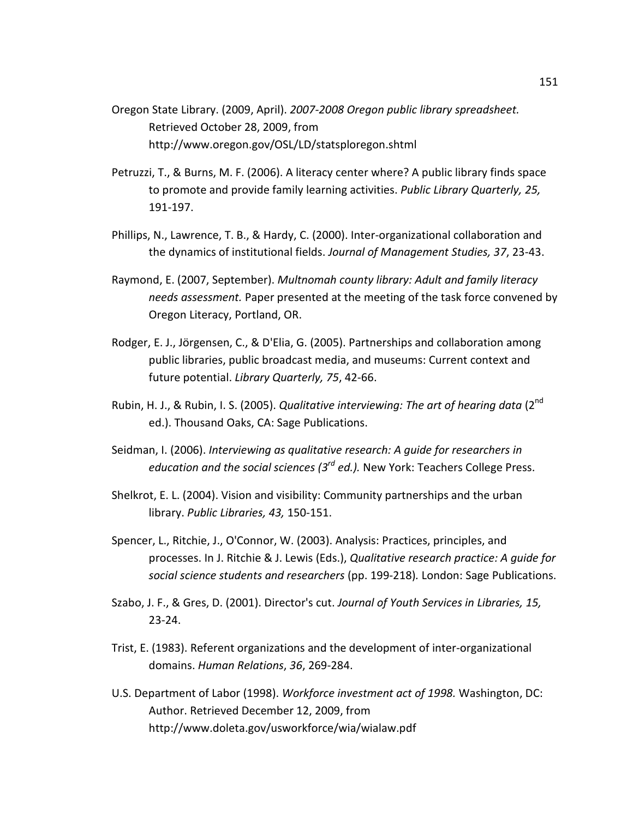- Oregon State Library. (2009, April). 2007-2008 Oregon public library spreadsheet. Retrieved October 28, 2009, from http://www.oregon.gov/OSL/LD/statsploregon.shtml
- Petruzzi, T., & Burns, M. F. (2006). A literacy center where? A public library finds space to promote and provide family learning activities. Public Library Quarterly, 25, 191-197.
- Phillips, N., Lawrence, T. B., & Hardy, C. (2000). Inter-organizational collaboration and the dynamics of institutional fields. Journal of Management Studies, 37, 23-43.
- Raymond, E. (2007, September). Multnomah county library: Adult and family literacy needs assessment. Paper presented at the meeting of the task force convened by Oregon Literacy, Portland, OR.
- Rodger, E. J., Jörgensen, C., & D'Elia, G. (2005). Partnerships and collaboration among public libraries, public broadcast media, and museums: Current context and future potential. Library Quarterly, 75, 42-66.
- Rubin, H. J., & Rubin, I. S. (2005). Qualitative interviewing: The art of hearing data (2<sup>nd</sup> ed.). Thousand Oaks, CA: Sage Publications.
- Seidman, I. (2006). Interviewing as qualitative research: A guide for researchers in education and the social sciences ( $3<sup>rd</sup>$  ed.). New York: Teachers College Press.
- Shelkrot, E. L. (2004). Vision and visibility: Community partnerships and the urban library. Public Libraries, 43, 150-151.
- Spencer, L., Ritchie, J., O'Connor, W. (2003). Analysis: Practices, principles, and processes. In J. Ritchie & J. Lewis (Eds.), Qualitative research practice: A guide for social science students and researchers (pp. 199-218). London: Sage Publications.
- Szabo, J. F., & Gres, D. (2001). Director's cut. Journal of Youth Services in Libraries, 15, 23-24.
- Trist, E. (1983). Referent organizations and the development of inter-organizational domains. Human Relations, 36, 269-284.
- U.S. Department of Labor (1998). Workforce investment act of 1998. Washington, DC: Author. Retrieved December 12, 2009, from http://www.doleta.gov/usworkforce/wia/wialaw.pdf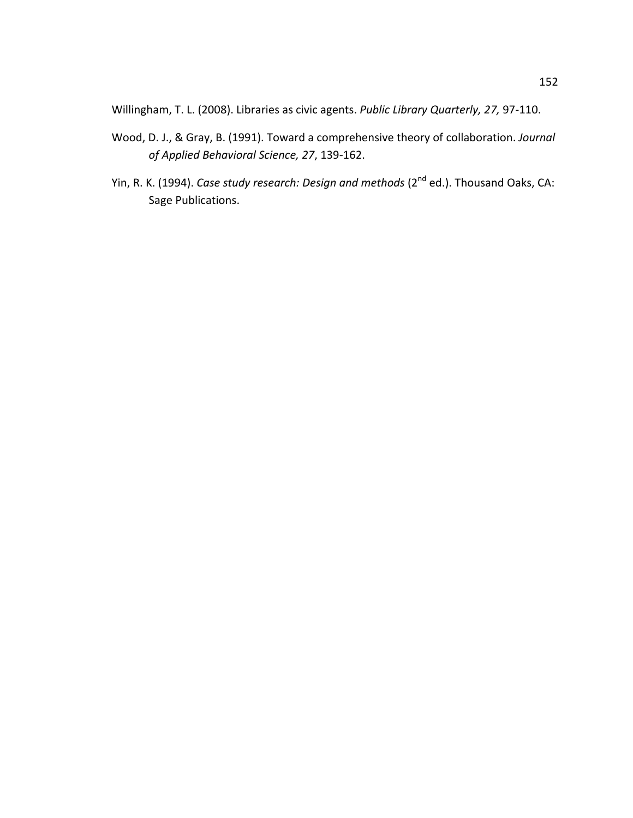Willingham, T. L. (2008). Libraries as civic agents. Public Library Quarterly, 27, 97-110.

- Wood, D. J., & Gray, B. (1991). Toward a comprehensive theory of collaboration. Journal of Applied Behavioral Science, 27, 139-162.
- Yin, R. K. (1994). Case study research: Design and methods (2<sup>nd</sup> ed.). Thousand Oaks, CA: Sage Publications.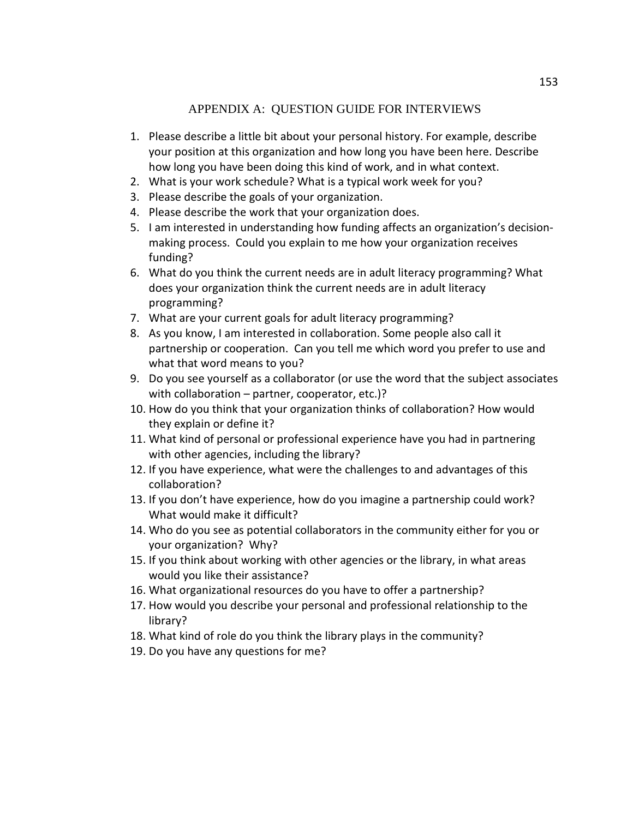# APPENDIX A: QUESTION GUIDE FOR INTERVIEWS

- 1. Please describe a little bit about your personal history. For example, describe your position at this organization and how long you have been here. Describe how long you have been doing this kind of work, and in what context.
- 2. What is your work schedule? What is a typical work week for you?
- 3. Please describe the goals of your organization.
- 4. Please describe the work that your organization does.
- 5. I am interested in understanding how funding affects an organization's decisionmaking process. Could you explain to me how your organization receives funding?
- 6. What do you think the current needs are in adult literacy programming? What does your organization think the current needs are in adult literacy programming?
- 7. What are your current goals for adult literacy programming?
- 8. As you know, I am interested in collaboration. Some people also call it partnership or cooperation. Can you tell me which word you prefer to use and what that word means to you?
- 9. Do you see yourself as a collaborator (or use the word that the subject associates with collaboration – partner, cooperator, etc.)?
- 10. How do you think that your organization thinks of collaboration? How would they explain or define it?
- 11. What kind of personal or professional experience have you had in partnering with other agencies, including the library?
- 12. If you have experience, what were the challenges to and advantages of this collaboration?
- 13. If you don't have experience, how do you imagine a partnership could work? What would make it difficult?
- 14. Who do you see as potential collaborators in the community either for you or your organization? Why?
- 15. If you think about working with other agencies or the library, in what areas would you like their assistance?
- 16. What organizational resources do you have to offer a partnership?
- 17. How would you describe your personal and professional relationship to the library?
- 18. What kind of role do you think the library plays in the community?
- 19. Do you have any questions for me?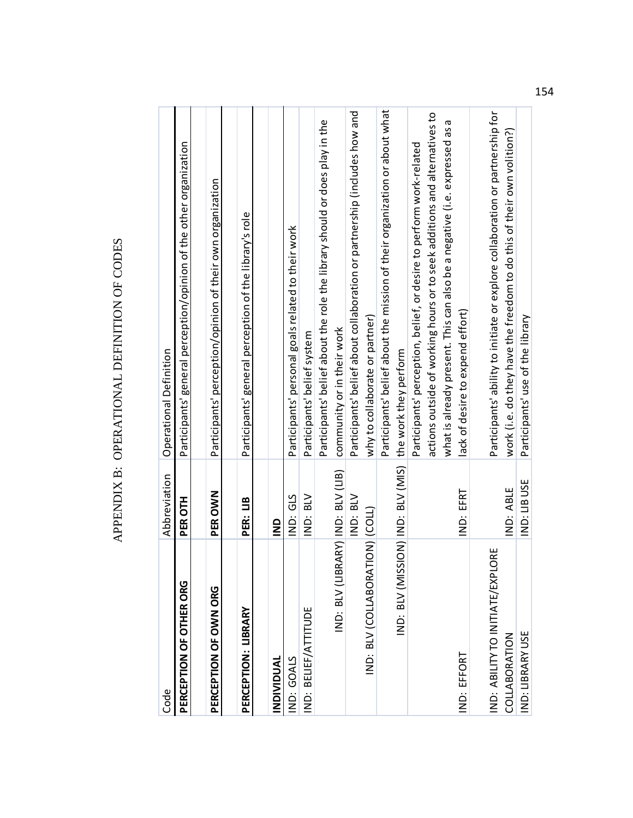| ひにんへい にんしょくししじょう<br>ׇׇ֚֕֡          |
|------------------------------------|
| ,<br>$\frac{1}{2}$<br>ーー・ハ<br>l    |
| $\frac{1}{2}$<br>ן<br>ו<br>I<br>ׇ֕ |

| Code                              | Abbreviation  | Operational Definition                                                        |
|-----------------------------------|---------------|-------------------------------------------------------------------------------|
| PERCEPTION OF OTHER ORG           | PER OTH       | Participants' general perception/opinion of the other organization            |
|                                   |               |                                                                               |
| PERCEPTION OF OWN ORG             | PER OWN       | Participants' perception/opinion of their own organization                    |
|                                   |               |                                                                               |
| PERCEPTION: LIBRARY               | PER: LIB      | Participants' general perception of the library's role                        |
|                                   |               |                                                                               |
| INDIVIDUAL                        | $\frac{1}{2}$ |                                                                               |
| IND: GOALS                        | IND: GLS      | Participants' personal goals related to their work                            |
| IND: BELIEF/ATTITUDE              | IND: BLV      | Participants' belief system                                                   |
|                                   |               | Participants' belief about the role the library should or does play in the    |
| IND: BLV (LIBRARY) IND: BLV (LIB) |               | community or in their work                                                    |
|                                   | IND: BLV      | Participants' belief about collaboration or partnership (includes how and     |
| IND: BLV (COLLABORATION) (COLL)   |               | why to collaborate or partner)                                                |
|                                   |               | Participants' belief about the mission of their organization or about what    |
|                                   |               | IND: BLV (MISSION) IND: BLV (MIS) the work they perform                       |
|                                   |               | Participants' perception, belief, or desire to perform work-related           |
|                                   |               | actions outside of working hours or to seek additions and alternatives to     |
|                                   |               | what is already present. This can also be a negative (i.e. expressed as a     |
| IND: EFFORT                       | IND: EFRT     | lack of desire to expend effort)                                              |
| IND: ABILITY TO INITIATE/EXPLORE  |               | Participants' ability to initiate or explore collaboration or partnership for |
| COLLABORATION                     | IND: ABLE     | work (i.e. do they have the freedom to do this of their own volition?)        |
| IND: LIBRARY USE                  | IND: LIB USE  | Participants' use of the library                                              |
|                                   |               |                                                                               |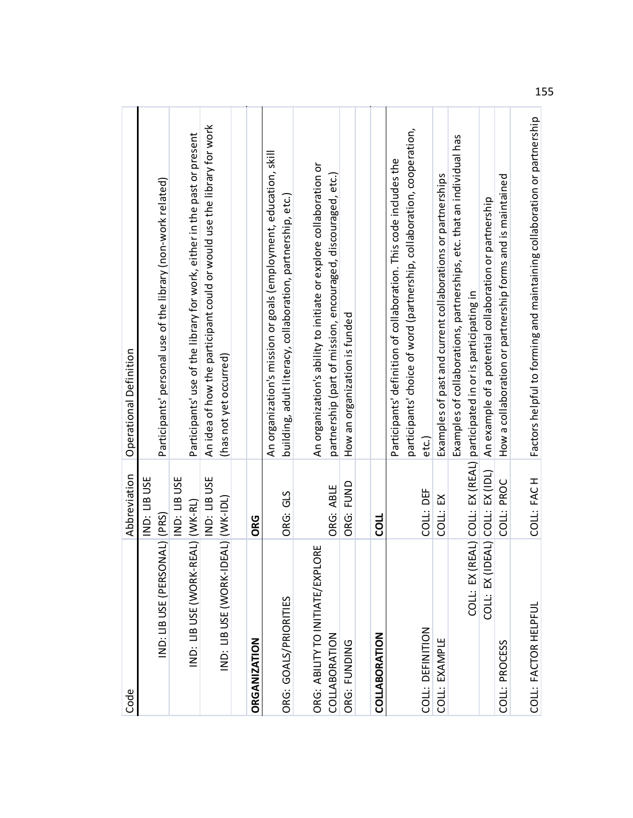| Code                                              | Abbreviation | Operational Definition                                                                                                                          |
|---------------------------------------------------|--------------|-------------------------------------------------------------------------------------------------------------------------------------------------|
| IND: LIB USE (PERSONAL) (PRS)                     | IND: LIB USE | Participants' personal use of the library (non-work related)                                                                                    |
| IND: LIB USE (WORK-REAL) (WK-RL)                  | IND: LIB USE | Participants' use of the library for work, either in the past or present                                                                        |
| IND: LIB USE (WORK-IDEAL) (WK-IDL)                | IND: LIB USE | An idea of how the participant could or would use the library for work<br>(has not yet occurred)                                                |
| <b>ORGANIZATION</b>                               | ORG          |                                                                                                                                                 |
| ORG: GOALS/PRIORITIES                             | ORG: GLS     | An organization's mission or goals (employment, education, skill<br>building, adult literacy, collaboration, partnership, etc.)                 |
| ORG: ABILITY TO INITIATE/EXPLORE<br>COLLABORATION | ORG: ABLE    | An organization's ability to initiate or explore collaboration or<br>partnership (part of mission, encouraged, discouraged, etc.)               |
| ORG: FUNDING                                      | ORG: FUND    | How an organization is funded                                                                                                                   |
| COLLABORATION                                     | <b>LOS</b>   |                                                                                                                                                 |
|                                                   |              | participants' choice of word (partnership, collaboration, cooperation,<br>Participants' definition of collaboration. This code includes the     |
| COLL: DEFINITION                                  | COLL: DEF    | etc.)                                                                                                                                           |
| COLL: EXAMPLE                                     | COLL: EX     | Examples of past and current collaborations or partnerships                                                                                     |
|                                                   |              | Examples of collaborations, partnerships, etc. that an individual has<br>COLL: EX (REAL) COLL: EX (REAL) participated in or is participating in |
| COLL: EX (IDEAL) COLL: EX (IDL)                   |              | An example of a potential collaboration or partnership                                                                                          |
| COLL: PROCESS                                     | COLL: PROC   | How a collaboration or partnership forms and is maintained                                                                                      |
| COLL: FACTOR HELPFUL                              | COLL: FACH   | Factors helpful to forming and maintaining collaboration or partnership                                                                         |